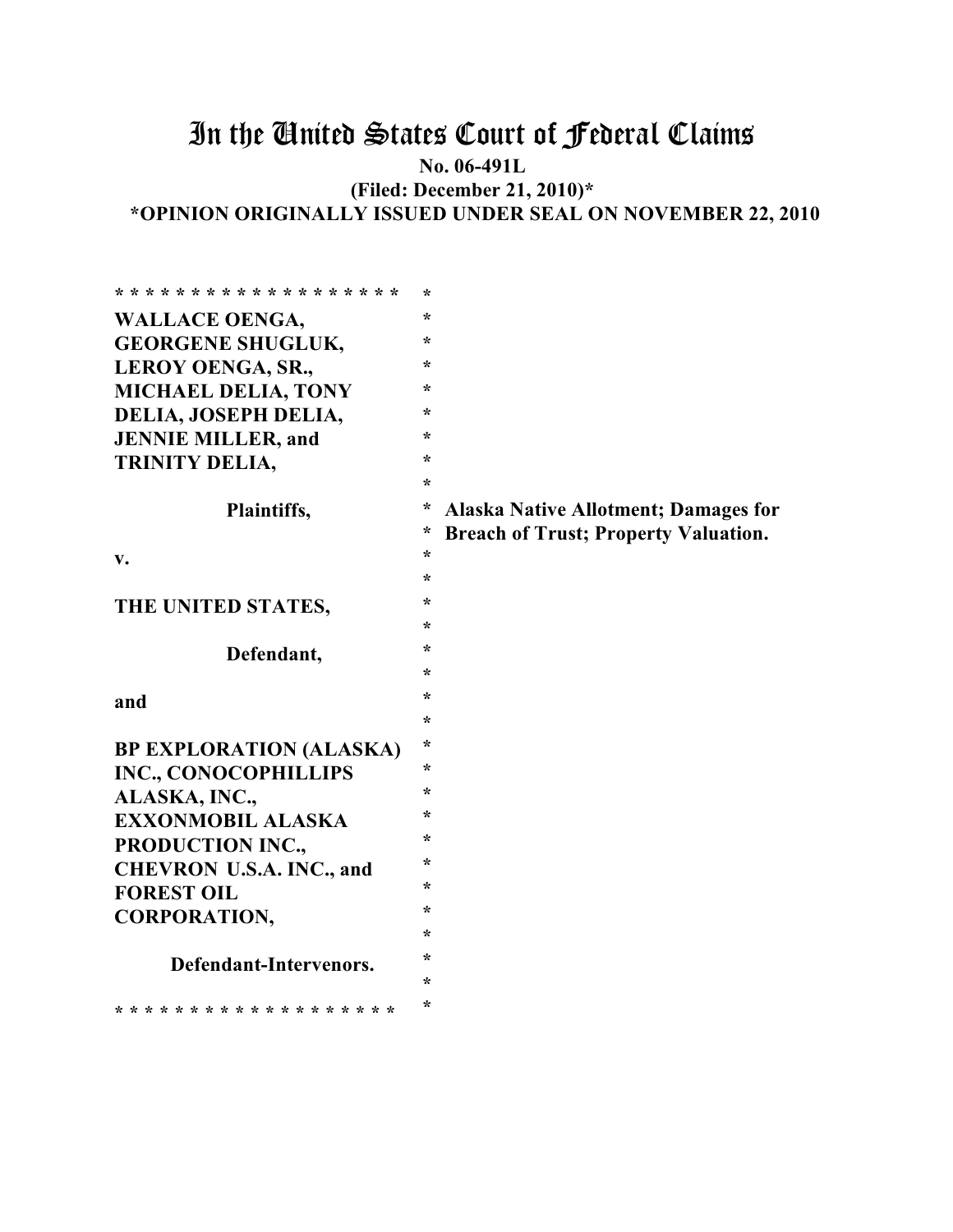# In the United States Court of Federal Claims

**No. 06-491L**

**(Filed: December 21, 2010)\* \*OPINION ORIGINALLY ISSUED UNDER SEAL ON NOVEMBER 22, 2010**

| * * * * * * * * * * * * * * * * * * * | $\star$ |                                             |
|---------------------------------------|---------|---------------------------------------------|
| <b>WALLACE OENGA,</b>                 | ÷       |                                             |
| <b>GEORGENE SHUGLUK,</b>              | $\star$ |                                             |
| LEROY OENGA, SR.,                     | $\star$ |                                             |
| MICHAEL DELIA, TONY                   | *       |                                             |
| DELIA, JOSEPH DELIA,                  | $\ast$  |                                             |
| <b>JENNIE MILLER, and</b>             | ÷       |                                             |
| <b>TRINITY DELIA,</b>                 | $\ast$  |                                             |
|                                       | $\star$ |                                             |
| Plaintiffs,                           | *       | <b>Alaska Native Allotment; Damages for</b> |
|                                       | *       | <b>Breach of Trust; Property Valuation.</b> |
| v.                                    | $\ast$  |                                             |
|                                       | *       |                                             |
| THE UNITED STATES,                    | *       |                                             |
|                                       | $\star$ |                                             |
| Defendant,                            | *       |                                             |
|                                       | $\star$ |                                             |
| and                                   | $\ast$  |                                             |
|                                       | *       |                                             |
| <b>BP EXPLORATION (ALASKA)</b>        | $\ast$  |                                             |
| <b>INC., CONOCOPHILLIPS</b>           | ÷       |                                             |
| ALASKA, INC.,                         | $\star$ |                                             |
| <b>EXXONMOBIL ALASKA</b>              | ÷       |                                             |
| PRODUCTION INC.,                      | $\ast$  |                                             |
| <b>CHEVRON U.S.A. INC., and</b>       | *       |                                             |
| <b>FOREST OIL</b>                     | $\star$ |                                             |
| <b>CORPORATION,</b>                   | $\star$ |                                             |
|                                       | $\ast$  |                                             |
| Defendant-Intervenors.                | $\star$ |                                             |
|                                       | *       |                                             |
| * * * * * * * * * * * * * * * * * * * | $\star$ |                                             |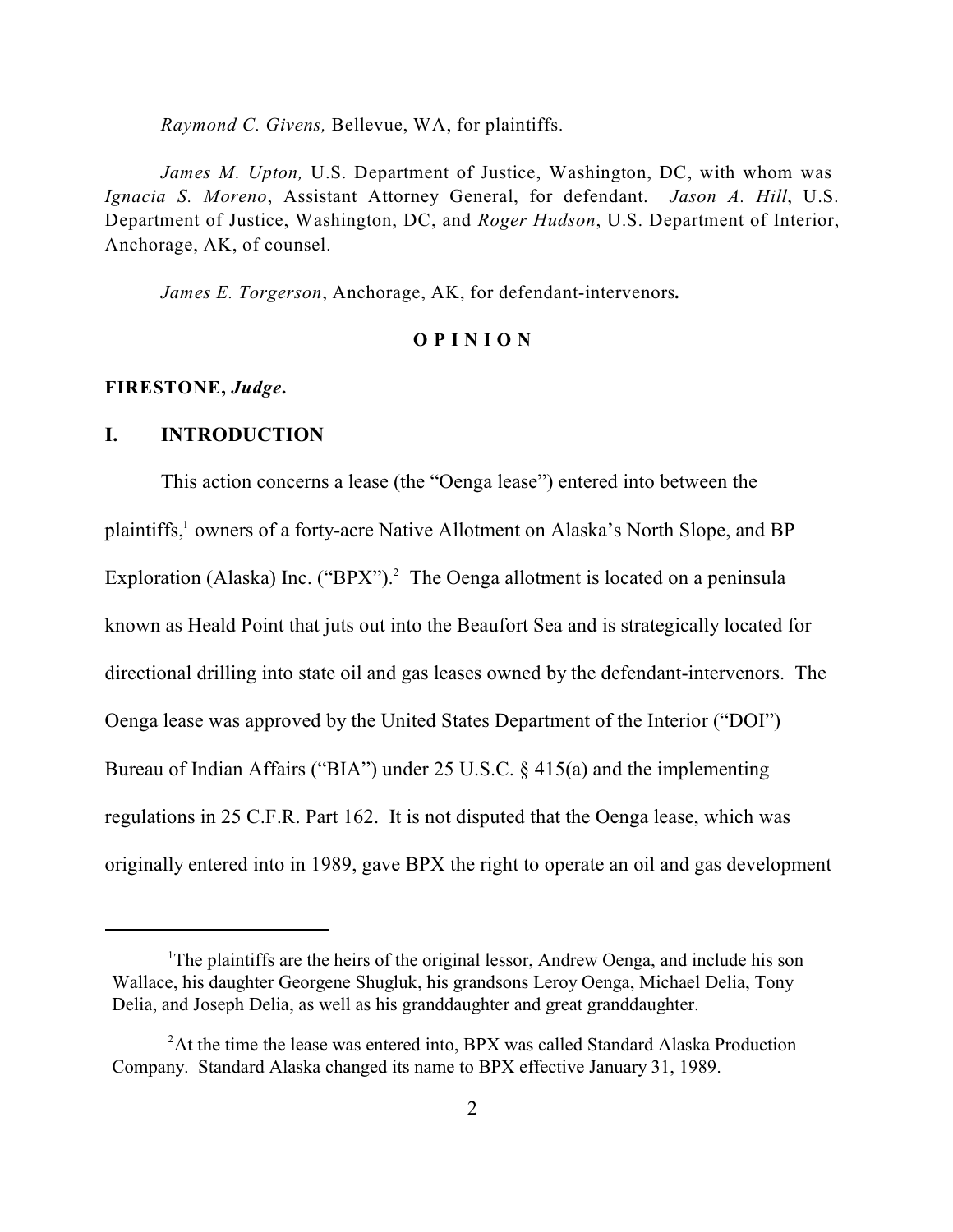*Raymond C. Givens,* Bellevue, WA, for plaintiffs.

*James M. Upton,* U.S. Department of Justice, Washington, DC, with whom was *Ignacia S. Moreno*, Assistant Attorney General, for defendant. *Jason A. Hill*, U.S. Department of Justice, Washington, DC, and *Roger Hudson*, U.S. Department of Interior, Anchorage, AK, of counsel.

*James E. Torgerson*, Anchorage, AK, for defendant-intervenors*.*

#### **O P I N I O N**

#### **FIRESTONE,** *Judge***.**

### **I. INTRODUCTION**

This action concerns a lease (the "Oenga lease") entered into between the plaintiffs,<sup>1</sup> owners of a forty-acre Native Allotment on Alaska's North Slope, and BP Exploration (Alaska) Inc. ("BPX").<sup>2</sup> The Oenga allotment is located on a peninsula known as Heald Point that juts out into the Beaufort Sea and is strategically located for directional drilling into state oil and gas leases owned by the defendant-intervenors. The Oenga lease was approved by the United States Department of the Interior ("DOI") Bureau of Indian Affairs ("BIA") under 25 U.S.C. § 415(a) and the implementing regulations in 25 C.F.R. Part 162. It is not disputed that the Oenga lease, which was originally entered into in 1989, gave BPX the right to operate an oil and gas development

<sup>&</sup>lt;sup>1</sup>The plaintiffs are the heirs of the original lessor, Andrew Oenga, and include his son Wallace, his daughter Georgene Shugluk, his grandsons Leroy Oenga, Michael Delia, Tony Delia, and Joseph Delia, as well as his granddaughter and great granddaughter.

 $A$ <sup>2</sup>At the time the lease was entered into, BPX was called Standard Alaska Production Company. Standard Alaska changed its name to BPX effective January 31, 1989.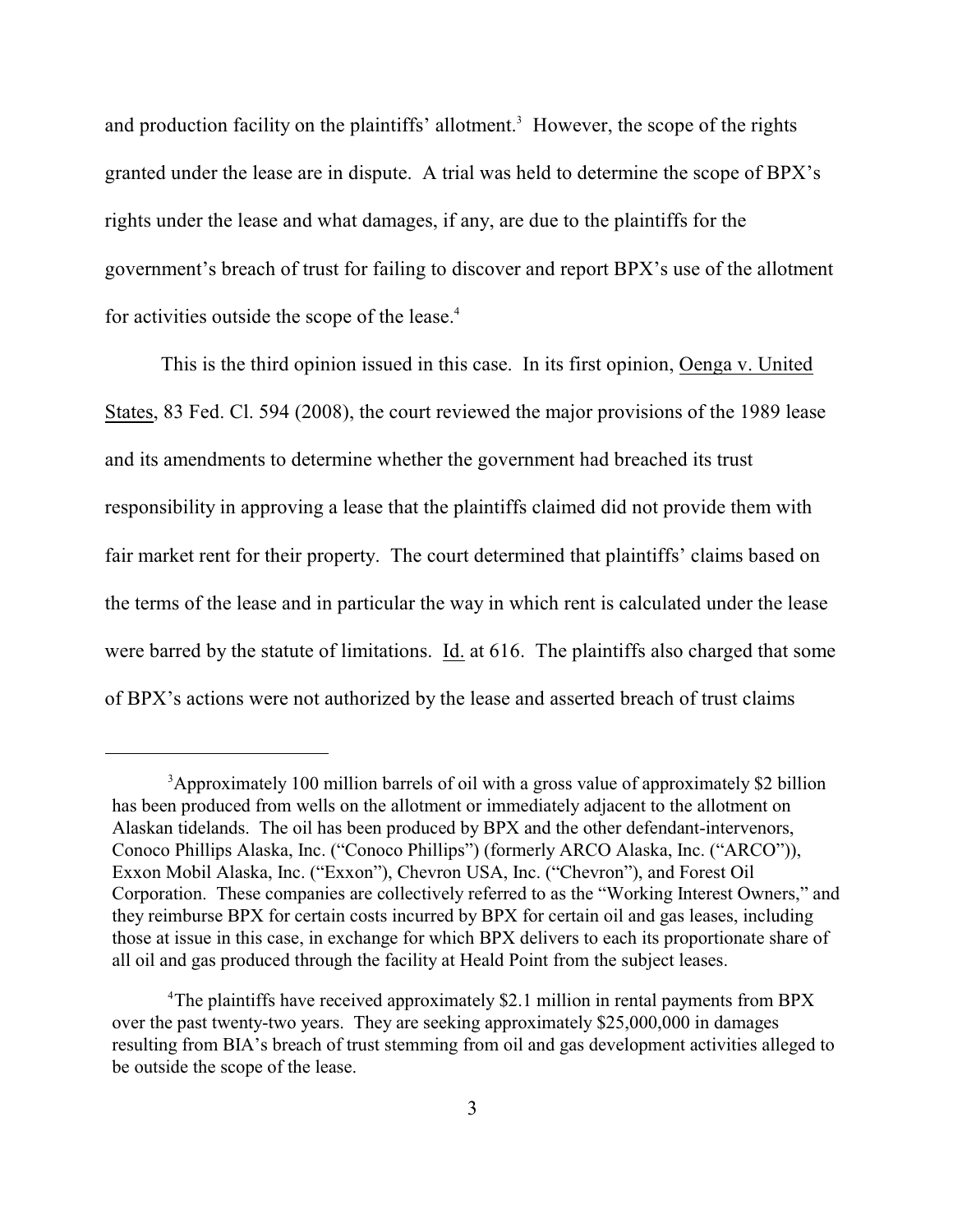and production facility on the plaintiffs' allotment.<sup>3</sup> However, the scope of the rights granted under the lease are in dispute. A trial was held to determine the scope of BPX's rights under the lease and what damages, if any, are due to the plaintiffs for the government's breach of trust for failing to discover and report BPX's use of the allotment for activities outside the scope of the lease.<sup>4</sup>

This is the third opinion issued in this case. In its first opinion, Oenga v. United States, 83 Fed. Cl. 594 (2008), the court reviewed the major provisions of the 1989 lease and its amendments to determine whether the government had breached its trust responsibility in approving a lease that the plaintiffs claimed did not provide them with fair market rent for their property. The court determined that plaintiffs' claims based on the terms of the lease and in particular the way in which rent is calculated under the lease were barred by the statute of limitations. Id. at 616. The plaintiffs also charged that some of BPX's actions were not authorized by the lease and asserted breach of trust claims

<sup>&</sup>lt;sup>3</sup>Approximately 100 million barrels of oil with a gross value of approximately \$2 billion has been produced from wells on the allotment or immediately adjacent to the allotment on Alaskan tidelands. The oil has been produced by BPX and the other defendant-intervenors, Conoco Phillips Alaska, Inc. ("Conoco Phillips") (formerly ARCO Alaska, Inc. ("ARCO")), Exxon Mobil Alaska, Inc. ("Exxon"), Chevron USA, Inc. ("Chevron"), and Forest Oil Corporation. These companies are collectively referred to as the "Working Interest Owners," and they reimburse BPX for certain costs incurred by BPX for certain oil and gas leases, including those at issue in this case, in exchange for which BPX delivers to each its proportionate share of all oil and gas produced through the facility at Heald Point from the subject leases.

<sup>&</sup>lt;sup>4</sup>The plaintiffs have received approximately \$2.1 million in rental payments from BPX over the past twenty-two years. They are seeking approximately \$25,000,000 in damages resulting from BIA's breach of trust stemming from oil and gas development activities alleged to be outside the scope of the lease.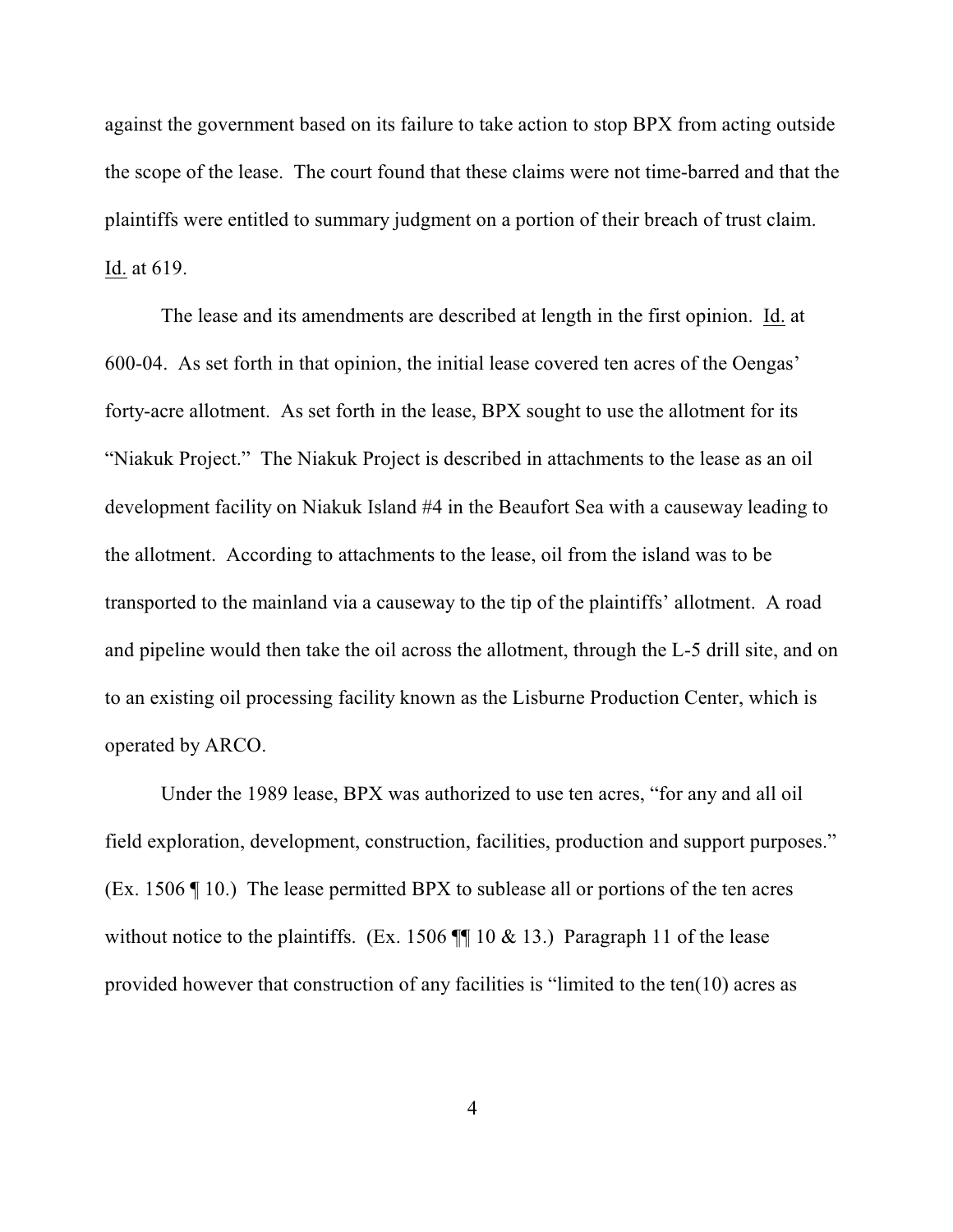against the government based on its failure to take action to stop BPX from acting outside the scope of the lease. The court found that these claims were not time-barred and that the plaintiffs were entitled to summary judgment on a portion of their breach of trust claim. Id. at 619.

The lease and its amendments are described at length in the first opinion. Id. at 600-04. As set forth in that opinion, the initial lease covered ten acres of the Oengas' forty-acre allotment. As set forth in the lease, BPX sought to use the allotment for its "Niakuk Project." The Niakuk Project is described in attachments to the lease as an oil development facility on Niakuk Island #4 in the Beaufort Sea with a causeway leading to the allotment. According to attachments to the lease, oil from the island was to be transported to the mainland via a causeway to the tip of the plaintiffs' allotment. A road and pipeline would then take the oil across the allotment, through the L-5 drill site, and on to an existing oil processing facility known as the Lisburne Production Center, which is operated by ARCO.

Under the 1989 lease, BPX was authorized to use ten acres, "for any and all oil field exploration, development, construction, facilities, production and support purposes." (Ex. 1506 ¶ 10.) The lease permitted BPX to sublease all or portions of the ten acres without notice to the plaintiffs. (Ex. 1506  $\P$  10 & 13.) Paragraph 11 of the lease provided however that construction of any facilities is "limited to the ten(10) acres as

4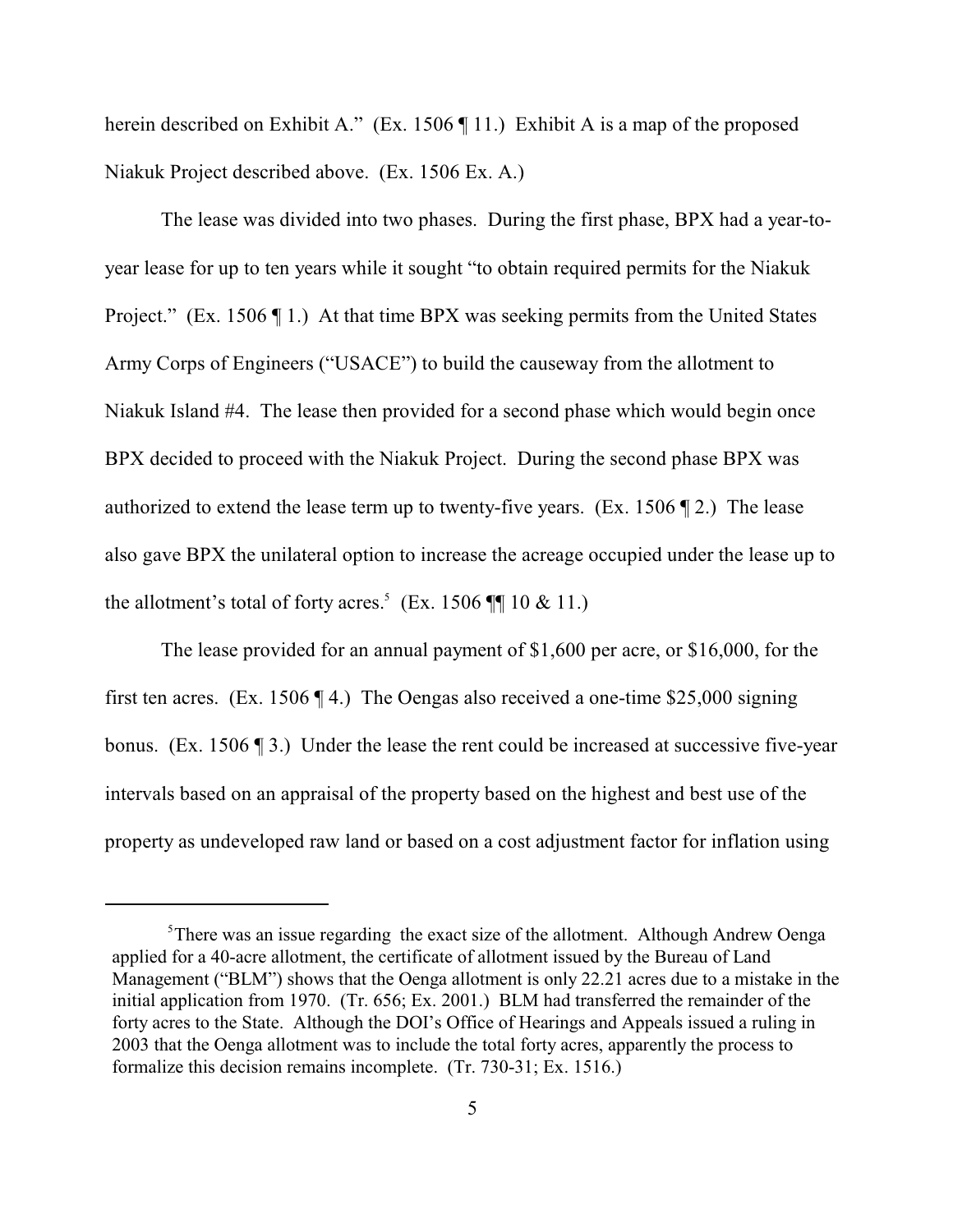herein described on Exhibit A." (Ex. 1506  $\P$  11.) Exhibit A is a map of the proposed Niakuk Project described above. (Ex. 1506 Ex. A.)

The lease was divided into two phases. During the first phase, BPX had a year-toyear lease for up to ten years while it sought "to obtain required permits for the Niakuk Project." (Ex. 1506 ¶ 1.) At that time BPX was seeking permits from the United States Army Corps of Engineers ("USACE") to build the causeway from the allotment to Niakuk Island #4. The lease then provided for a second phase which would begin once BPX decided to proceed with the Niakuk Project. During the second phase BPX was authorized to extend the lease term up to twenty-five years. (Ex. 1506  $\P$  2.) The lease also gave BPX the unilateral option to increase the acreage occupied under the lease up to the allotment's total of forty acres.<sup>5</sup> (Ex. 1506  $\P\P$  10 & 11.)

The lease provided for an annual payment of \$1,600 per acre, or \$16,000, for the first ten acres. (Ex. 1506 ¶ 4.) The Oengas also received a one-time \$25,000 signing bonus. (Ex. 1506 ¶ 3.) Under the lease the rent could be increased at successive five-year intervals based on an appraisal of the property based on the highest and best use of the property as undeveloped raw land or based on a cost adjustment factor for inflation using

 $5$ There was an issue regarding the exact size of the allotment. Although Andrew Oenga applied for a 40-acre allotment, the certificate of allotment issued by the Bureau of Land Management ("BLM") shows that the Oenga allotment is only 22.21 acres due to a mistake in the initial application from 1970. (Tr. 656; Ex. 2001.) BLM had transferred the remainder of the forty acres to the State. Although the DOI's Office of Hearings and Appeals issued a ruling in 2003 that the Oenga allotment was to include the total forty acres, apparently the process to formalize this decision remains incomplete. (Tr. 730-31; Ex. 1516.)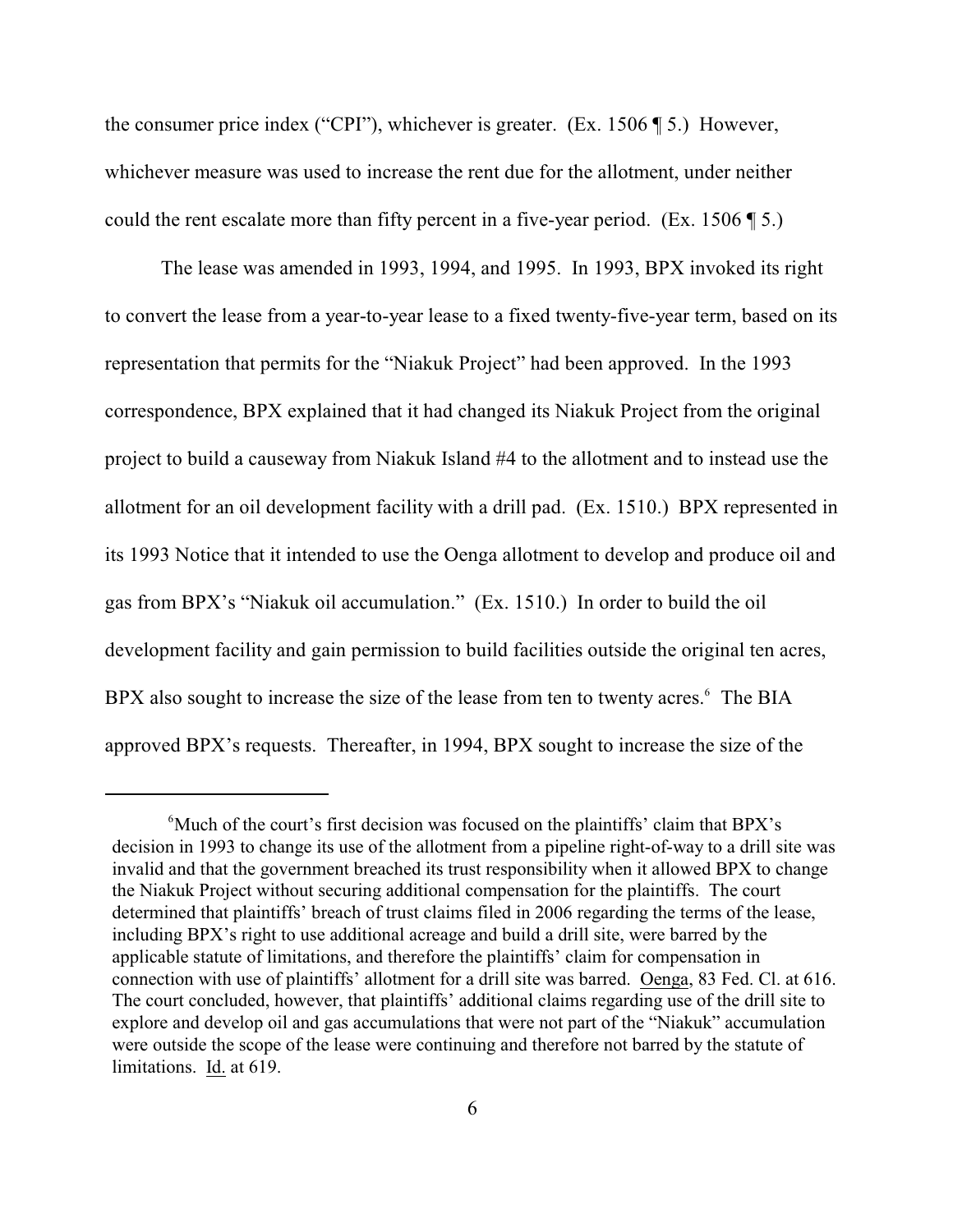the consumer price index ("CPI"), whichever is greater. (Ex. 1506 ¶ 5.) However, whichever measure was used to increase the rent due for the allotment, under neither could the rent escalate more than fifty percent in a five-year period. (Ex. 1506 ¶ 5.)

The lease was amended in 1993, 1994, and 1995. In 1993, BPX invoked its right to convert the lease from a year-to-year lease to a fixed twenty-five-year term, based on its representation that permits for the "Niakuk Project" had been approved. In the 1993 correspondence, BPX explained that it had changed its Niakuk Project from the original project to build a causeway from Niakuk Island #4 to the allotment and to instead use the allotment for an oil development facility with a drill pad. (Ex. 1510.) BPX represented in its 1993 Notice that it intended to use the Oenga allotment to develop and produce oil and gas from BPX's "Niakuk oil accumulation." (Ex. 1510.) In order to build the oil development facility and gain permission to build facilities outside the original ten acres, BPX also sought to increase the size of the lease from ten to twenty acres.<sup>6</sup> The BIA approved BPX's requests. Thereafter, in 1994, BPX sought to increase the size of the

 $\alpha$ <sup>6</sup>Much of the court's first decision was focused on the plaintiffs' claim that BPX's decision in 1993 to change its use of the allotment from a pipeline right-of-way to a drill site was invalid and that the government breached its trust responsibility when it allowed BPX to change the Niakuk Project without securing additional compensation for the plaintiffs. The court determined that plaintiffs' breach of trust claims filed in 2006 regarding the terms of the lease, including BPX's right to use additional acreage and build a drill site, were barred by the applicable statute of limitations, and therefore the plaintiffs' claim for compensation in connection with use of plaintiffs' allotment for a drill site was barred. Oenga, 83 Fed. Cl. at 616. The court concluded, however, that plaintiffs' additional claims regarding use of the drill site to explore and develop oil and gas accumulations that were not part of the "Niakuk" accumulation were outside the scope of the lease were continuing and therefore not barred by the statute of limitations. Id. at 619.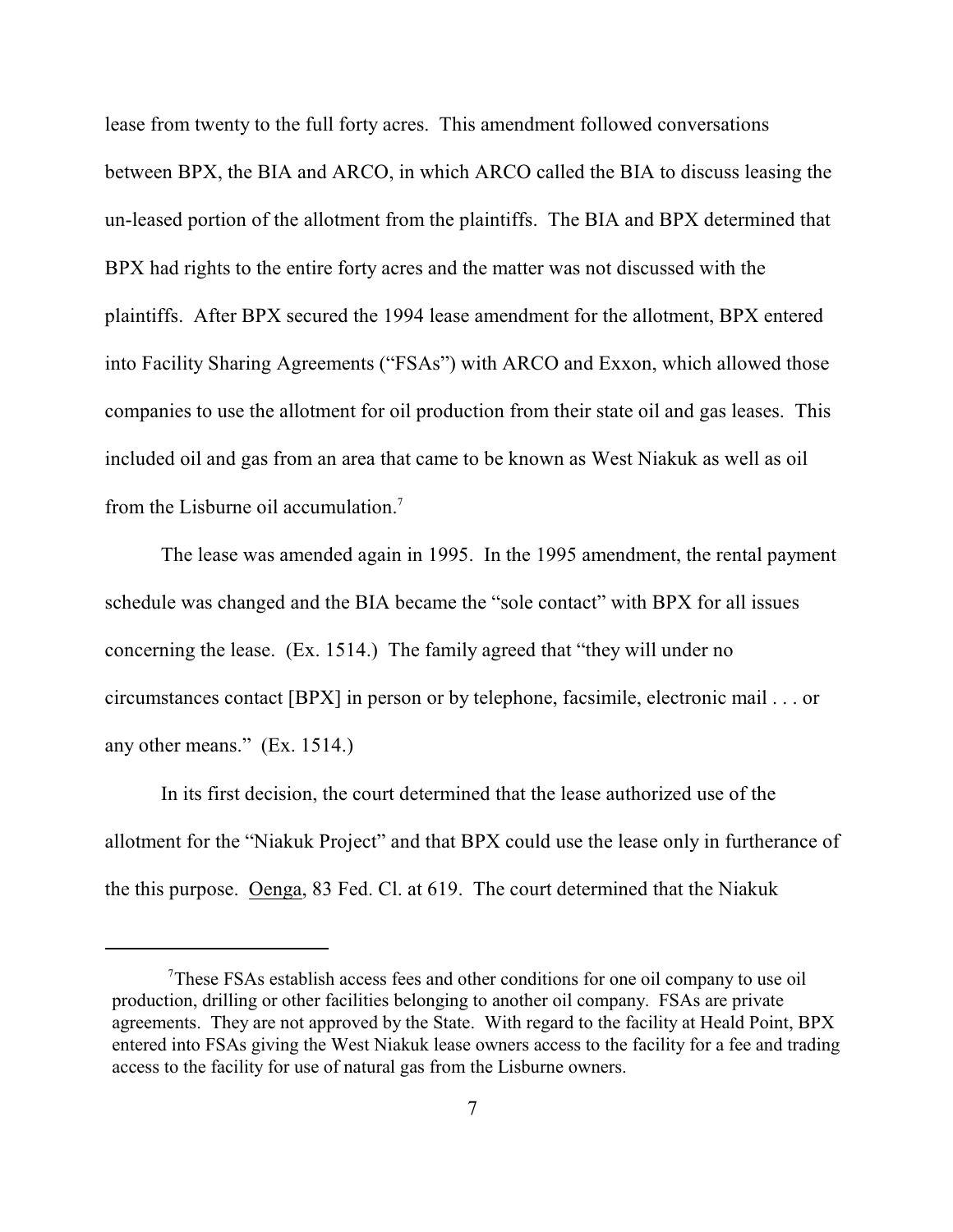lease from twenty to the full forty acres. This amendment followed conversations between BPX, the BIA and ARCO, in which ARCO called the BIA to discuss leasing the un-leased portion of the allotment from the plaintiffs. The BIA and BPX determined that BPX had rights to the entire forty acres and the matter was not discussed with the plaintiffs. After BPX secured the 1994 lease amendment for the allotment, BPX entered into Facility Sharing Agreements ("FSAs") with ARCO and Exxon, which allowed those companies to use the allotment for oil production from their state oil and gas leases. This included oil and gas from an area that came to be known as West Niakuk as well as oil from the Lisburne oil accumulation.<sup>7</sup>

The lease was amended again in 1995. In the 1995 amendment, the rental payment schedule was changed and the BIA became the "sole contact" with BPX for all issues concerning the lease. (Ex. 1514.) The family agreed that "they will under no circumstances contact [BPX] in person or by telephone, facsimile, electronic mail . . . or any other means." (Ex. 1514.)

In its first decision, the court determined that the lease authorized use of the allotment for the "Niakuk Project" and that BPX could use the lease only in furtherance of the this purpose. Oenga, 83 Fed. Cl. at 619. The court determined that the Niakuk

These FSAs establish access fees and other conditions for one oil company to use oil <sup>7</sup> production, drilling or other facilities belonging to another oil company. FSAs are private agreements. They are not approved by the State. With regard to the facility at Heald Point, BPX entered into FSAs giving the West Niakuk lease owners access to the facility for a fee and trading access to the facility for use of natural gas from the Lisburne owners.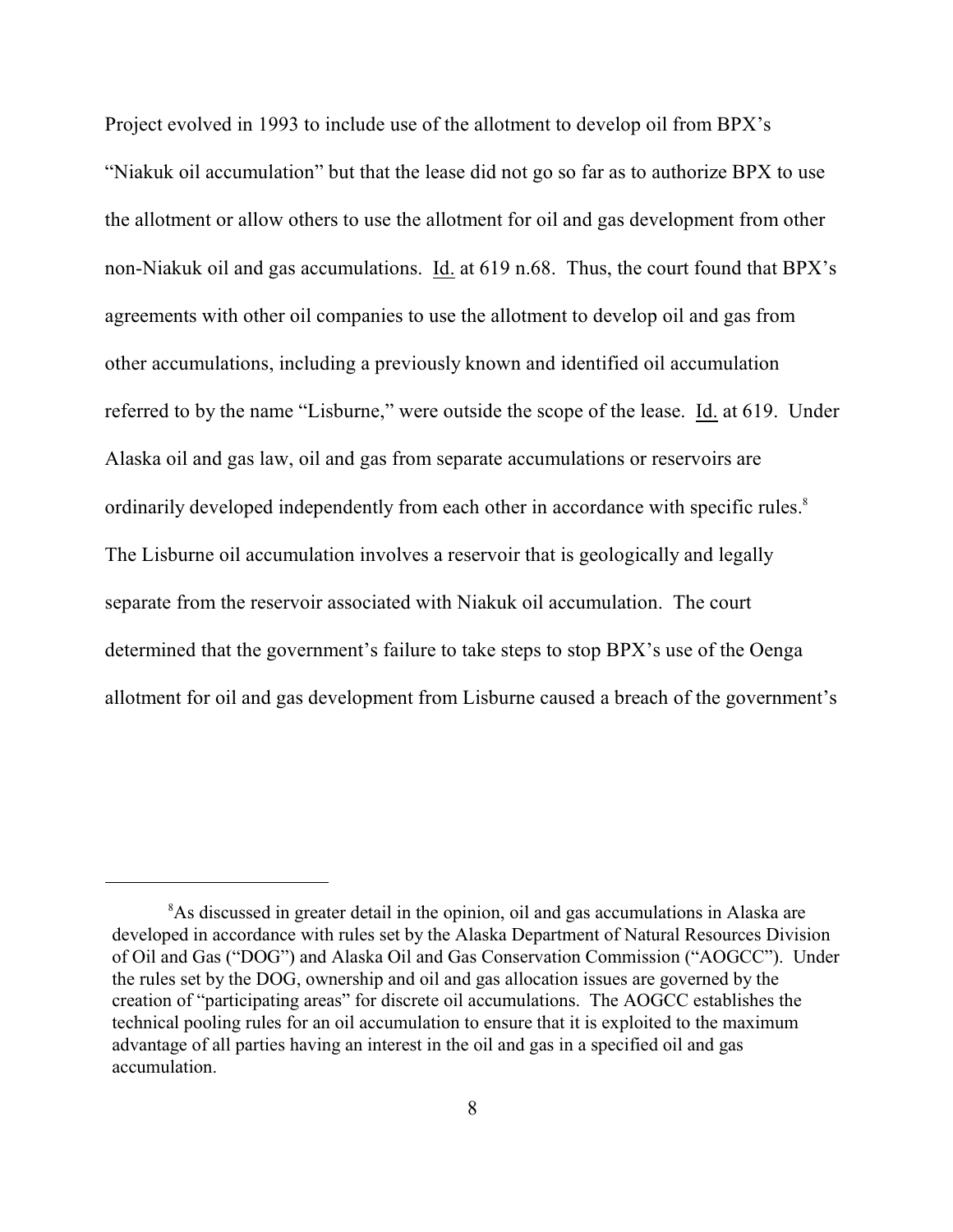Project evolved in 1993 to include use of the allotment to develop oil from BPX's "Niakuk oil accumulation" but that the lease did not go so far as to authorize BPX to use the allotment or allow others to use the allotment for oil and gas development from other non-Niakuk oil and gas accumulations. Id. at 619 n.68. Thus, the court found that BPX's agreements with other oil companies to use the allotment to develop oil and gas from other accumulations, including a previously known and identified oil accumulation referred to by the name "Lisburne," were outside the scope of the lease. Id. at 619. Under Alaska oil and gas law, oil and gas from separate accumulations or reservoirs are ordinarily developed independently from each other in accordance with specific rules.<sup>8</sup> The Lisburne oil accumulation involves a reservoir that is geologically and legally separate from the reservoir associated with Niakuk oil accumulation. The court determined that the government's failure to take steps to stop BPX's use of the Oenga allotment for oil and gas development from Lisburne caused a breach of the government's

<sup>&</sup>lt;sup>8</sup>As discussed in greater detail in the opinion, oil and gas accumulations in Alaska are developed in accordance with rules set by the Alaska Department of Natural Resources Division of Oil and Gas ("DOG") and Alaska Oil and Gas Conservation Commission ("AOGCC"). Under the rules set by the DOG, ownership and oil and gas allocation issues are governed by the creation of "participating areas" for discrete oil accumulations. The AOGCC establishes the technical pooling rules for an oil accumulation to ensure that it is exploited to the maximum advantage of all parties having an interest in the oil and gas in a specified oil and gas accumulation.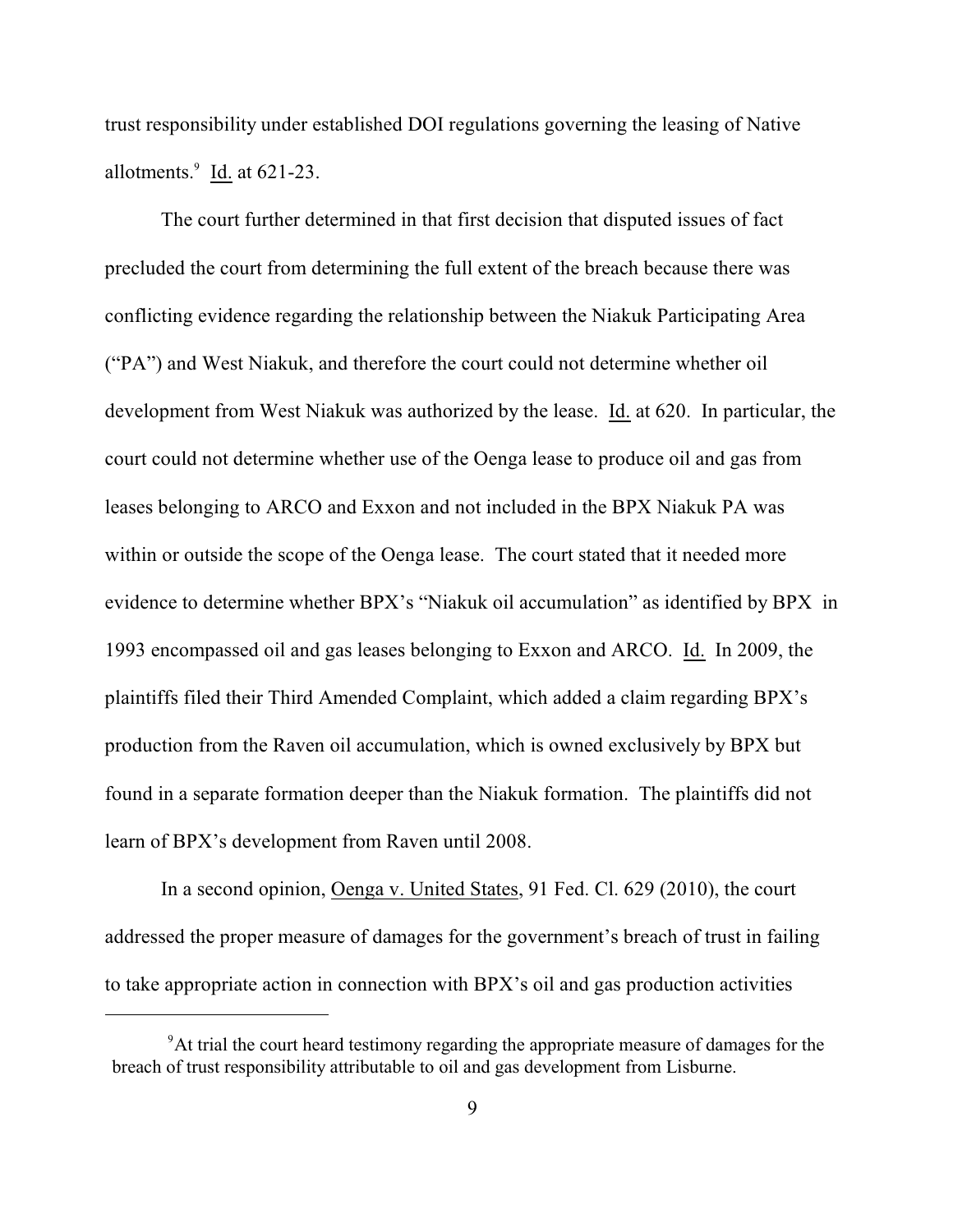trust responsibility under established DOI regulations governing the leasing of Native allotments. $\frac{9}{1}$  Id. at 621-23.

The court further determined in that first decision that disputed issues of fact precluded the court from determining the full extent of the breach because there was conflicting evidence regarding the relationship between the Niakuk Participating Area ("PA") and West Niakuk, and therefore the court could not determine whether oil development from West Niakuk was authorized by the lease. Id. at 620. In particular, the court could not determine whether use of the Oenga lease to produce oil and gas from leases belonging to ARCO and Exxon and not included in the BPX Niakuk PA was within or outside the scope of the Oenga lease. The court stated that it needed more evidence to determine whether BPX's "Niakuk oil accumulation" as identified by BPX in 1993 encompassed oil and gas leases belonging to Exxon and ARCO. Id. In 2009, the plaintiffs filed their Third Amended Complaint, which added a claim regarding BPX's production from the Raven oil accumulation, which is owned exclusively by BPX but found in a separate formation deeper than the Niakuk formation. The plaintiffs did not learn of BPX's development from Raven until 2008.

In a second opinion, Oenga v. United States, 91 Fed. Cl. 629 (2010), the court addressed the proper measure of damages for the government's breach of trust in failing to take appropriate action in connection with BPX's oil and gas production activities

 $\mu$ <sup>9</sup>At trial the court heard testimony regarding the appropriate measure of damages for the breach of trust responsibility attributable to oil and gas development from Lisburne.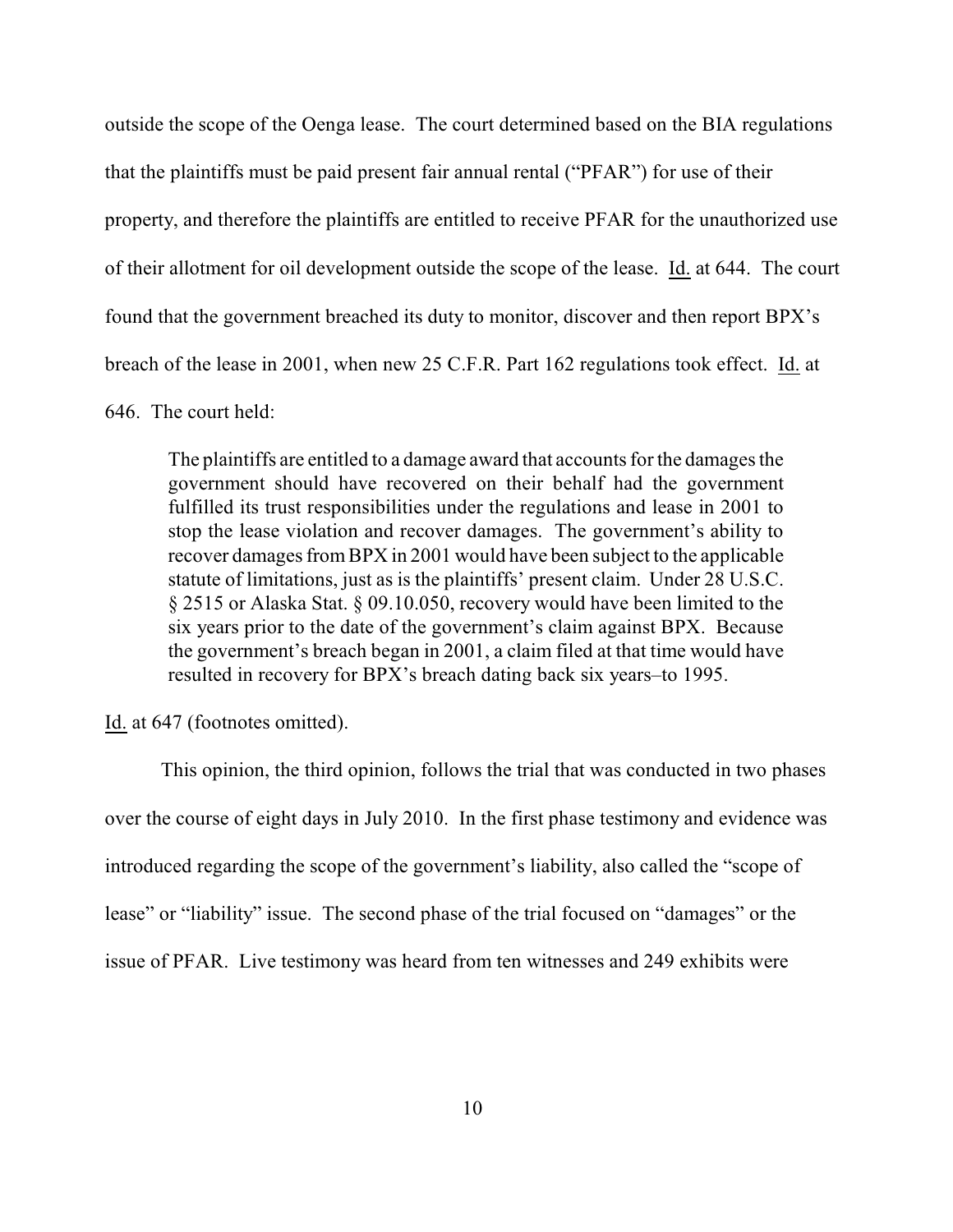outside the scope of the Oenga lease. The court determined based on the BIA regulations that the plaintiffs must be paid present fair annual rental ("PFAR") for use of their property, and therefore the plaintiffs are entitled to receive PFAR for the unauthorized use of their allotment for oil development outside the scope of the lease. Id. at 644.The court found that the government breached its duty to monitor, discover and then report BPX's breach of the lease in 2001, when new 25 C.F.R. Part 162 regulations took effect. Id. at 646. The court held:

The plaintiffs are entitled to a damage award that accounts for the damages the government should have recovered on their behalf had the government fulfilled its trust responsibilities under the regulations and lease in 2001 to stop the lease violation and recover damages. The government's ability to recover damages fromBPX in 2001 would have been subject to the applicable statute of limitations, just as is the plaintiffs' present claim. Under 28 U.S.C. § 2515 or Alaska Stat. § 09.10.050, recovery would have been limited to the six years prior to the date of the government's claim against BPX. Because the government's breach began in 2001, a claim filed at that time would have resulted in recovery for BPX's breach dating back six years–to 1995.

Id. at 647 (footnotes omitted).

This opinion, the third opinion, follows the trial that was conducted in two phases over the course of eight days in July 2010. In the first phase testimony and evidence was introduced regarding the scope of the government's liability, also called the "scope of lease" or "liability" issue. The second phase of the trial focused on "damages" or the issue of PFAR. Live testimony was heard from ten witnesses and 249 exhibits were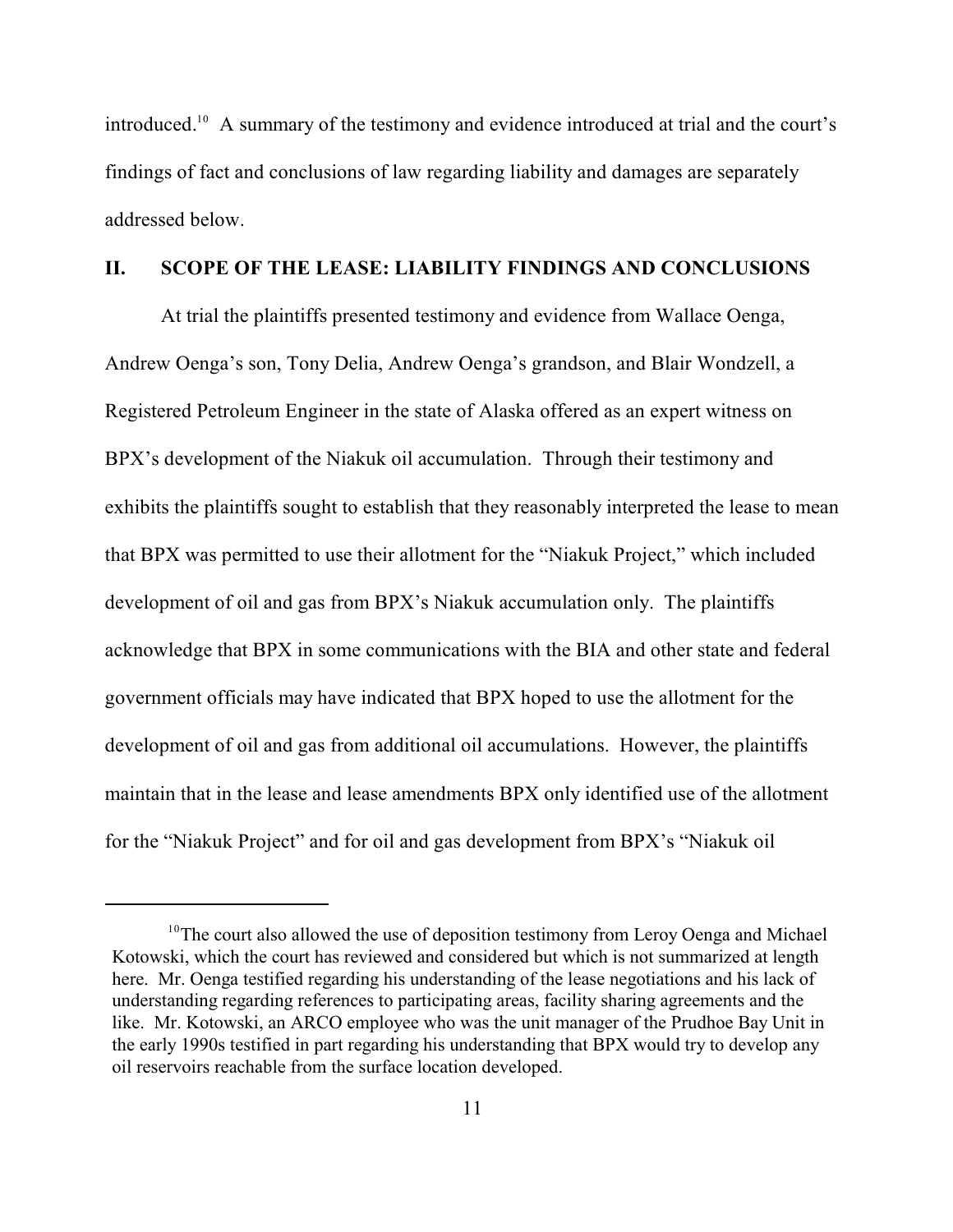introduced.<sup>10</sup> A summary of the testimony and evidence introduced at trial and the court's findings of fact and conclusions of law regarding liability and damages are separately addressed below.

### **II. SCOPE OF THE LEASE: LIABILITY FINDINGS AND CONCLUSIONS**

At trial the plaintiffs presented testimony and evidence from Wallace Oenga, Andrew Oenga's son, Tony Delia, Andrew Oenga's grandson, and Blair Wondzell, a Registered Petroleum Engineer in the state of Alaska offered as an expert witness on BPX's development of the Niakuk oil accumulation. Through their testimony and exhibits the plaintiffs sought to establish that they reasonably interpreted the lease to mean that BPX was permitted to use their allotment for the "Niakuk Project," which included development of oil and gas from BPX's Niakuk accumulation only. The plaintiffs acknowledge that BPX in some communications with the BIA and other state and federal government officials may have indicated that BPX hoped to use the allotment for the development of oil and gas from additional oil accumulations. However, the plaintiffs maintain that in the lease and lease amendments BPX only identified use of the allotment for the "Niakuk Project" and for oil and gas development from BPX's "Niakuk oil

 $10$ <sup>10</sup>The court also allowed the use of deposition testimony from Leroy Oenga and Michael Kotowski, which the court has reviewed and considered but which is not summarized at length here. Mr. Oenga testified regarding his understanding of the lease negotiations and his lack of understanding regarding references to participating areas, facility sharing agreements and the like. Mr. Kotowski, an ARCO employee who was the unit manager of the Prudhoe Bay Unit in the early 1990s testified in part regarding his understanding that BPX would try to develop any oil reservoirs reachable from the surface location developed.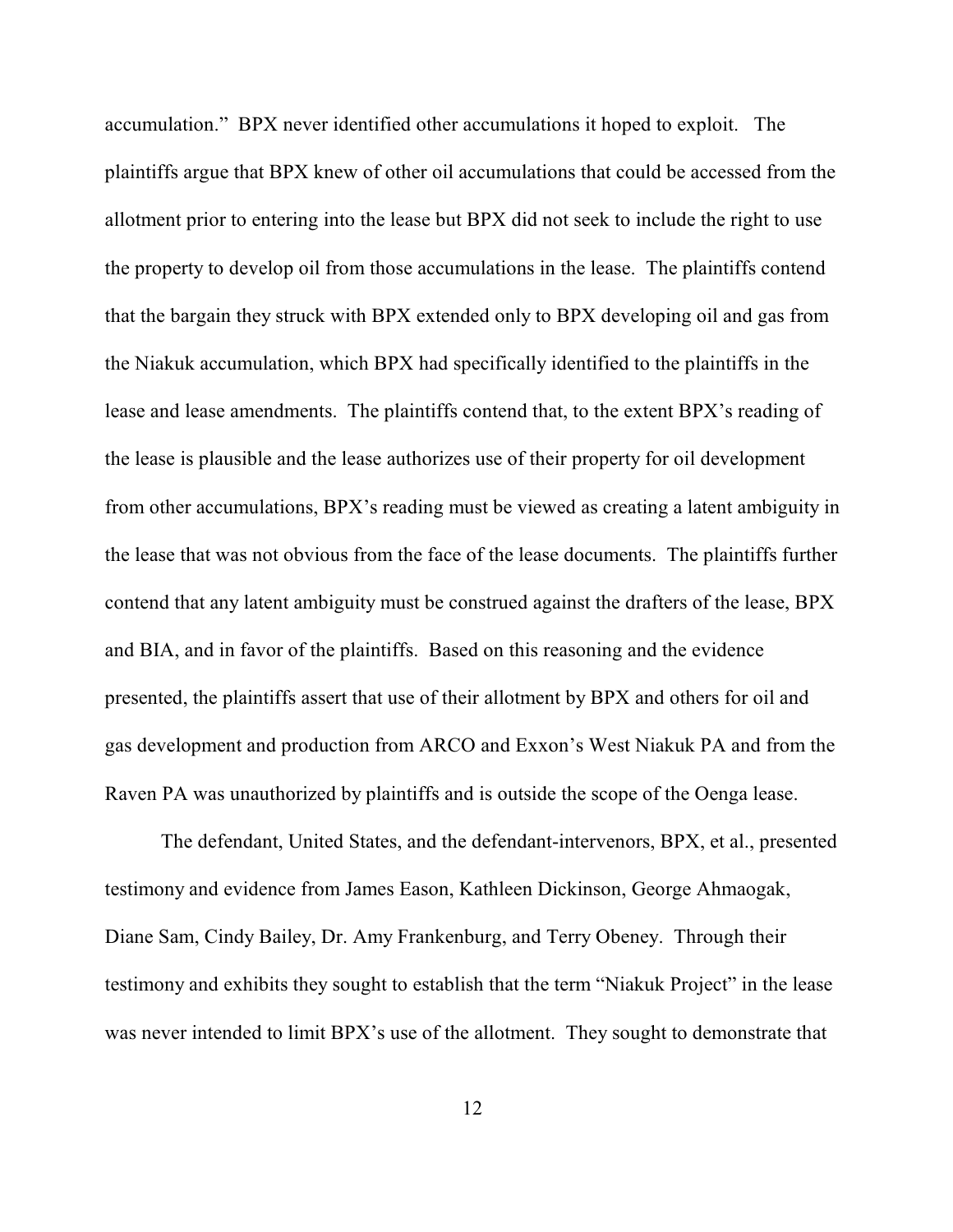accumulation." BPX never identified other accumulations it hoped to exploit. The plaintiffs argue that BPX knew of other oil accumulations that could be accessed from the allotment prior to entering into the lease but BPX did not seek to include the right to use the property to develop oil from those accumulations in the lease. The plaintiffs contend that the bargain they struck with BPX extended only to BPX developing oil and gas from the Niakuk accumulation, which BPX had specifically identified to the plaintiffs in the lease and lease amendments. The plaintiffs contend that, to the extent BPX's reading of the lease is plausible and the lease authorizes use of their property for oil development from other accumulations, BPX's reading must be viewed as creating a latent ambiguity in the lease that was not obvious from the face of the lease documents. The plaintiffs further contend that any latent ambiguity must be construed against the drafters of the lease, BPX and BIA, and in favor of the plaintiffs. Based on this reasoning and the evidence presented, the plaintiffs assert that use of their allotment by BPX and others for oil and gas development and production from ARCO and Exxon's West Niakuk PA and from the Raven PA was unauthorized by plaintiffs and is outside the scope of the Oenga lease.

The defendant, United States, and the defendant-intervenors, BPX, et al., presented testimony and evidence from James Eason, Kathleen Dickinson, George Ahmaogak, Diane Sam, Cindy Bailey, Dr. Amy Frankenburg, and Terry Obeney. Through their testimony and exhibits they sought to establish that the term "Niakuk Project" in the lease was never intended to limit BPX's use of the allotment. They sought to demonstrate that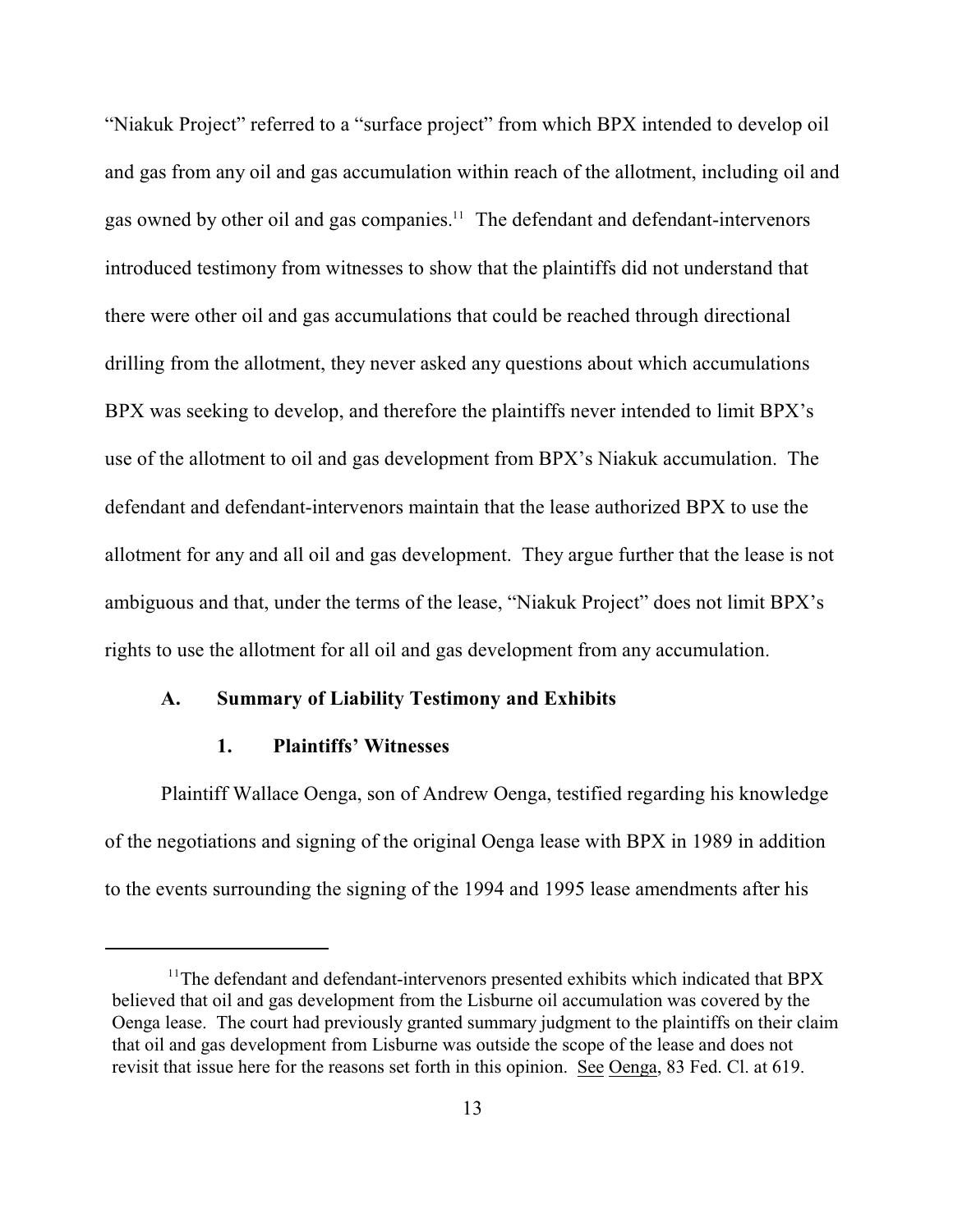"Niakuk Project" referred to a "surface project" from which BPX intended to develop oil and gas from any oil and gas accumulation within reach of the allotment, including oil and gas owned by other oil and gas companies.<sup>11</sup> The defendant and defendant-intervenors introduced testimony from witnesses to show that the plaintiffs did not understand that there were other oil and gas accumulations that could be reached through directional drilling from the allotment, they never asked any questions about which accumulations BPX was seeking to develop, and therefore the plaintiffs never intended to limit BPX's use of the allotment to oil and gas development from BPX's Niakuk accumulation. The defendant and defendant-intervenors maintain that the lease authorized BPX to use the allotment for any and all oil and gas development. They argue further that the lease is not ambiguous and that, under the terms of the lease, "Niakuk Project" does not limit BPX's rights to use the allotment for all oil and gas development from any accumulation.

### **A. Summary of Liability Testimony and Exhibits**

## **1. Plaintiffs' Witnesses**

Plaintiff Wallace Oenga, son of Andrew Oenga, testified regarding his knowledge of the negotiations and signing of the original Oenga lease with BPX in 1989 in addition to the events surrounding the signing of the 1994 and 1995 lease amendments after his

 $11$ <sup>The</sup> defendant and defendant-intervenors presented exhibits which indicated that BPX believed that oil and gas development from the Lisburne oil accumulation was covered by the Oenga lease. The court had previously granted summary judgment to the plaintiffs on their claim that oil and gas development from Lisburne was outside the scope of the lease and does not revisit that issue here for the reasons set forth in this opinion. See Oenga, 83 Fed. Cl. at 619.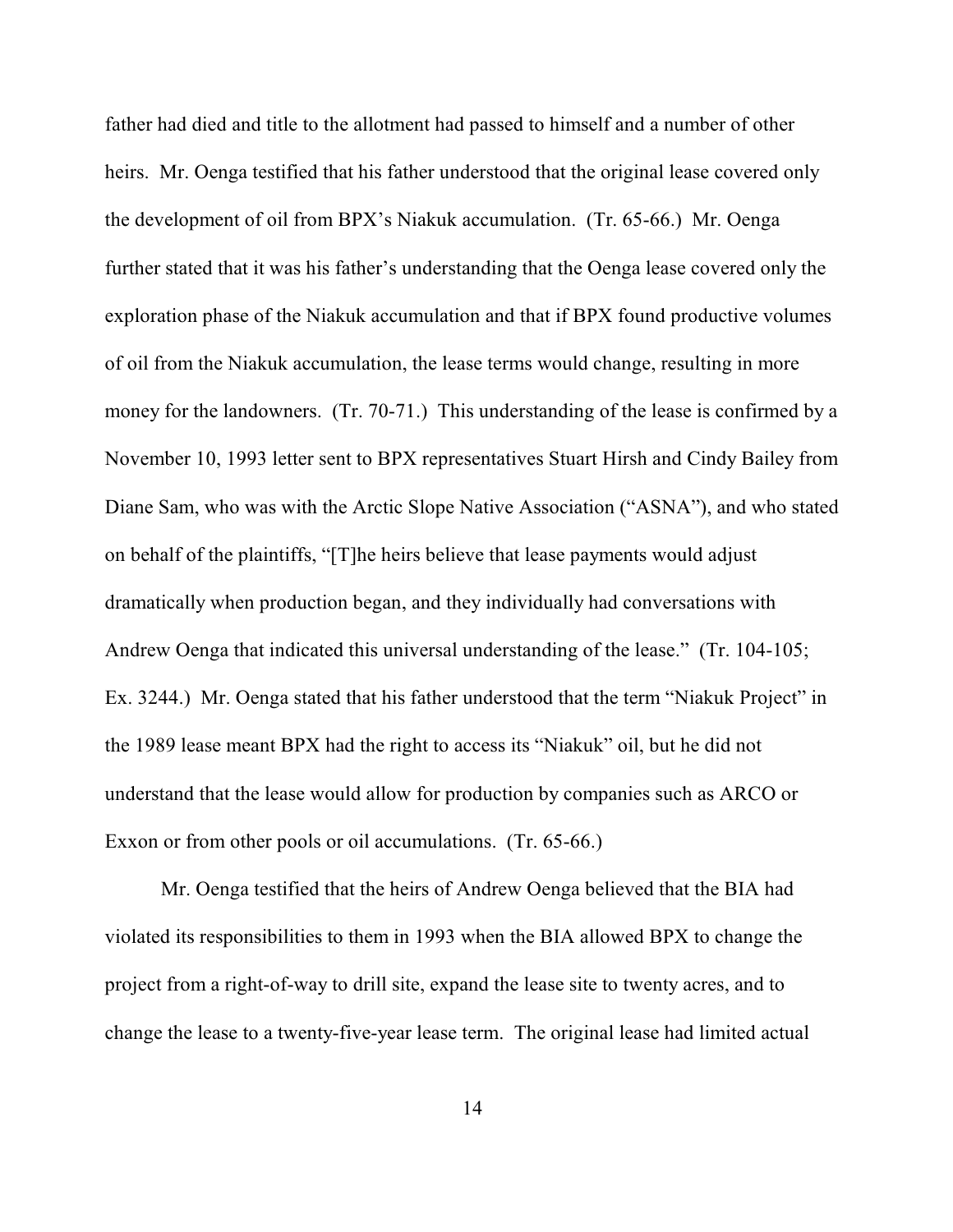father had died and title to the allotment had passed to himself and a number of other heirs. Mr. Oenga testified that his father understood that the original lease covered only the development of oil from BPX's Niakuk accumulation. (Tr. 65-66.) Mr. Oenga further stated that it was his father's understanding that the Oenga lease covered only the exploration phase of the Niakuk accumulation and that if BPX found productive volumes of oil from the Niakuk accumulation, the lease terms would change, resulting in more money for the landowners. (Tr. 70-71.) This understanding of the lease is confirmed by a November 10, 1993 letter sent to BPX representatives Stuart Hirsh and Cindy Bailey from Diane Sam, who was with the Arctic Slope Native Association ("ASNA"), and who stated on behalf of the plaintiffs, "[T]he heirs believe that lease payments would adjust dramatically when production began, and they individually had conversations with Andrew Oenga that indicated this universal understanding of the lease." (Tr. 104-105; Ex. 3244.) Mr. Oenga stated that his father understood that the term "Niakuk Project" in the 1989 lease meant BPX had the right to access its "Niakuk" oil, but he did not understand that the lease would allow for production by companies such as ARCO or Exxon or from other pools or oil accumulations. (Tr. 65-66.)

Mr. Oenga testified that the heirs of Andrew Oenga believed that the BIA had violated its responsibilities to them in 1993 when the BIA allowed BPX to change the project from a right-of-way to drill site, expand the lease site to twenty acres, and to change the lease to a twenty-five-year lease term. The original lease had limited actual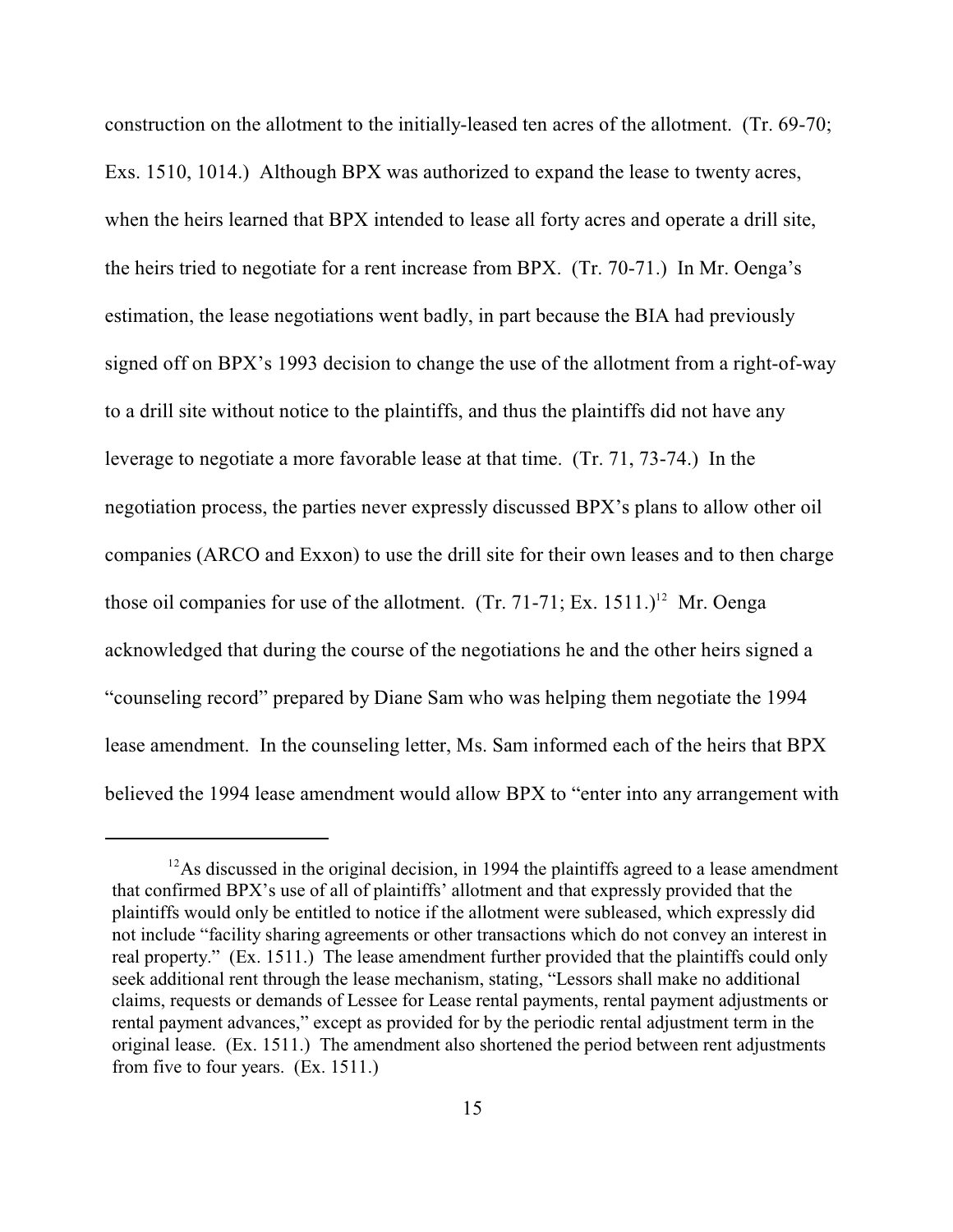construction on the allotment to the initially-leased ten acres of the allotment. (Tr. 69-70; Exs. 1510, 1014.) Although BPX was authorized to expand the lease to twenty acres, when the heirs learned that BPX intended to lease all forty acres and operate a drill site, the heirs tried to negotiate for a rent increase from BPX. (Tr. 70-71.) In Mr. Oenga's estimation, the lease negotiations went badly, in part because the BIA had previously signed off on BPX's 1993 decision to change the use of the allotment from a right-of-way to a drill site without notice to the plaintiffs, and thus the plaintiffs did not have any leverage to negotiate a more favorable lease at that time. (Tr. 71, 73-74.) In the negotiation process, the parties never expressly discussed BPX's plans to allow other oil companies (ARCO and Exxon) to use the drill site for their own leases and to then charge those oil companies for use of the allotment.  $(Tr. 71-71; Ex. 1511.)^{12}$  Mr. Oenga acknowledged that during the course of the negotiations he and the other heirs signed a "counseling record" prepared by Diane Sam who was helping them negotiate the 1994 lease amendment. In the counseling letter, Ms. Sam informed each of the heirs that BPX believed the 1994 lease amendment would allow BPX to "enter into any arrangement with

 $12$ As discussed in the original decision, in 1994 the plaintiffs agreed to a lease amendment that confirmed BPX's use of all of plaintiffs' allotment and that expressly provided that the plaintiffs would only be entitled to notice if the allotment were subleased, which expressly did not include "facility sharing agreements or other transactions which do not convey an interest in real property." (Ex. 1511.) The lease amendment further provided that the plaintiffs could only seek additional rent through the lease mechanism, stating, "Lessors shall make no additional claims, requests or demands of Lessee for Lease rental payments, rental payment adjustments or rental payment advances," except as provided for by the periodic rental adjustment term in the original lease. (Ex. 1511.) The amendment also shortened the period between rent adjustments from five to four years. (Ex. 1511.)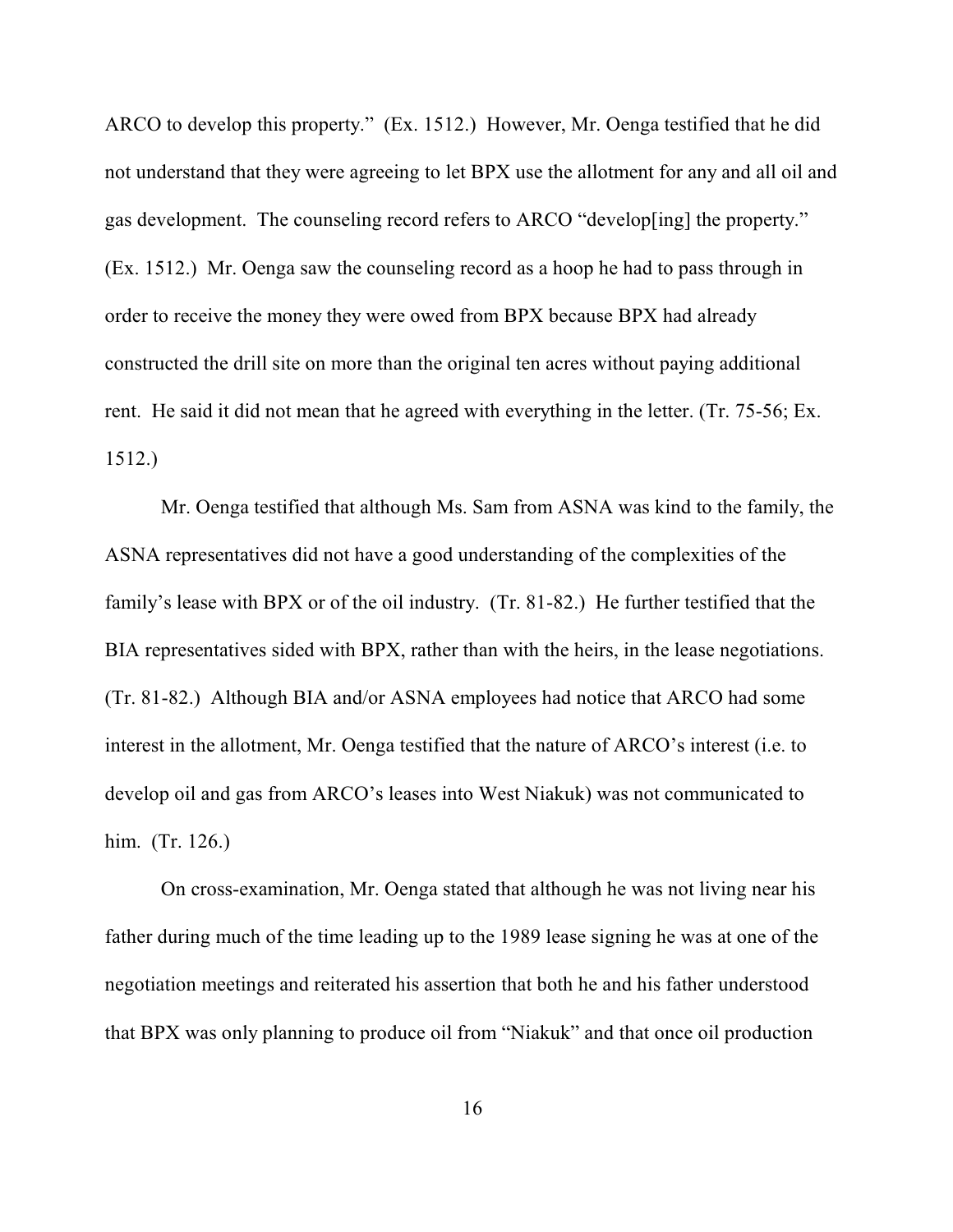ARCO to develop this property." (Ex. 1512.) However, Mr. Oenga testified that he did not understand that they were agreeing to let BPX use the allotment for any and all oil and gas development. The counseling record refers to ARCO "develop[ing] the property." (Ex. 1512.) Mr. Oenga saw the counseling record as a hoop he had to pass through in order to receive the money they were owed from BPX because BPX had already constructed the drill site on more than the original ten acres without paying additional rent. He said it did not mean that he agreed with everything in the letter. (Tr. 75-56; Ex. 1512.)

Mr. Oenga testified that although Ms. Sam from ASNA was kind to the family, the ASNA representatives did not have a good understanding of the complexities of the family's lease with BPX or of the oil industry. (Tr. 81-82.) He further testified that the BIA representatives sided with BPX, rather than with the heirs, in the lease negotiations. (Tr. 81-82.) Although BIA and/or ASNA employees had notice that ARCO had some interest in the allotment, Mr. Oenga testified that the nature of ARCO's interest (i.e. to develop oil and gas from ARCO's leases into West Niakuk) was not communicated to him. (Tr. 126.)

On cross-examination, Mr. Oenga stated that although he was not living near his father during much of the time leading up to the 1989 lease signing he was at one of the negotiation meetings and reiterated his assertion that both he and his father understood that BPX was only planning to produce oil from "Niakuk" and that once oil production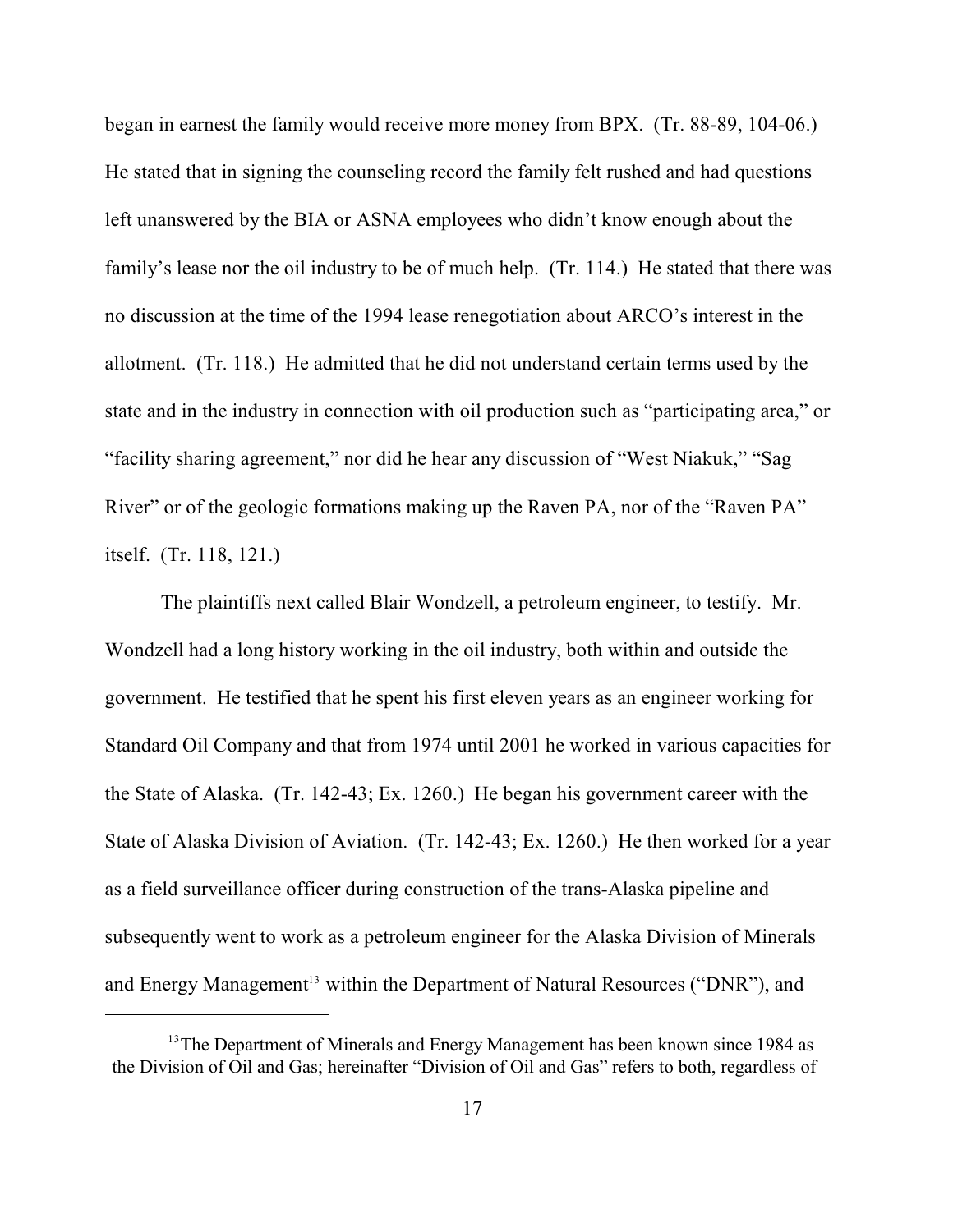began in earnest the family would receive more money from BPX. (Tr. 88-89, 104-06.) He stated that in signing the counseling record the family felt rushed and had questions left unanswered by the BIA or ASNA employees who didn't know enough about the family's lease nor the oil industry to be of much help. (Tr. 114.) He stated that there was no discussion at the time of the 1994 lease renegotiation about ARCO's interest in the allotment. (Tr. 118.) He admitted that he did not understand certain terms used by the state and in the industry in connection with oil production such as "participating area," or "facility sharing agreement," nor did he hear any discussion of "West Niakuk," "Sag River" or of the geologic formations making up the Raven PA, nor of the "Raven PA" itself. (Tr. 118, 121.)

The plaintiffs next called Blair Wondzell, a petroleum engineer, to testify. Mr. Wondzell had a long history working in the oil industry, both within and outside the government. He testified that he spent his first eleven years as an engineer working for Standard Oil Company and that from 1974 until 2001 he worked in various capacities for the State of Alaska. (Tr. 142-43; Ex. 1260.) He began his government career with the State of Alaska Division of Aviation. (Tr. 142-43; Ex. 1260.) He then worked for a year as a field surveillance officer during construction of the trans-Alaska pipeline and subsequently went to work as a petroleum engineer for the Alaska Division of Minerals and Energy Management<sup>13</sup> within the Department of Natural Resources ("DNR"), and

 $13$ <sup>13</sup>The Department of Minerals and Energy Management has been known since 1984 as the Division of Oil and Gas; hereinafter "Division of Oil and Gas" refers to both, regardless of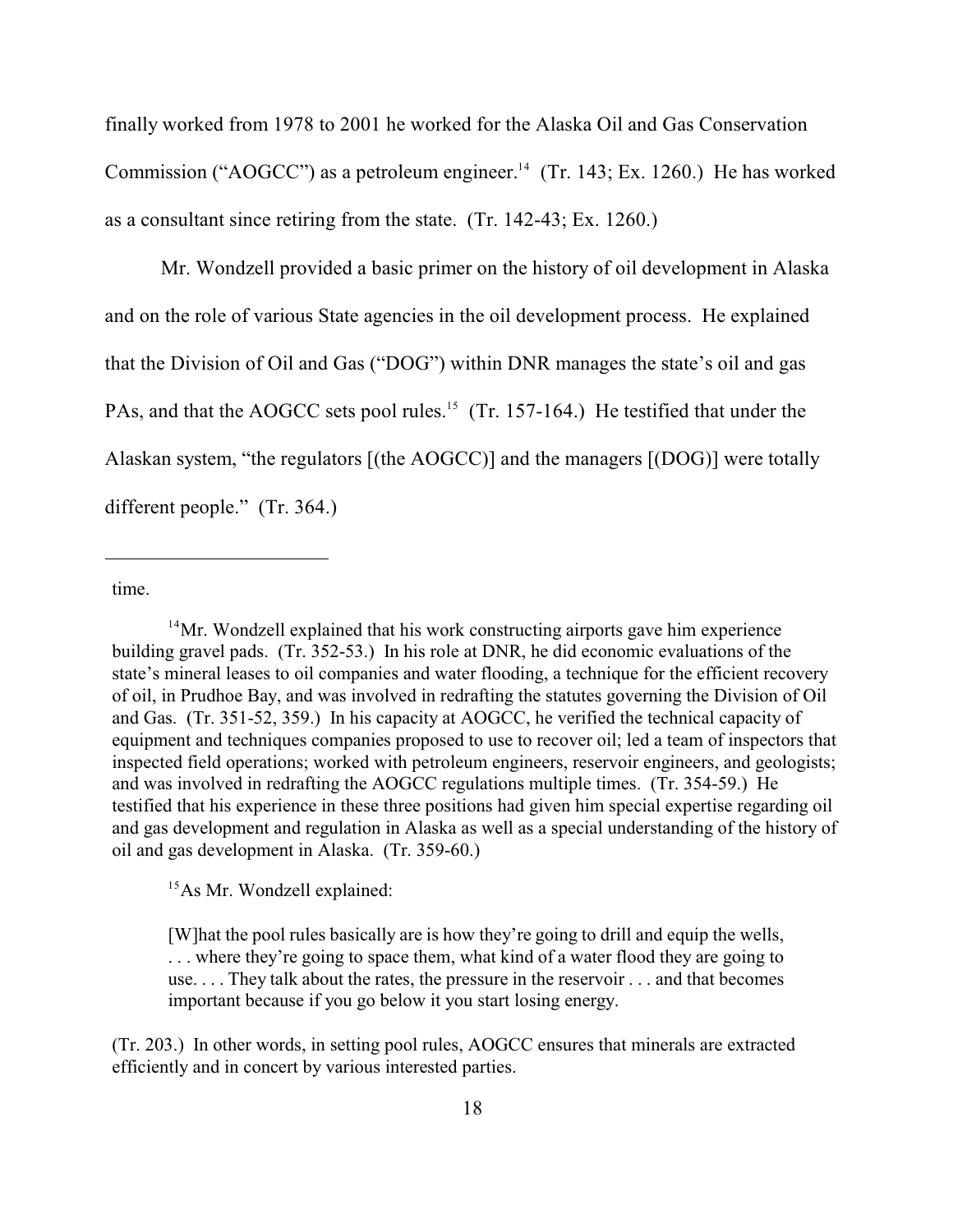finally worked from 1978 to 2001 he worked for the Alaska Oil and Gas Conservation Commission ("AOGCC") as a petroleum engineer.<sup>14</sup> (Tr. 143; Ex. 1260.) He has worked as a consultant since retiring from the state. (Tr. 142-43; Ex. 1260.)

Mr. Wondzell provided a basic primer on the history of oil development in Alaska and on the role of various State agencies in the oil development process. He explained that the Division of Oil and Gas ("DOG") within DNR manages the state's oil and gas PAs, and that the AOGCC sets pool rules.<sup>15</sup> (Tr. 157-164.) He testified that under the Alaskan system, "the regulators [(the AOGCC)] and the managers [(DOG)] were totally different people." (Tr. 364.)

time.

 $15As$  Mr. Wondzell explained:

[W]hat the pool rules basically are is how they're going to drill and equip the wells, . . . where they're going to space them, what kind of a water flood they are going to use. . . . They talk about the rates, the pressure in the reservoir . . . and that becomes important because if you go below it you start losing energy.

(Tr. 203.) In other words, in setting pool rules, AOGCC ensures that minerals are extracted efficiently and in concert by various interested parties.

<sup>&</sup>lt;sup>14</sup>Mr. Wondzell explained that his work constructing airports gave him experience building gravel pads. (Tr. 352-53.) In his role at DNR, he did economic evaluations of the state's mineral leases to oil companies and water flooding, a technique for the efficient recovery of oil, in Prudhoe Bay, and was involved in redrafting the statutes governing the Division of Oil and Gas. (Tr. 351-52, 359.) In his capacity at AOGCC, he verified the technical capacity of equipment and techniques companies proposed to use to recover oil; led a team of inspectors that inspected field operations; worked with petroleum engineers, reservoir engineers, and geologists; and was involved in redrafting the AOGCC regulations multiple times. (Tr. 354-59.) He testified that his experience in these three positions had given him special expertise regarding oil and gas development and regulation in Alaska as well as a special understanding of the history of oil and gas development in Alaska. (Tr. 359-60.)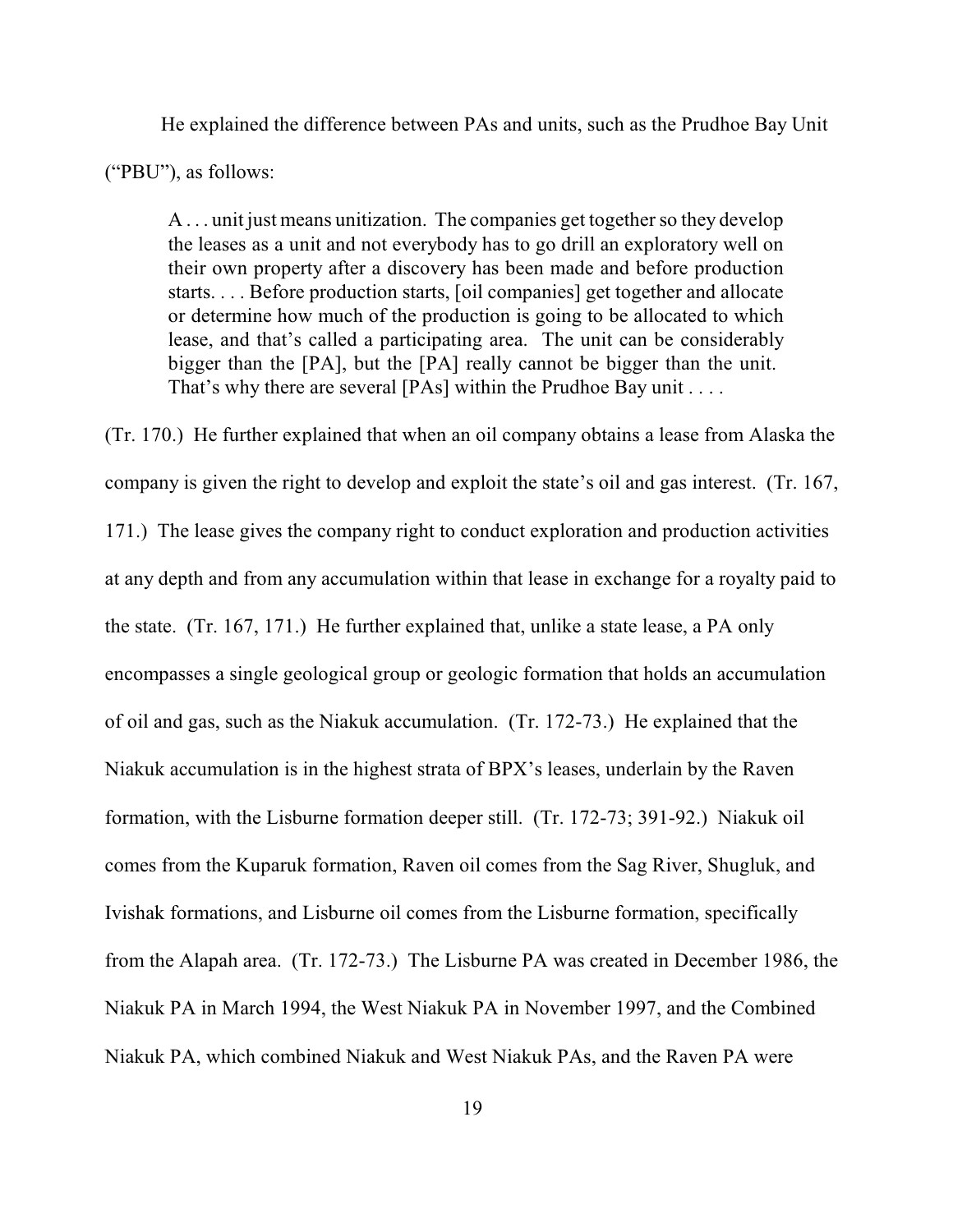He explained the difference between PAs and units, such as the Prudhoe Bay Unit ("PBU"), as follows:

A . . . unit just means unitization. The companies get together so they develop the leases as a unit and not everybody has to go drill an exploratory well on their own property after a discovery has been made and before production starts. . . . Before production starts, [oil companies] get together and allocate or determine how much of the production is going to be allocated to which lease, and that's called a participating area. The unit can be considerably bigger than the [PA], but the [PA] really cannot be bigger than the unit. That's why there are several [PAs] within the Prudhoe Bay unit . . . .

(Tr. 170.) He further explained that when an oil company obtains a lease from Alaska the company is given the right to develop and exploit the state's oil and gas interest. (Tr. 167, 171.) The lease gives the company right to conduct exploration and production activities at any depth and from any accumulation within that lease in exchange for a royalty paid to the state. (Tr. 167, 171.) He further explained that, unlike a state lease, a PA only encompasses a single geological group or geologic formation that holds an accumulation of oil and gas, such as the Niakuk accumulation. (Tr. 172-73.) He explained that the Niakuk accumulation is in the highest strata of BPX's leases, underlain by the Raven formation, with the Lisburne formation deeper still. (Tr. 172-73; 391-92.) Niakuk oil comes from the Kuparuk formation, Raven oil comes from the Sag River, Shugluk, and Ivishak formations, and Lisburne oil comes from the Lisburne formation, specifically from the Alapah area. (Tr. 172-73.) The Lisburne PA was created in December 1986, the Niakuk PA in March 1994, the West Niakuk PA in November 1997, and the Combined Niakuk PA, which combined Niakuk and West Niakuk PAs, and the Raven PA were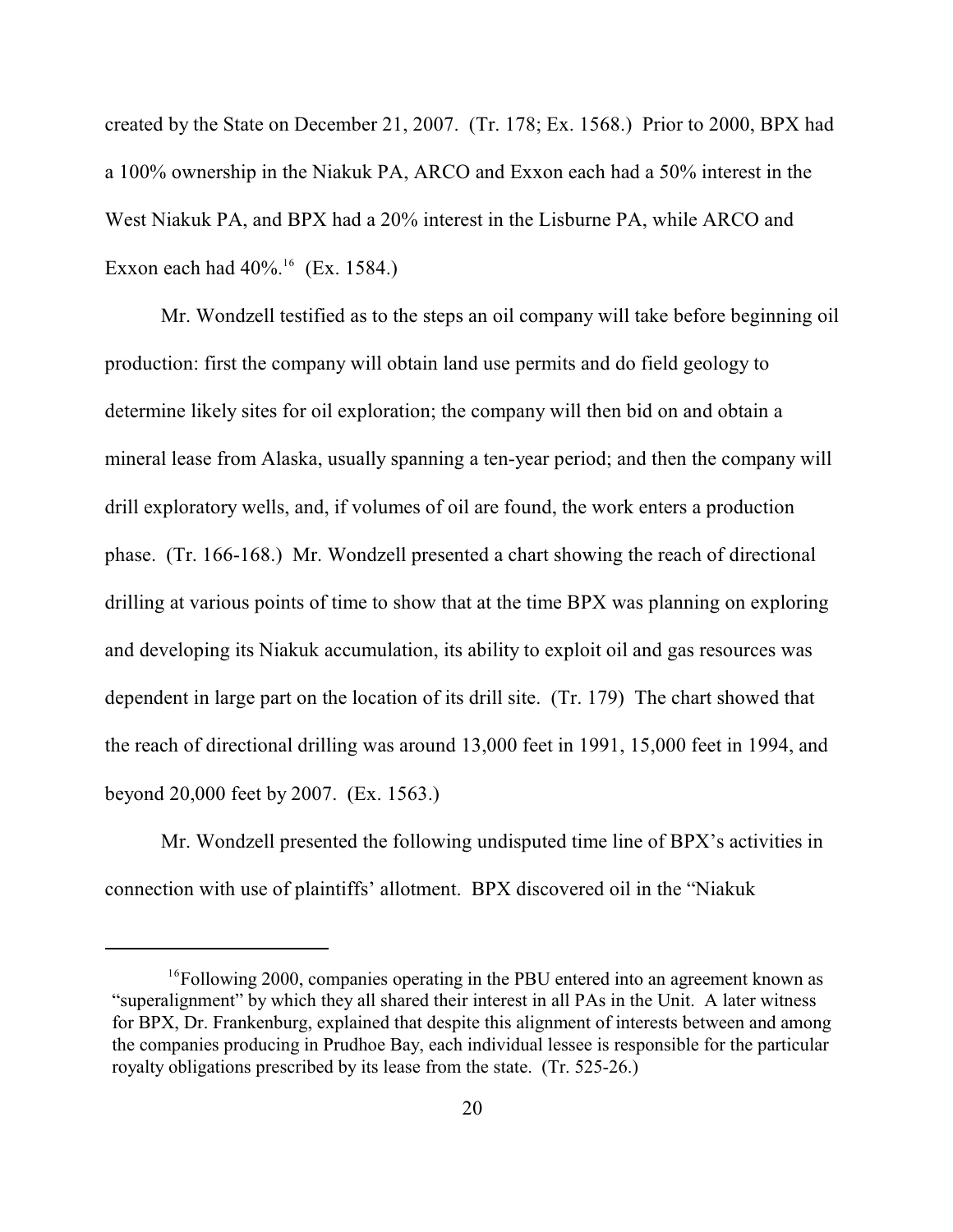created by the State on December 21, 2007. (Tr. 178; Ex. 1568.) Prior to 2000, BPX had a 100% ownership in the Niakuk PA, ARCO and Exxon each had a 50% interest in the West Niakuk PA, and BPX had a 20% interest in the Lisburne PA, while ARCO and Exxon each had  $40\%$ .<sup>16</sup> (Ex. 1584.)

Mr. Wondzell testified as to the steps an oil company will take before beginning oil production: first the company will obtain land use permits and do field geology to determine likely sites for oil exploration; the company will then bid on and obtain a mineral lease from Alaska, usually spanning a ten-year period; and then the company will drill exploratory wells, and, if volumes of oil are found, the work enters a production phase. (Tr. 166-168.) Mr. Wondzell presented a chart showing the reach of directional drilling at various points of time to show that at the time BPX was planning on exploring and developing its Niakuk accumulation, its ability to exploit oil and gas resources was dependent in large part on the location of its drill site. (Tr. 179) The chart showed that the reach of directional drilling was around 13,000 feet in 1991, 15,000 feet in 1994, and beyond 20,000 feet by 2007. (Ex. 1563.)

Mr. Wondzell presented the following undisputed time line of BPX's activities in connection with use of plaintiffs' allotment. BPX discovered oil in the "Niakuk

 $^{16}$ Following 2000, companies operating in the PBU entered into an agreement known as "superalignment" by which they all shared their interest in all PAs in the Unit. A later witness for BPX, Dr. Frankenburg, explained that despite this alignment of interests between and among the companies producing in Prudhoe Bay, each individual lessee is responsible for the particular royalty obligations prescribed by its lease from the state. (Tr. 525-26.)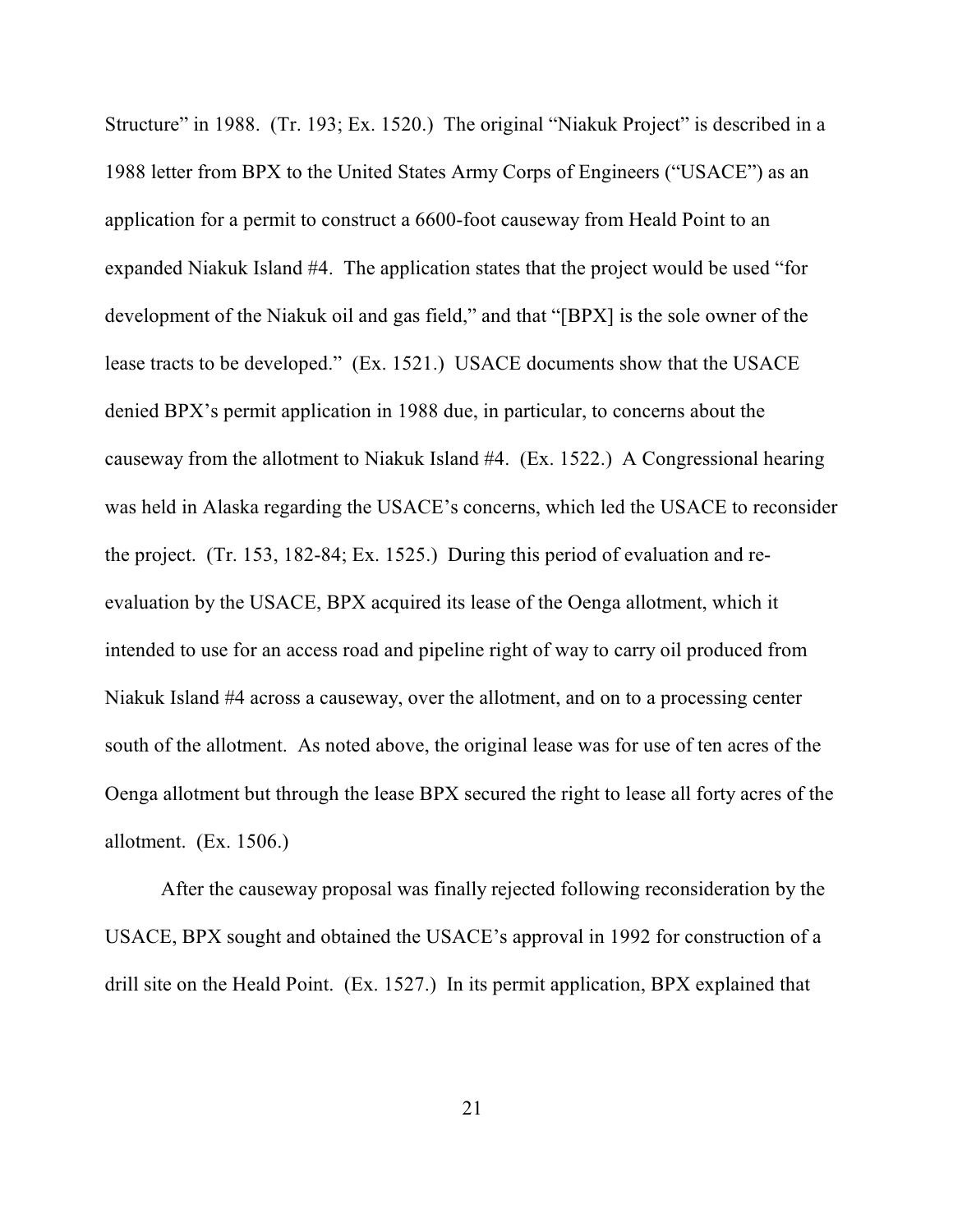Structure" in 1988. (Tr. 193; Ex. 1520.) The original "Niakuk Project" is described in a 1988 letter from BPX to the United States Army Corps of Engineers ("USACE") as an application for a permit to construct a 6600-foot causeway from Heald Point to an expanded Niakuk Island #4. The application states that the project would be used "for development of the Niakuk oil and gas field," and that "[BPX] is the sole owner of the lease tracts to be developed." (Ex. 1521.) USACE documents show that the USACE denied BPX's permit application in 1988 due, in particular, to concerns about the causeway from the allotment to Niakuk Island #4. (Ex. 1522.) A Congressional hearing was held in Alaska regarding the USACE's concerns, which led the USACE to reconsider the project. (Tr. 153, 182-84; Ex. 1525.) During this period of evaluation and reevaluation by the USACE, BPX acquired its lease of the Oenga allotment, which it intended to use for an access road and pipeline right of way to carry oil produced from Niakuk Island #4 across a causeway, over the allotment, and on to a processing center south of the allotment. As noted above, the original lease was for use of ten acres of the Oenga allotment but through the lease BPX secured the right to lease all forty acres of the allotment. (Ex. 1506.)

After the causeway proposal was finally rejected following reconsideration by the USACE, BPX sought and obtained the USACE's approval in 1992 for construction of a drill site on the Heald Point. (Ex. 1527.) In its permit application, BPX explained that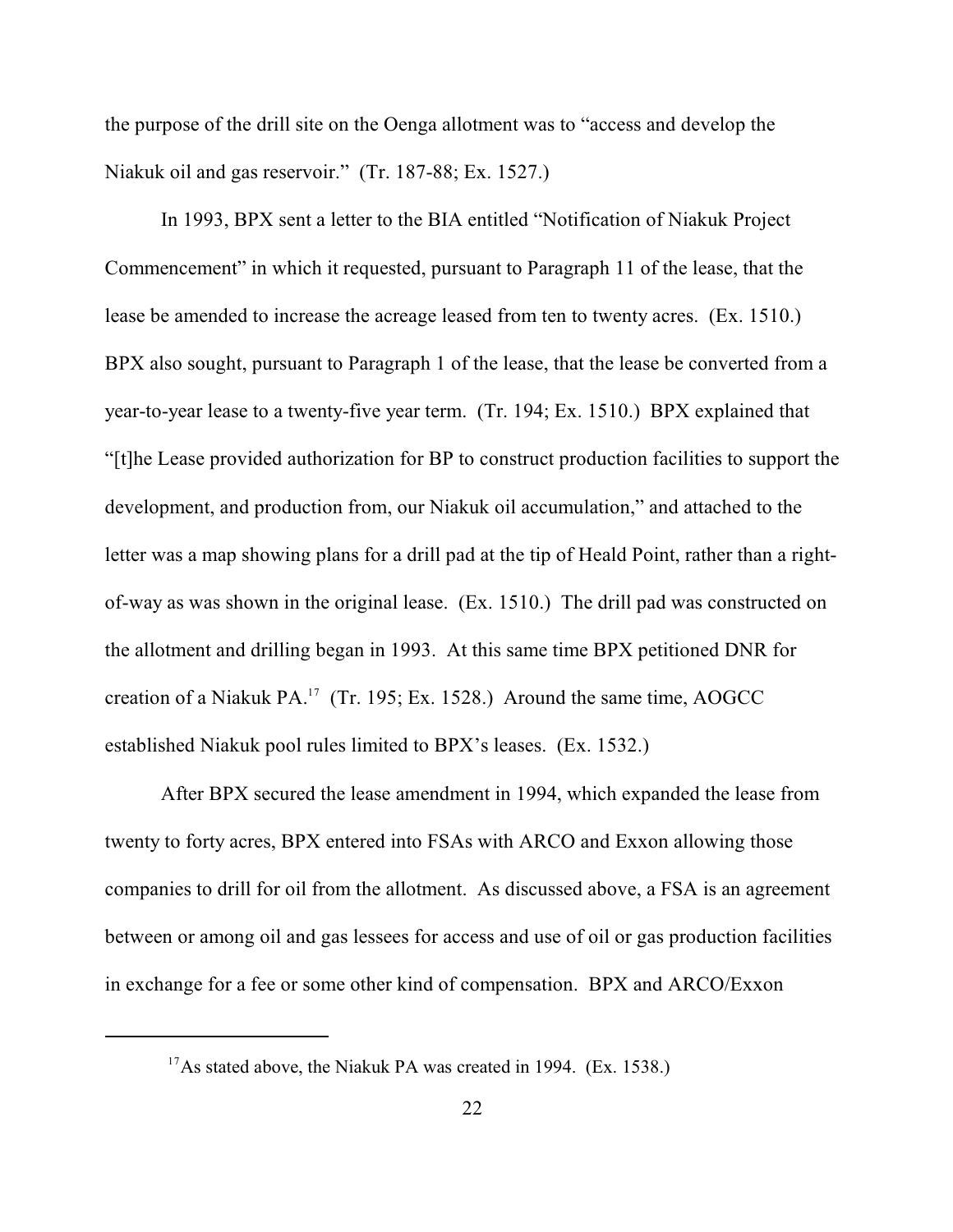the purpose of the drill site on the Oenga allotment was to "access and develop the Niakuk oil and gas reservoir." (Tr. 187-88; Ex. 1527.)

In 1993, BPX sent a letter to the BIA entitled "Notification of Niakuk Project Commencement" in which it requested, pursuant to Paragraph 11 of the lease, that the lease be amended to increase the acreage leased from ten to twenty acres. (Ex. 1510.) BPX also sought, pursuant to Paragraph 1 of the lease, that the lease be converted from a year-to-year lease to a twenty-five year term. (Tr. 194; Ex. 1510.) BPX explained that "[t]he Lease provided authorization for BP to construct production facilities to support the development, and production from, our Niakuk oil accumulation," and attached to the letter was a map showing plans for a drill pad at the tip of Heald Point, rather than a rightof-way as was shown in the original lease. (Ex. 1510.) The drill pad was constructed on the allotment and drilling began in 1993. At this same time BPX petitioned DNR for creation of a Niakuk PA.<sup>17</sup> (Tr. 195; Ex. 1528.) Around the same time, AOGCC established Niakuk pool rules limited to BPX's leases. (Ex. 1532.)

After BPX secured the lease amendment in 1994, which expanded the lease from twenty to forty acres, BPX entered into FSAs with ARCO and Exxon allowing those companies to drill for oil from the allotment. As discussed above, a FSA is an agreement between or among oil and gas lessees for access and use of oil or gas production facilities in exchange for a fee or some other kind of compensation. BPX and ARCO/Exxon

<sup>&</sup>lt;sup>17</sup>As stated above, the Niakuk PA was created in 1994. (Ex. 1538.)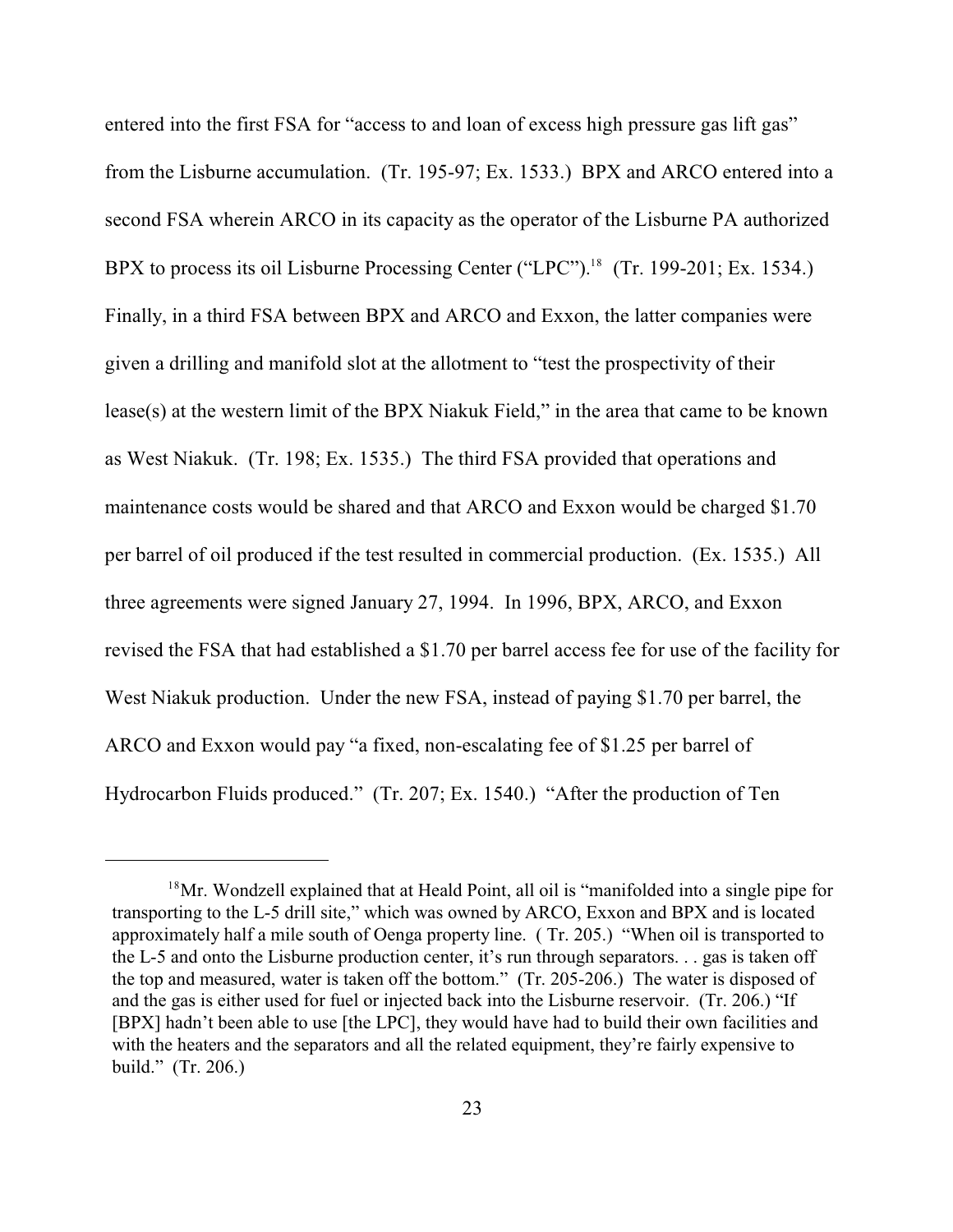entered into the first FSA for "access to and loan of excess high pressure gas lift gas" from the Lisburne accumulation. (Tr. 195-97; Ex. 1533.) BPX and ARCO entered into a second FSA wherein ARCO in its capacity as the operator of the Lisburne PA authorized BPX to process its oil Lisburne Processing Center ("LPC").<sup>18</sup> (Tr. 199-201; Ex. 1534.) Finally, in a third FSA between BPX and ARCO and Exxon, the latter companies were given a drilling and manifold slot at the allotment to "test the prospectivity of their lease(s) at the western limit of the BPX Niakuk Field," in the area that came to be known as West Niakuk. (Tr. 198; Ex. 1535.) The third FSA provided that operations and maintenance costs would be shared and that ARCO and Exxon would be charged \$1.70 per barrel of oil produced if the test resulted in commercial production. (Ex. 1535.) All three agreements were signed January 27, 1994. In 1996, BPX, ARCO, and Exxon revised the FSA that had established a \$1.70 per barrel access fee for use of the facility for West Niakuk production. Under the new FSA, instead of paying \$1.70 per barrel, the ARCO and Exxon would pay "a fixed, non-escalating fee of \$1.25 per barrel of Hydrocarbon Fluids produced." (Tr. 207; Ex. 1540.) "After the production of Ten

 $18$ Mr. Wondzell explained that at Heald Point, all oil is "manifolded into a single pipe for transporting to the L-5 drill site," which was owned by ARCO, Exxon and BPX and is located approximately half a mile south of Oenga property line. ( Tr. 205.) "When oil is transported to the L-5 and onto the Lisburne production center, it's run through separators. . . gas is taken off the top and measured, water is taken off the bottom." (Tr. 205-206.) The water is disposed of and the gas is either used for fuel or injected back into the Lisburne reservoir. (Tr. 206.) "If [BPX] hadn't been able to use [the LPC], they would have had to build their own facilities and with the heaters and the separators and all the related equipment, they're fairly expensive to build." (Tr. 206.)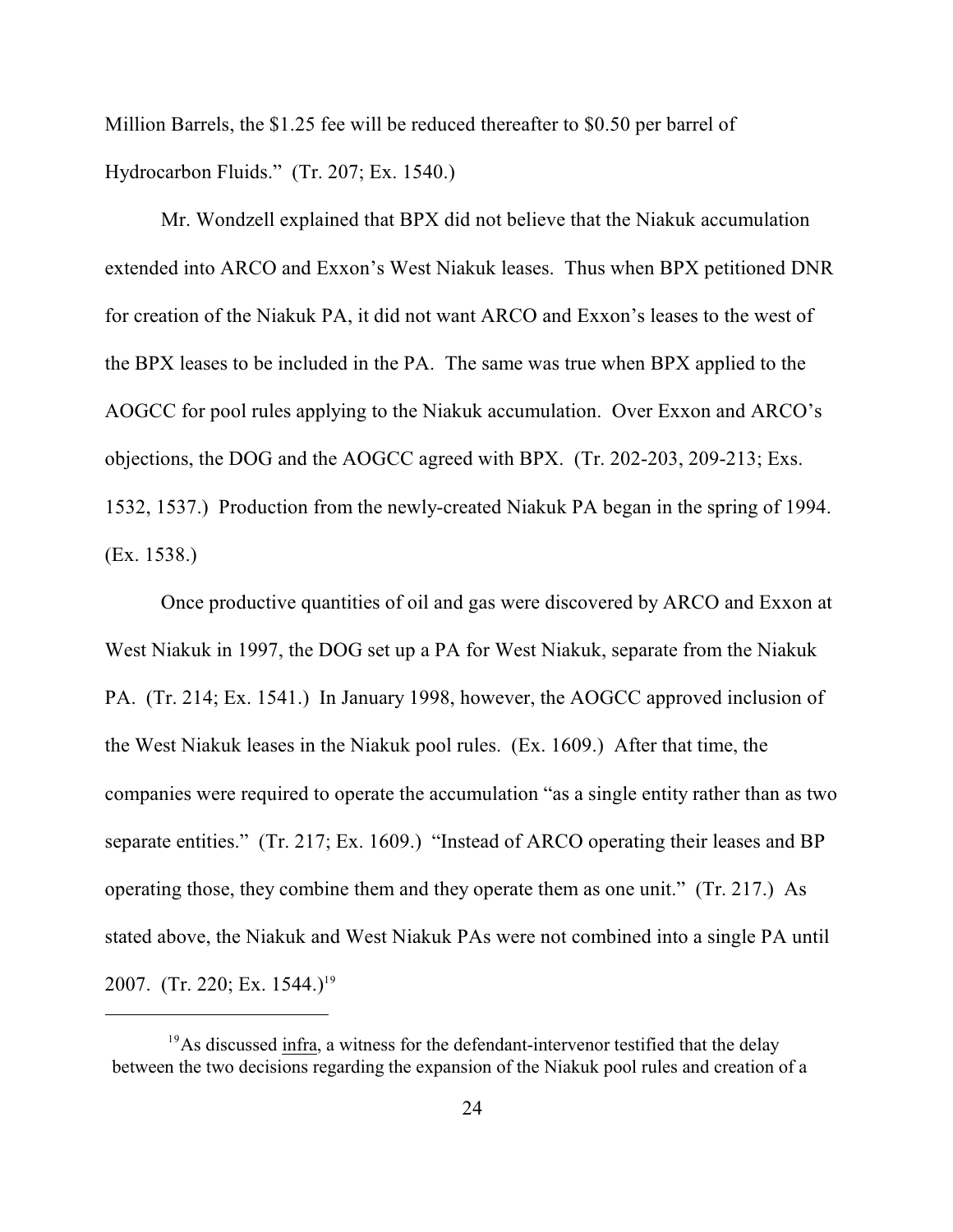Million Barrels, the \$1.25 fee will be reduced thereafter to \$0.50 per barrel of Hydrocarbon Fluids." (Tr. 207; Ex. 1540.)

Mr. Wondzell explained that BPX did not believe that the Niakuk accumulation extended into ARCO and Exxon's West Niakuk leases. Thus when BPX petitioned DNR for creation of the Niakuk PA, it did not want ARCO and Exxon's leases to the west of the BPX leases to be included in the PA. The same was true when BPX applied to the AOGCC for pool rules applying to the Niakuk accumulation. Over Exxon and ARCO's objections, the DOG and the AOGCC agreed with BPX. (Tr. 202-203, 209-213; Exs. 1532, 1537.) Production from the newly-created Niakuk PA began in the spring of 1994. (Ex. 1538.)

Once productive quantities of oil and gas were discovered by ARCO and Exxon at West Niakuk in 1997, the DOG set up a PA for West Niakuk, separate from the Niakuk PA. (Tr. 214; Ex. 1541.) In January 1998, however, the AOGCC approved inclusion of the West Niakuk leases in the Niakuk pool rules. (Ex. 1609.) After that time, the companies were required to operate the accumulation "as a single entity rather than as two separate entities." (Tr. 217; Ex. 1609.) "Instead of ARCO operating their leases and BP operating those, they combine them and they operate them as one unit." (Tr. 217.) As stated above, the Niakuk and West Niakuk PAs were not combined into a single PA until 2007. (Tr. 220; Ex. 1544.)<sup>19</sup>

 $19$ As discussed infra, a witness for the defendant-intervenor testified that the delay between the two decisions regarding the expansion of the Niakuk pool rules and creation of a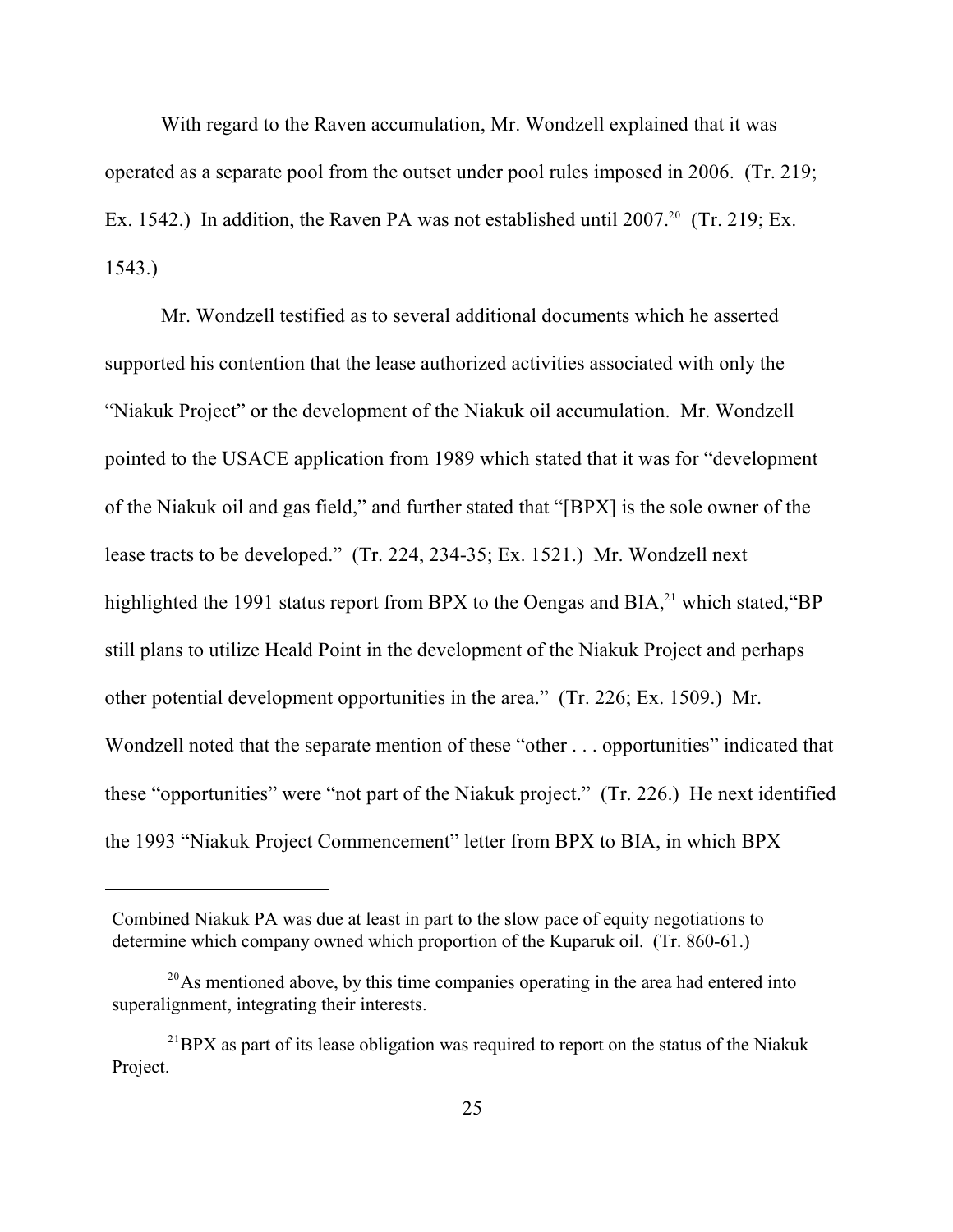With regard to the Raven accumulation, Mr. Wondzell explained that it was operated as a separate pool from the outset under pool rules imposed in 2006. (Tr. 219; Ex. 1542.) In addition, the Raven PA was not established until 2007.<sup>20</sup> (Tr. 219; Ex. 1543.)

Mr. Wondzell testified as to several additional documents which he asserted supported his contention that the lease authorized activities associated with only the "Niakuk Project" or the development of the Niakuk oil accumulation. Mr. Wondzell pointed to the USACE application from 1989 which stated that it was for "development of the Niakuk oil and gas field," and further stated that "[BPX] is the sole owner of the lease tracts to be developed." (Tr. 224, 234-35; Ex. 1521.) Mr. Wondzell next highlighted the 1991 status report from BPX to the Oengas and BIA, $^{21}$  which stated, "BP still plans to utilize Heald Point in the development of the Niakuk Project and perhaps other potential development opportunities in the area." (Tr. 226; Ex. 1509.) Mr. Wondzell noted that the separate mention of these "other . . . opportunities" indicated that these "opportunities" were "not part of the Niakuk project." (Tr. 226.) He next identified the 1993 "Niakuk Project Commencement" letter from BPX to BIA, in which BPX

Combined Niakuk PA was due at least in part to the slow pace of equity negotiations to determine which company owned which proportion of the Kuparuk oil. (Tr. 860-61.)

 $^{20}$ As mentioned above, by this time companies operating in the area had entered into superalignment, integrating their interests.

 $^{21}$ BPX as part of its lease obligation was required to report on the status of the Niakuk Project.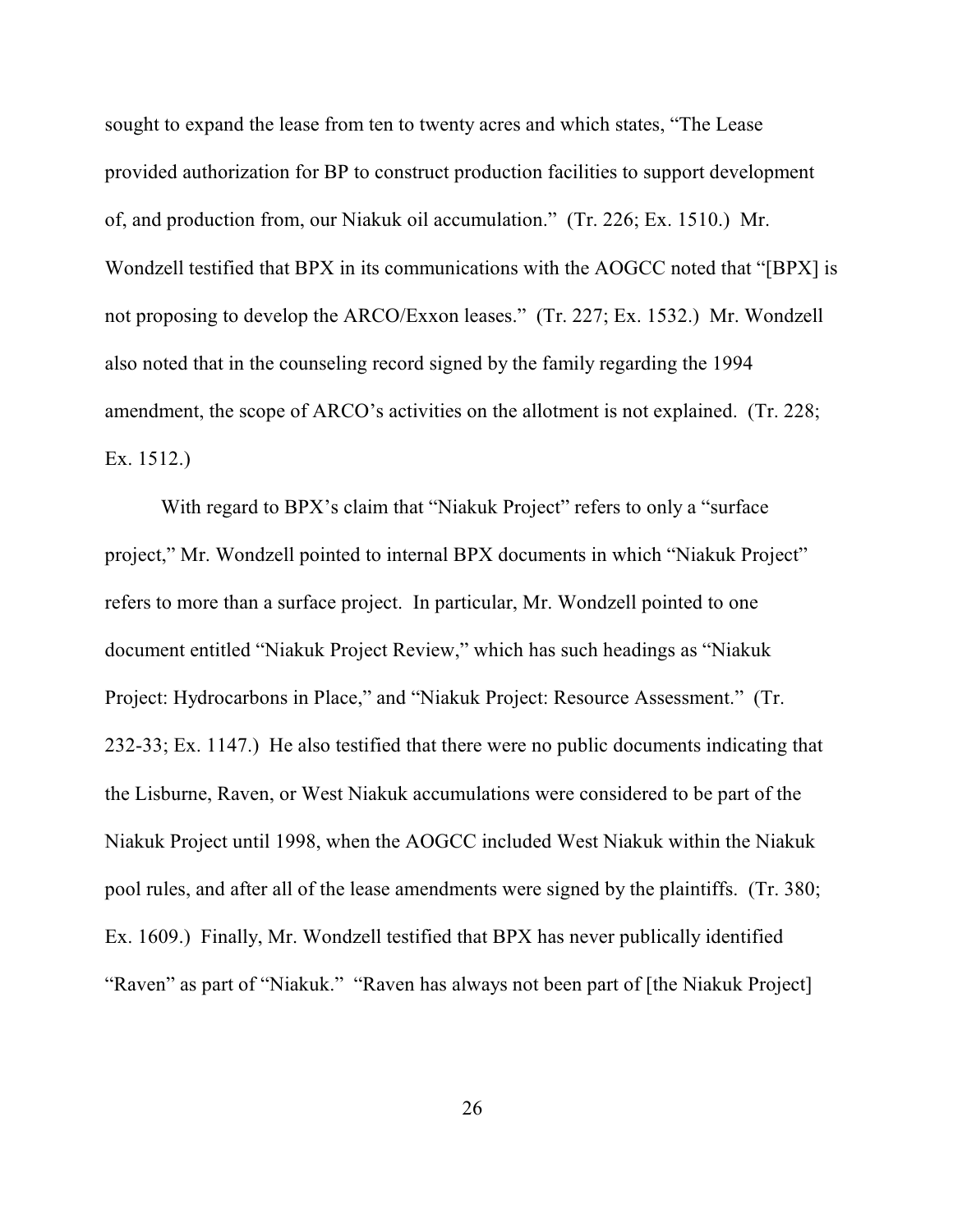sought to expand the lease from ten to twenty acres and which states, "The Lease provided authorization for BP to construct production facilities to support development of, and production from, our Niakuk oil accumulation." (Tr. 226; Ex. 1510.) Mr. Wondzell testified that BPX in its communications with the AOGCC noted that "[BPX] is not proposing to develop the ARCO/Exxon leases." (Tr. 227; Ex. 1532.) Mr. Wondzell also noted that in the counseling record signed by the family regarding the 1994 amendment, the scope of ARCO's activities on the allotment is not explained. (Tr. 228; Ex. 1512.)

With regard to BPX's claim that "Niakuk Project" refers to only a "surface" project," Mr. Wondzell pointed to internal BPX documents in which "Niakuk Project" refers to more than a surface project. In particular, Mr. Wondzell pointed to one document entitled "Niakuk Project Review," which has such headings as "Niakuk Project: Hydrocarbons in Place," and "Niakuk Project: Resource Assessment." (Tr. 232-33; Ex. 1147.) He also testified that there were no public documents indicating that the Lisburne, Raven, or West Niakuk accumulations were considered to be part of the Niakuk Project until 1998, when the AOGCC included West Niakuk within the Niakuk pool rules, and after all of the lease amendments were signed by the plaintiffs. (Tr. 380; Ex. 1609.) Finally, Mr. Wondzell testified that BPX has never publically identified "Raven" as part of "Niakuk." "Raven has always not been part of [the Niakuk Project]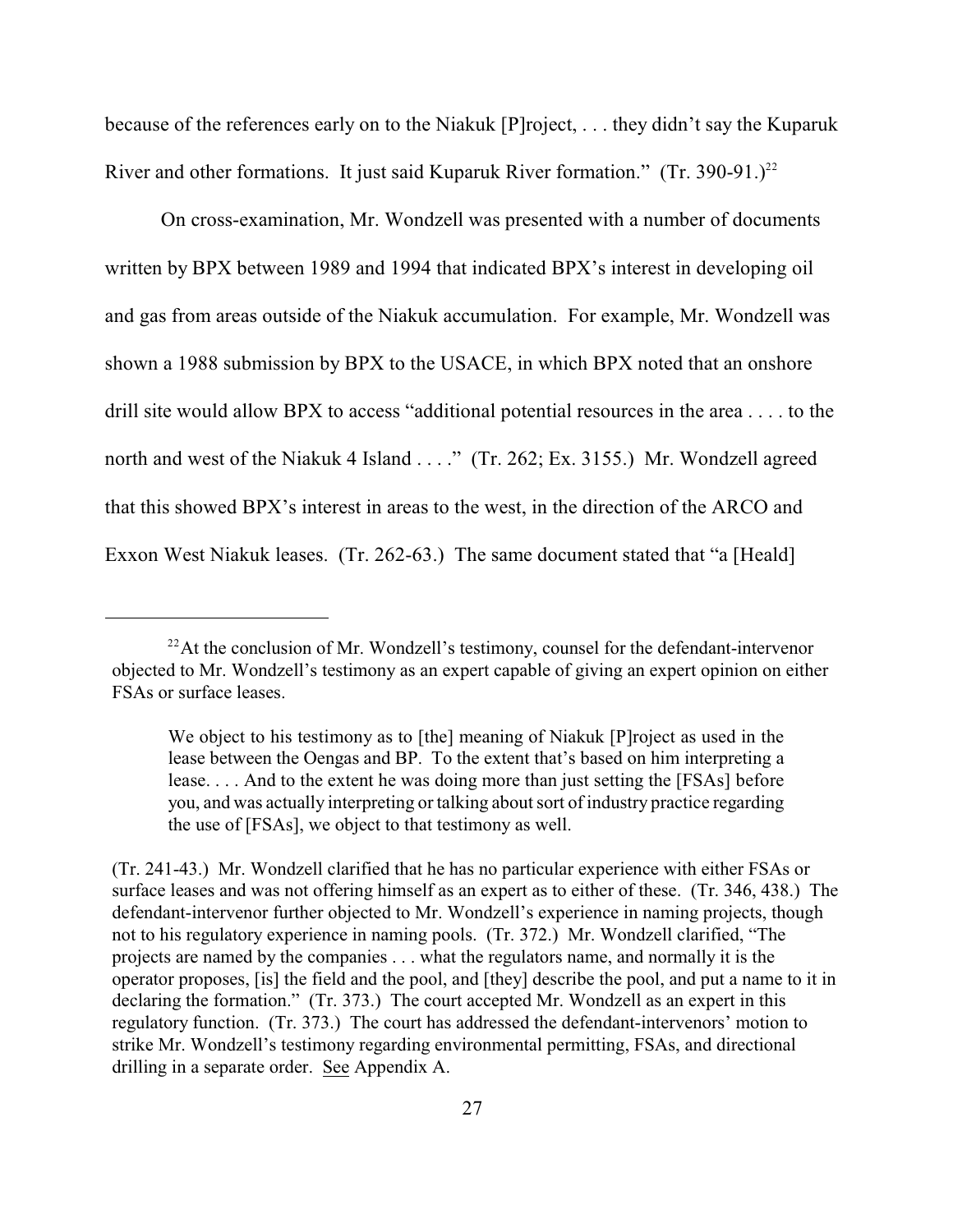because of the references early on to the Niakuk [P]roject, . . . they didn't say the Kuparuk River and other formations. It just said Kuparuk River formation."  $(Tr. 390-91.)^{22}$ 

On cross-examination, Mr. Wondzell was presented with a number of documents written by BPX between 1989 and 1994 that indicated BPX's interest in developing oil and gas from areas outside of the Niakuk accumulation. For example, Mr. Wondzell was shown a 1988 submission by BPX to the USACE, in which BPX noted that an onshore drill site would allow BPX to access "additional potential resources in the area . . . . to the north and west of the Niakuk 4 Island . . . ." (Tr. 262; Ex. 3155.) Mr. Wondzell agreed that this showed BPX's interest in areas to the west, in the direction of the ARCO and Exxon West Niakuk leases. (Tr. 262-63.) The same document stated that "a [Heald]

 $^{22}$ At the conclusion of Mr. Wondzell's testimony, counsel for the defendant-intervenor objected to Mr. Wondzell's testimony as an expert capable of giving an expert opinion on either FSAs or surface leases.

We object to his testimony as to [the] meaning of Niakuk [P]roject as used in the lease between the Oengas and BP. To the extent that's based on him interpreting a lease. . . . And to the extent he was doing more than just setting the [FSAs] before you, and was actually interpreting or talking about sort of industry practice regarding the use of [FSAs], we object to that testimony as well.

<sup>(</sup>Tr. 241-43.) Mr. Wondzell clarified that he has no particular experience with either FSAs or surface leases and was not offering himself as an expert as to either of these. (Tr. 346, 438.) The defendant-intervenor further objected to Mr. Wondzell's experience in naming projects, though not to his regulatory experience in naming pools. (Tr. 372.) Mr. Wondzell clarified, "The projects are named by the companies . . . what the regulators name, and normally it is the operator proposes, [is] the field and the pool, and [they] describe the pool, and put a name to it in declaring the formation." (Tr. 373.) The court accepted Mr. Wondzell as an expert in this regulatory function. (Tr. 373.) The court has addressed the defendant-intervenors' motion to strike Mr. Wondzell's testimony regarding environmental permitting, FSAs, and directional drilling in a separate order. See Appendix A.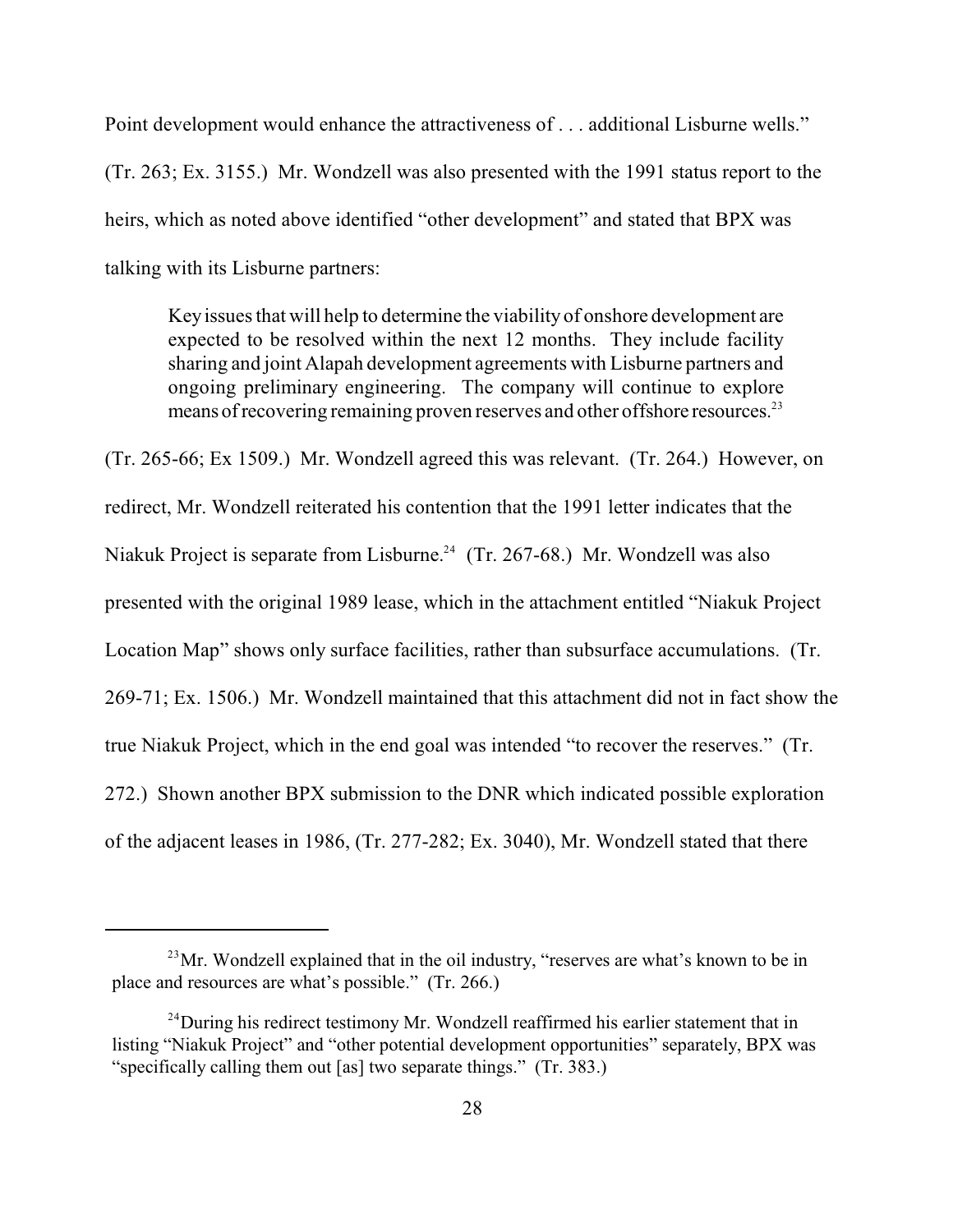Point development would enhance the attractiveness of . . . additional Lisburne wells." (Tr. 263; Ex. 3155.) Mr. Wondzell was also presented with the 1991 status report to the heirs, which as noted above identified "other development" and stated that BPX was talking with its Lisburne partners:

Keyissues that will help to determine the viabilityof onshore development are expected to be resolved within the next 12 months. They include facility sharing and joint Alapah development agreements with Lisburne partners and ongoing preliminary engineering. The company will continue to explore means of recovering remaining proven reserves and other offshore resources.<sup>23</sup>

(Tr. 265-66; Ex 1509.) Mr. Wondzell agreed this was relevant. (Tr. 264.) However, on redirect, Mr. Wondzell reiterated his contention that the 1991 letter indicates that the Niakuk Project is separate from Lisburne.<sup>24</sup> (Tr. 267-68.) Mr. Wondzell was also presented with the original 1989 lease, which in the attachment entitled "Niakuk Project Location Map" shows only surface facilities, rather than subsurface accumulations. (Tr. 269-71; Ex. 1506.) Mr. Wondzell maintained that this attachment did not in fact show the true Niakuk Project, which in the end goal was intended "to recover the reserves." (Tr. 272.) Shown another BPX submission to the DNR which indicated possible exploration of the adjacent leases in 1986, (Tr. 277-282; Ex. 3040), Mr. Wondzell stated that there

 $^{23}$ Mr. Wondzell explained that in the oil industry, "reserves are what's known to be in place and resources are what's possible." (Tr. 266.)

 $^{24}$ During his redirect testimony Mr. Wondzell reaffirmed his earlier statement that in listing "Niakuk Project" and "other potential development opportunities" separately, BPX was "specifically calling them out [as] two separate things." (Tr. 383.)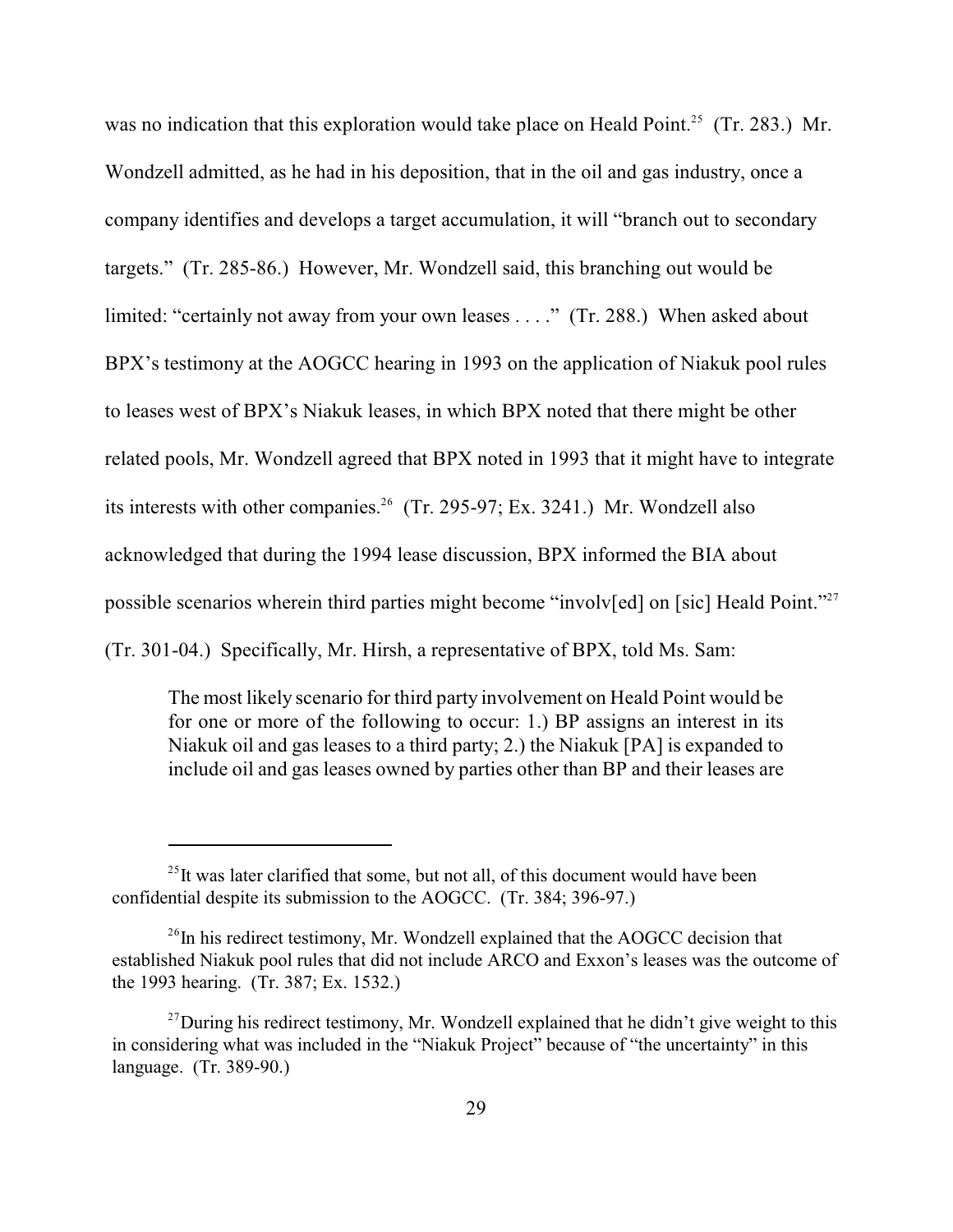was no indication that this exploration would take place on Heald Point.<sup>25</sup> (Tr. 283.) Mr. Wondzell admitted, as he had in his deposition, that in the oil and gas industry, once a company identifies and develops a target accumulation, it will "branch out to secondary targets." (Tr. 285-86.) However, Mr. Wondzell said, this branching out would be limited: "certainly not away from your own leases . . . ." (Tr. 288.) When asked about BPX's testimony at the AOGCC hearing in 1993 on the application of Niakuk pool rules to leases west of BPX's Niakuk leases, in which BPX noted that there might be other related pools, Mr. Wondzell agreed that BPX noted in 1993 that it might have to integrate its interests with other companies.<sup>26</sup> (Tr. 295-97; Ex. 3241.) Mr. Wondzell also acknowledged that during the 1994 lease discussion, BPX informed the BIA about possible scenarios wherein third parties might become "involv[ed] on [sic] Heald Point."<sup>27</sup> (Tr. 301-04.) Specifically, Mr. Hirsh, a representative of BPX, told Ms. Sam:

The most likely scenario for third party involvement on Heald Point would be for one or more of the following to occur: 1.) BP assigns an interest in its Niakuk oil and gas leases to a third party; 2.) the Niakuk [PA] is expanded to include oil and gas leases owned by parties other than BP and their leases are

 $^{25}$ It was later clarified that some, but not all, of this document would have been confidential despite its submission to the AOGCC. (Tr. 384; 396-97.)

 $26$ In his redirect testimony, Mr. Wondzell explained that the AOGCC decision that established Niakuk pool rules that did not include ARCO and Exxon's leases was the outcome of the 1993 hearing. (Tr. 387; Ex. 1532.)

 $^{27}$ During his redirect testimony, Mr. Wondzell explained that he didn't give weight to this in considering what was included in the "Niakuk Project" because of "the uncertainty" in this language. (Tr. 389-90.)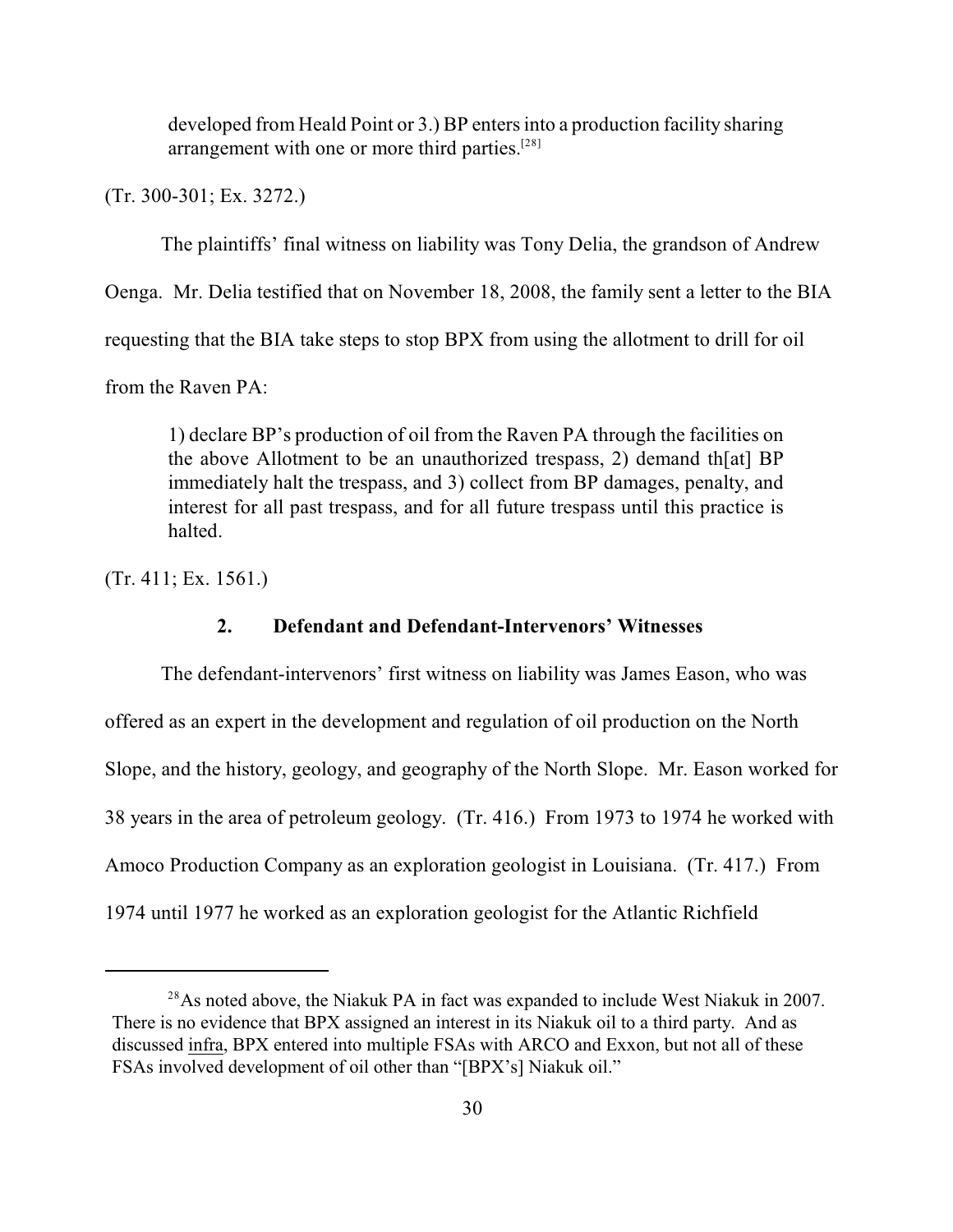developed from Heald Point or 3.) BP enters into a production facility sharing arrangement with one or more third parties.<sup>[28]</sup>

(Tr. 300-301; Ex. 3272.)

The plaintiffs' final witness on liability was Tony Delia, the grandson of Andrew

Oenga. Mr. Delia testified that on November 18, 2008, the family sent a letter to the BIA

requesting that the BIA take steps to stop BPX from using the allotment to drill for oil

from the Raven PA:

1) declare BP's production of oil from the Raven PA through the facilities on the above Allotment to be an unauthorized trespass, 2) demand th[at] BP immediately halt the trespass, and 3) collect from BP damages, penalty, and interest for all past trespass, and for all future trespass until this practice is halted.

(Tr. 411; Ex. 1561.)

## **2. Defendant and Defendant-Intervenors' Witnesses**

The defendant-intervenors' first witness on liability was James Eason, who was offered as an expert in the development and regulation of oil production on the North Slope, and the history, geology, and geography of the North Slope. Mr. Eason worked for 38 years in the area of petroleum geology. (Tr. 416.) From 1973 to 1974 he worked with Amoco Production Company as an exploration geologist in Louisiana. (Tr. 417.) From 1974 until 1977 he worked as an exploration geologist for the Atlantic Richfield

 $2<sup>8</sup>$ As noted above, the Niakuk PA in fact was expanded to include West Niakuk in 2007. There is no evidence that BPX assigned an interest in its Niakuk oil to a third party. And as discussed infra, BPX entered into multiple FSAs with ARCO and Exxon, but not all of these FSAs involved development of oil other than "[BPX's] Niakuk oil."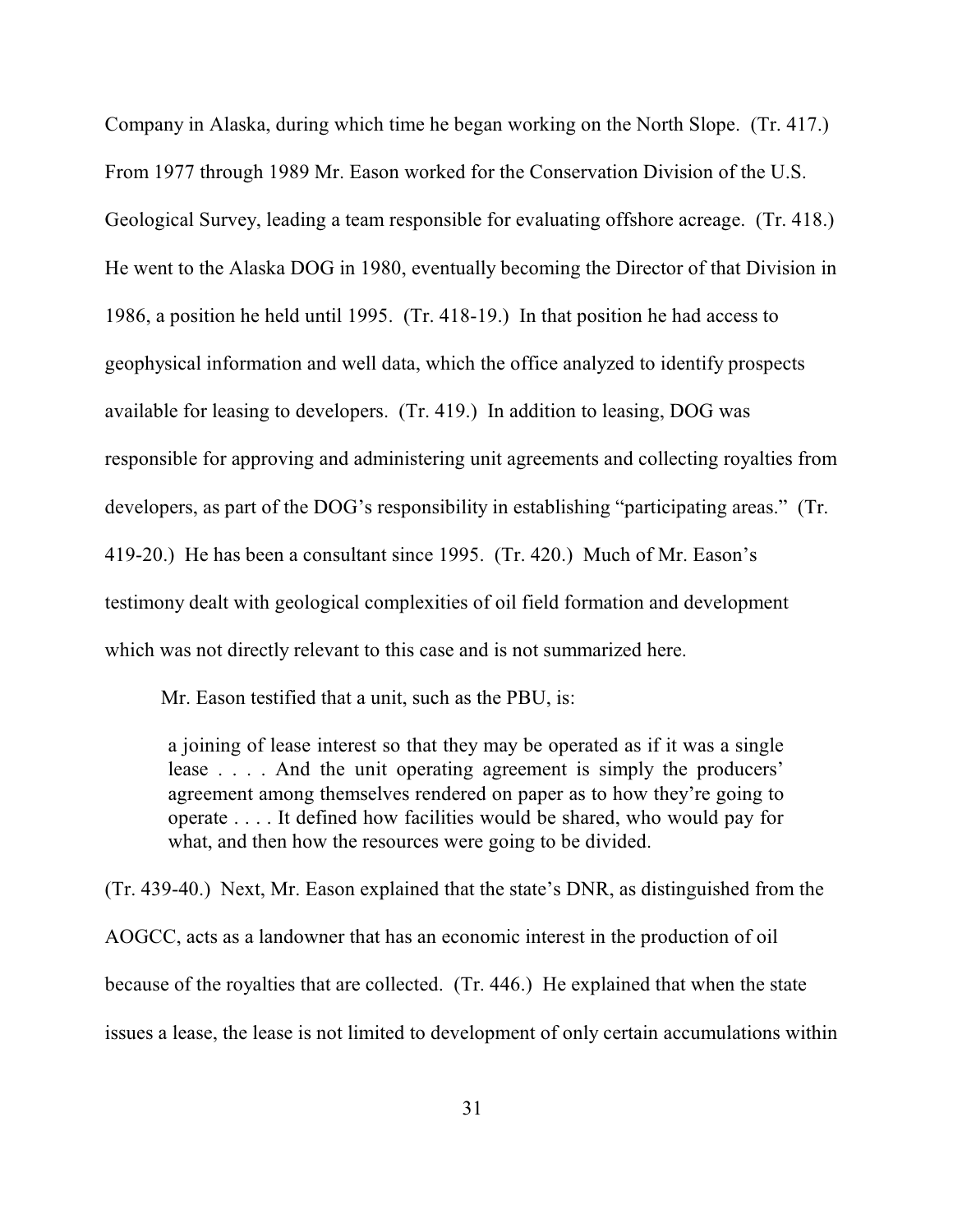Company in Alaska, during which time he began working on the North Slope. (Tr. 417.) From 1977 through 1989 Mr. Eason worked for the Conservation Division of the U.S. Geological Survey, leading a team responsible for evaluating offshore acreage. (Tr. 418.) He went to the Alaska DOG in 1980, eventually becoming the Director of that Division in 1986, a position he held until 1995. (Tr. 418-19.) In that position he had access to geophysical information and well data, which the office analyzed to identify prospects available for leasing to developers. (Tr. 419.) In addition to leasing, DOG was responsible for approving and administering unit agreements and collecting royalties from developers, as part of the DOG's responsibility in establishing "participating areas." (Tr. 419-20.) He has been a consultant since 1995. (Tr. 420.) Much of Mr. Eason's testimony dealt with geological complexities of oil field formation and development which was not directly relevant to this case and is not summarized here.

Mr. Eason testified that a unit, such as the PBU, is:

a joining of lease interest so that they may be operated as if it was a single lease . . . . And the unit operating agreement is simply the producers' agreement among themselves rendered on paper as to how they're going to operate . . . . It defined how facilities would be shared, who would pay for what, and then how the resources were going to be divided.

(Tr. 439-40.) Next, Mr. Eason explained that the state's DNR, as distinguished from the AOGCC, acts as a landowner that has an economic interest in the production of oil because of the royalties that are collected. (Tr. 446.) He explained that when the state issues a lease, the lease is not limited to development of only certain accumulations within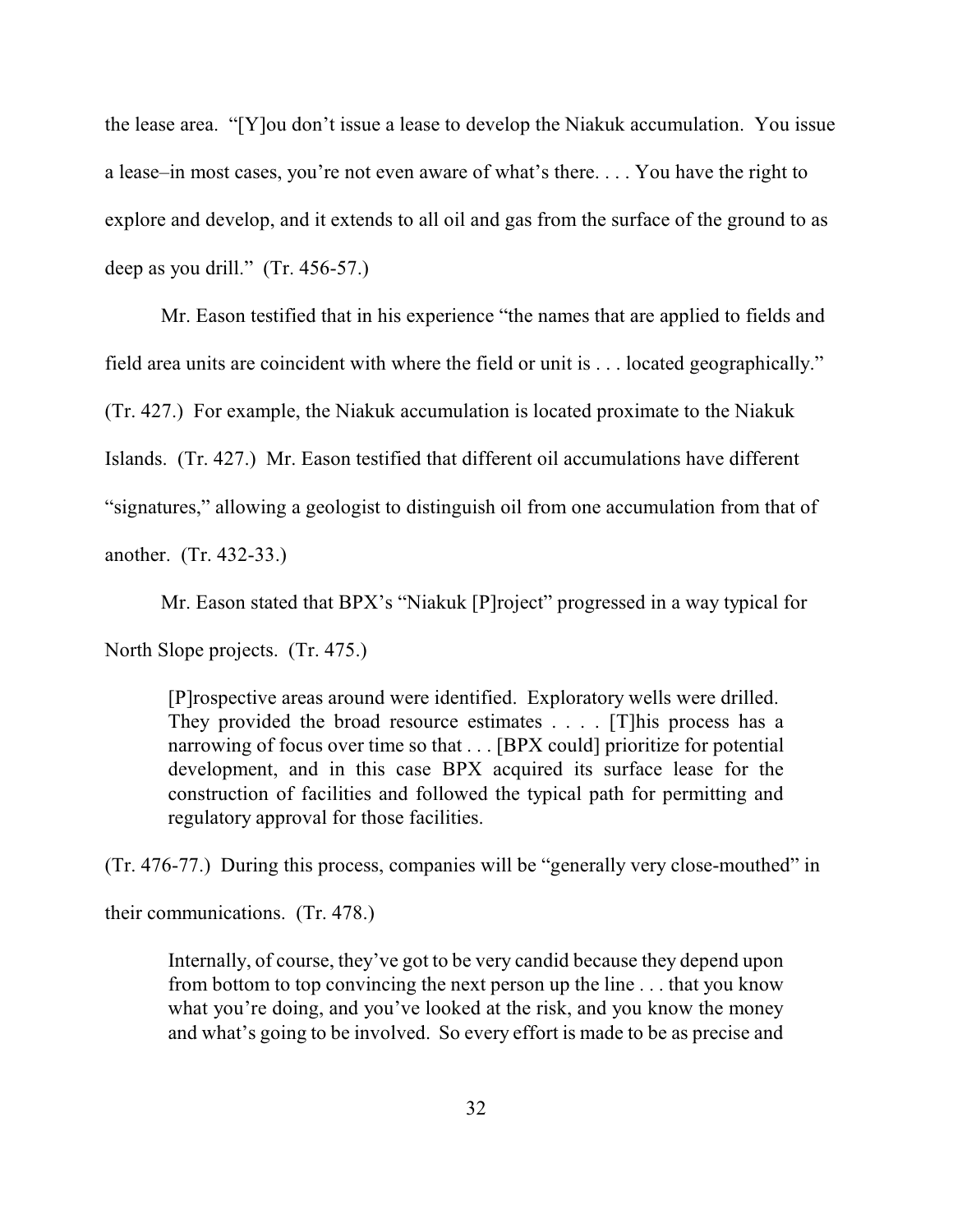the lease area. "[Y]ou don't issue a lease to develop the Niakuk accumulation. You issue a lease–in most cases, you're not even aware of what's there. . . . You have the right to explore and develop, and it extends to all oil and gas from the surface of the ground to as deep as you drill." (Tr. 456-57.)

Mr. Eason testified that in his experience "the names that are applied to fields and field area units are coincident with where the field or unit is . . . located geographically." (Tr. 427.) For example, the Niakuk accumulation is located proximate to the Niakuk Islands. (Tr. 427.) Mr. Eason testified that different oil accumulations have different "signatures," allowing a geologist to distinguish oil from one accumulation from that of another. (Tr. 432-33.)

Mr. Eason stated that BPX's "Niakuk [P]roject" progressed in a way typical for

North Slope projects. (Tr. 475.)

[P]rospective areas around were identified. Exploratory wells were drilled. They provided the broad resource estimates . . . . [T]his process has a narrowing of focus over time so that . . . [BPX could] prioritize for potential development, and in this case BPX acquired its surface lease for the construction of facilities and followed the typical path for permitting and regulatory approval for those facilities.

(Tr. 476-77.) During this process, companies will be "generally very close-mouthed" in

their communications. (Tr. 478.)

Internally, of course, they've got to be very candid because they depend upon from bottom to top convincing the next person up the line . . . that you know what you're doing, and you've looked at the risk, and you know the money and what's going to be involved. So every effort is made to be as precise and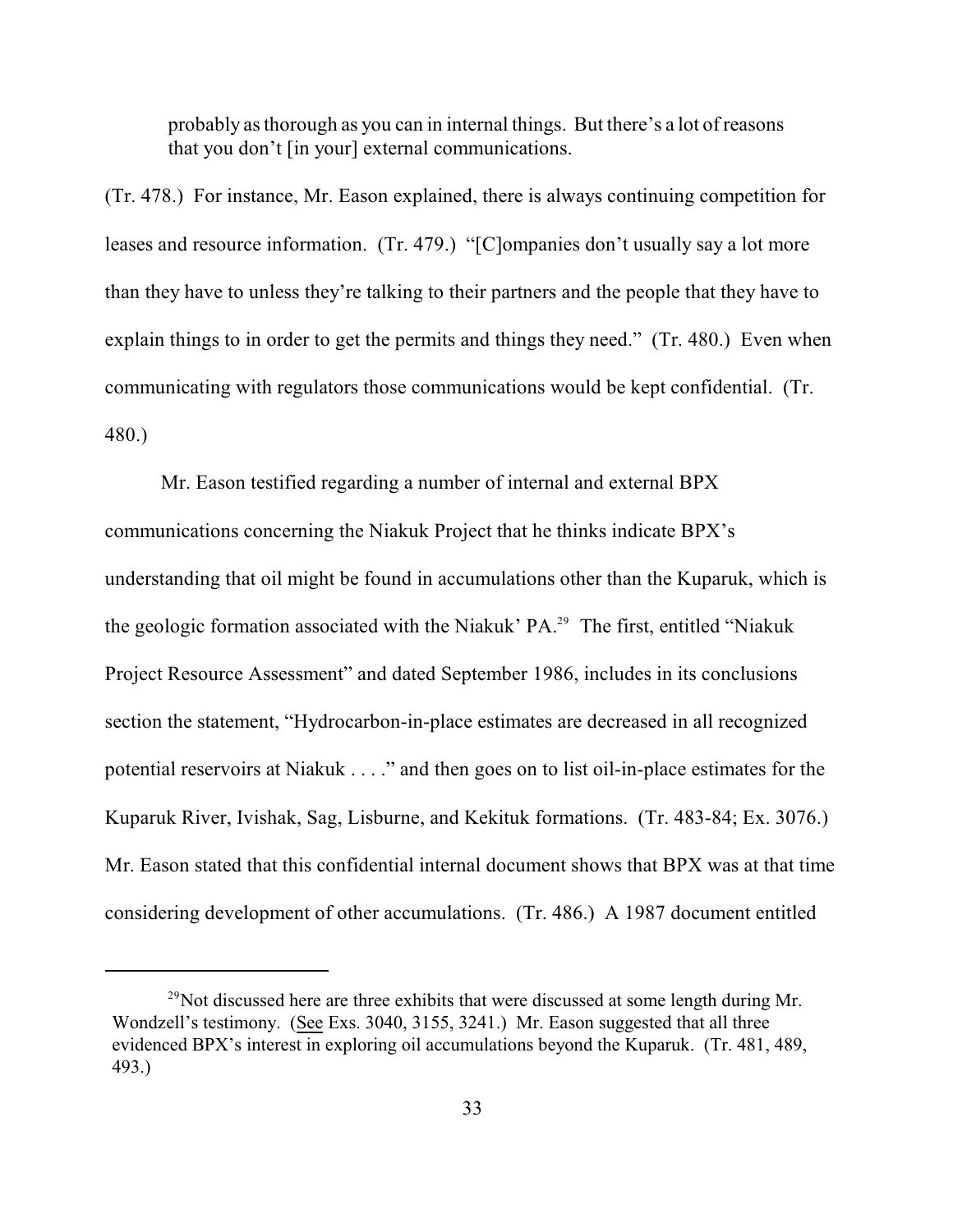probably as thorough as you can in internal things. But there's a lot of reasons that you don't [in your] external communications.

(Tr. 478.) For instance, Mr. Eason explained, there is always continuing competition for leases and resource information. (Tr. 479.) "[C]ompanies don't usually say a lot more than they have to unless they're talking to their partners and the people that they have to explain things to in order to get the permits and things they need." (Tr. 480.) Even when communicating with regulators those communications would be kept confidential. (Tr. 480.)

Mr. Eason testified regarding a number of internal and external BPX communications concerning the Niakuk Project that he thinks indicate BPX's understanding that oil might be found in accumulations other than the Kuparuk, which is the geologic formation associated with the Niakuk' PA.<sup>29</sup> The first, entitled "Niakuk Project Resource Assessment" and dated September 1986, includes in its conclusions section the statement, "Hydrocarbon-in-place estimates are decreased in all recognized potential reservoirs at Niakuk . . . ." and then goes on to list oil-in-place estimates for the Kuparuk River, Ivishak, Sag, Lisburne, and Kekituk formations. (Tr. 483-84; Ex. 3076.) Mr. Eason stated that this confidential internal document shows that BPX was at that time considering development of other accumulations. (Tr. 486.) A 1987 document entitled

<sup>&</sup>lt;sup>29</sup>Not discussed here are three exhibits that were discussed at some length during Mr. Wondzell's testimony. (See Exs. 3040, 3155, 3241.) Mr. Eason suggested that all three evidenced BPX's interest in exploring oil accumulations beyond the Kuparuk. (Tr. 481, 489, 493.)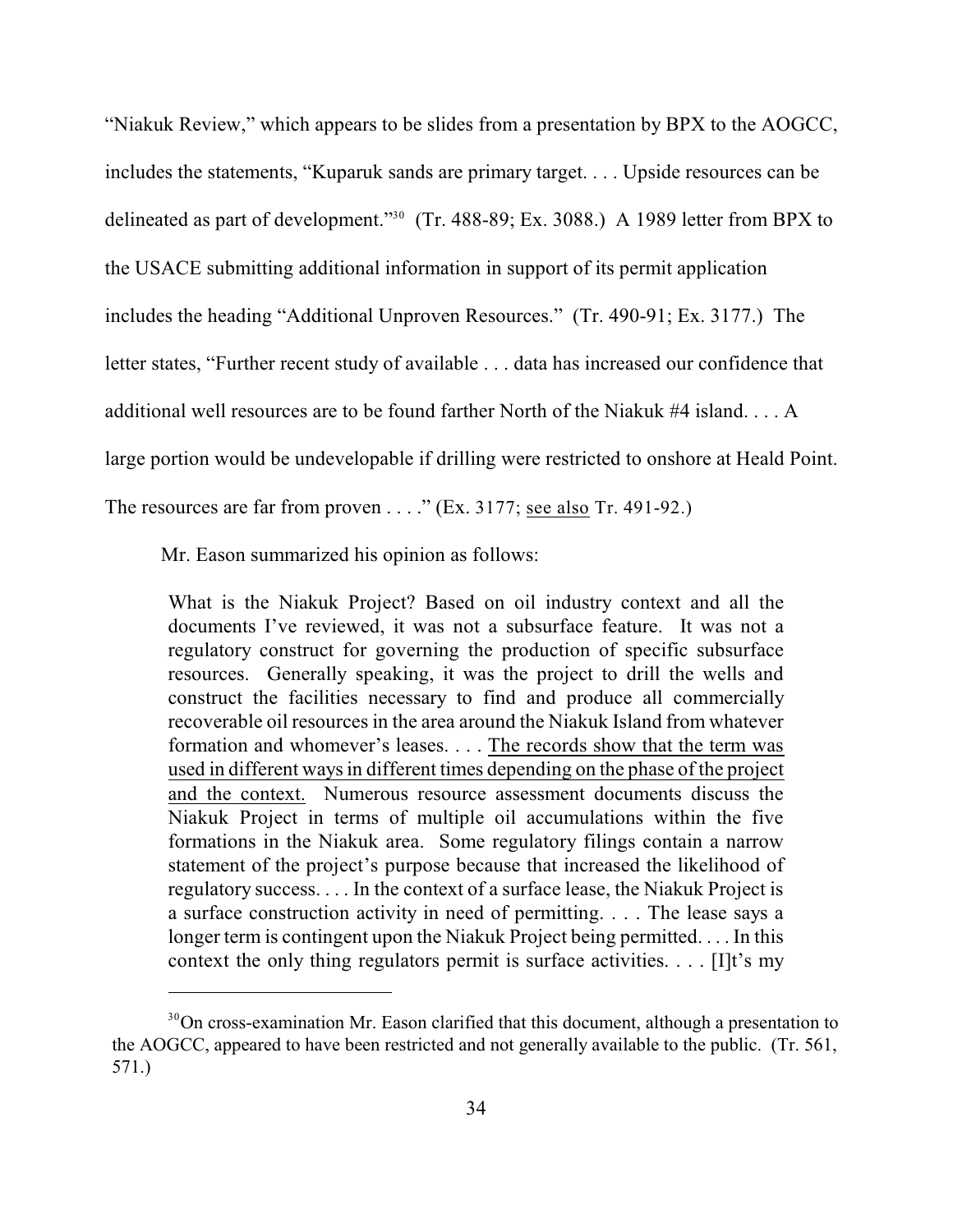"Niakuk Review," which appears to be slides from a presentation by BPX to the AOGCC, includes the statements, "Kuparuk sands are primary target. . . . Upside resources can be delineated as part of development."<sup>30</sup> (Tr. 488-89; Ex. 3088.) A 1989 letter from BPX to the USACE submitting additional information in support of its permit application includes the heading "Additional Unproven Resources." (Tr. 490-91; Ex. 3177.) The letter states, "Further recent study of available . . . data has increased our confidence that additional well resources are to be found farther North of the Niakuk #4 island. . . . A large portion would be undevelopable if drilling were restricted to onshore at Heald Point. The resources are far from proven  $\dots$ ." (Ex. 3177; see also Tr. 491-92.)

Mr. Eason summarized his opinion as follows:

What is the Niakuk Project? Based on oil industry context and all the documents I've reviewed, it was not a subsurface feature. It was not a regulatory construct for governing the production of specific subsurface resources. Generally speaking, it was the project to drill the wells and construct the facilities necessary to find and produce all commercially recoverable oil resources in the area around the Niakuk Island from whatever formation and whomever's leases. . . . The records show that the term was used in different ways in different times depending on the phase of the project and the context. Numerous resource assessment documents discuss the Niakuk Project in terms of multiple oil accumulations within the five formations in the Niakuk area. Some regulatory filings contain a narrow statement of the project's purpose because that increased the likelihood of regulatory success. . . . In the context of a surface lease, the Niakuk Project is a surface construction activity in need of permitting. . . . The lease says a longer term is contingent upon the Niakuk Project being permitted. . . . In this context the only thing regulators permit is surface activities.  $\dots$  [I]t's my

 $30$  On cross-examination Mr. Eason clarified that this document, although a presentation to the AOGCC, appeared to have been restricted and not generally available to the public. (Tr. 561, 571.)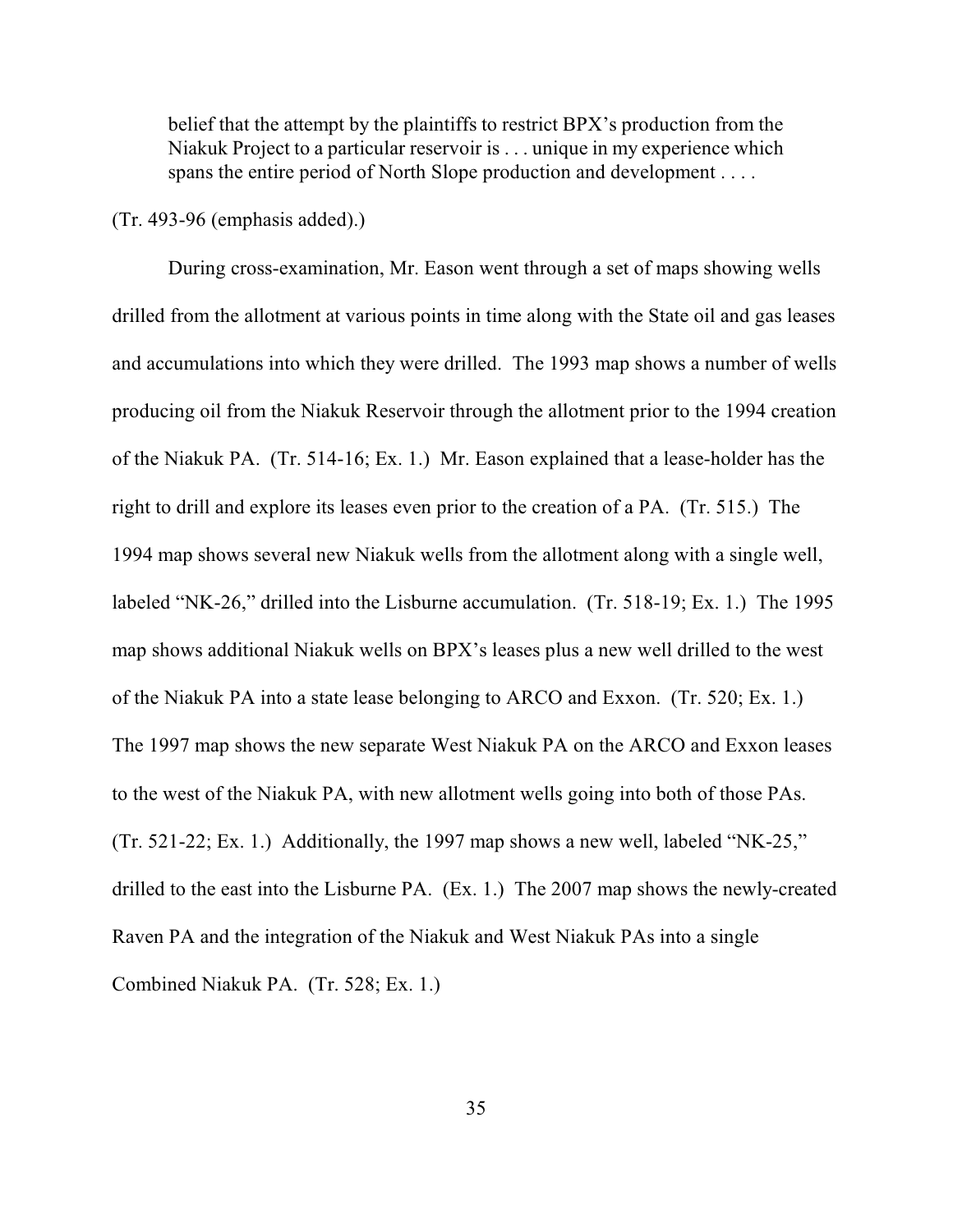belief that the attempt by the plaintiffs to restrict BPX's production from the Niakuk Project to a particular reservoir is . . . unique in my experience which spans the entire period of North Slope production and development . . . .

(Tr. 493-96 (emphasis added).)

During cross-examination, Mr. Eason went through a set of maps showing wells drilled from the allotment at various points in time along with the State oil and gas leases and accumulations into which they were drilled. The 1993 map shows a number of wells producing oil from the Niakuk Reservoir through the allotment prior to the 1994 creation of the Niakuk PA. (Tr. 514-16; Ex. 1.) Mr. Eason explained that a lease-holder has the right to drill and explore its leases even prior to the creation of a PA. (Tr. 515.) The 1994 map shows several new Niakuk wells from the allotment along with a single well, labeled "NK-26," drilled into the Lisburne accumulation. (Tr. 518-19; Ex. 1.) The 1995 map shows additional Niakuk wells on BPX's leases plus a new well drilled to the west of the Niakuk PA into a state lease belonging to ARCO and Exxon. (Tr. 520; Ex. 1.) The 1997 map shows the new separate West Niakuk PA on the ARCO and Exxon leases to the west of the Niakuk PA, with new allotment wells going into both of those PAs. (Tr. 521-22; Ex. 1.) Additionally, the 1997 map shows a new well, labeled "NK-25," drilled to the east into the Lisburne PA. (Ex. 1.) The 2007 map shows the newly-created Raven PA and the integration of the Niakuk and West Niakuk PAs into a single Combined Niakuk PA. (Tr. 528; Ex. 1.)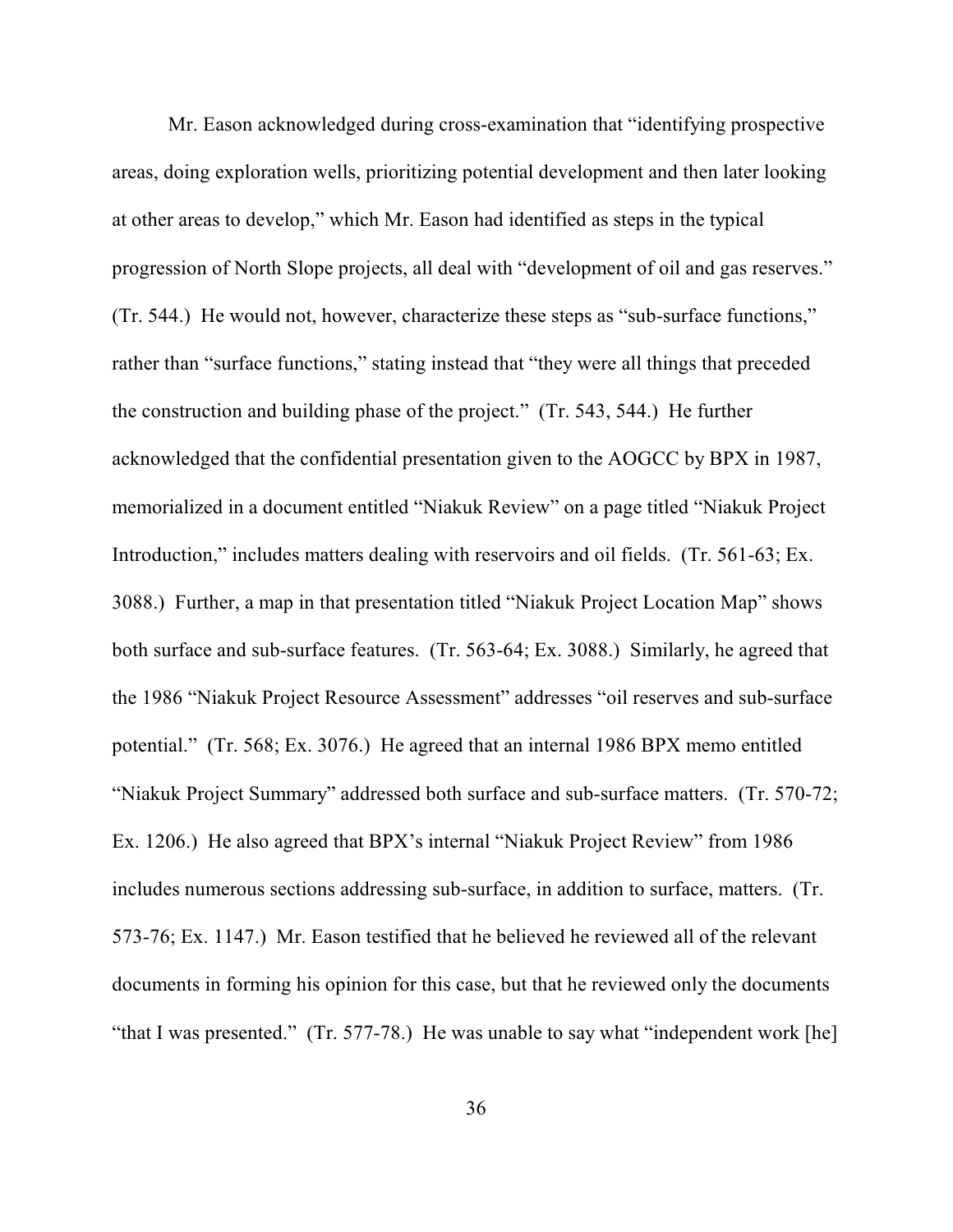Mr. Eason acknowledged during cross-examination that "identifying prospective areas, doing exploration wells, prioritizing potential development and then later looking at other areas to develop," which Mr. Eason had identified as steps in the typical progression of North Slope projects, all deal with "development of oil and gas reserves." (Tr. 544.) He would not, however, characterize these steps as "sub-surface functions," rather than "surface functions," stating instead that "they were all things that preceded the construction and building phase of the project." (Tr. 543, 544.) He further acknowledged that the confidential presentation given to the AOGCC by BPX in 1987, memorialized in a document entitled "Niakuk Review" on a page titled "Niakuk Project Introduction," includes matters dealing with reservoirs and oil fields. (Tr. 561-63; Ex. 3088.) Further, a map in that presentation titled "Niakuk Project Location Map" shows both surface and sub-surface features. (Tr. 563-64; Ex. 3088.) Similarly, he agreed that the 1986 "Niakuk Project Resource Assessment" addresses "oil reserves and sub-surface potential." (Tr. 568; Ex. 3076.) He agreed that an internal 1986 BPX memo entitled "Niakuk Project Summary" addressed both surface and sub-surface matters. (Tr. 570-72; Ex. 1206.) He also agreed that BPX's internal "Niakuk Project Review" from 1986 includes numerous sections addressing sub-surface, in addition to surface, matters. (Tr. 573-76; Ex. 1147.) Mr. Eason testified that he believed he reviewed all of the relevant documents in forming his opinion for this case, but that he reviewed only the documents "that I was presented." (Tr. 577-78.) He was unable to say what "independent work [he]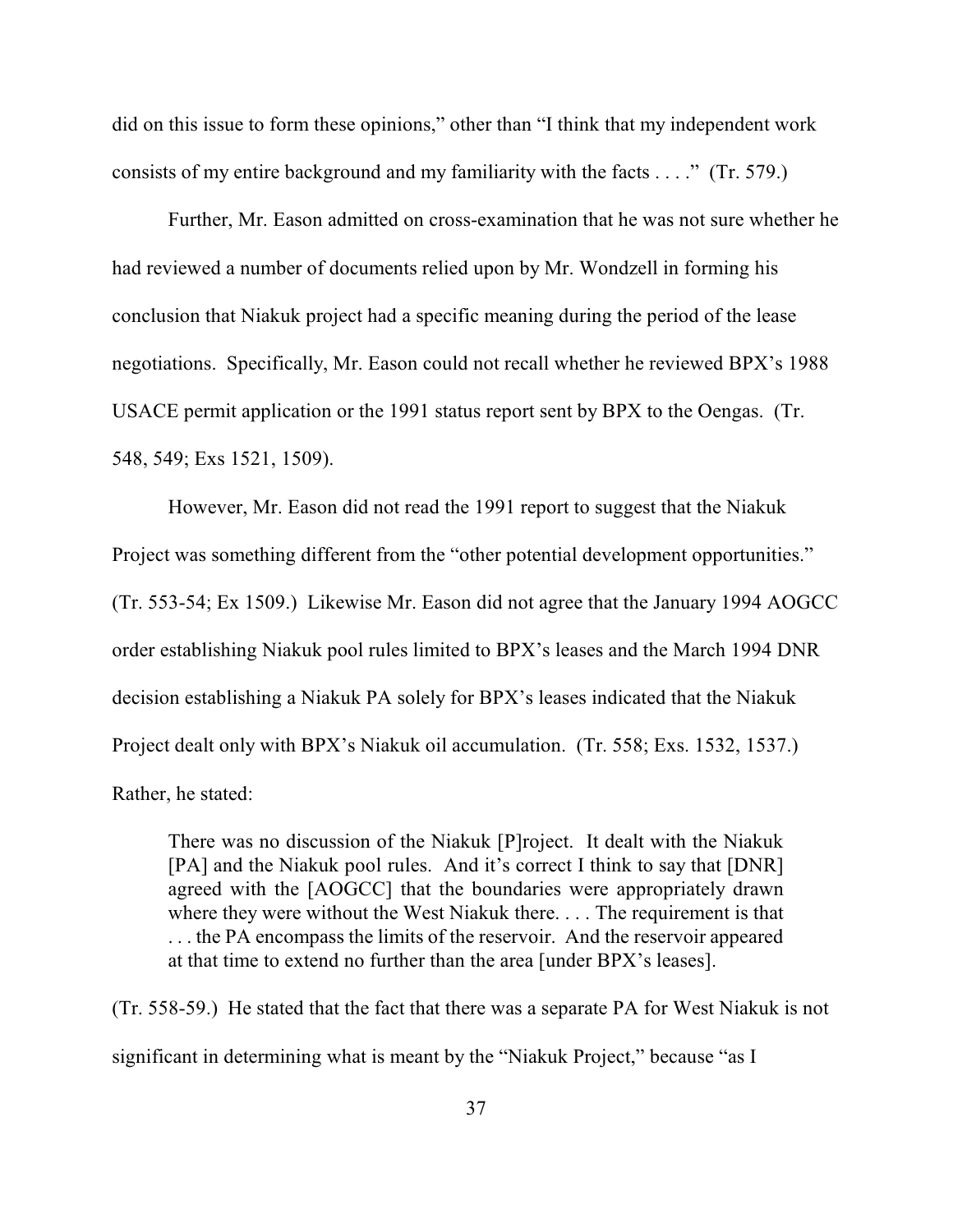did on this issue to form these opinions," other than "I think that my independent work consists of my entire background and my familiarity with the facts . . . ." (Tr. 579.)

Further, Mr. Eason admitted on cross-examination that he was not sure whether he had reviewed a number of documents relied upon by Mr. Wondzell in forming his conclusion that Niakuk project had a specific meaning during the period of the lease negotiations. Specifically, Mr. Eason could not recall whether he reviewed BPX's 1988 USACE permit application or the 1991 status report sent by BPX to the Oengas. (Tr. 548, 549; Exs 1521, 1509).

However, Mr. Eason did not read the 1991 report to suggest that the Niakuk Project was something different from the "other potential development opportunities." (Tr. 553-54; Ex 1509.) Likewise Mr. Eason did not agree that the January 1994 AOGCC order establishing Niakuk pool rules limited to BPX's leases and the March 1994 DNR decision establishing a Niakuk PA solely for BPX's leases indicated that the Niakuk Project dealt only with BPX's Niakuk oil accumulation. (Tr. 558; Exs. 1532, 1537.) Rather, he stated:

There was no discussion of the Niakuk [P]roject. It dealt with the Niakuk [PA] and the Niakuk pool rules. And it's correct I think to say that [DNR] agreed with the [AOGCC] that the boundaries were appropriately drawn where they were without the West Niakuk there. . . . The requirement is that . . . the PA encompass the limits of the reservoir. And the reservoir appeared at that time to extend no further than the area [under BPX's leases].

(Tr. 558-59.) He stated that the fact that there was a separate PA for West Niakuk is not significant in determining what is meant by the "Niakuk Project," because "as I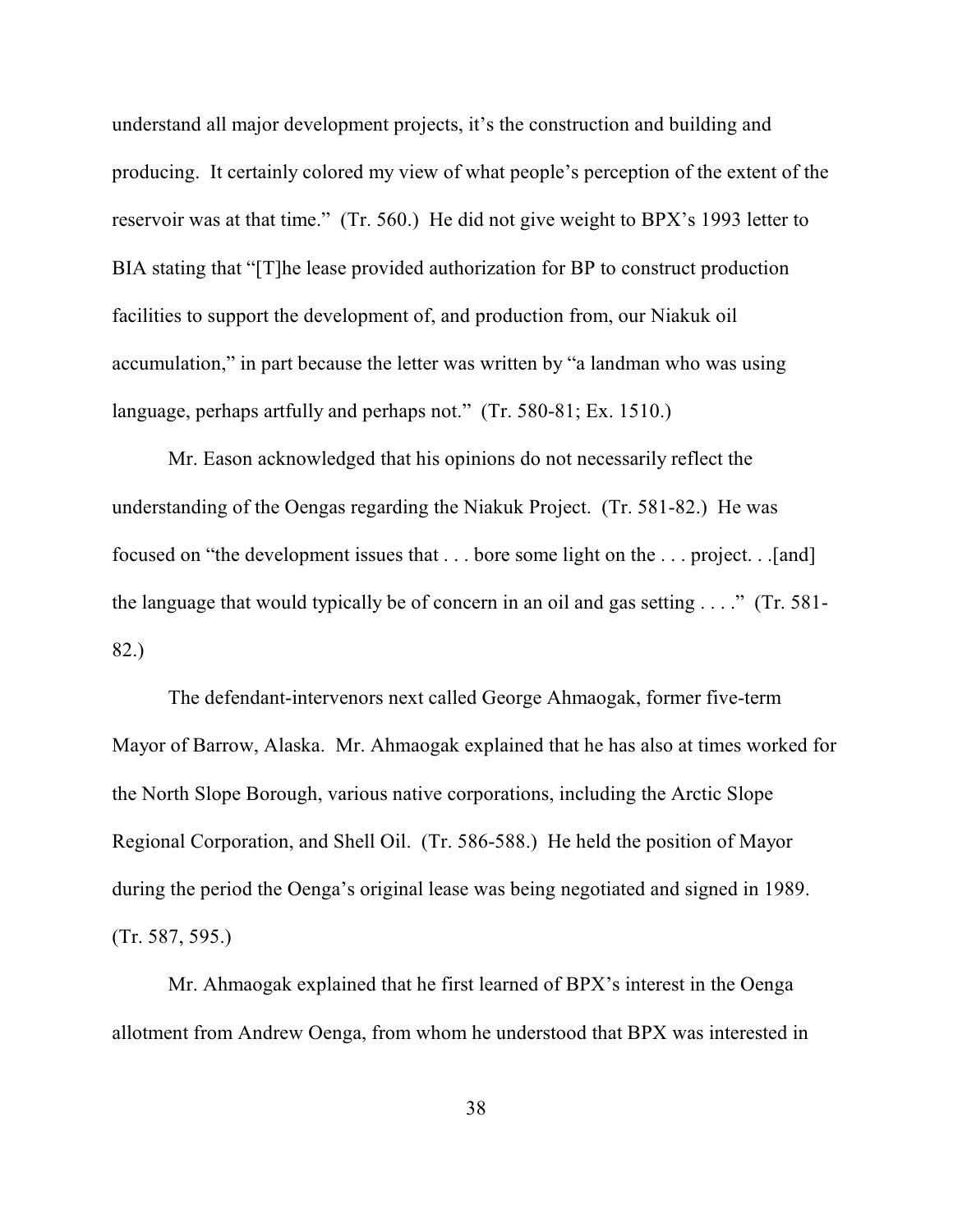understand all major development projects, it's the construction and building and producing. It certainly colored my view of what people's perception of the extent of the reservoir was at that time." (Tr. 560.) He did not give weight to BPX's 1993 letter to BIA stating that "[T]he lease provided authorization for BP to construct production facilities to support the development of, and production from, our Niakuk oil accumulation," in part because the letter was written by "a landman who was using language, perhaps artfully and perhaps not." (Tr. 580-81; Ex. 1510.)

Mr. Eason acknowledged that his opinions do not necessarily reflect the understanding of the Oengas regarding the Niakuk Project. (Tr. 581-82.) He was focused on "the development issues that . . . bore some light on the . . . project. . .[and] the language that would typically be of concern in an oil and gas setting . . . ." (Tr. 581- 82.)

The defendant-intervenors next called George Ahmaogak, former five-term Mayor of Barrow, Alaska. Mr. Ahmaogak explained that he has also at times worked for the North Slope Borough, various native corporations, including the Arctic Slope Regional Corporation, and Shell Oil. (Tr. 586-588.) He held the position of Mayor during the period the Oenga's original lease was being negotiated and signed in 1989. (Tr. 587, 595.)

Mr. Ahmaogak explained that he first learned of BPX's interest in the Oenga allotment from Andrew Oenga, from whom he understood that BPX was interested in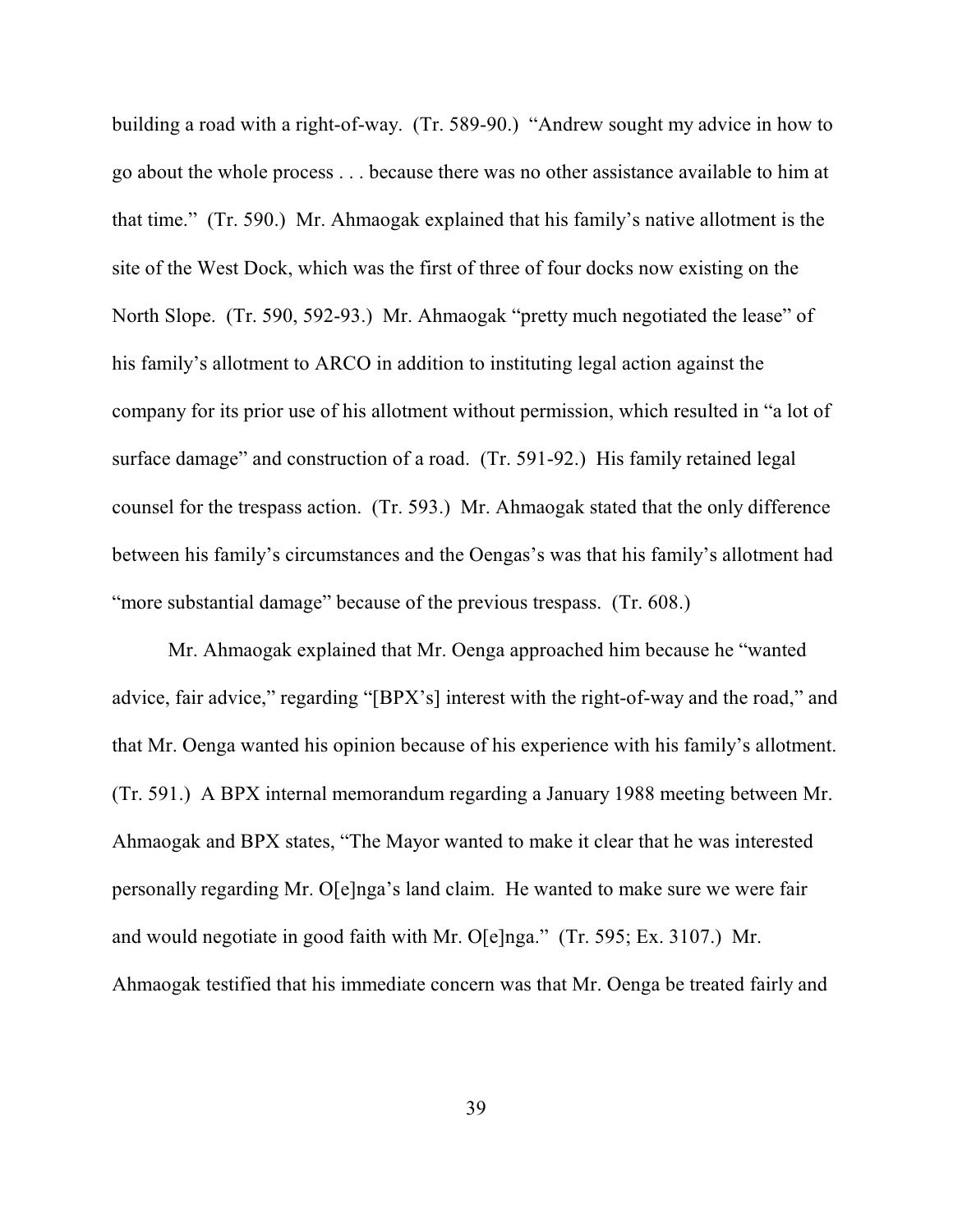building a road with a right-of-way. (Tr. 589-90.) "Andrew sought my advice in how to go about the whole process . . . because there was no other assistance available to him at that time." (Tr. 590.) Mr. Ahmaogak explained that his family's native allotment is the site of the West Dock, which was the first of three of four docks now existing on the North Slope. (Tr. 590, 592-93.) Mr. Ahmaogak "pretty much negotiated the lease" of his family's allotment to ARCO in addition to instituting legal action against the company for its prior use of his allotment without permission, which resulted in "a lot of surface damage" and construction of a road. (Tr. 591-92.) His family retained legal counsel for the trespass action. (Tr. 593.) Mr. Ahmaogak stated that the only difference between his family's circumstances and the Oengas's was that his family's allotment had "more substantial damage" because of the previous trespass. (Tr. 608.)

Mr. Ahmaogak explained that Mr. Oenga approached him because he "wanted advice, fair advice," regarding "[BPX's] interest with the right-of-way and the road," and that Mr. Oenga wanted his opinion because of his experience with his family's allotment. (Tr. 591.) A BPX internal memorandum regarding a January 1988 meeting between Mr. Ahmaogak and BPX states, "The Mayor wanted to make it clear that he was interested personally regarding Mr. O[e]nga's land claim. He wanted to make sure we were fair and would negotiate in good faith with Mr. O[e]nga." (Tr. 595; Ex. 3107.) Mr. Ahmaogak testified that his immediate concern was that Mr. Oenga be treated fairly and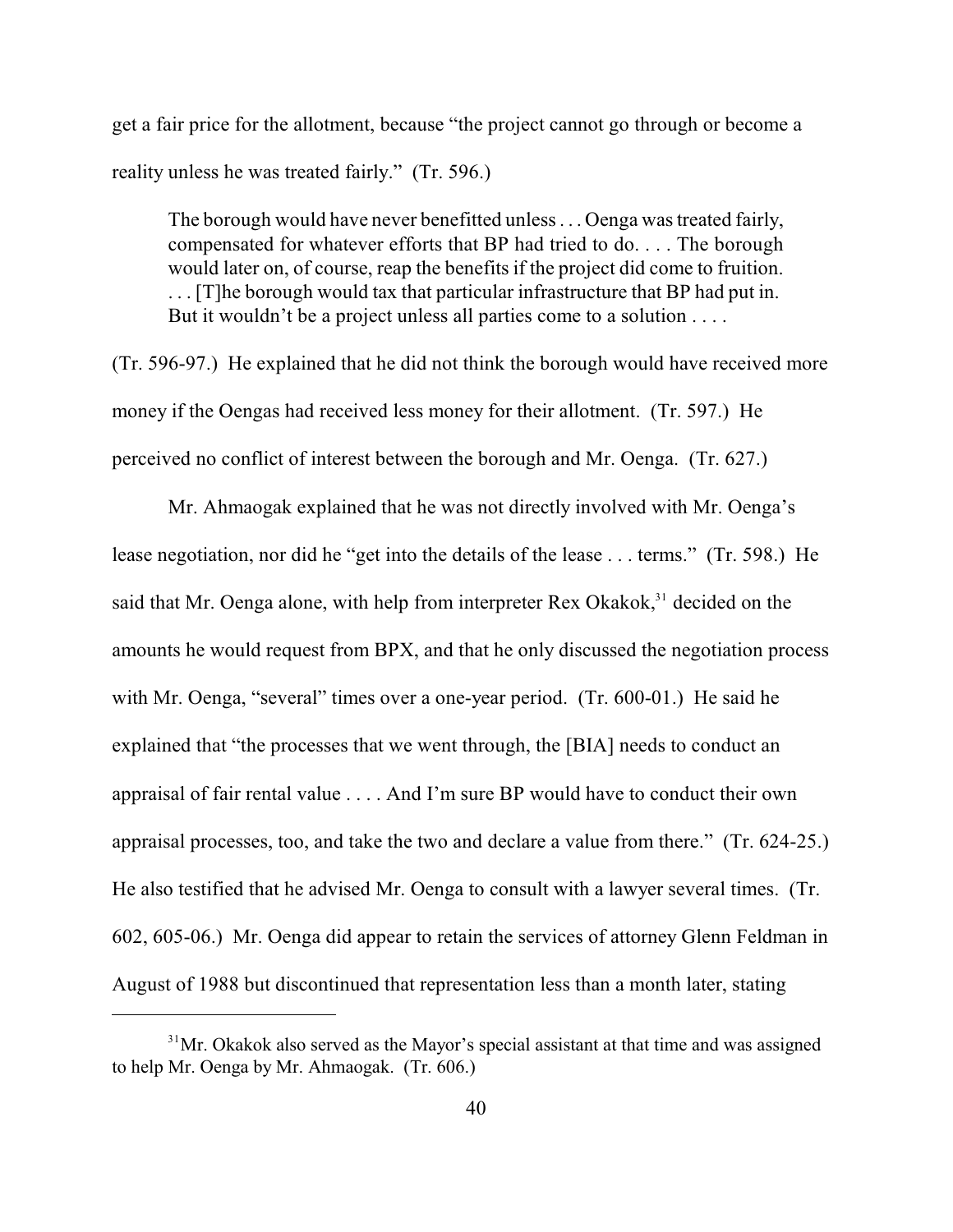get a fair price for the allotment, because "the project cannot go through or become a reality unless he was treated fairly." (Tr. 596.)

The borough would have never benefitted unless . . . Oenga was treated fairly, compensated for whatever efforts that BP had tried to do. . . . The borough would later on, of course, reap the benefits if the project did come to fruition. . . . [T]he borough would tax that particular infrastructure that BP had put in. But it wouldn't be a project unless all parties come to a solution . . . .

(Tr. 596-97.) He explained that he did not think the borough would have received more money if the Oengas had received less money for their allotment. (Tr. 597.) He perceived no conflict of interest between the borough and Mr. Oenga. (Tr. 627.)

Mr. Ahmaogak explained that he was not directly involved with Mr. Oenga's lease negotiation, nor did he "get into the details of the lease . . . terms." (Tr. 598.) He said that Mr. Oenga alone, with help from interpreter Rex Okakok,<sup>31</sup> decided on the amounts he would request from BPX, and that he only discussed the negotiation process with Mr. Oenga, "several" times over a one-year period. (Tr. 600-01.) He said he explained that "the processes that we went through, the [BIA] needs to conduct an appraisal of fair rental value . . . . And I'm sure BP would have to conduct their own appraisal processes, too, and take the two and declare a value from there." (Tr. 624-25.) He also testified that he advised Mr. Oenga to consult with a lawyer several times. (Tr. 602, 605-06.) Mr. Oenga did appear to retain the services of attorney Glenn Feldman in August of 1988 but discontinued that representation less than a month later, stating

 $31$ Mr. Okakok also served as the Mayor's special assistant at that time and was assigned to help Mr. Oenga by Mr. Ahmaogak. (Tr. 606.)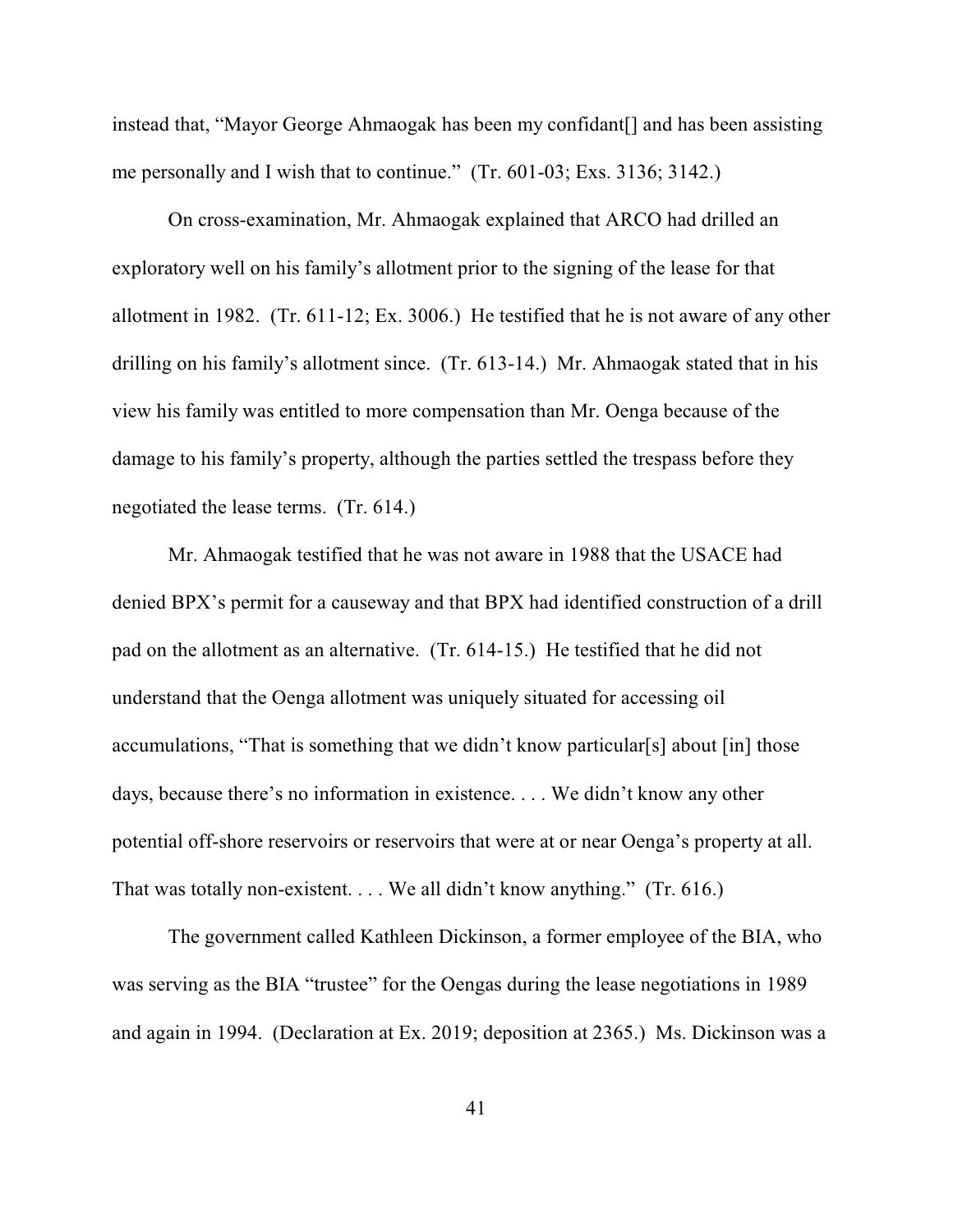instead that, "Mayor George Ahmaogak has been my confidant[] and has been assisting me personally and I wish that to continue." (Tr. 601-03; Exs. 3136; 3142.)

On cross-examination, Mr. Ahmaogak explained that ARCO had drilled an exploratory well on his family's allotment prior to the signing of the lease for that allotment in 1982. (Tr. 611-12; Ex. 3006.) He testified that he is not aware of any other drilling on his family's allotment since. (Tr. 613-14.) Mr. Ahmaogak stated that in his view his family was entitled to more compensation than Mr. Oenga because of the damage to his family's property, although the parties settled the trespass before they negotiated the lease terms. (Tr. 614.)

Mr. Ahmaogak testified that he was not aware in 1988 that the USACE had denied BPX's permit for a causeway and that BPX had identified construction of a drill pad on the allotment as an alternative. (Tr. 614-15.) He testified that he did not understand that the Oenga allotment was uniquely situated for accessing oil accumulations, "That is something that we didn't know particular[s] about [in] those days, because there's no information in existence. . . . We didn't know any other potential off-shore reservoirs or reservoirs that were at or near Oenga's property at all. That was totally non-existent. . . . We all didn't know anything." (Tr. 616.)

The government called Kathleen Dickinson, a former employee of the BIA, who was serving as the BIA "trustee" for the Oengas during the lease negotiations in 1989 and again in 1994. (Declaration at Ex. 2019; deposition at 2365.) Ms. Dickinson was a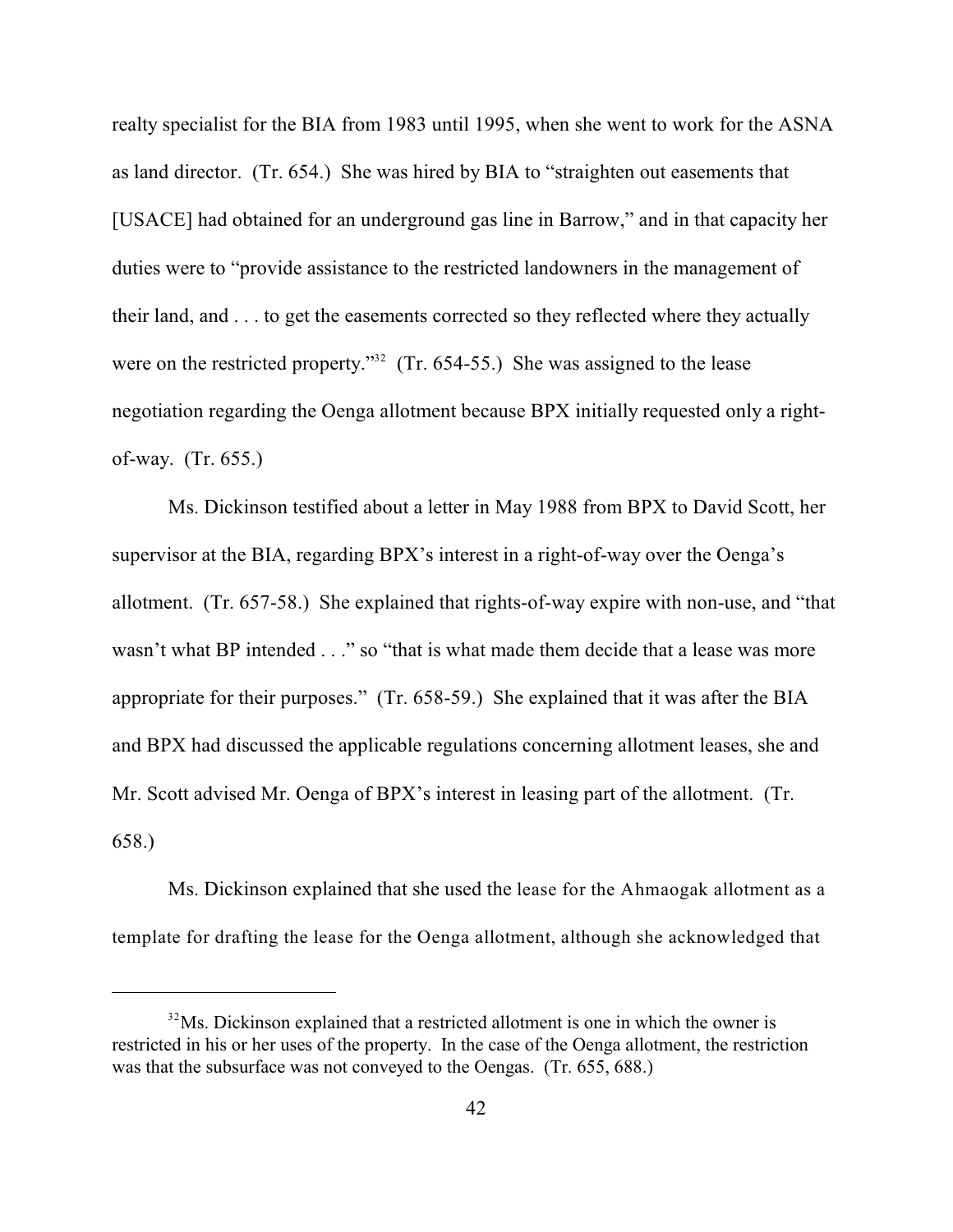realty specialist for the BIA from 1983 until 1995, when she went to work for the ASNA as land director. (Tr. 654.) She was hired by BIA to "straighten out easements that [USACE] had obtained for an underground gas line in Barrow," and in that capacity her duties were to "provide assistance to the restricted landowners in the management of their land, and . . . to get the easements corrected so they reflected where they actually were on the restricted property."<sup> $32$ </sup> (Tr. 654-55.) She was assigned to the lease negotiation regarding the Oenga allotment because BPX initially requested only a rightof-way. (Tr. 655.)

Ms. Dickinson testified about a letter in May 1988 from BPX to David Scott, her supervisor at the BIA, regarding BPX's interest in a right-of-way over the Oenga's allotment. (Tr. 657-58.) She explained that rights-of-way expire with non-use, and "that wasn't what BP intended . . ." so "that is what made them decide that a lease was more appropriate for their purposes." (Tr. 658-59.) She explained that it was after the BIA and BPX had discussed the applicable regulations concerning allotment leases, she and Mr. Scott advised Mr. Oenga of BPX's interest in leasing part of the allotment. (Tr. 658.)

Ms. Dickinson explained that she used the lease for the Ahmaogak allotment as a template for drafting the lease for the Oenga allotment, although she acknowledged that

 $32$ Ms. Dickinson explained that a restricted allotment is one in which the owner is restricted in his or her uses of the property. In the case of the Oenga allotment, the restriction was that the subsurface was not conveyed to the Oengas. (Tr. 655, 688.)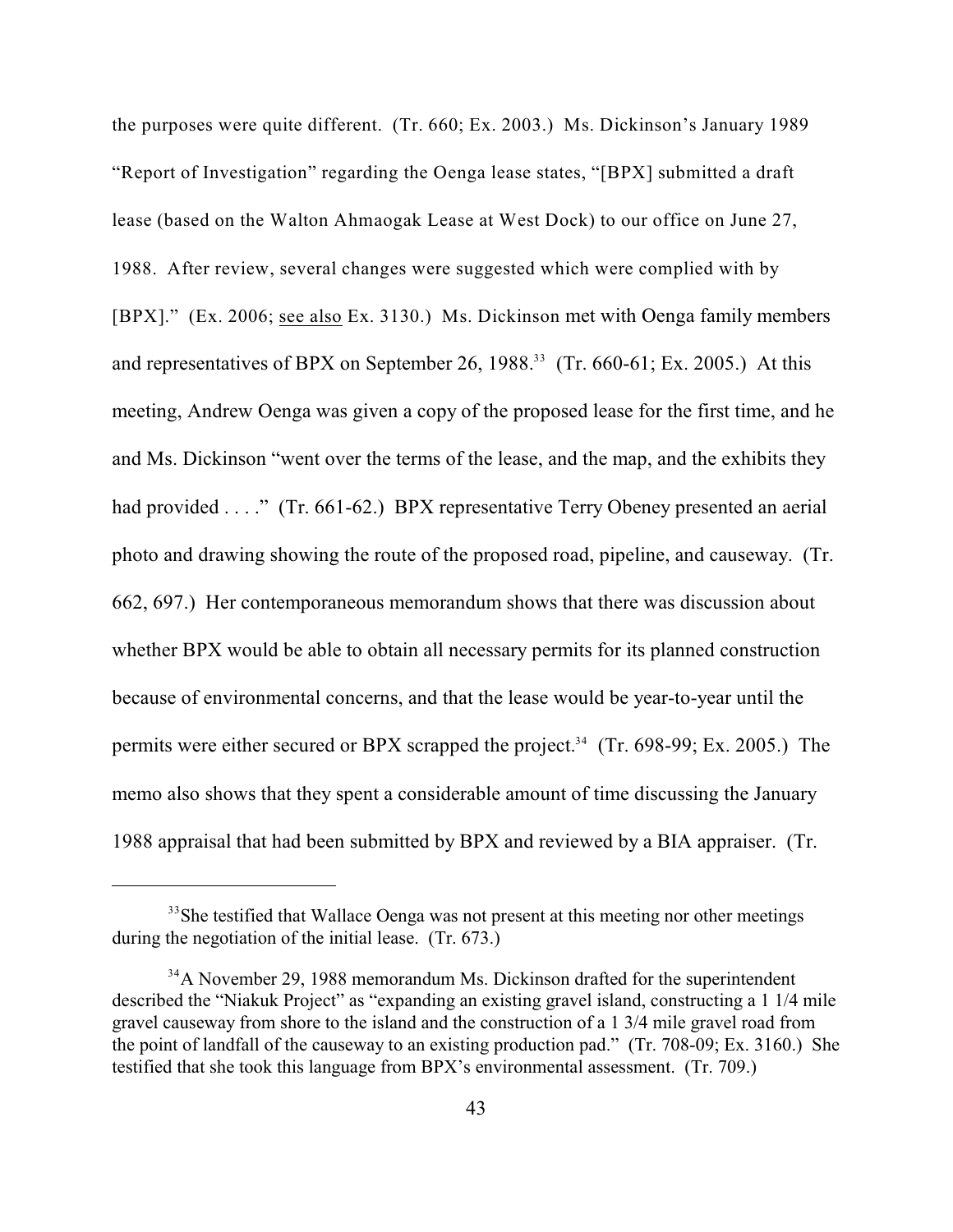the purposes were quite different. (Tr. 660; Ex. 2003.) Ms. Dickinson's January 1989 "Report of Investigation" regarding the Oenga lease states, "[BPX] submitted a draft lease (based on the Walton Ahmaogak Lease at West Dock) to our office on June 27, 1988. After review, several changes were suggested which were complied with by [BPX]." (Ex. 2006; see also Ex. 3130.) Ms. Dickinson met with Oenga family members and representatives of BPX on September 26, 1988.<sup>33</sup> (Tr. 660-61; Ex. 2005.) At this meeting, Andrew Oenga was given a copy of the proposed lease for the first time, and he and Ms. Dickinson "went over the terms of the lease, and the map, and the exhibits they had provided . . . ." (Tr. 661-62.) BPX representative Terry Obeney presented an aerial photo and drawing showing the route of the proposed road, pipeline, and causeway. (Tr. 662, 697.) Her contemporaneous memorandum shows that there was discussion about whether BPX would be able to obtain all necessary permits for its planned construction because of environmental concerns, and that the lease would be year-to-year until the permits were either secured or BPX scrapped the project.<sup>34</sup> (Tr. 698-99; Ex. 2005.) The memo also shows that they spent a considerable amount of time discussing the January 1988 appraisal that had been submitted by BPX and reviewed by a BIA appraiser. (Tr.

 $33$ She testified that Wallace Oenga was not present at this meeting nor other meetings during the negotiation of the initial lease. (Tr. 673.)

<sup>&</sup>lt;sup>34</sup>A November 29, 1988 memorandum Ms. Dickinson drafted for the superintendent described the "Niakuk Project" as "expanding an existing gravel island, constructing a 1 1/4 mile gravel causeway from shore to the island and the construction of a 1 3/4 mile gravel road from the point of landfall of the causeway to an existing production pad." (Tr. 708-09; Ex. 3160.) She testified that she took this language from BPX's environmental assessment. (Tr. 709.)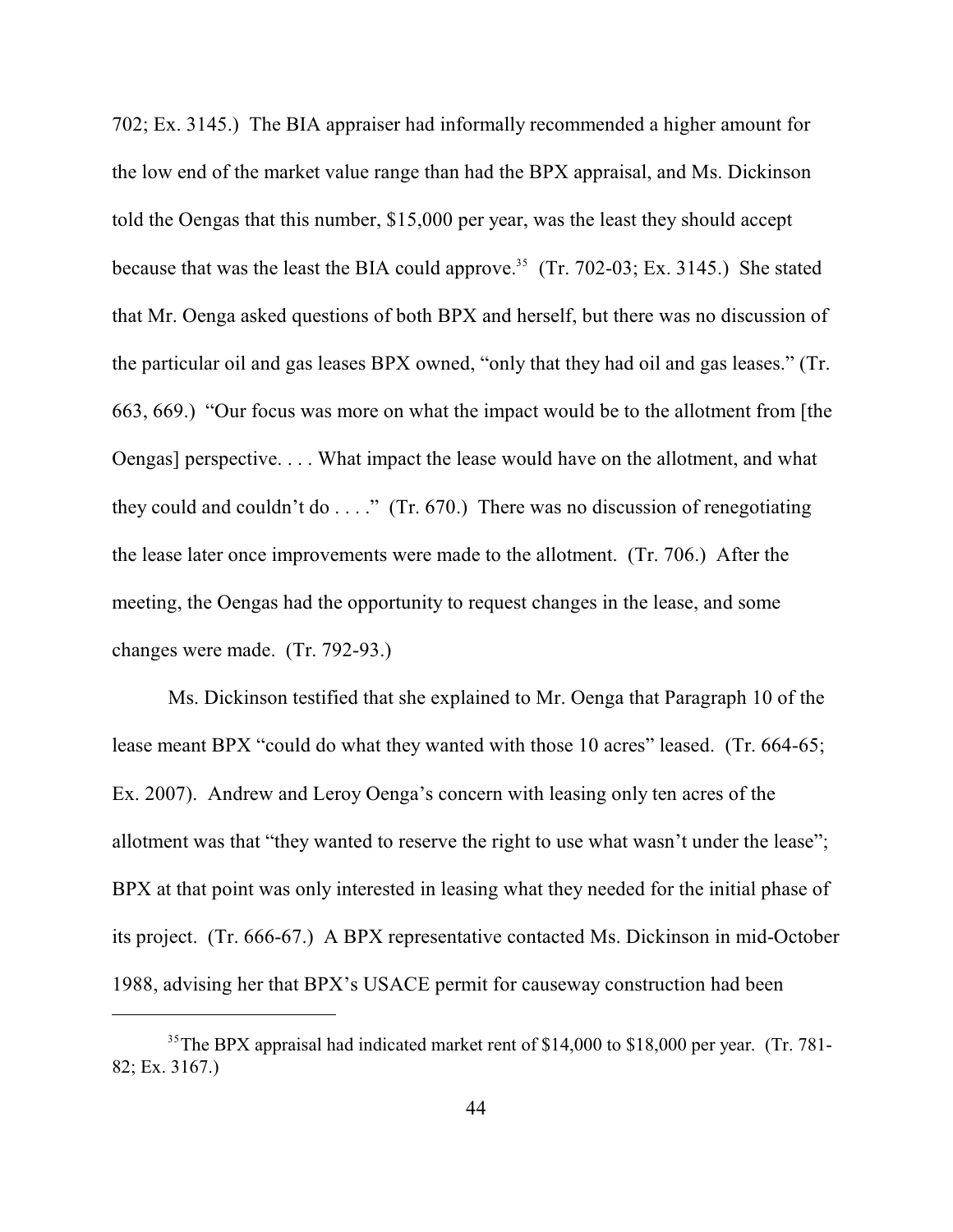702; Ex. 3145.) The BIA appraiser had informally recommended a higher amount for the low end of the market value range than had the BPX appraisal, and Ms. Dickinson told the Oengas that this number, \$15,000 per year, was the least they should accept because that was the least the BIA could approve.<sup>35</sup> (Tr. 702-03; Ex. 3145.) She stated that Mr. Oenga asked questions of both BPX and herself, but there was no discussion of the particular oil and gas leases BPX owned, "only that they had oil and gas leases." (Tr. 663, 669.) "Our focus was more on what the impact would be to the allotment from [the Oengas] perspective. . . . What impact the lease would have on the allotment, and what they could and couldn't do  $\dots$ ." (Tr. 670.) There was no discussion of renegotiating the lease later once improvements were made to the allotment. (Tr. 706.) After the meeting, the Oengas had the opportunity to request changes in the lease, and some changes were made. (Tr. 792-93.)

Ms. Dickinson testified that she explained to Mr. Oenga that Paragraph 10 of the lease meant BPX "could do what they wanted with those 10 acres" leased. (Tr. 664-65; Ex. 2007). Andrew and Leroy Oenga's concern with leasing only ten acres of the allotment was that "they wanted to reserve the right to use what wasn't under the lease"; BPX at that point was only interested in leasing what they needed for the initial phase of its project. (Tr. 666-67.) A BPX representative contacted Ms. Dickinson in mid-October 1988, advising her that BPX's USACE permit for causeway construction had been

<sup>&</sup>lt;sup>35</sup>The BPX appraisal had indicated market rent of \$14,000 to \$18,000 per year. (Tr. 781-82; Ex. 3167.)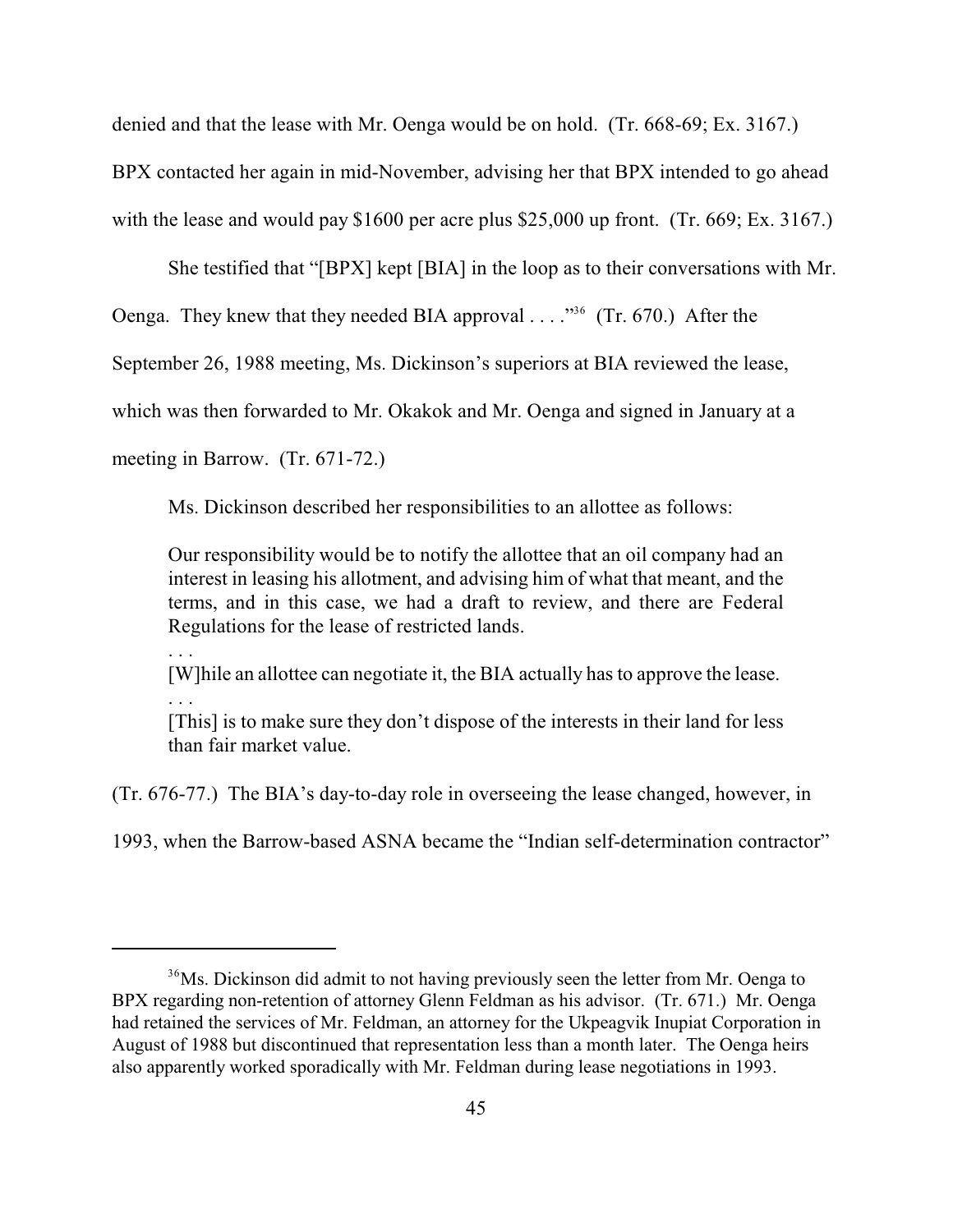denied and that the lease with Mr. Oenga would be on hold. (Tr. 668-69; Ex. 3167.)

BPX contacted her again in mid-November, advising her that BPX intended to go ahead

with the lease and would pay \$1600 per acre plus \$25,000 up front. (Tr. 669; Ex. 3167.)

She testified that "[BPX] kept [BIA] in the loop as to their conversations with Mr.

Oenga. They knew that they needed BIA approval  $\ldots$ ."<sup>36</sup> (Tr. 670.) After the

September 26, 1988 meeting, Ms. Dickinson's superiors at BIA reviewed the lease,

which was then forwarded to Mr. Okakok and Mr. Oenga and signed in January at a

meeting in Barrow. (Tr. 671-72.)

Ms. Dickinson described her responsibilities to an allottee as follows:

Our responsibility would be to notify the allottee that an oil company had an interest in leasing his allotment, and advising him of what that meant, and the terms, and in this case, we had a draft to review, and there are Federal Regulations for the lease of restricted lands.

. . .

[W]hile an allottee can negotiate it, the BIA actually has to approve the lease.

. . .

[This] is to make sure they don't dispose of the interests in their land for less than fair market value.

(Tr. 676-77.) The BIA's day-to-day role in overseeing the lease changed, however, in

1993, when the Barrow-based ASNA became the "Indian self-determination contractor"

 $36$ Ms. Dickinson did admit to not having previously seen the letter from Mr. Oenga to BPX regarding non-retention of attorney Glenn Feldman as his advisor. (Tr. 671.) Mr. Oenga had retained the services of Mr. Feldman, an attorney for the Ukpeagvik Inupiat Corporation in August of 1988 but discontinued that representation less than a month later. The Oenga heirs also apparently worked sporadically with Mr. Feldman during lease negotiations in 1993.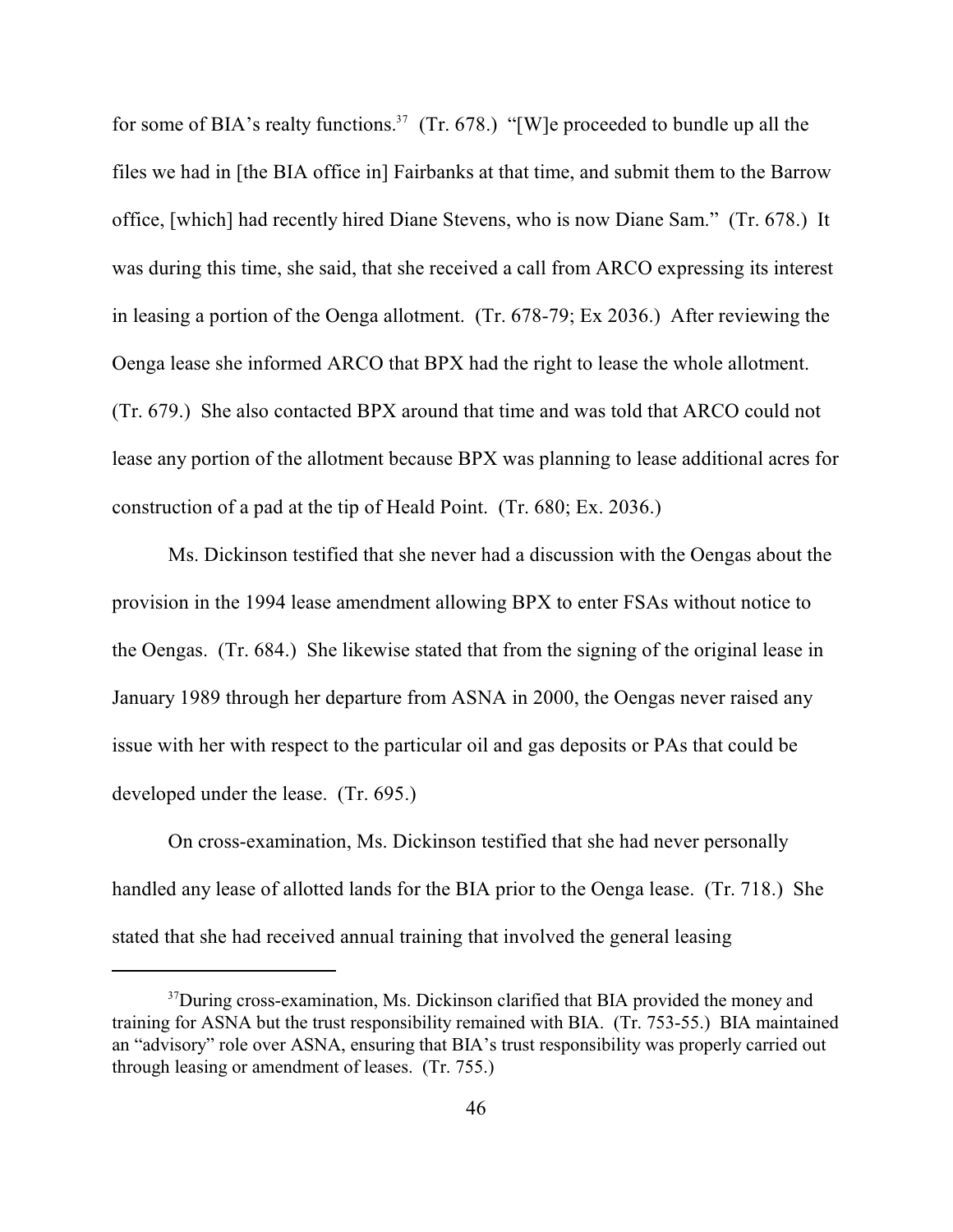for some of BIA's realty functions.<sup>37</sup> (Tr. 678.) "[W]e proceeded to bundle up all the files we had in [the BIA office in] Fairbanks at that time, and submit them to the Barrow office, [which] had recently hired Diane Stevens, who is now Diane Sam." (Tr. 678.) It was during this time, she said, that she received a call from ARCO expressing its interest in leasing a portion of the Oenga allotment. (Tr. 678-79; Ex 2036.) After reviewing the Oenga lease she informed ARCO that BPX had the right to lease the whole allotment. (Tr. 679.) She also contacted BPX around that time and was told that ARCO could not lease any portion of the allotment because BPX was planning to lease additional acres for construction of a pad at the tip of Heald Point. (Tr. 680; Ex. 2036.)

Ms. Dickinson testified that she never had a discussion with the Oengas about the provision in the 1994 lease amendment allowing BPX to enter FSAs without notice to the Oengas. (Tr. 684.) She likewise stated that from the signing of the original lease in January 1989 through her departure from ASNA in 2000, the Oengas never raised any issue with her with respect to the particular oil and gas deposits or PAs that could be developed under the lease. (Tr. 695.)

On cross-examination, Ms. Dickinson testified that she had never personally handled any lease of allotted lands for the BIA prior to the Oenga lease. (Tr. 718.) She stated that she had received annual training that involved the general leasing

<sup>&</sup>lt;sup>37</sup> During cross-examination, Ms. Dickinson clarified that BIA provided the money and training for ASNA but the trust responsibility remained with BIA. (Tr. 753-55.) BIA maintained an "advisory" role over ASNA, ensuring that BIA's trust responsibility was properly carried out through leasing or amendment of leases. (Tr. 755.)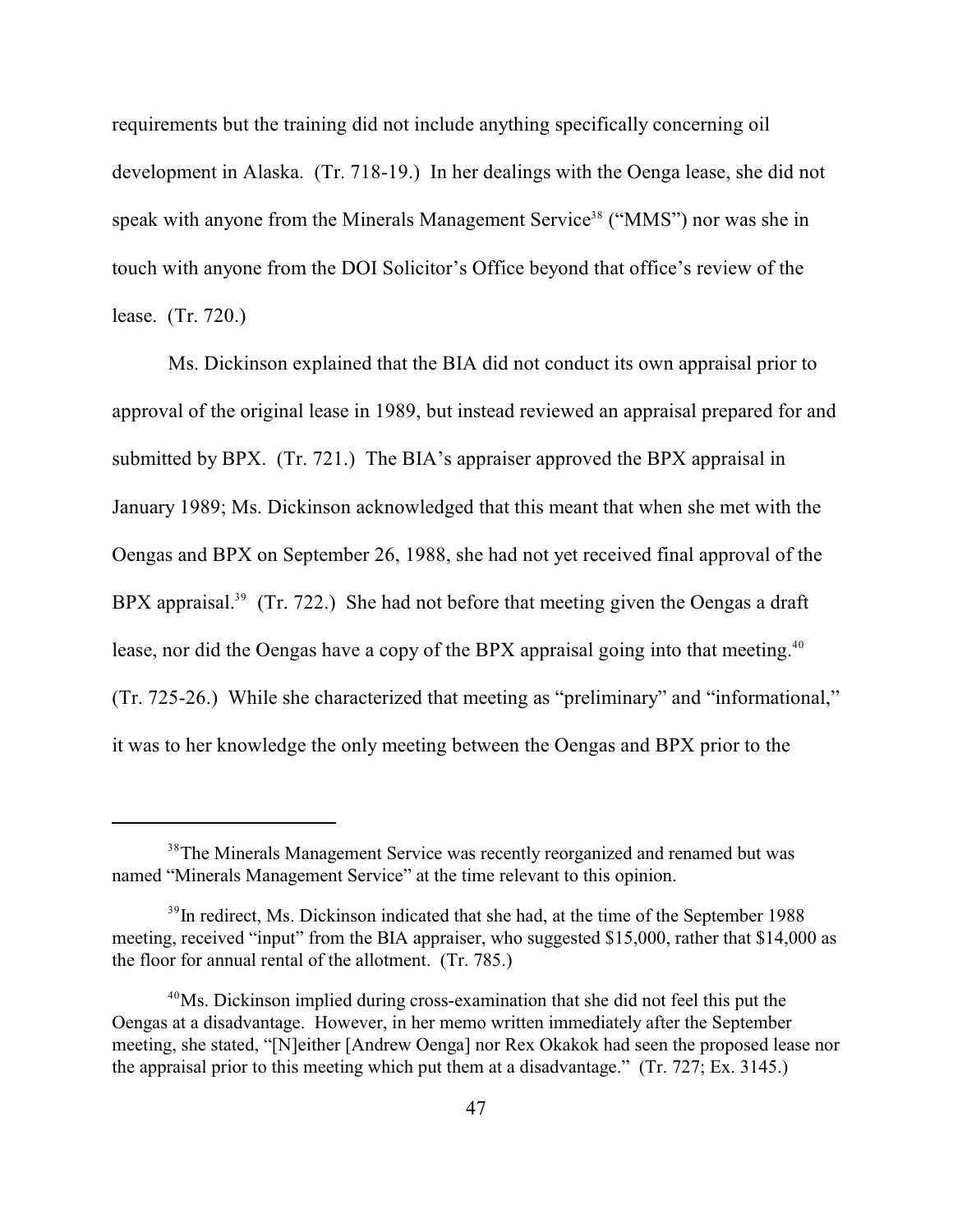requirements but the training did not include anything specifically concerning oil development in Alaska. (Tr. 718-19.) In her dealings with the Oenga lease, she did not speak with anyone from the Minerals Management Service<sup>38</sup> ("MMS") nor was she in touch with anyone from the DOI Solicitor's Office beyond that office's review of the lease. (Tr. 720.)

Ms. Dickinson explained that the BIA did not conduct its own appraisal prior to approval of the original lease in 1989, but instead reviewed an appraisal prepared for and submitted by BPX. (Tr. 721.) The BIA's appraiser approved the BPX appraisal in January 1989; Ms. Dickinson acknowledged that this meant that when she met with the Oengas and BPX on September 26, 1988, she had not yet received final approval of the BPX appraisal.<sup>39</sup> (Tr. 722.) She had not before that meeting given the Oengas a draft lease, nor did the Oengas have a copy of the BPX appraisal going into that meeting.<sup>40</sup> (Tr. 725-26.) While she characterized that meeting as "preliminary" and "informational," it was to her knowledge the only meeting between the Oengas and BPX prior to the

<sup>&</sup>lt;sup>38</sup>The Minerals Management Service was recently reorganized and renamed but was named "Minerals Management Service" at the time relevant to this opinion.

 $\mu^{39}$  In redirect, Ms. Dickinson indicated that she had, at the time of the September 1988 meeting, received "input" from the BIA appraiser, who suggested \$15,000, rather that \$14,000 as the floor for annual rental of the allotment. (Tr. 785.)

 $40$ Ms. Dickinson implied during cross-examination that she did not feel this put the Oengas at a disadvantage. However, in her memo written immediately after the September meeting, she stated, "[N]either [Andrew Oenga] nor Rex Okakok had seen the proposed lease nor the appraisal prior to this meeting which put them at a disadvantage." (Tr. 727; Ex. 3145.)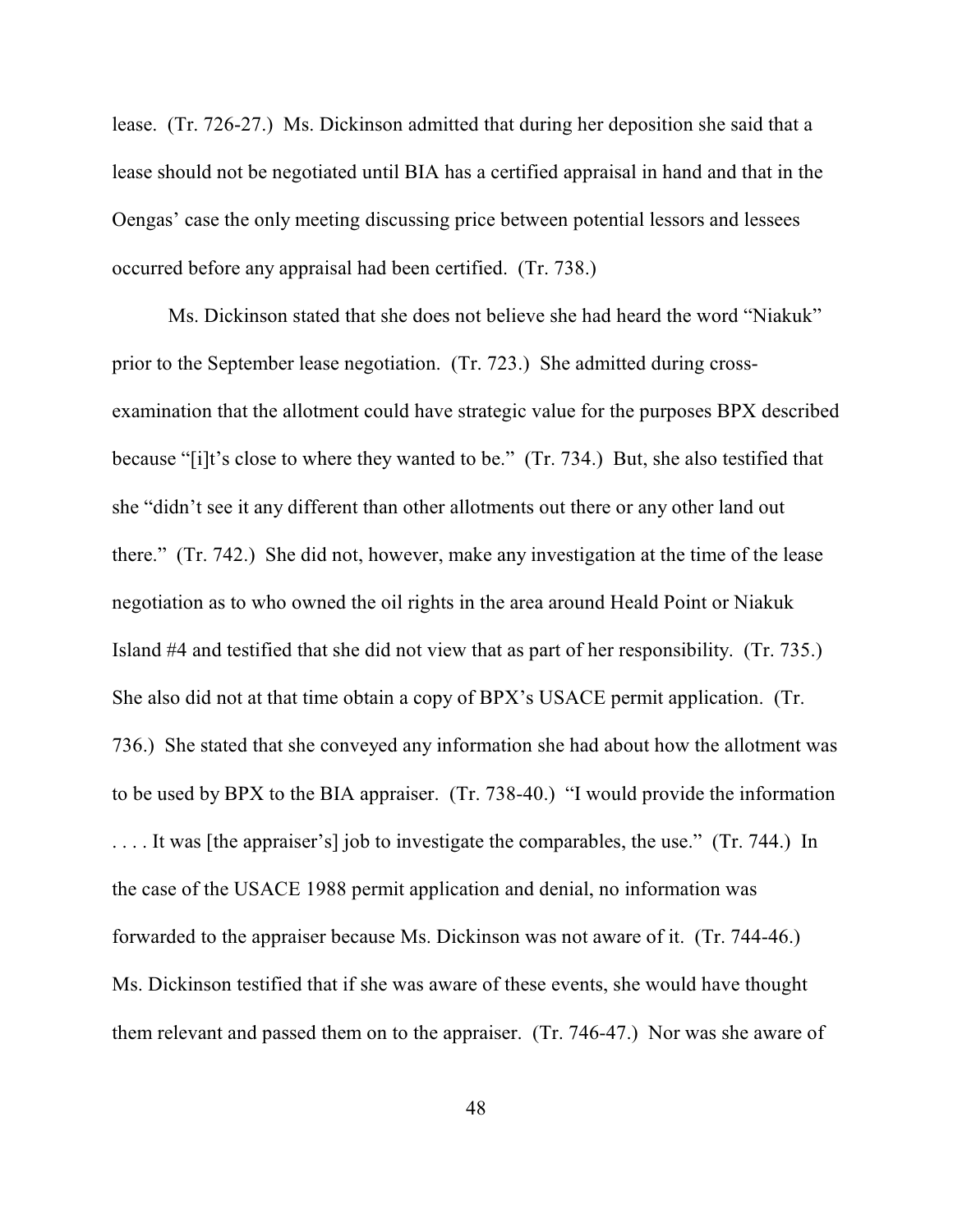lease. (Tr. 726-27.) Ms. Dickinson admitted that during her deposition she said that a lease should not be negotiated until BIA has a certified appraisal in hand and that in the Oengas' case the only meeting discussing price between potential lessors and lessees occurred before any appraisal had been certified. (Tr. 738.)

Ms. Dickinson stated that she does not believe she had heard the word "Niakuk" prior to the September lease negotiation. (Tr. 723.) She admitted during crossexamination that the allotment could have strategic value for the purposes BPX described because "[i]t's close to where they wanted to be." (Tr. 734.) But, she also testified that she "didn't see it any different than other allotments out there or any other land out there." (Tr. 742.) She did not, however, make any investigation at the time of the lease negotiation as to who owned the oil rights in the area around Heald Point or Niakuk Island #4 and testified that she did not view that as part of her responsibility. (Tr. 735.) She also did not at that time obtain a copy of BPX's USACE permit application. (Tr. 736.) She stated that she conveyed any information she had about how the allotment was to be used by BPX to the BIA appraiser. (Tr. 738-40.) "I would provide the information . . . . It was [the appraiser's] job to investigate the comparables, the use." (Tr. 744.) In the case of the USACE 1988 permit application and denial, no information was forwarded to the appraiser because Ms. Dickinson was not aware of it. (Tr. 744-46.) Ms. Dickinson testified that if she was aware of these events, she would have thought them relevant and passed them on to the appraiser. (Tr. 746-47.) Nor was she aware of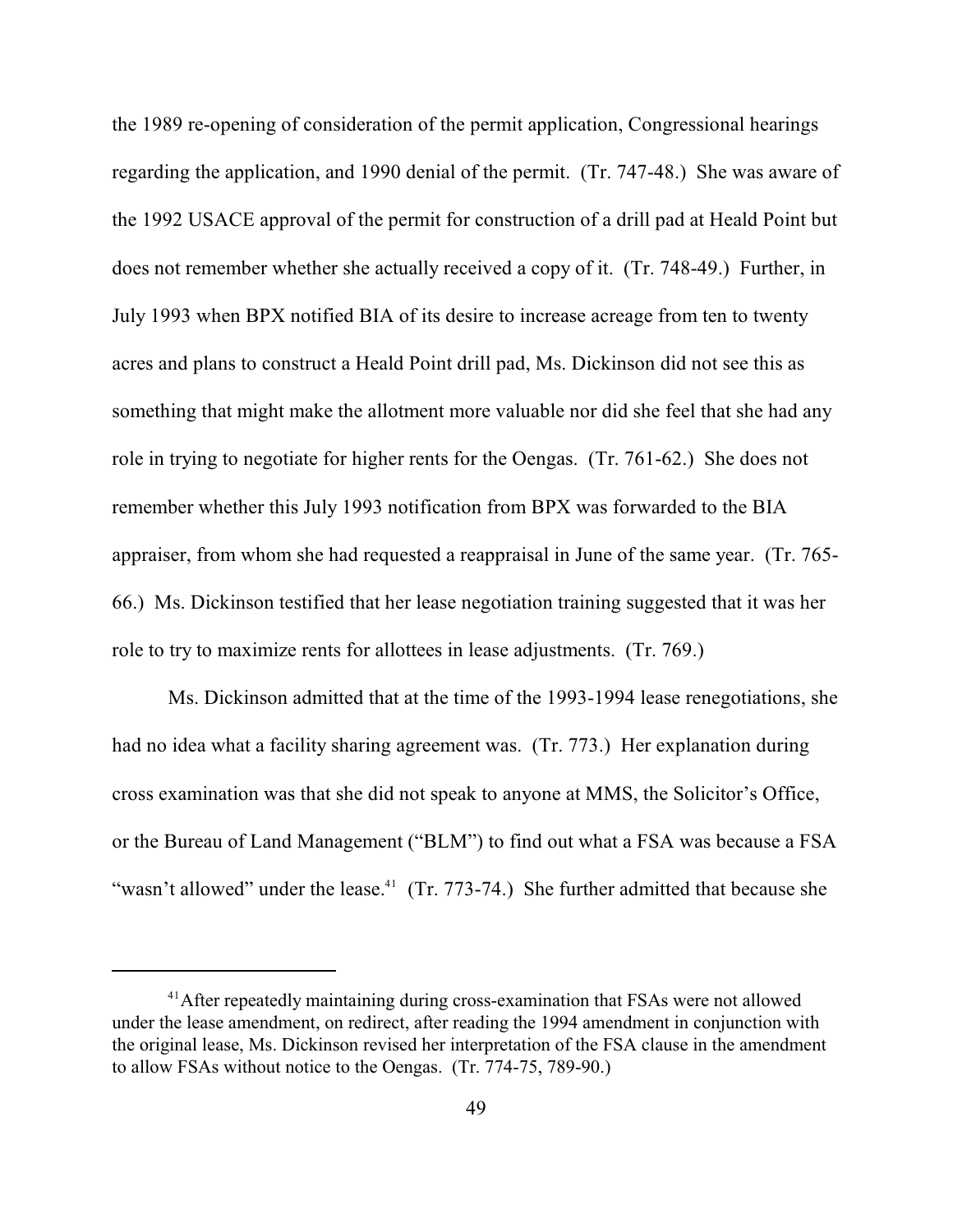the 1989 re-opening of consideration of the permit application, Congressional hearings regarding the application, and 1990 denial of the permit. (Tr. 747-48.) She was aware of the 1992 USACE approval of the permit for construction of a drill pad at Heald Point but does not remember whether she actually received a copy of it. (Tr. 748-49.) Further, in July 1993 when BPX notified BIA of its desire to increase acreage from ten to twenty acres and plans to construct a Heald Point drill pad, Ms. Dickinson did not see this as something that might make the allotment more valuable nor did she feel that she had any role in trying to negotiate for higher rents for the Oengas. (Tr. 761-62.) She does not remember whether this July 1993 notification from BPX was forwarded to the BIA appraiser, from whom she had requested a reappraisal in June of the same year. (Tr. 765- 66.) Ms. Dickinson testified that her lease negotiation training suggested that it was her role to try to maximize rents for allottees in lease adjustments. (Tr. 769.)

Ms. Dickinson admitted that at the time of the 1993-1994 lease renegotiations, she had no idea what a facility sharing agreement was. (Tr. 773.) Her explanation during cross examination was that she did not speak to anyone at MMS, the Solicitor's Office, or the Bureau of Land Management ("BLM") to find out what a FSA was because a FSA "wasn't allowed" under the lease.<sup>41</sup> (Tr. 773-74.) She further admitted that because she

<sup>&</sup>lt;sup>41</sup> After repeatedly maintaining during cross-examination that FSAs were not allowed under the lease amendment, on redirect, after reading the 1994 amendment in conjunction with the original lease, Ms. Dickinson revised her interpretation of the FSA clause in the amendment to allow FSAs without notice to the Oengas. (Tr. 774-75, 789-90.)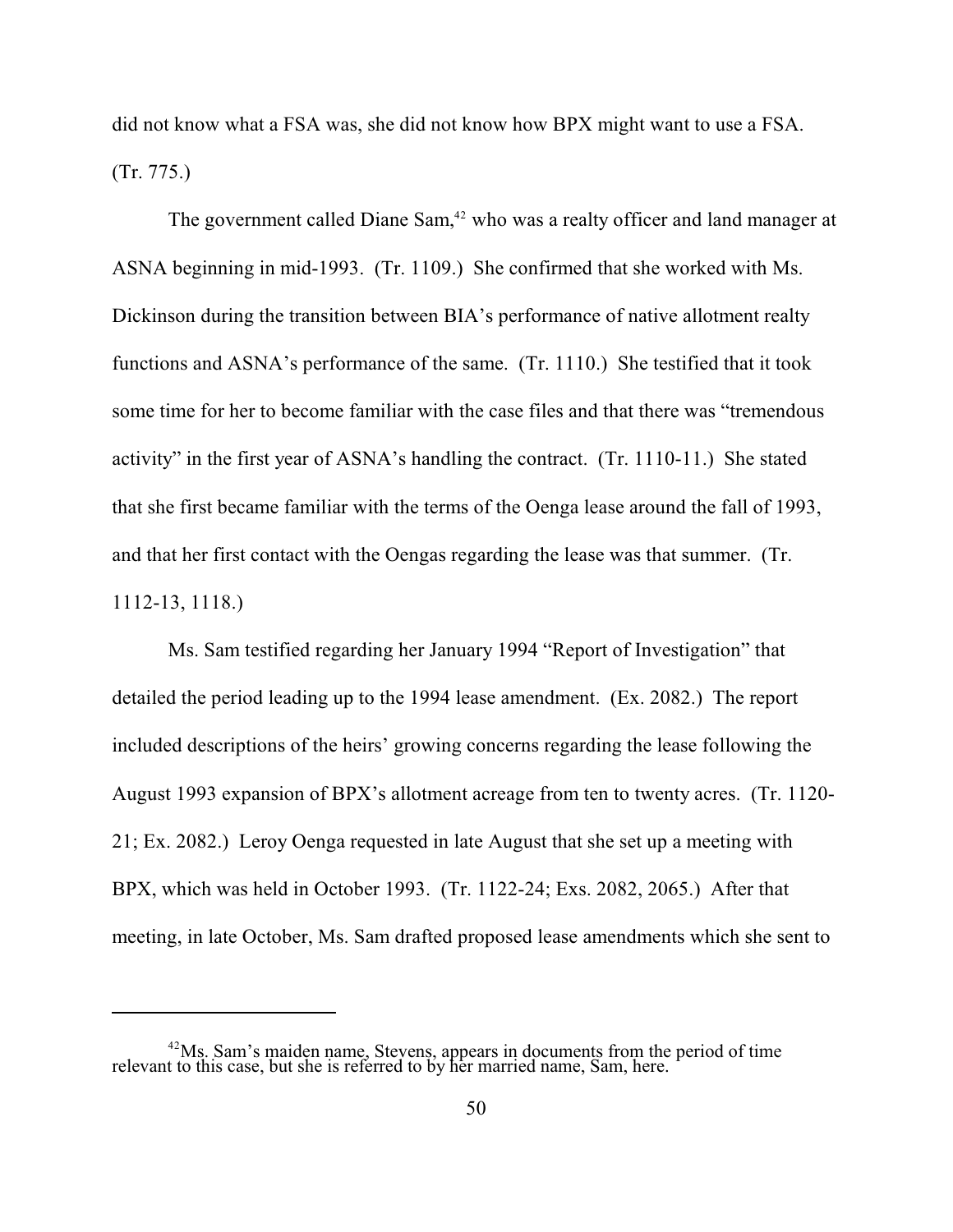did not know what a FSA was, she did not know how BPX might want to use a FSA. (Tr. 775.)

The government called Diane Sam, $42$  who was a realty officer and land manager at ASNA beginning in mid-1993. (Tr. 1109.) She confirmed that she worked with Ms. Dickinson during the transition between BIA's performance of native allotment realty functions and ASNA's performance of the same. (Tr. 1110.) She testified that it took some time for her to become familiar with the case files and that there was "tremendous activity" in the first year of ASNA's handling the contract. (Tr. 1110-11.) She stated that she first became familiar with the terms of the Oenga lease around the fall of 1993, and that her first contact with the Oengas regarding the lease was that summer. (Tr. 1112-13, 1118.)

Ms. Sam testified regarding her January 1994 "Report of Investigation" that detailed the period leading up to the 1994 lease amendment. (Ex. 2082.) The report included descriptions of the heirs' growing concerns regarding the lease following the August 1993 expansion of BPX's allotment acreage from ten to twenty acres. (Tr. 1120- 21; Ex. 2082.) Leroy Oenga requested in late August that she set up a meeting with BPX, which was held in October 1993. (Tr. 1122-24; Exs. 2082, 2065.) After that meeting, in late October, Ms. Sam drafted proposed lease amendments which she sent to

 $^{42}$ Ms. Sam's maiden name, Stevens, appears in documents from the period of time relevant to this case, but she is referred to by her married name, Sam, here.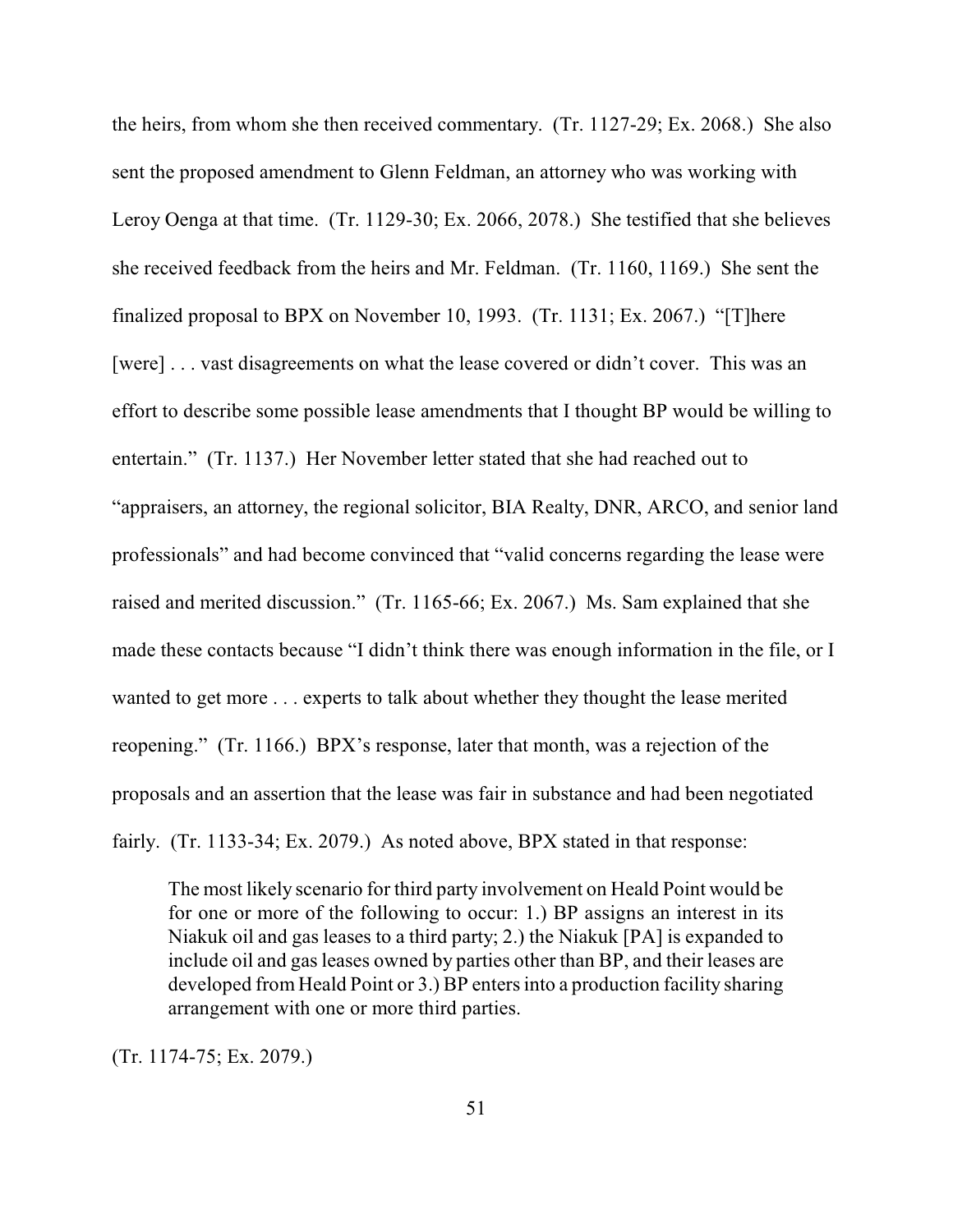the heirs, from whom she then received commentary. (Tr. 1127-29; Ex. 2068.) She also sent the proposed amendment to Glenn Feldman, an attorney who was working with Leroy Oenga at that time. (Tr. 1129-30; Ex. 2066, 2078.) She testified that she believes she received feedback from the heirs and Mr. Feldman. (Tr. 1160, 1169.) She sent the finalized proposal to BPX on November 10, 1993. (Tr. 1131; Ex. 2067.) "[T]here [were] . . . vast disagreements on what the lease covered or didn't cover. This was an effort to describe some possible lease amendments that I thought BP would be willing to entertain." (Tr. 1137.) Her November letter stated that she had reached out to "appraisers, an attorney, the regional solicitor, BIA Realty, DNR, ARCO, and senior land professionals" and had become convinced that "valid concerns regarding the lease were raised and merited discussion." (Tr. 1165-66; Ex. 2067.) Ms. Sam explained that she made these contacts because "I didn't think there was enough information in the file, or I wanted to get more . . . experts to talk about whether they thought the lease merited reopening." (Tr. 1166.) BPX's response, later that month, was a rejection of the proposals and an assertion that the lease was fair in substance and had been negotiated fairly. (Tr. 1133-34; Ex. 2079.) As noted above, BPX stated in that response:

The most likely scenario for third party involvement on Heald Point would be for one or more of the following to occur: 1.) BP assigns an interest in its Niakuk oil and gas leases to a third party; 2.) the Niakuk [PA] is expanded to include oil and gas leases owned by parties other than BP, and their leases are developed from Heald Point or 3.) BP enters into a production facility sharing arrangement with one or more third parties.

(Tr. 1174-75; Ex. 2079.)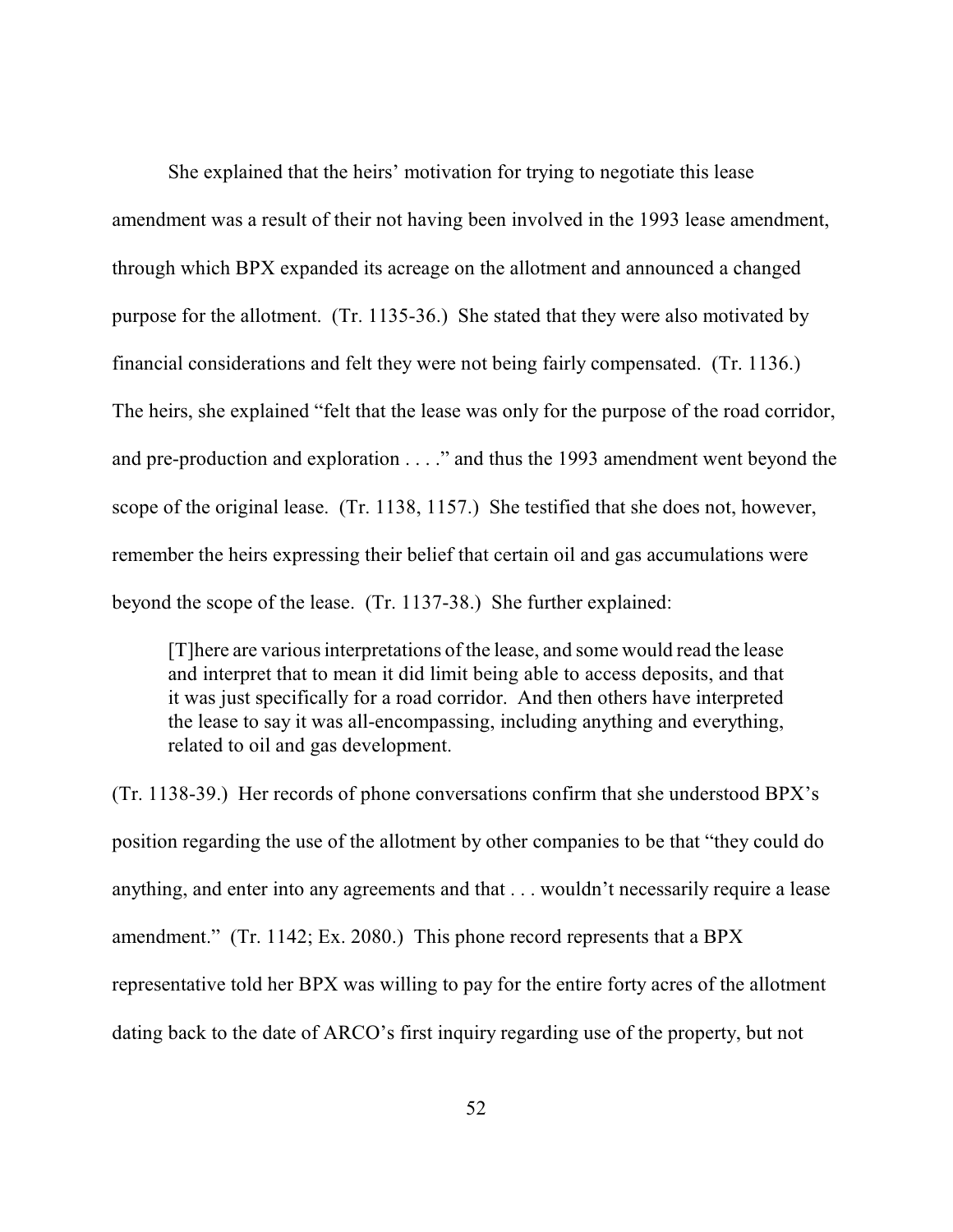She explained that the heirs' motivation for trying to negotiate this lease amendment was a result of their not having been involved in the 1993 lease amendment, through which BPX expanded its acreage on the allotment and announced a changed purpose for the allotment. (Tr. 1135-36.) She stated that they were also motivated by financial considerations and felt they were not being fairly compensated. (Tr. 1136.) The heirs, she explained "felt that the lease was only for the purpose of the road corridor, and pre-production and exploration . . . ." and thus the 1993 amendment went beyond the scope of the original lease. (Tr. 1138, 1157.) She testified that she does not, however, remember the heirs expressing their belief that certain oil and gas accumulations were beyond the scope of the lease. (Tr. 1137-38.) She further explained:

[T]here are various interpretations of the lease, and some would read the lease and interpret that to mean it did limit being able to access deposits, and that it was just specifically for a road corridor. And then others have interpreted the lease to say it was all-encompassing, including anything and everything, related to oil and gas development.

(Tr. 1138-39.) Her records of phone conversations confirm that she understood BPX's position regarding the use of the allotment by other companies to be that "they could do anything, and enter into any agreements and that . . . wouldn't necessarily require a lease amendment." (Tr. 1142; Ex. 2080.) This phone record represents that a BPX representative told her BPX was willing to pay for the entire forty acres of the allotment dating back to the date of ARCO's first inquiry regarding use of the property, but not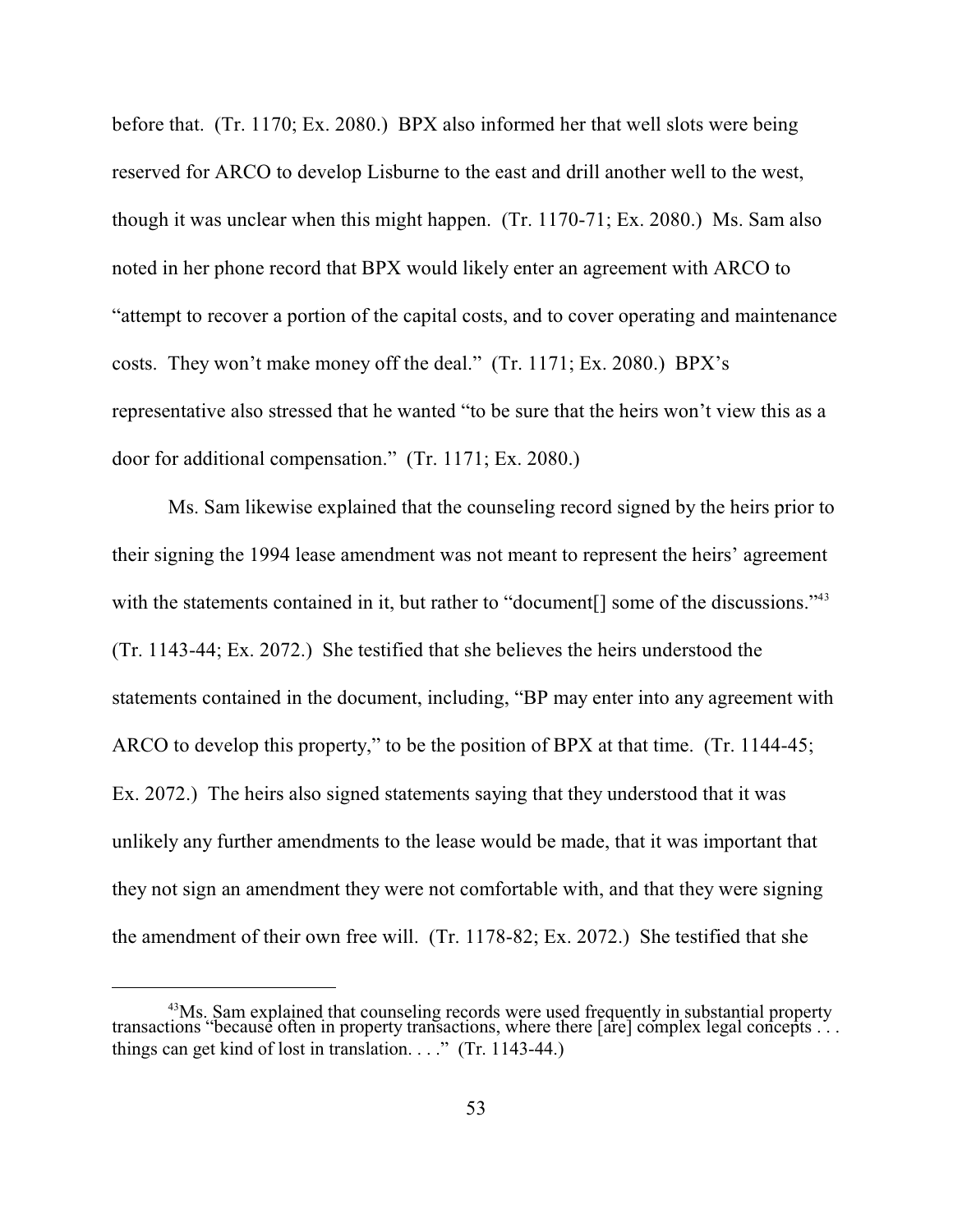before that. (Tr. 1170; Ex. 2080.) BPX also informed her that well slots were being reserved for ARCO to develop Lisburne to the east and drill another well to the west, though it was unclear when this might happen. (Tr. 1170-71; Ex. 2080.) Ms. Sam also noted in her phone record that BPX would likely enter an agreement with ARCO to "attempt to recover a portion of the capital costs, and to cover operating and maintenance costs. They won't make money off the deal." (Tr. 1171; Ex. 2080.) BPX's representative also stressed that he wanted "to be sure that the heirs won't view this as a door for additional compensation." (Tr. 1171; Ex. 2080.)

Ms. Sam likewise explained that the counseling record signed by the heirs prior to their signing the 1994 lease amendment was not meant to represent the heirs' agreement with the statements contained in it, but rather to "document<sup>[]</sup> some of the discussions."<sup>43</sup> (Tr. 1143-44; Ex. 2072.) She testified that she believes the heirs understood the statements contained in the document, including, "BP may enter into any agreement with ARCO to develop this property," to be the position of BPX at that time. (Tr. 1144-45; Ex. 2072.) The heirs also signed statements saying that they understood that it was unlikely any further amendments to the lease would be made, that it was important that they not sign an amendment they were not comfortable with, and that they were signing the amendment of their own free will. (Tr. 1178-82; Ex. 2072.) She testified that she

<sup>&</sup>lt;sup>43</sup>Ms. Sam explained that counseling records were used frequently in substantial property transactions "because often in property transactions, where there [are] complex legal concepts . . . things can get kind of lost in translation. . . ." (Tr. 1143-44.)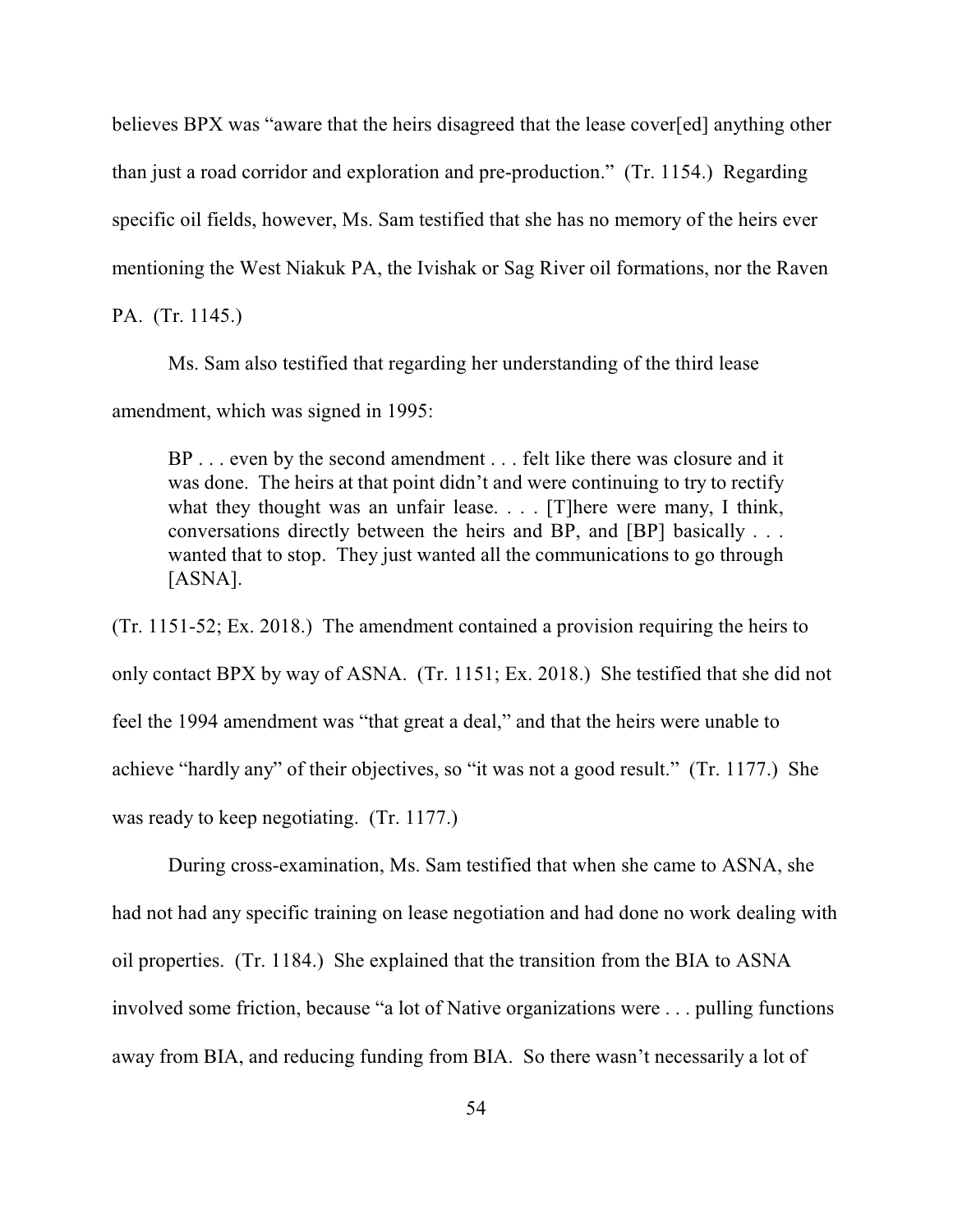believes BPX was "aware that the heirs disagreed that the lease cover[ed] anything other than just a road corridor and exploration and pre-production." (Tr. 1154.) Regarding specific oil fields, however, Ms. Sam testified that she has no memory of the heirs ever mentioning the West Niakuk PA, the Ivishak or Sag River oil formations, nor the Raven PA. (Tr. 1145.)

Ms. Sam also testified that regarding her understanding of the third lease

amendment, which was signed in 1995:

BP . . . even by the second amendment . . . felt like there was closure and it was done. The heirs at that point didn't and were continuing to try to rectify what they thought was an unfair lease. . . . [T] here were many, I think, conversations directly between the heirs and BP, and [BP] basically . . . wanted that to stop. They just wanted all the communications to go through [ASNA].

(Tr. 1151-52; Ex. 2018.) The amendment contained a provision requiring the heirs to only contact BPX by way of ASNA. (Tr. 1151; Ex. 2018.) She testified that she did not feel the 1994 amendment was "that great a deal," and that the heirs were unable to achieve "hardly any" of their objectives, so "it was not a good result." (Tr. 1177.) She was ready to keep negotiating. (Tr. 1177.)

During cross-examination, Ms. Sam testified that when she came to ASNA, she had not had any specific training on lease negotiation and had done no work dealing with oil properties. (Tr. 1184.) She explained that the transition from the BIA to ASNA involved some friction, because "a lot of Native organizations were . . . pulling functions away from BIA, and reducing funding from BIA. So there wasn't necessarily a lot of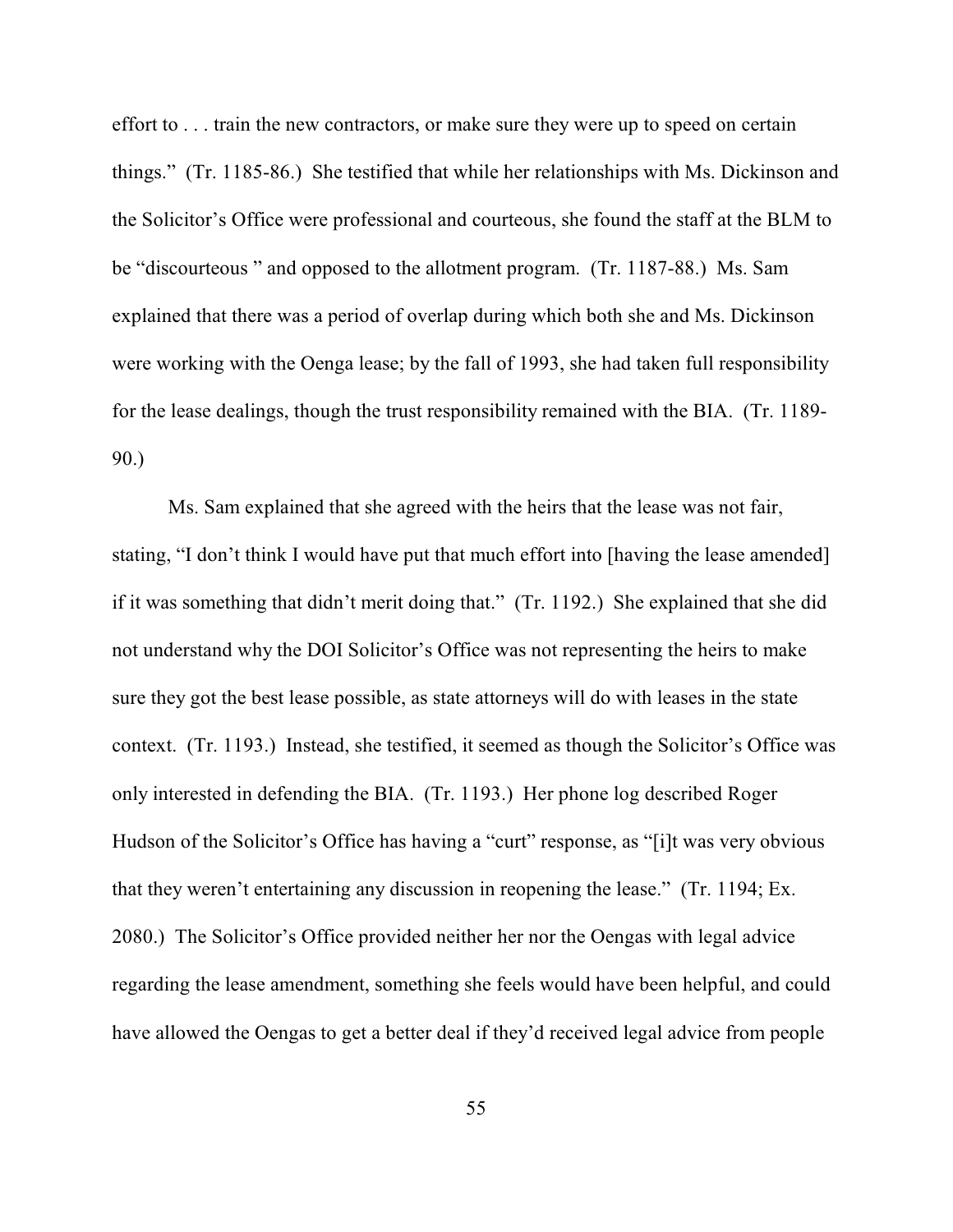effort to . . . train the new contractors, or make sure they were up to speed on certain things." (Tr. 1185-86.) She testified that while her relationships with Ms. Dickinson and the Solicitor's Office were professional and courteous, she found the staff at the BLM to be "discourteous " and opposed to the allotment program. (Tr. 1187-88.) Ms. Sam explained that there was a period of overlap during which both she and Ms. Dickinson were working with the Oenga lease; by the fall of 1993, she had taken full responsibility for the lease dealings, though the trust responsibility remained with the BIA. (Tr. 1189- 90.)

Ms. Sam explained that she agreed with the heirs that the lease was not fair, stating, "I don't think I would have put that much effort into [having the lease amended] if it was something that didn't merit doing that." (Tr. 1192.) She explained that she did not understand why the DOI Solicitor's Office was not representing the heirs to make sure they got the best lease possible, as state attorneys will do with leases in the state context. (Tr. 1193.) Instead, she testified, it seemed as though the Solicitor's Office was only interested in defending the BIA. (Tr. 1193.) Her phone log described Roger Hudson of the Solicitor's Office has having a "curt" response, as "[i]t was very obvious that they weren't entertaining any discussion in reopening the lease." (Tr. 1194; Ex. 2080.) The Solicitor's Office provided neither her nor the Oengas with legal advice regarding the lease amendment, something she feels would have been helpful, and could have allowed the Oengas to get a better deal if they'd received legal advice from people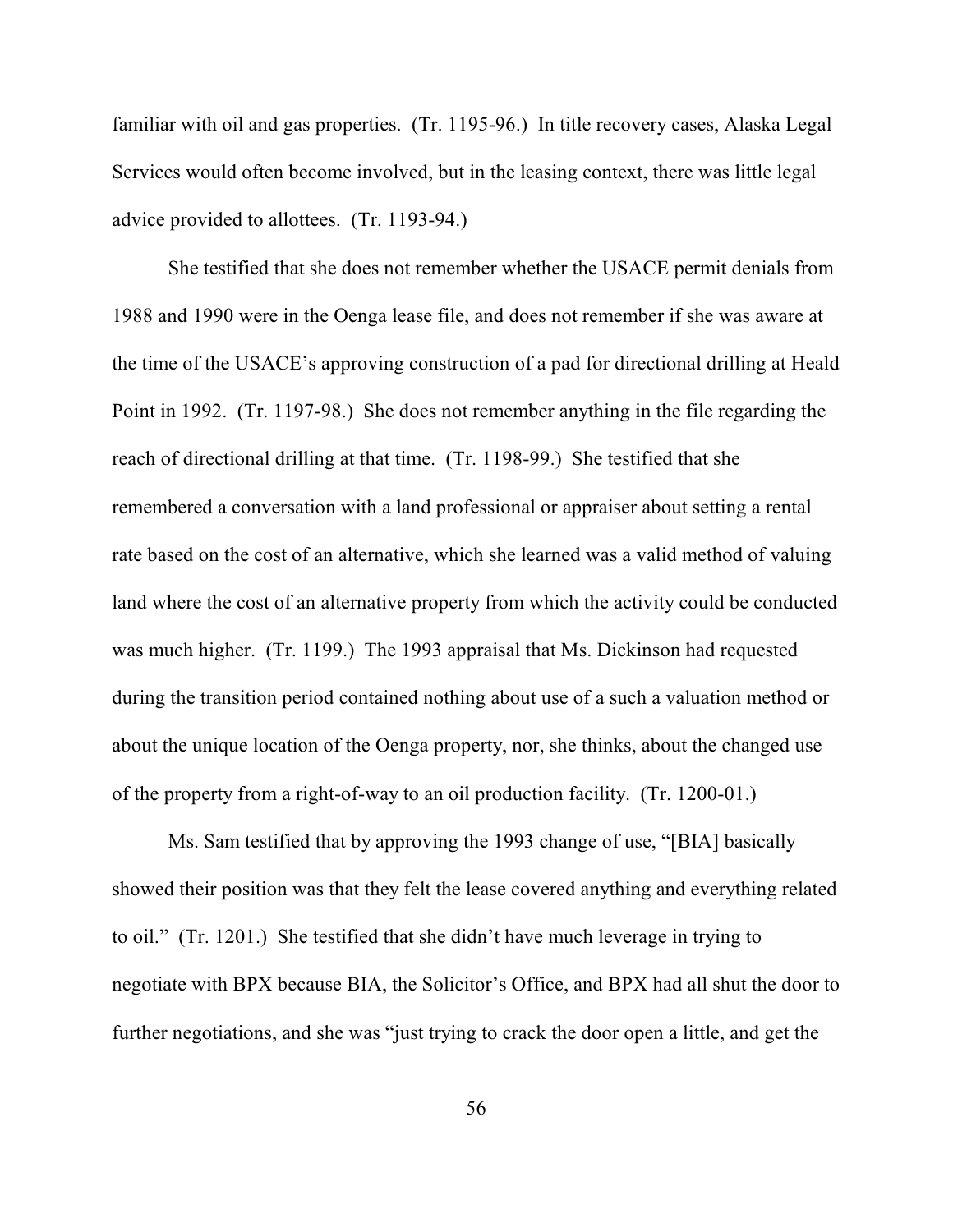familiar with oil and gas properties. (Tr. 1195-96.) In title recovery cases, Alaska Legal Services would often become involved, but in the leasing context, there was little legal advice provided to allottees. (Tr. 1193-94.)

She testified that she does not remember whether the USACE permit denials from 1988 and 1990 were in the Oenga lease file, and does not remember if she was aware at the time of the USACE's approving construction of a pad for directional drilling at Heald Point in 1992. (Tr. 1197-98.) She does not remember anything in the file regarding the reach of directional drilling at that time. (Tr. 1198-99.) She testified that she remembered a conversation with a land professional or appraiser about setting a rental rate based on the cost of an alternative, which she learned was a valid method of valuing land where the cost of an alternative property from which the activity could be conducted was much higher. (Tr. 1199.) The 1993 appraisal that Ms. Dickinson had requested during the transition period contained nothing about use of a such a valuation method or about the unique location of the Oenga property, nor, she thinks, about the changed use of the property from a right-of-way to an oil production facility. (Tr. 1200-01.)

Ms. Sam testified that by approving the 1993 change of use, "[BIA] basically showed their position was that they felt the lease covered anything and everything related to oil." (Tr. 1201.) She testified that she didn't have much leverage in trying to negotiate with BPX because BIA, the Solicitor's Office, and BPX had all shut the door to further negotiations, and she was "just trying to crack the door open a little, and get the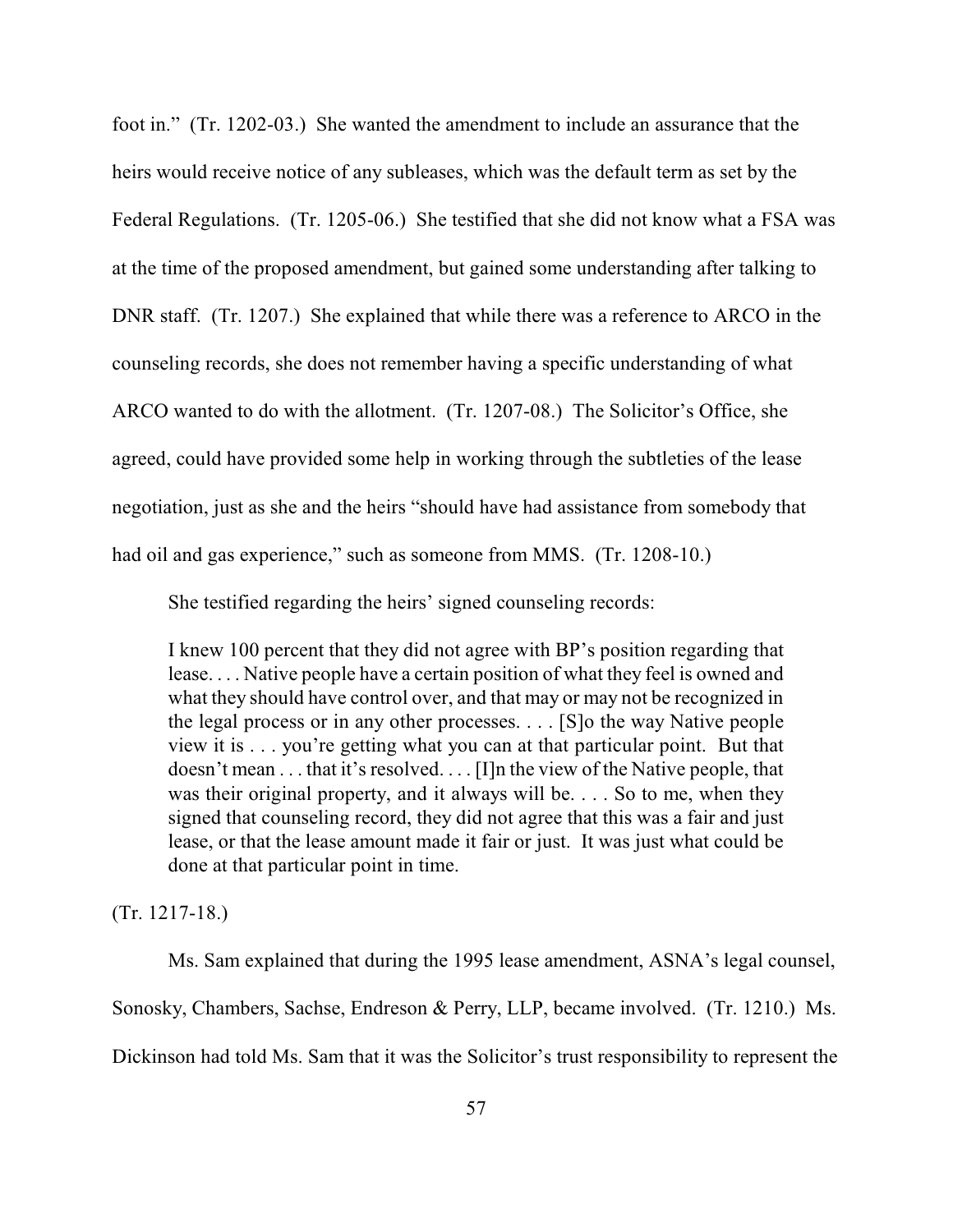foot in." (Tr. 1202-03.) She wanted the amendment to include an assurance that the heirs would receive notice of any subleases, which was the default term as set by the Federal Regulations. (Tr. 1205-06.) She testified that she did not know what a FSA was at the time of the proposed amendment, but gained some understanding after talking to DNR staff. (Tr. 1207.) She explained that while there was a reference to ARCO in the counseling records, she does not remember having a specific understanding of what ARCO wanted to do with the allotment. (Tr. 1207-08.) The Solicitor's Office, she agreed, could have provided some help in working through the subtleties of the lease negotiation, just as she and the heirs "should have had assistance from somebody that had oil and gas experience," such as someone from MMS. (Tr. 1208-10.)

She testified regarding the heirs' signed counseling records:

I knew 100 percent that they did not agree with BP's position regarding that lease. . . . Native people have a certain position of what they feel is owned and what they should have control over, and that may or may not be recognized in the legal process or in any other processes. . . . [S]o the way Native people view it is . . . you're getting what you can at that particular point. But that doesn't mean . . . that it's resolved. . . . [I]n the view of the Native people, that was their original property, and it always will be. . . . So to me, when they signed that counseling record, they did not agree that this was a fair and just lease, or that the lease amount made it fair or just. It was just what could be done at that particular point in time.

(Tr. 1217-18.)

Ms. Sam explained that during the 1995 lease amendment, ASNA's legal counsel, Sonosky, Chambers, Sachse, Endreson & Perry, LLP, became involved. (Tr. 1210.) Ms. Dickinson had told Ms. Sam that it was the Solicitor's trust responsibility to represent the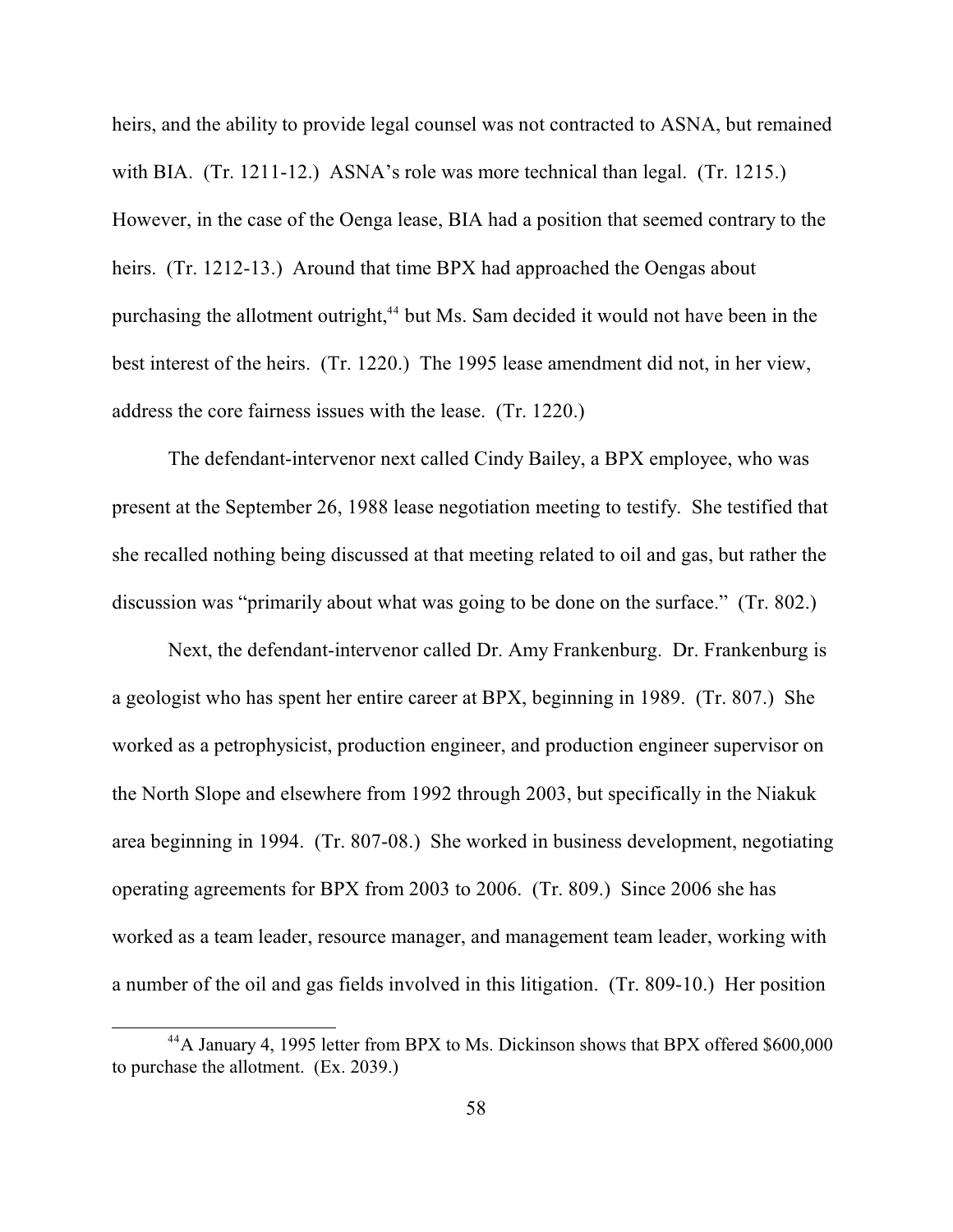heirs, and the ability to provide legal counsel was not contracted to ASNA, but remained with BIA. (Tr. 1211-12.) ASNA's role was more technical than legal. (Tr. 1215.) However, in the case of the Oenga lease, BIA had a position that seemed contrary to the heirs. (Tr. 1212-13.) Around that time BPX had approached the Oengas about purchasing the allotment outright,<sup>44</sup> but Ms. Sam decided it would not have been in the best interest of the heirs. (Tr. 1220.) The 1995 lease amendment did not, in her view, address the core fairness issues with the lease. (Tr. 1220.)

The defendant-intervenor next called Cindy Bailey, a BPX employee, who was present at the September 26, 1988 lease negotiation meeting to testify. She testified that she recalled nothing being discussed at that meeting related to oil and gas, but rather the discussion was "primarily about what was going to be done on the surface." (Tr. 802.)

Next, the defendant-intervenor called Dr. Amy Frankenburg. Dr. Frankenburg is a geologist who has spent her entire career at BPX, beginning in 1989. (Tr. 807.) She worked as a petrophysicist, production engineer, and production engineer supervisor on the North Slope and elsewhere from 1992 through 2003, but specifically in the Niakuk area beginning in 1994. (Tr. 807-08.) She worked in business development, negotiating operating agreements for BPX from 2003 to 2006. (Tr. 809.) Since 2006 she has worked as a team leader, resource manager, and management team leader, working with a number of the oil and gas fields involved in this litigation. (Tr. 809-10.) Her position

<sup>&</sup>lt;sup>44</sup>A January 4, 1995 letter from BPX to Ms. Dickinson shows that BPX offered \$600,000 to purchase the allotment. (Ex. 2039.)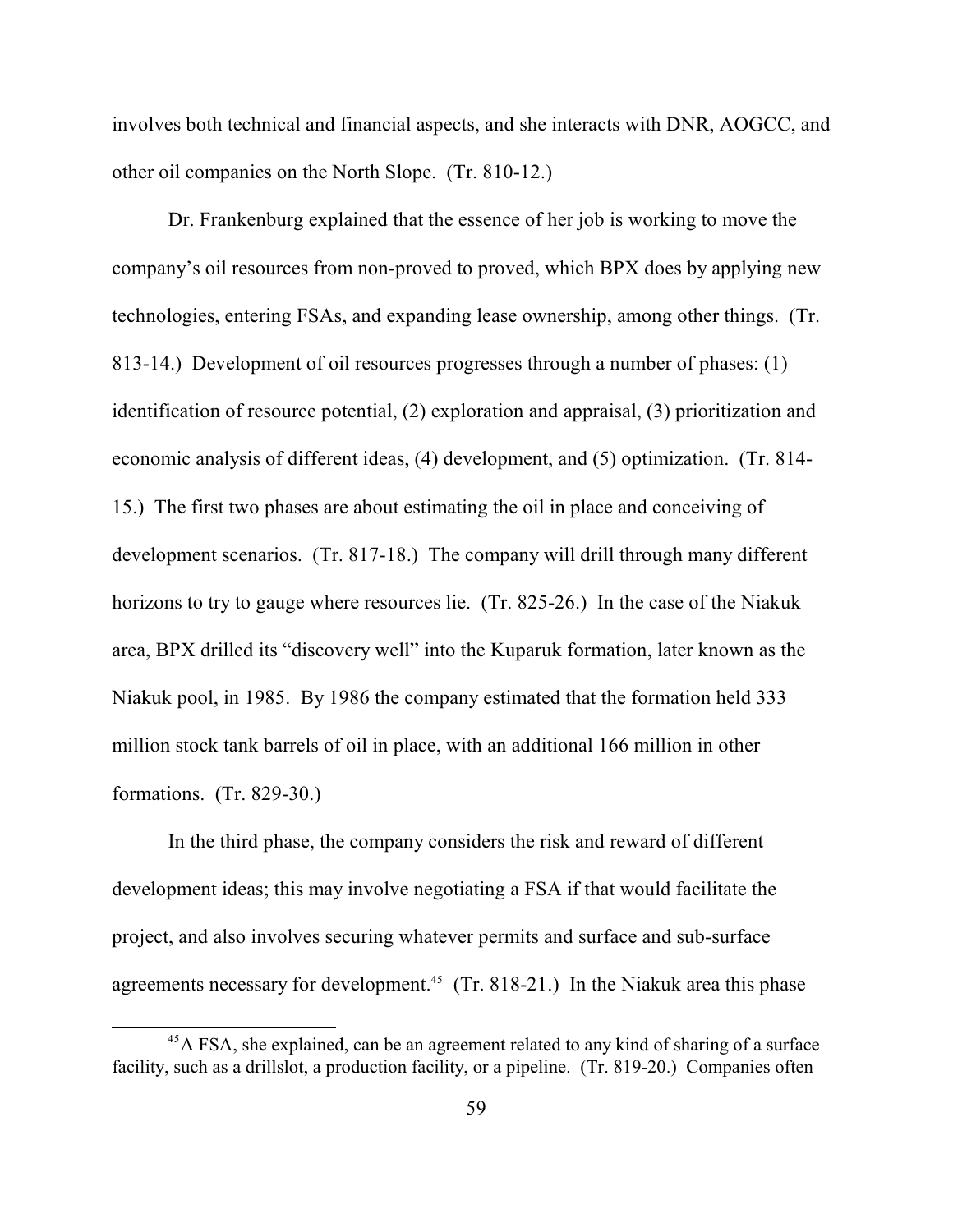involves both technical and financial aspects, and she interacts with DNR, AOGCC, and other oil companies on the North Slope. (Tr. 810-12.)

Dr. Frankenburg explained that the essence of her job is working to move the company's oil resources from non-proved to proved, which BPX does by applying new technologies, entering FSAs, and expanding lease ownership, among other things. (Tr. 813-14.) Development of oil resources progresses through a number of phases: (1) identification of resource potential, (2) exploration and appraisal, (3) prioritization and economic analysis of different ideas, (4) development, and (5) optimization. (Tr. 814- 15.) The first two phases are about estimating the oil in place and conceiving of development scenarios. (Tr. 817-18.) The company will drill through many different horizons to try to gauge where resources lie. (Tr. 825-26.) In the case of the Niakuk area, BPX drilled its "discovery well" into the Kuparuk formation, later known as the Niakuk pool, in 1985. By 1986 the company estimated that the formation held 333 million stock tank barrels of oil in place, with an additional 166 million in other formations. (Tr. 829-30.)

In the third phase, the company considers the risk and reward of different development ideas; this may involve negotiating a FSA if that would facilitate the project, and also involves securing whatever permits and surface and sub-surface agreements necessary for development.<sup>45</sup> (Tr. 818-21.) In the Niakuk area this phase

 $45$ A FSA, she explained, can be an agreement related to any kind of sharing of a surface facility, such as a drillslot, a production facility, or a pipeline. (Tr. 819-20.) Companies often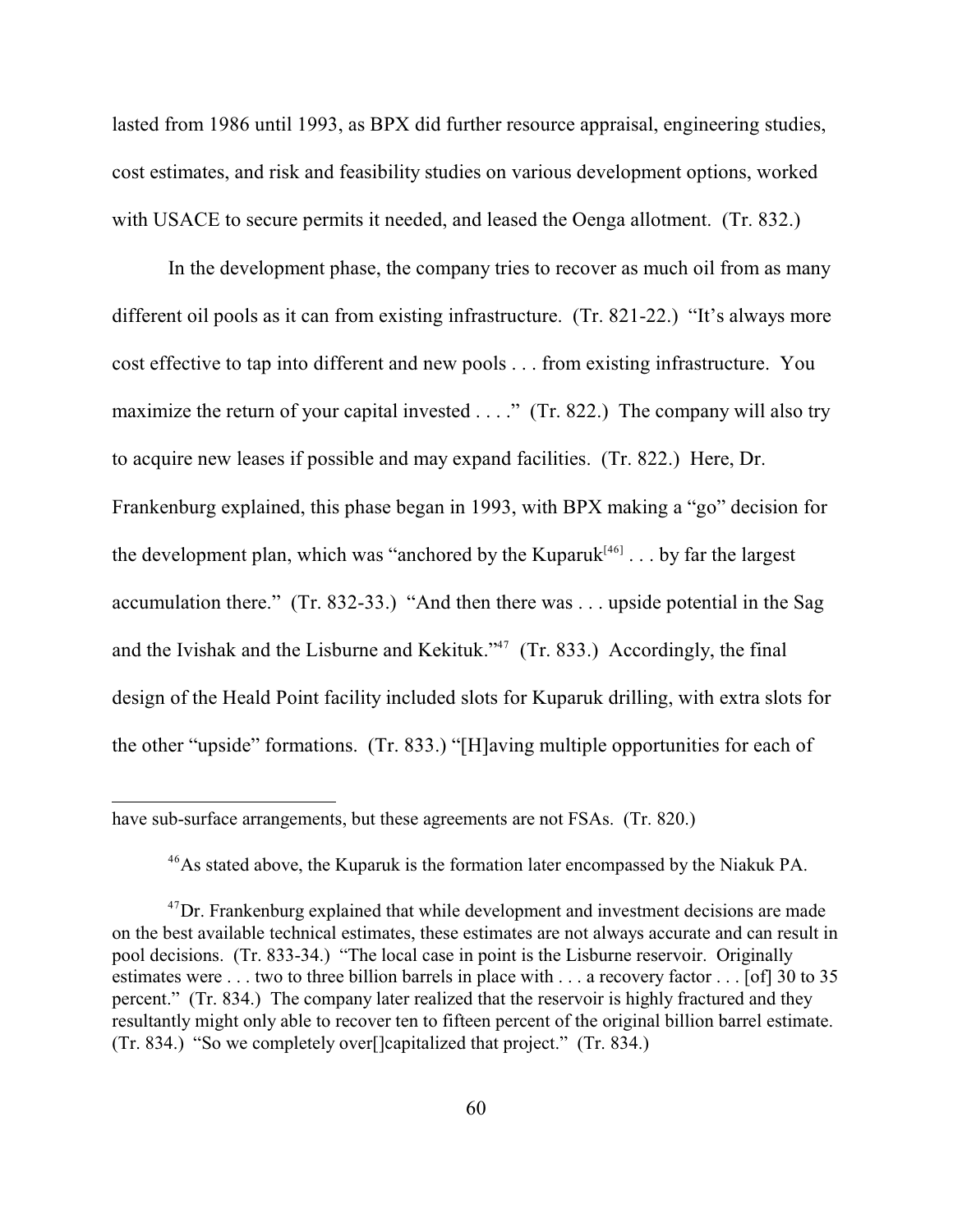lasted from 1986 until 1993, as BPX did further resource appraisal, engineering studies, cost estimates, and risk and feasibility studies on various development options, worked with USACE to secure permits it needed, and leased the Oenga allotment. (Tr. 832.)

In the development phase, the company tries to recover as much oil from as many different oil pools as it can from existing infrastructure. (Tr. 821-22.) "It's always more cost effective to tap into different and new pools . . . from existing infrastructure. You maximize the return of your capital invested . . . ." (Tr. 822.) The company will also try to acquire new leases if possible and may expand facilities. (Tr. 822.) Here, Dr. Frankenburg explained, this phase began in 1993, with BPX making a "go" decision for the development plan, which was "anchored by the Kuparuk $[46]$ ... by far the largest accumulation there." (Tr. 832-33.) "And then there was . . . upside potential in the Sag and the Ivishak and the Lisburne and Kekituk." $47$  (Tr. 833.) Accordingly, the final design of the Heald Point facility included slots for Kuparuk drilling, with extra slots for the other "upside" formations. (Tr. 833.) "[H]aving multiple opportunities for each of

<sup>46</sup>As stated above, the Kuparuk is the formation later encompassed by the Niakuk PA.

have sub-surface arrangements, but these agreements are not FSAs. (Tr. 820.)

 $^{47}$ Dr. Frankenburg explained that while development and investment decisions are made on the best available technical estimates, these estimates are not always accurate and can result in pool decisions. (Tr. 833-34.) "The local case in point is the Lisburne reservoir. Originally estimates were . . . two to three billion barrels in place with . . . a recovery factor . . . [of] 30 to 35 percent." (Tr. 834.) The company later realized that the reservoir is highly fractured and they resultantly might only able to recover ten to fifteen percent of the original billion barrel estimate. (Tr. 834.) "So we completely over[]capitalized that project." (Tr. 834.)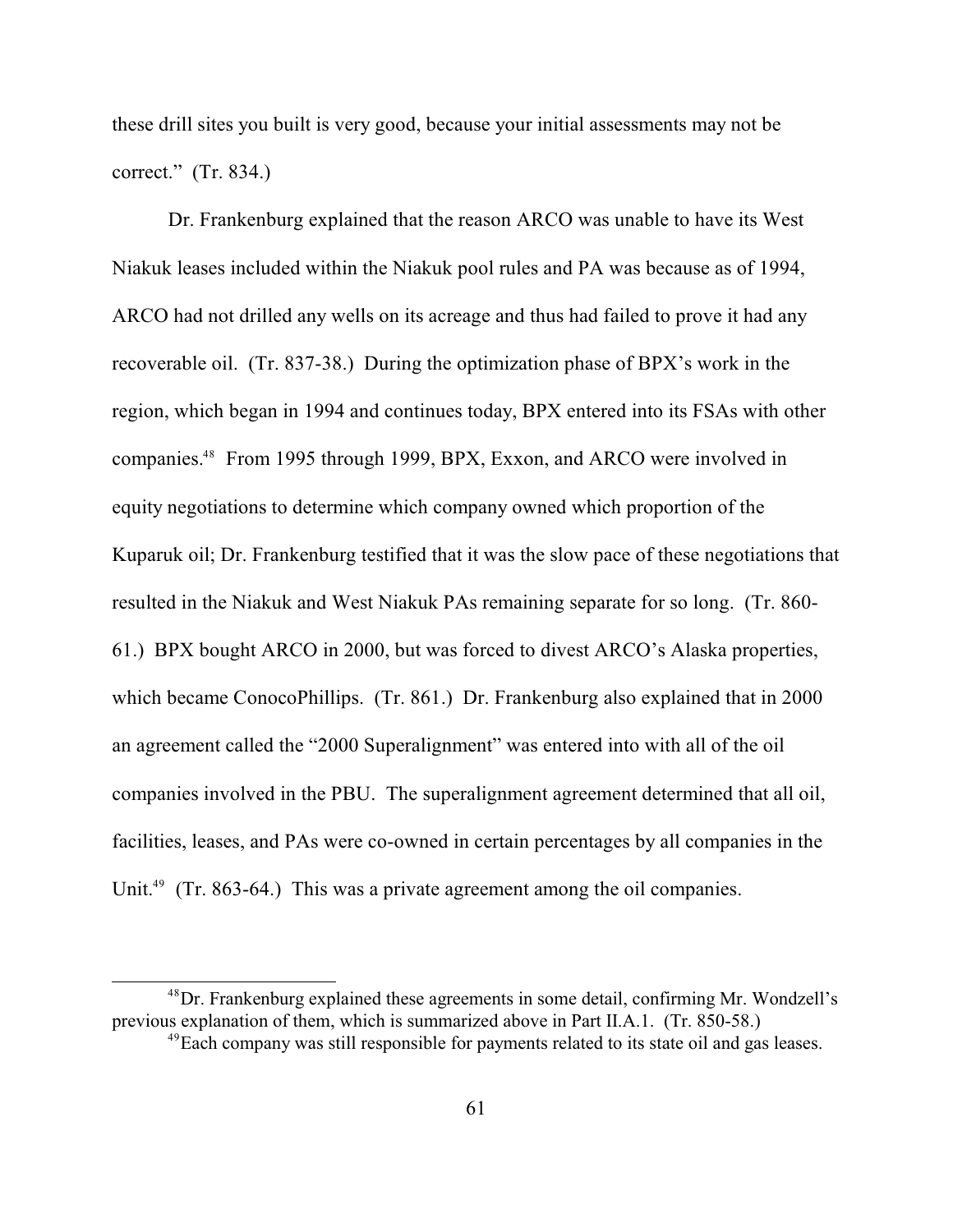these drill sites you built is very good, because your initial assessments may not be correct." (Tr. 834.)

Dr. Frankenburg explained that the reason ARCO was unable to have its West Niakuk leases included within the Niakuk pool rules and PA was because as of 1994, ARCO had not drilled any wells on its acreage and thus had failed to prove it had any recoverable oil. (Tr. 837-38.) During the optimization phase of BPX's work in the region, which began in 1994 and continues today, BPX entered into its FSAs with other companies.<sup>48</sup> From 1995 through 1999, BPX, Exxon, and ARCO were involved in equity negotiations to determine which company owned which proportion of the Kuparuk oil; Dr. Frankenburg testified that it was the slow pace of these negotiations that resulted in the Niakuk and West Niakuk PAs remaining separate for so long. (Tr. 860- 61.) BPX bought ARCO in 2000, but was forced to divest ARCO's Alaska properties, which became ConocoPhillips. (Tr. 861.) Dr. Frankenburg also explained that in 2000 an agreement called the "2000 Superalignment" was entered into with all of the oil companies involved in the PBU. The superalignment agreement determined that all oil, facilities, leases, and PAs were co-owned in certain percentages by all companies in the Unit.<sup> $49$ </sup> (Tr. 863-64.) This was a private agreement among the oil companies.

 $^{48}$ Dr. Frankenburg explained these agreements in some detail, confirming Mr. Wondzell's previous explanation of them, which is summarized above in Part II.A.1. (Tr. 850-58.)

 $^{49}$ Each company was still responsible for payments related to its state oil and gas leases.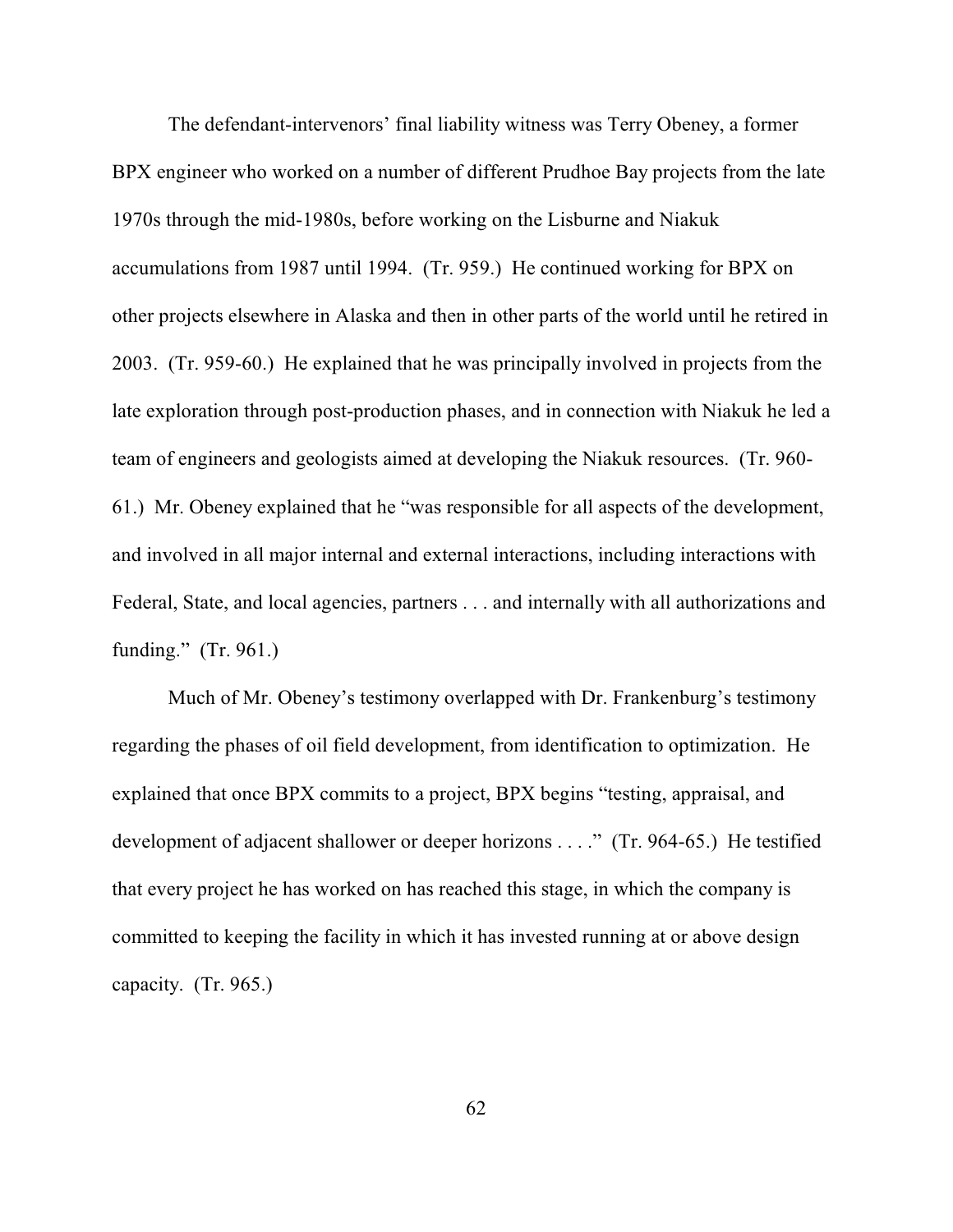The defendant-intervenors' final liability witness was Terry Obeney, a former BPX engineer who worked on a number of different Prudhoe Bay projects from the late 1970s through the mid-1980s, before working on the Lisburne and Niakuk accumulations from 1987 until 1994. (Tr. 959.) He continued working for BPX on other projects elsewhere in Alaska and then in other parts of the world until he retired in 2003. (Tr. 959-60.) He explained that he was principally involved in projects from the late exploration through post-production phases, and in connection with Niakuk he led a team of engineers and geologists aimed at developing the Niakuk resources. (Tr. 960- 61.) Mr. Obeney explained that he "was responsible for all aspects of the development, and involved in all major internal and external interactions, including interactions with Federal, State, and local agencies, partners . . . and internally with all authorizations and funding." (Tr. 961.)

Much of Mr. Obeney's testimony overlapped with Dr. Frankenburg's testimony regarding the phases of oil field development, from identification to optimization. He explained that once BPX commits to a project, BPX begins "testing, appraisal, and development of adjacent shallower or deeper horizons . . . ." (Tr. 964-65.) He testified that every project he has worked on has reached this stage, in which the company is committed to keeping the facility in which it has invested running at or above design capacity. (Tr. 965.)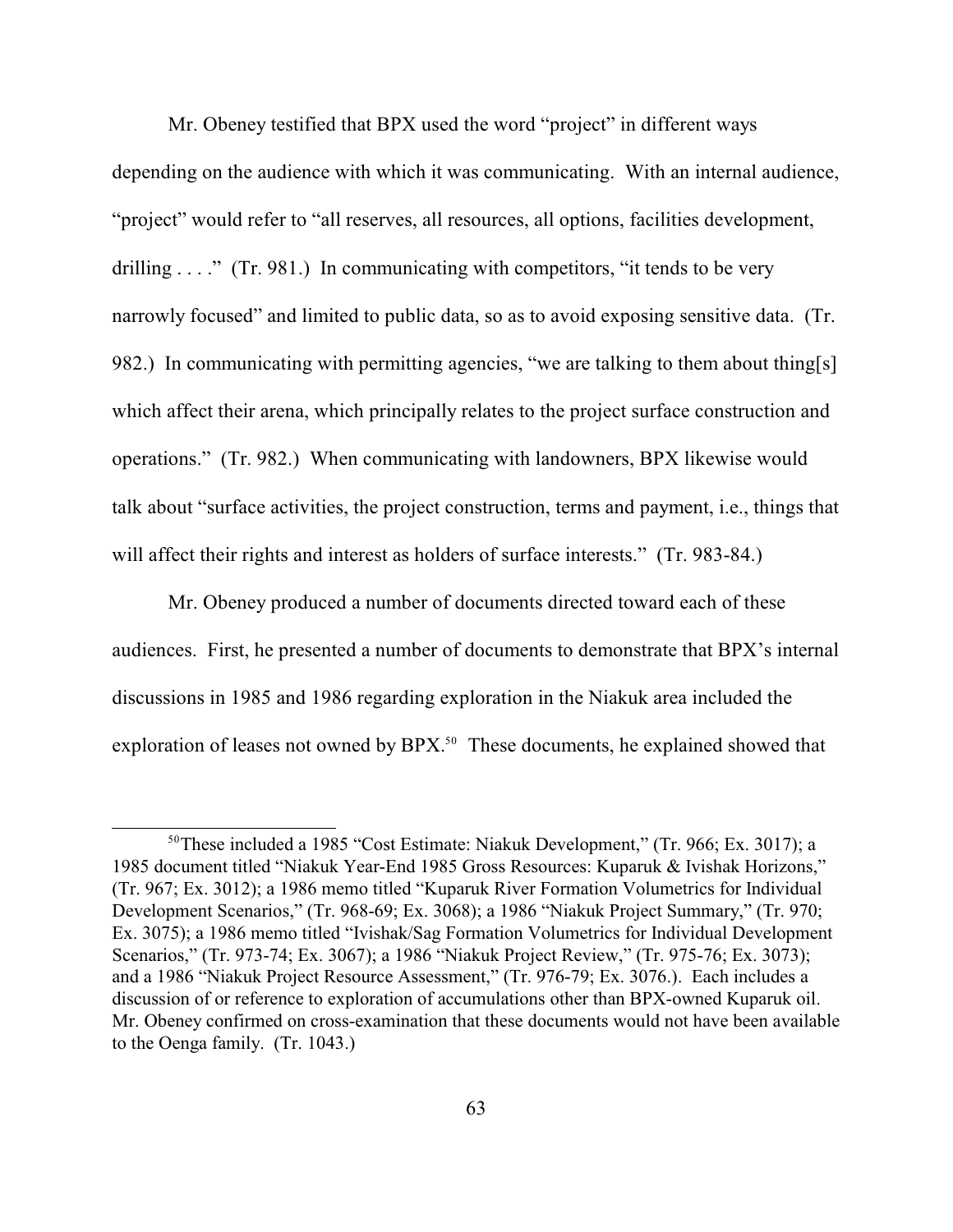Mr. Obeney testified that BPX used the word "project" in different ways depending on the audience with which it was communicating. With an internal audience, "project" would refer to "all reserves, all resources, all options, facilities development, drilling  $\dots$ ." (Tr. 981.) In communicating with competitors, "it tends to be very narrowly focused" and limited to public data, so as to avoid exposing sensitive data. (Tr. 982.) In communicating with permitting agencies, "we are talking to them about thing[s] which affect their arena, which principally relates to the project surface construction and operations." (Tr. 982.) When communicating with landowners, BPX likewise would talk about "surface activities, the project construction, terms and payment, i.e., things that will affect their rights and interest as holders of surface interests." (Tr. 983-84.)

Mr. Obeney produced a number of documents directed toward each of these audiences. First, he presented a number of documents to demonstrate that BPX's internal discussions in 1985 and 1986 regarding exploration in the Niakuk area included the exploration of leases not owned by  $BPX$ .<sup>50</sup> These documents, he explained showed that

 $50$ These included a 1985 "Cost Estimate: Niakuk Development," (Tr. 966; Ex. 3017); a 1985 document titled "Niakuk Year-End 1985 Gross Resources: Kuparuk & Ivishak Horizons," (Tr. 967; Ex. 3012); a 1986 memo titled "Kuparuk River Formation Volumetrics for Individual Development Scenarios," (Tr. 968-69; Ex. 3068); a 1986 "Niakuk Project Summary," (Tr. 970; Ex. 3075); a 1986 memo titled "Ivishak/Sag Formation Volumetrics for Individual Development Scenarios," (Tr. 973-74; Ex. 3067); a 1986 "Niakuk Project Review," (Tr. 975-76; Ex. 3073); and a 1986 "Niakuk Project Resource Assessment," (Tr. 976-79; Ex. 3076.). Each includes a discussion of or reference to exploration of accumulations other than BPX-owned Kuparuk oil. Mr. Obeney confirmed on cross-examination that these documents would not have been available to the Oenga family. (Tr. 1043.)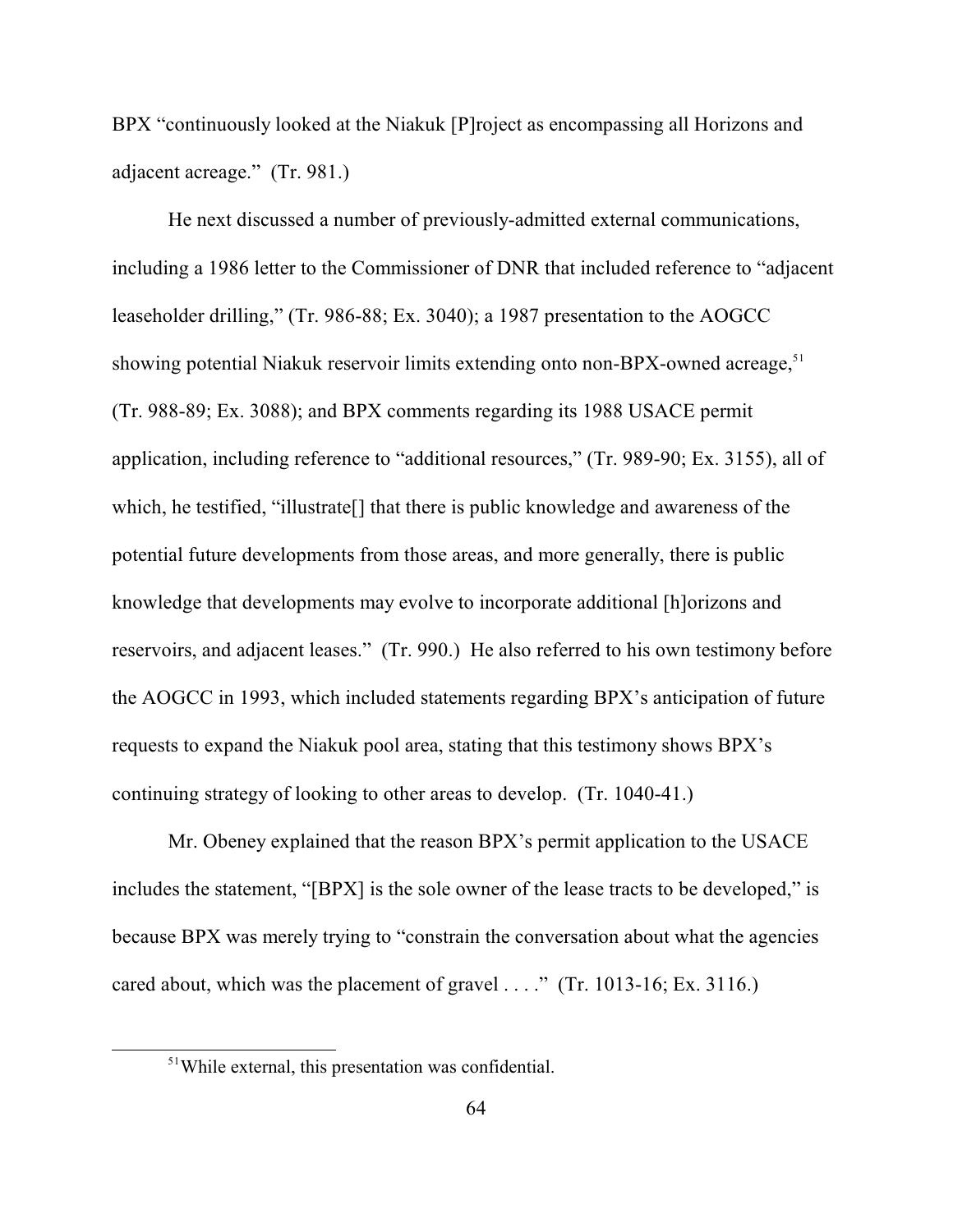BPX "continuously looked at the Niakuk [P]roject as encompassing all Horizons and adjacent acreage." (Tr. 981.)

He next discussed a number of previously-admitted external communications, including a 1986 letter to the Commissioner of DNR that included reference to "adjacent leaseholder drilling," (Tr. 986-88; Ex. 3040); a 1987 presentation to the AOGCC showing potential Niakuk reservoir limits extending onto non-BPX-owned acreage,<sup>51</sup> (Tr. 988-89; Ex. 3088); and BPX comments regarding its 1988 USACE permit application, including reference to "additional resources," (Tr. 989-90; Ex. 3155), all of which, he testified, "illustrate[] that there is public knowledge and awareness of the potential future developments from those areas, and more generally, there is public knowledge that developments may evolve to incorporate additional [h]orizons and reservoirs, and adjacent leases." (Tr. 990.) He also referred to his own testimony before the AOGCC in 1993, which included statements regarding BPX's anticipation of future requests to expand the Niakuk pool area, stating that this testimony shows BPX's continuing strategy of looking to other areas to develop. (Tr. 1040-41.)

Mr. Obeney explained that the reason BPX's permit application to the USACE includes the statement, "[BPX] is the sole owner of the lease tracts to be developed," is because BPX was merely trying to "constrain the conversation about what the agencies cared about, which was the placement of gravel . . . ." (Tr. 1013-16; Ex. 3116.)

<sup>&</sup>lt;sup>51</sup>While external, this presentation was confidential.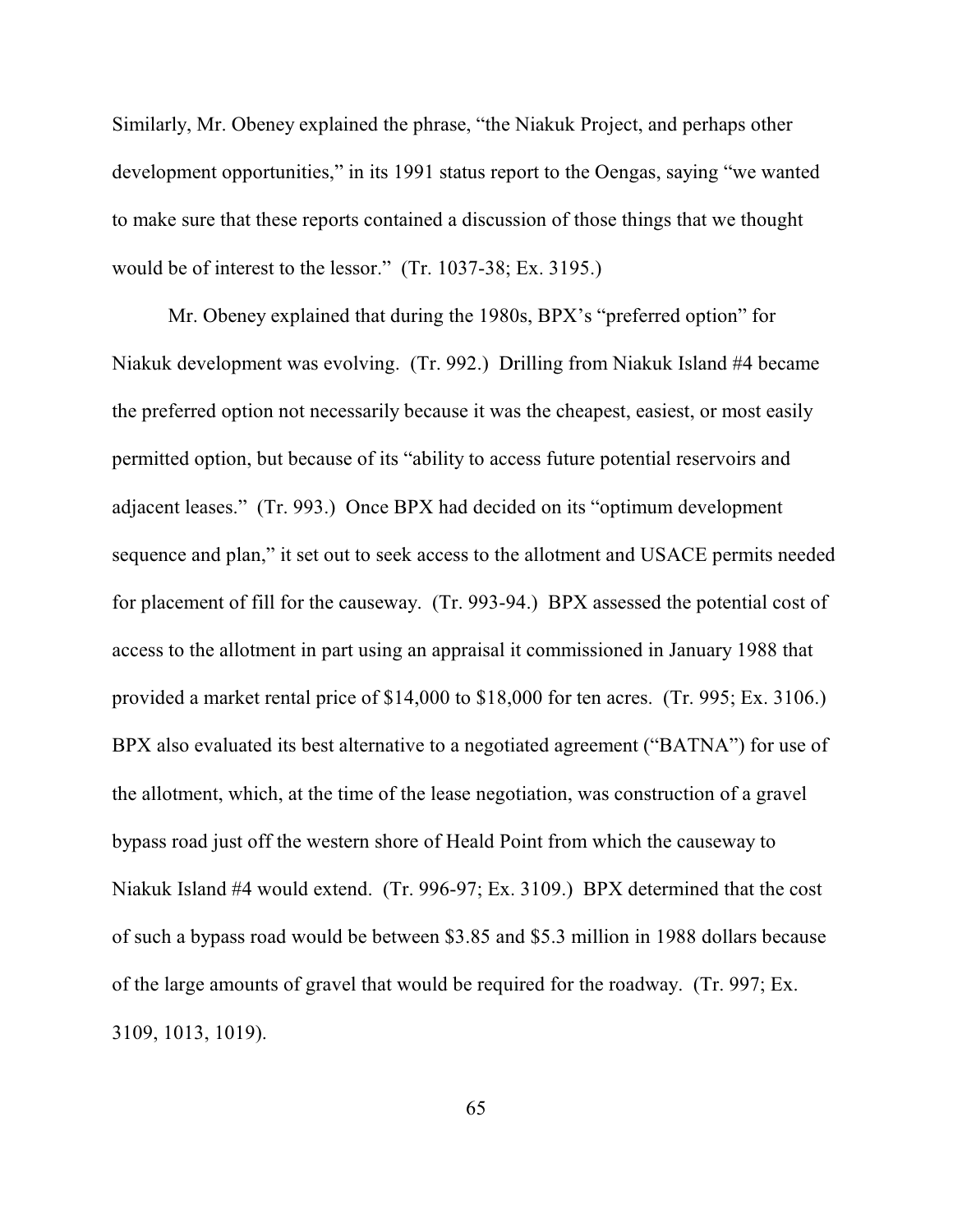Similarly, Mr. Obeney explained the phrase, "the Niakuk Project, and perhaps other development opportunities," in its 1991 status report to the Oengas, saying "we wanted to make sure that these reports contained a discussion of those things that we thought would be of interest to the lessor." (Tr. 1037-38; Ex. 3195.)

Mr. Obeney explained that during the 1980s, BPX's "preferred option" for Niakuk development was evolving. (Tr. 992.) Drilling from Niakuk Island #4 became the preferred option not necessarily because it was the cheapest, easiest, or most easily permitted option, but because of its "ability to access future potential reservoirs and adjacent leases." (Tr. 993.) Once BPX had decided on its "optimum development sequence and plan," it set out to seek access to the allotment and USACE permits needed for placement of fill for the causeway. (Tr. 993-94.) BPX assessed the potential cost of access to the allotment in part using an appraisal it commissioned in January 1988 that provided a market rental price of \$14,000 to \$18,000 for ten acres. (Tr. 995; Ex. 3106.) BPX also evaluated its best alternative to a negotiated agreement ("BATNA") for use of the allotment, which, at the time of the lease negotiation, was construction of a gravel bypass road just off the western shore of Heald Point from which the causeway to Niakuk Island #4 would extend. (Tr. 996-97; Ex. 3109.) BPX determined that the cost of such a bypass road would be between \$3.85 and \$5.3 million in 1988 dollars because of the large amounts of gravel that would be required for the roadway. (Tr. 997; Ex. 3109, 1013, 1019).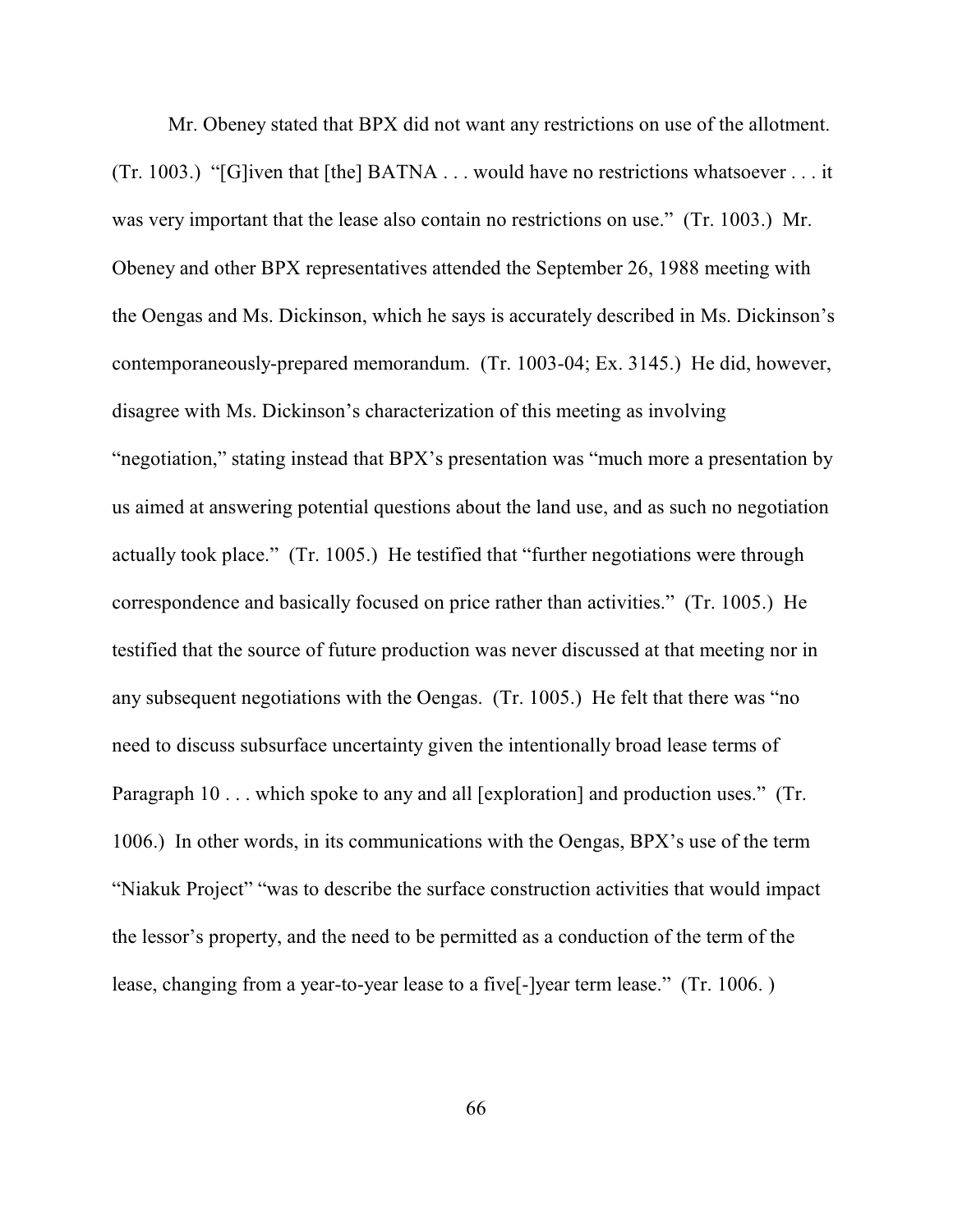Mr. Obeney stated that BPX did not want any restrictions on use of the allotment. (Tr. 1003.) "[G]iven that [the] BATNA . . . would have no restrictions whatsoever . . . it was very important that the lease also contain no restrictions on use." (Tr. 1003.) Mr. Obeney and other BPX representatives attended the September 26, 1988 meeting with the Oengas and Ms. Dickinson, which he says is accurately described in Ms. Dickinson's contemporaneously-prepared memorandum. (Tr. 1003-04; Ex. 3145.) He did, however, disagree with Ms. Dickinson's characterization of this meeting as involving "negotiation," stating instead that BPX's presentation was "much more a presentation by us aimed at answering potential questions about the land use, and as such no negotiation actually took place." (Tr. 1005.) He testified that "further negotiations were through correspondence and basically focused on price rather than activities." (Tr. 1005.) He testified that the source of future production was never discussed at that meeting nor in any subsequent negotiations with the Oengas. (Tr. 1005.) He felt that there was "no need to discuss subsurface uncertainty given the intentionally broad lease terms of Paragraph 10 . . . which spoke to any and all [exploration] and production uses." (Tr. 1006.) In other words, in its communications with the Oengas, BPX's use of the term "Niakuk Project" "was to describe the surface construction activities that would impact the lessor's property, and the need to be permitted as a conduction of the term of the lease, changing from a year-to-year lease to a five[-]year term lease." (Tr. 1006. )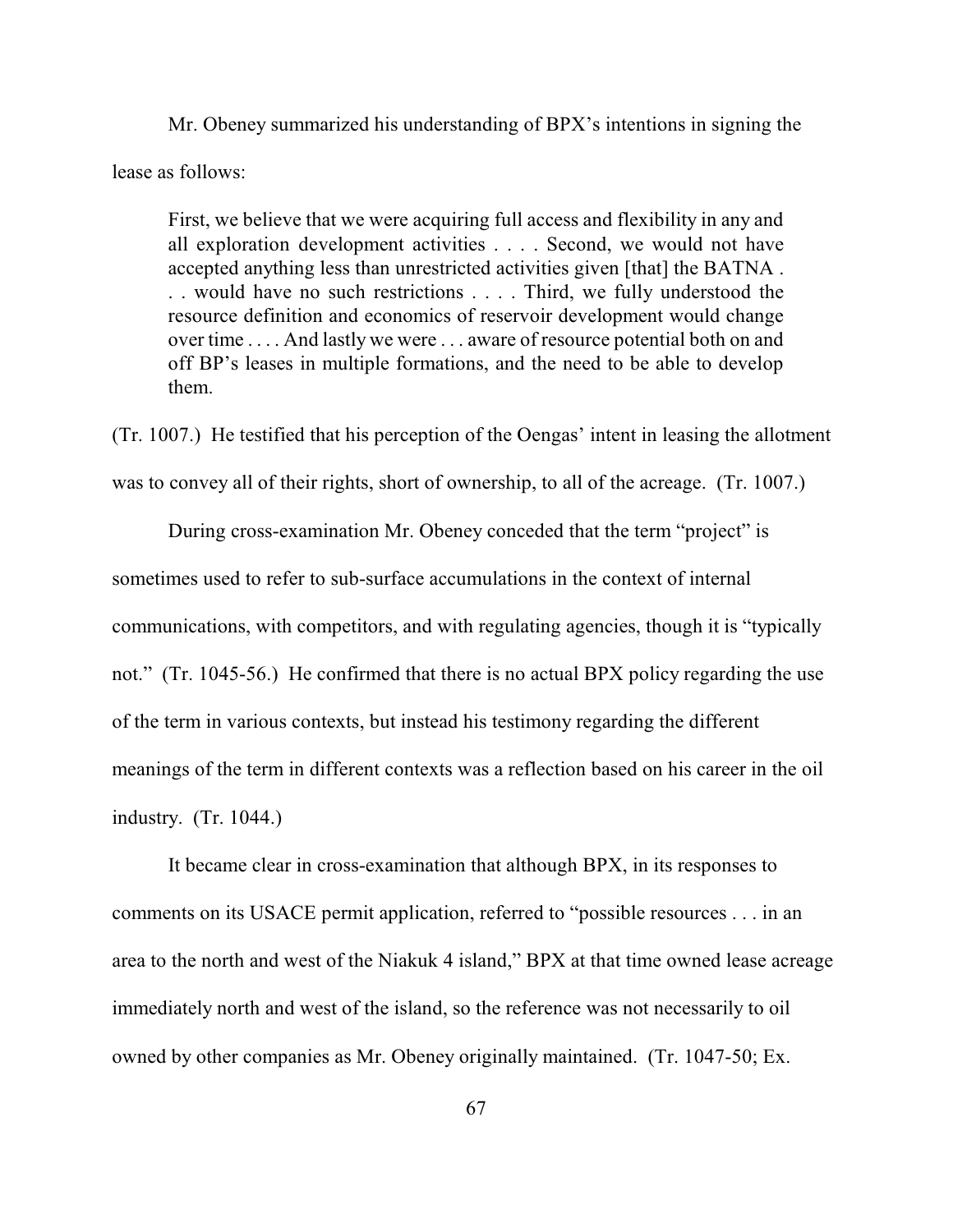Mr. Obeney summarized his understanding of BPX's intentions in signing the lease as follows:

First, we believe that we were acquiring full access and flexibility in any and all exploration development activities . . . . Second, we would not have accepted anything less than unrestricted activities given [that] the BATNA . . . would have no such restrictions . . . . Third, we fully understood the resource definition and economics of reservoir development would change over time . . . . And lastly we were . . . aware of resource potential both on and off BP's leases in multiple formations, and the need to be able to develop them.

(Tr. 1007.) He testified that his perception of the Oengas' intent in leasing the allotment was to convey all of their rights, short of ownership, to all of the acreage. (Tr. 1007.)

During cross-examination Mr. Obeney conceded that the term "project" is sometimes used to refer to sub-surface accumulations in the context of internal communications, with competitors, and with regulating agencies, though it is "typically not." (Tr. 1045-56.) He confirmed that there is no actual BPX policy regarding the use of the term in various contexts, but instead his testimony regarding the different meanings of the term in different contexts was a reflection based on his career in the oil industry. (Tr. 1044.)

It became clear in cross-examination that although BPX, in its responses to comments on its USACE permit application, referred to "possible resources . . . in an area to the north and west of the Niakuk 4 island," BPX at that time owned lease acreage immediately north and west of the island, so the reference was not necessarily to oil owned by other companies as Mr. Obeney originally maintained. (Tr. 1047-50; Ex.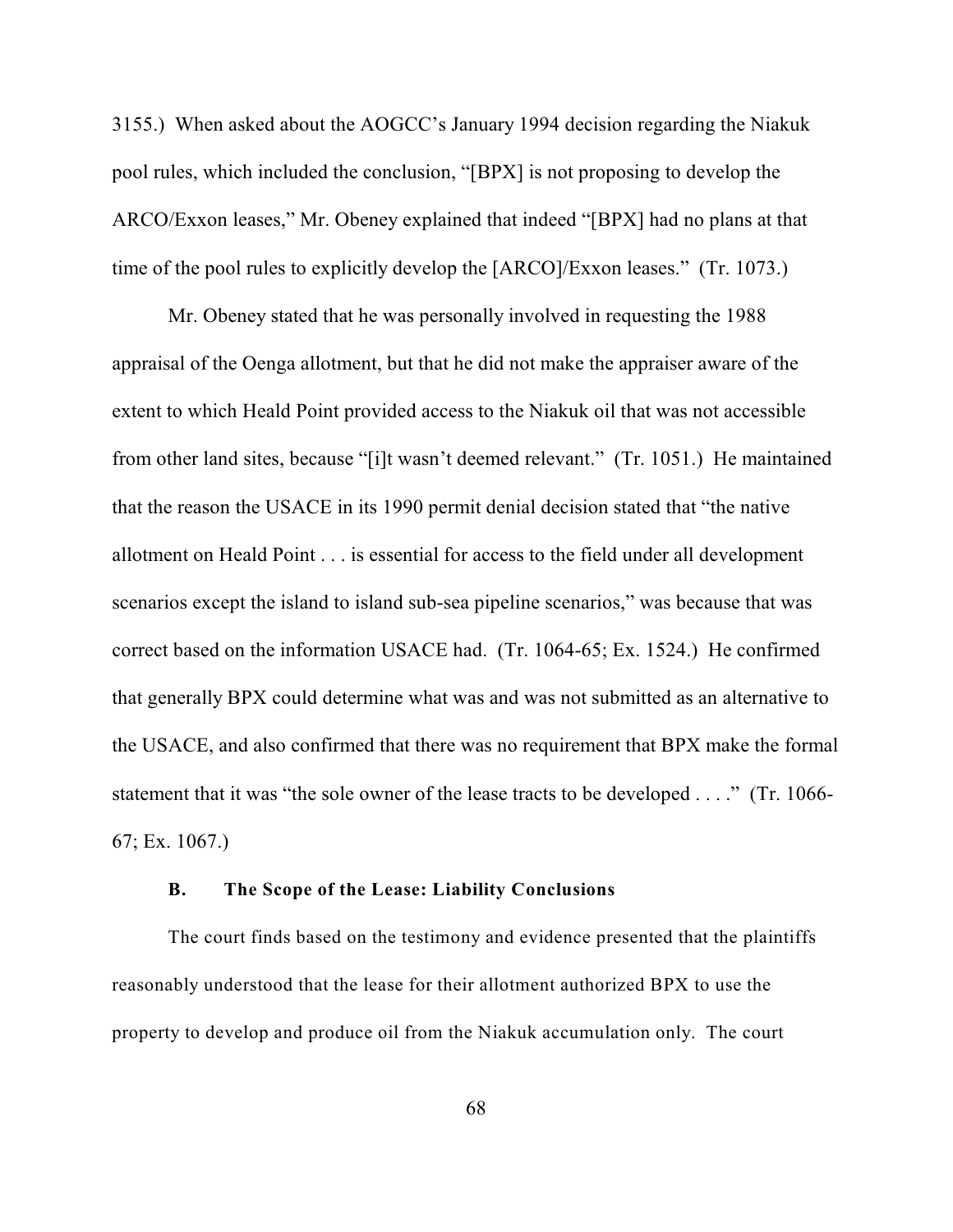3155.) When asked about the AOGCC's January 1994 decision regarding the Niakuk pool rules, which included the conclusion, "[BPX] is not proposing to develop the ARCO/Exxon leases," Mr. Obeney explained that indeed "[BPX] had no plans at that time of the pool rules to explicitly develop the [ARCO]/Exxon leases." (Tr. 1073.)

Mr. Obeney stated that he was personally involved in requesting the 1988 appraisal of the Oenga allotment, but that he did not make the appraiser aware of the extent to which Heald Point provided access to the Niakuk oil that was not accessible from other land sites, because "[i]t wasn't deemed relevant." (Tr. 1051.) He maintained that the reason the USACE in its 1990 permit denial decision stated that "the native allotment on Heald Point . . . is essential for access to the field under all development scenarios except the island to island sub-sea pipeline scenarios," was because that was correct based on the information USACE had. (Tr. 1064-65; Ex. 1524.) He confirmed that generally BPX could determine what was and was not submitted as an alternative to the USACE, and also confirmed that there was no requirement that BPX make the formal statement that it was "the sole owner of the lease tracts to be developed . . . ." (Tr. 1066- 67; Ex. 1067.)

## **B. The Scope of the Lease: Liability Conclusions**

The court finds based on the testimony and evidence presented that the plaintiffs reasonably understood that the lease for their allotment authorized BPX to use the property to develop and produce oil from the Niakuk accumulation only. The court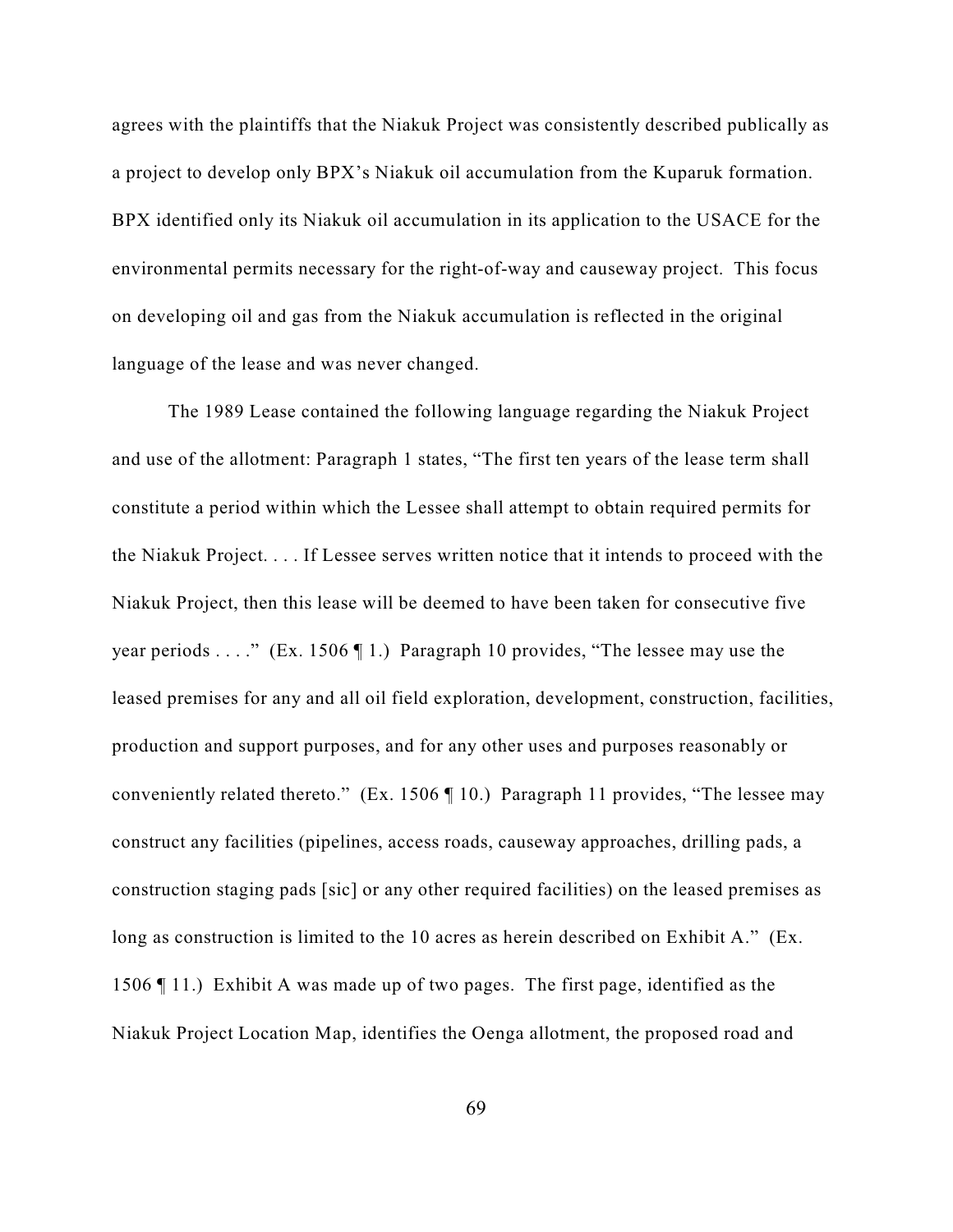agrees with the plaintiffs that the Niakuk Project was consistently described publically as a project to develop only BPX's Niakuk oil accumulation from the Kuparuk formation. BPX identified only its Niakuk oil accumulation in its application to the USACE for the environmental permits necessary for the right-of-way and causeway project. This focus on developing oil and gas from the Niakuk accumulation is reflected in the original language of the lease and was never changed.

The 1989 Lease contained the following language regarding the Niakuk Project and use of the allotment: Paragraph 1 states, "The first ten years of the lease term shall constitute a period within which the Lessee shall attempt to obtain required permits for the Niakuk Project. . . . If Lessee serves written notice that it intends to proceed with the Niakuk Project, then this lease will be deemed to have been taken for consecutive five year periods . . . ." (Ex. 1506  $\P$  1.) Paragraph 10 provides, "The lessee may use the leased premises for any and all oil field exploration, development, construction, facilities, production and support purposes, and for any other uses and purposes reasonably or conveniently related thereto." (Ex. 1506 ¶ 10.) Paragraph 11 provides, "The lessee may construct any facilities (pipelines, access roads, causeway approaches, drilling pads, a construction staging pads [sic] or any other required facilities) on the leased premises as long as construction is limited to the 10 acres as herein described on Exhibit A." (Ex. 1506 ¶ 11.) Exhibit A was made up of two pages. The first page, identified as the Niakuk Project Location Map, identifies the Oenga allotment, the proposed road and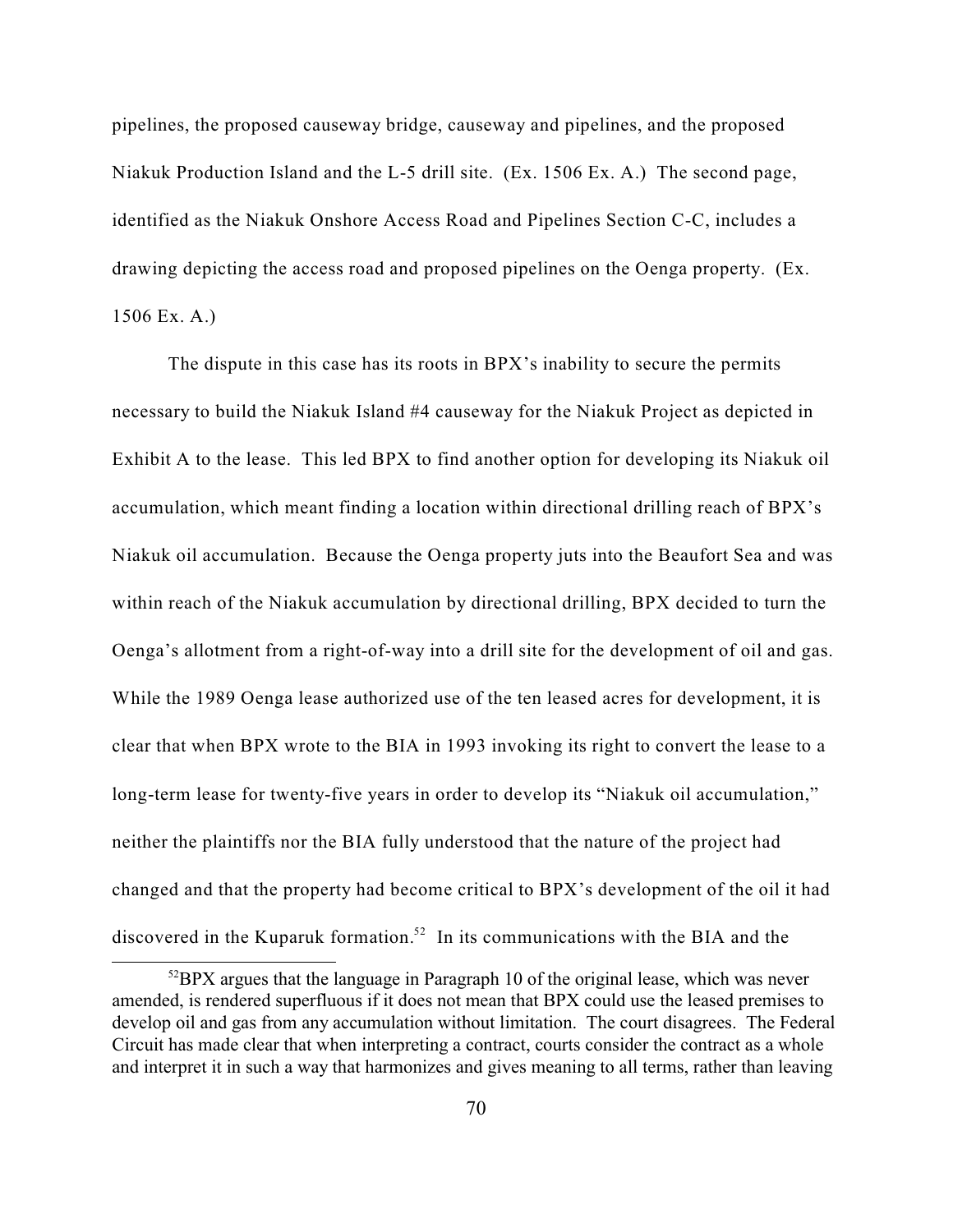pipelines, the proposed causeway bridge, causeway and pipelines, and the proposed Niakuk Production Island and the L-5 drill site. (Ex. 1506 Ex. A.) The second page, identified as the Niakuk Onshore Access Road and Pipelines Section C-C, includes a drawing depicting the access road and proposed pipelines on the Oenga property. (Ex. 1506 Ex. A.)

The dispute in this case has its roots in BPX's inability to secure the permits necessary to build the Niakuk Island #4 causeway for the Niakuk Project as depicted in Exhibit A to the lease. This led BPX to find another option for developing its Niakuk oil accumulation, which meant finding a location within directional drilling reach of BPX's Niakuk oil accumulation. Because the Oenga property juts into the Beaufort Sea and was within reach of the Niakuk accumulation by directional drilling, BPX decided to turn the Oenga's allotment from a right-of-way into a drill site for the development of oil and gas. While the 1989 Oenga lease authorized use of the ten leased acres for development, it is clear that when BPX wrote to the BIA in 1993 invoking its right to convert the lease to a long-term lease for twenty-five years in order to develop its "Niakuk oil accumulation," neither the plaintiffs nor the BIA fully understood that the nature of the project had changed and that the property had become critical to BPX's development of the oil it had discovered in the Kuparuk formation.<sup>52</sup> In its communications with the BIA and the

 $52$ BPX argues that the language in Paragraph 10 of the original lease, which was never amended, is rendered superfluous if it does not mean that BPX could use the leased premises to develop oil and gas from any accumulation without limitation. The court disagrees. The Federal Circuit has made clear that when interpreting a contract, courts consider the contract as a whole and interpret it in such a way that harmonizes and gives meaning to all terms, rather than leaving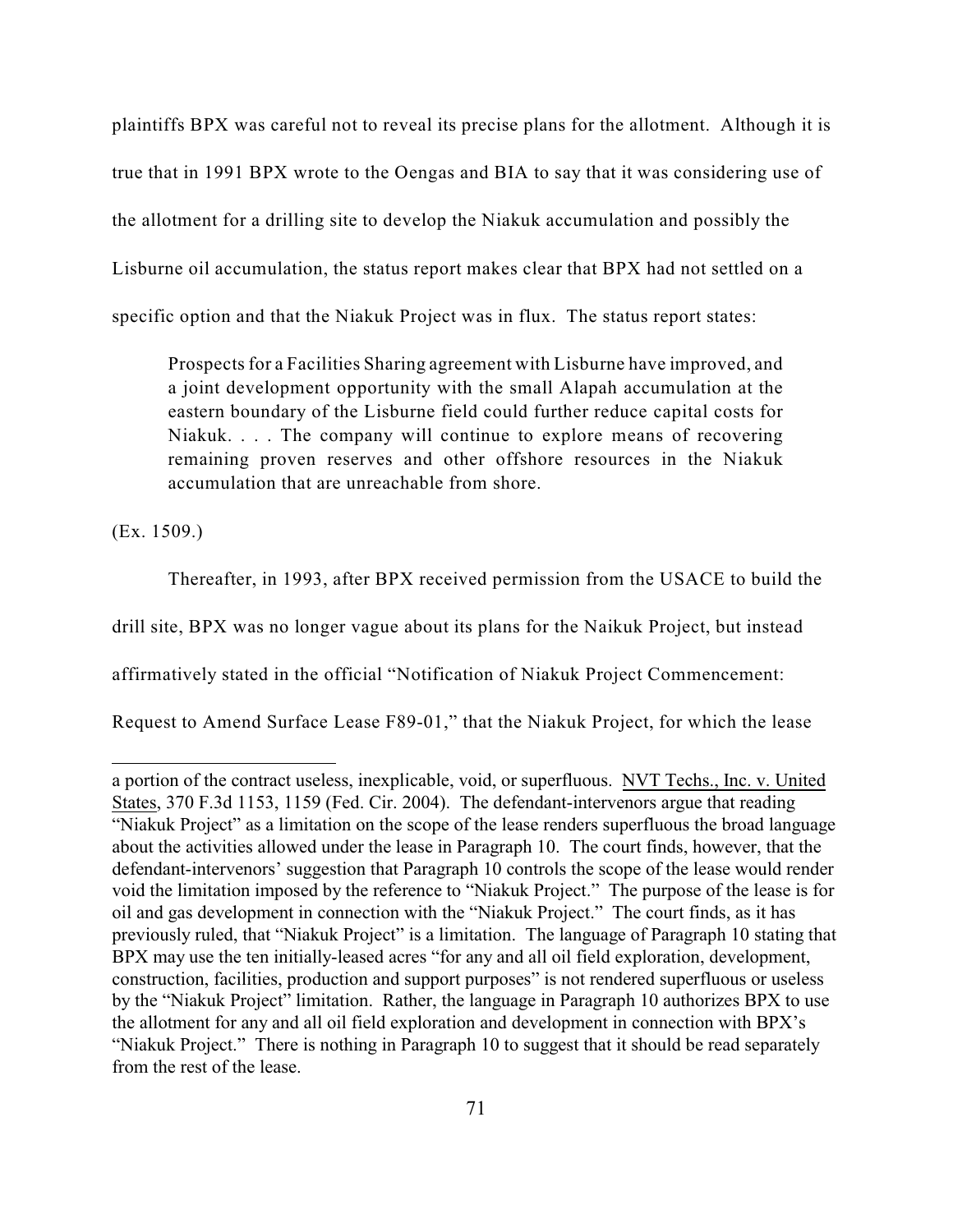plaintiffs BPX was careful not to reveal its precise plans for the allotment. Although it is true that in 1991 BPX wrote to the Oengas and BIA to say that it was considering use of the allotment for a drilling site to develop the Niakuk accumulation and possibly the Lisburne oil accumulation, the status report makes clear that BPX had not settled on a specific option and that the Niakuk Project was in flux. The status report states:

Prospects for a Facilities Sharing agreement with Lisburne have improved, and a joint development opportunity with the small Alapah accumulation at the eastern boundary of the Lisburne field could further reduce capital costs for Niakuk. . . . The company will continue to explore means of recovering remaining proven reserves and other offshore resources in the Niakuk accumulation that are unreachable from shore.

(Ex. 1509.)

Thereafter, in 1993, after BPX received permission from the USACE to build the

drill site, BPX was no longer vague about its plans for the Naikuk Project, but instead

affirmatively stated in the official "Notification of Niakuk Project Commencement:

Request to Amend Surface Lease F89-01," that the Niakuk Project, for which the lease

a portion of the contract useless, inexplicable, void, or superfluous. NVT Techs., Inc. v. United States, 370 F.3d 1153, 1159 (Fed. Cir. 2004). The defendant-intervenors argue that reading "Niakuk Project" as a limitation on the scope of the lease renders superfluous the broad language about the activities allowed under the lease in Paragraph 10. The court finds, however, that the defendant-intervenors' suggestion that Paragraph 10 controls the scope of the lease would render void the limitation imposed by the reference to "Niakuk Project." The purpose of the lease is for oil and gas development in connection with the "Niakuk Project." The court finds, as it has previously ruled, that "Niakuk Project" is a limitation. The language of Paragraph 10 stating that BPX may use the ten initially-leased acres "for any and all oil field exploration, development, construction, facilities, production and support purposes" is not rendered superfluous or useless by the "Niakuk Project" limitation. Rather, the language in Paragraph 10 authorizes BPX to use the allotment for any and all oil field exploration and development in connection with BPX's "Niakuk Project." There is nothing in Paragraph 10 to suggest that it should be read separately from the rest of the lease.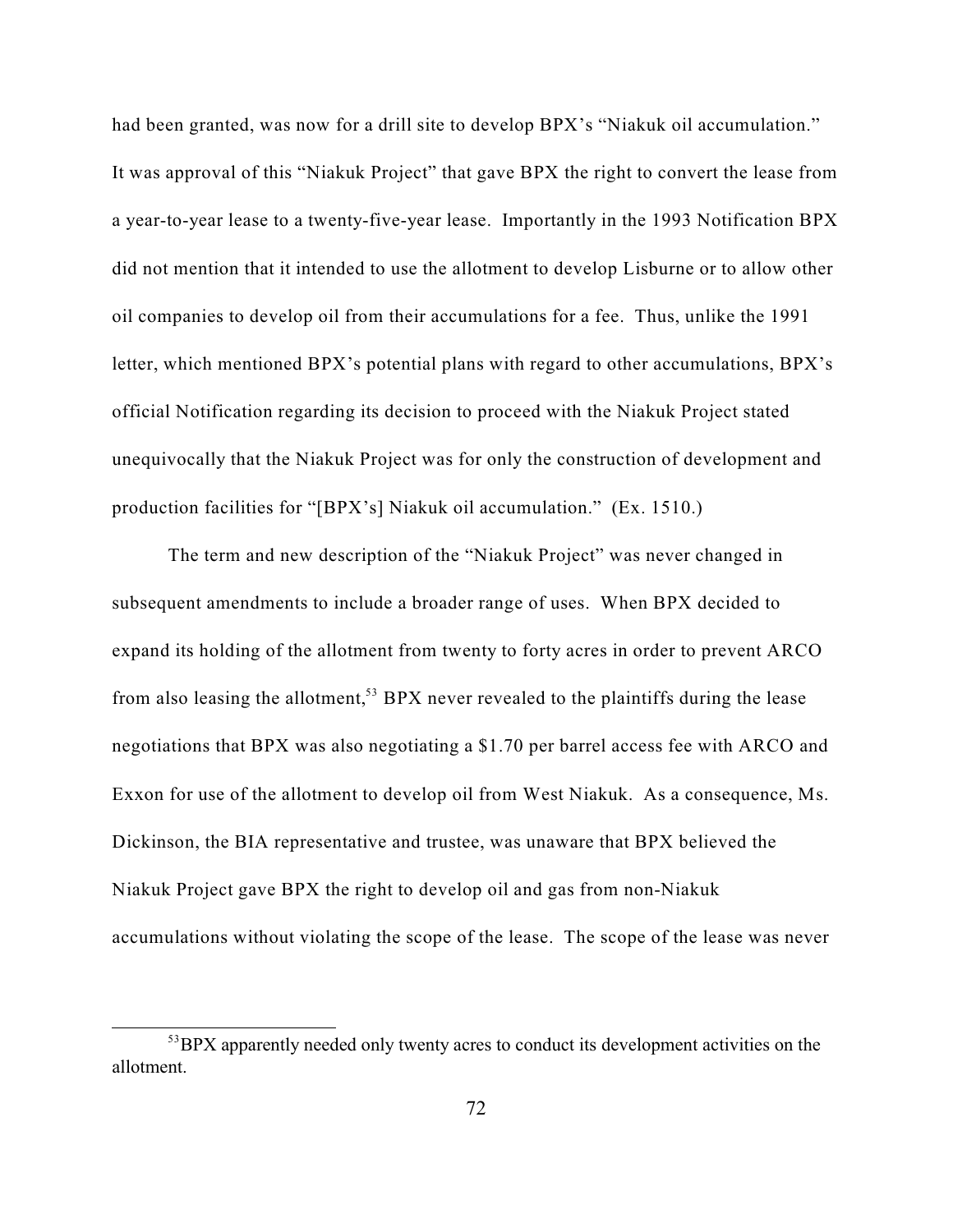had been granted, was now for a drill site to develop BPX's "Niakuk oil accumulation." It was approval of this "Niakuk Project" that gave BPX the right to convert the lease from a year-to-year lease to a twenty-five-year lease. Importantly in the 1993 Notification BPX did not mention that it intended to use the allotment to develop Lisburne or to allow other oil companies to develop oil from their accumulations for a fee. Thus, unlike the 1991 letter, which mentioned BPX's potential plans with regard to other accumulations, BPX's official Notification regarding its decision to proceed with the Niakuk Project stated unequivocally that the Niakuk Project was for only the construction of development and production facilities for "[BPX's] Niakuk oil accumulation." (Ex. 1510.)

The term and new description of the "Niakuk Project" was never changed in subsequent amendments to include a broader range of uses. When BPX decided to expand its holding of the allotment from twenty to forty acres in order to prevent ARCO from also leasing the allotment,<sup>53</sup> BPX never revealed to the plaintiffs during the lease negotiations that BPX was also negotiating a \$1.70 per barrel access fee with ARCO and Exxon for use of the allotment to develop oil from West Niakuk. As a consequence, Ms. Dickinson, the BIA representative and trustee, was unaware that BPX believed the Niakuk Project gave BPX the right to develop oil and gas from non-Niakuk accumulations without violating the scope of the lease. The scope of the lease was never

<sup>&</sup>lt;sup>53</sup>BPX apparently needed only twenty acres to conduct its development activities on the allotment.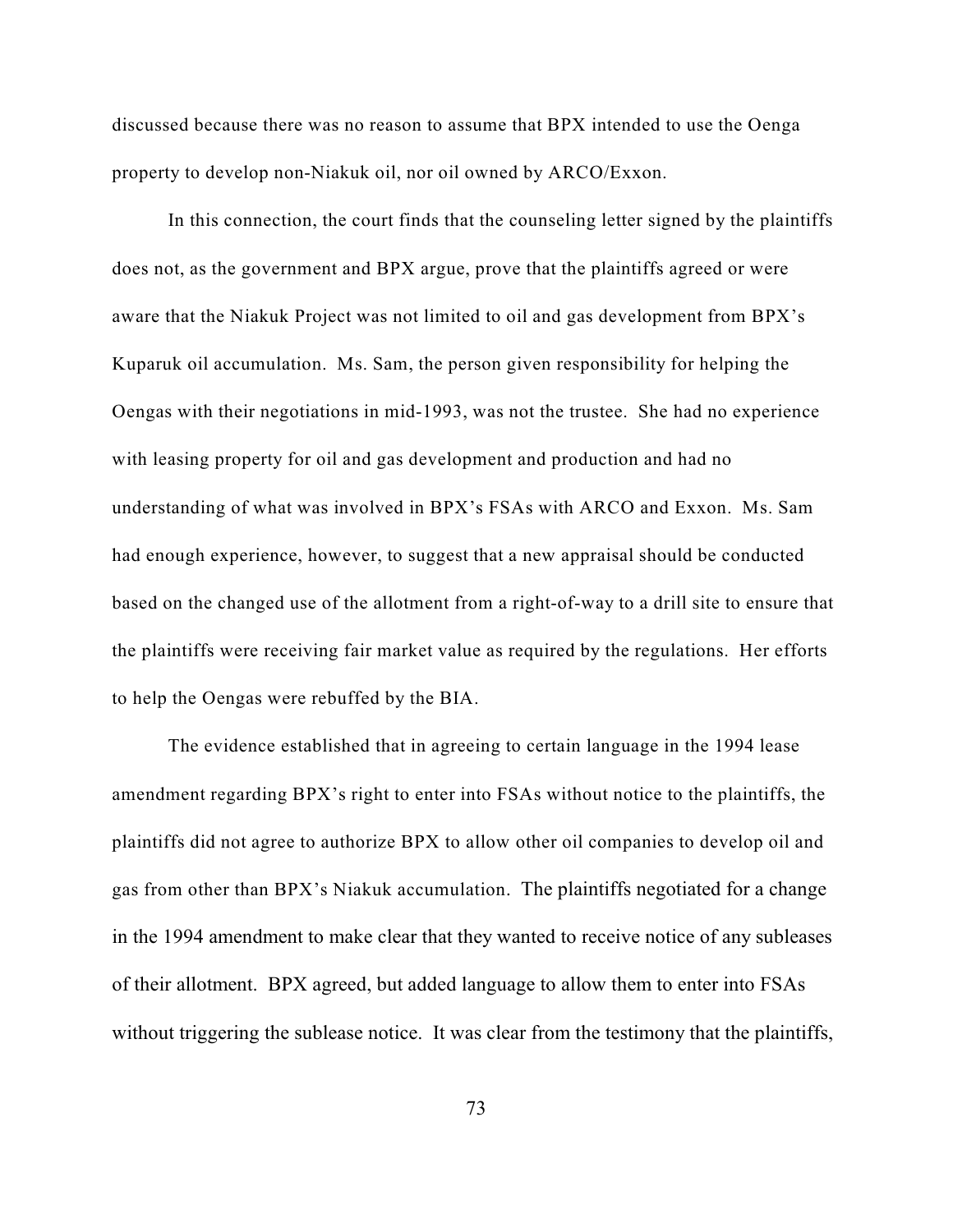discussed because there was no reason to assume that BPX intended to use the Oenga property to develop non-Niakuk oil, nor oil owned by ARCO/Exxon.

In this connection, the court finds that the counseling letter signed by the plaintiffs does not, as the government and BPX argue, prove that the plaintiffs agreed or were aware that the Niakuk Project was not limited to oil and gas development from BPX's Kuparuk oil accumulation. Ms. Sam, the person given responsibility for helping the Oengas with their negotiations in mid-1993, was not the trustee. She had no experience with leasing property for oil and gas development and production and had no understanding of what was involved in BPX's FSAs with ARCO and Exxon. Ms. Sam had enough experience, however, to suggest that a new appraisal should be conducted based on the changed use of the allotment from a right-of-way to a drill site to ensure that the plaintiffs were receiving fair market value as required by the regulations. Her efforts to help the Oengas were rebuffed by the BIA.

The evidence established that in agreeing to certain language in the 1994 lease amendment regarding BPX's right to enter into FSAs without notice to the plaintiffs, the plaintiffs did not agree to authorize BPX to allow other oil companies to develop oil and gas from other than BPX's Niakuk accumulation. The plaintiffs negotiated for a change in the 1994 amendment to make clear that they wanted to receive notice of any subleases of their allotment. BPX agreed, but added language to allow them to enter into FSAs without triggering the sublease notice. It was clear from the testimony that the plaintiffs,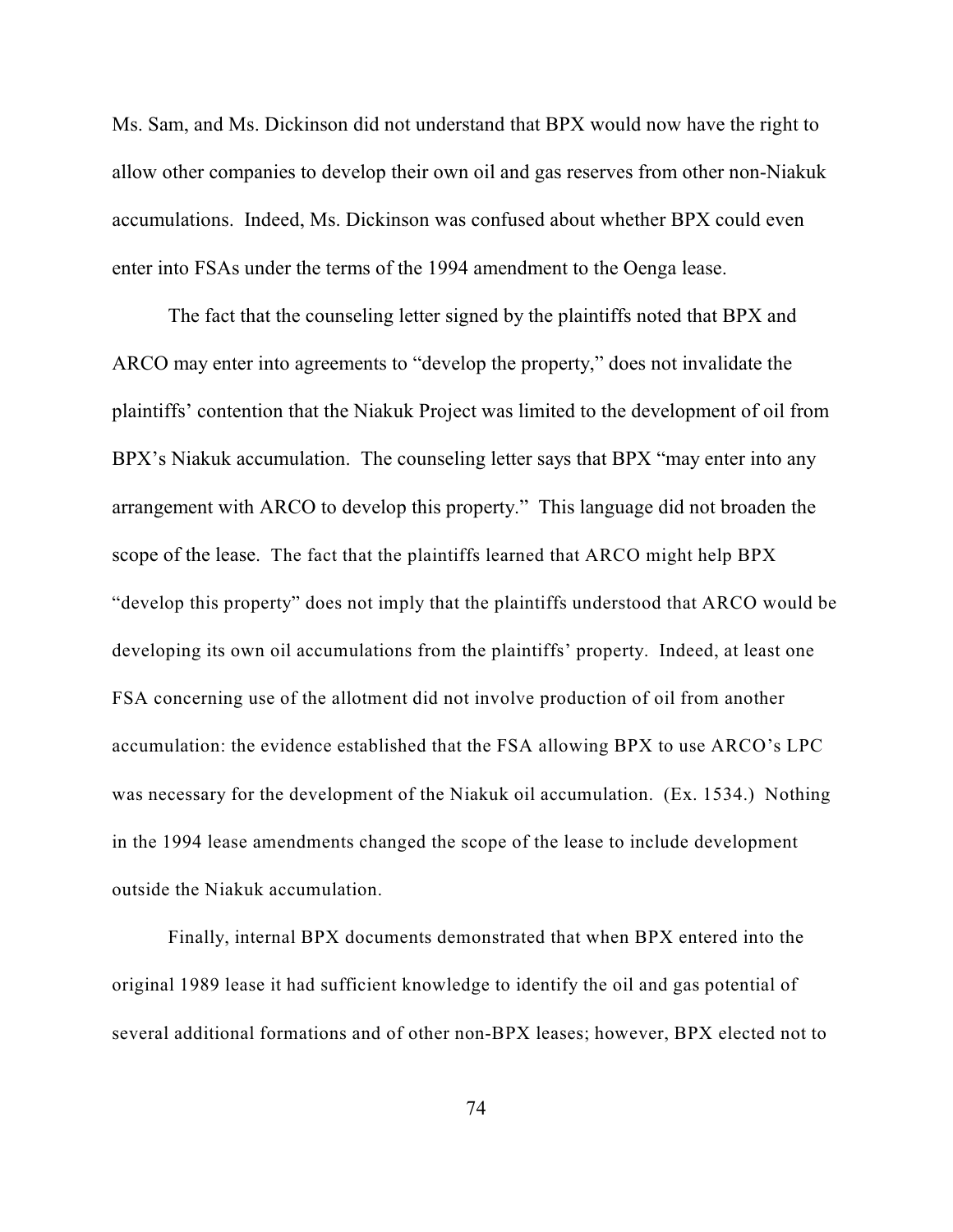Ms. Sam, and Ms. Dickinson did not understand that BPX would now have the right to allow other companies to develop their own oil and gas reserves from other non-Niakuk accumulations. Indeed, Ms. Dickinson was confused about whether BPX could even enter into FSAs under the terms of the 1994 amendment to the Oenga lease.

The fact that the counseling letter signed by the plaintiffs noted that BPX and ARCO may enter into agreements to "develop the property," does not invalidate the plaintiffs' contention that the Niakuk Project was limited to the development of oil from BPX's Niakuk accumulation. The counseling letter says that BPX "may enter into any arrangement with ARCO to develop this property." This language did not broaden the scope of the lease. The fact that the plaintiffs learned that ARCO might help BPX "develop this property" does not imply that the plaintiffs understood that ARCO would be developing its own oil accumulations from the plaintiffs' property. Indeed, at least one FSA concerning use of the allotment did not involve production of oil from another accumulation: the evidence established that the FSA allowing BPX to use ARCO's LPC was necessary for the development of the Niakuk oil accumulation. (Ex. 1534.) Nothing in the 1994 lease amendments changed the scope of the lease to include development outside the Niakuk accumulation.

Finally, internal BPX documents demonstrated that when BPX entered into the original 1989 lease it had sufficient knowledge to identify the oil and gas potential of several additional formations and of other non-BPX leases; however, BPX elected not to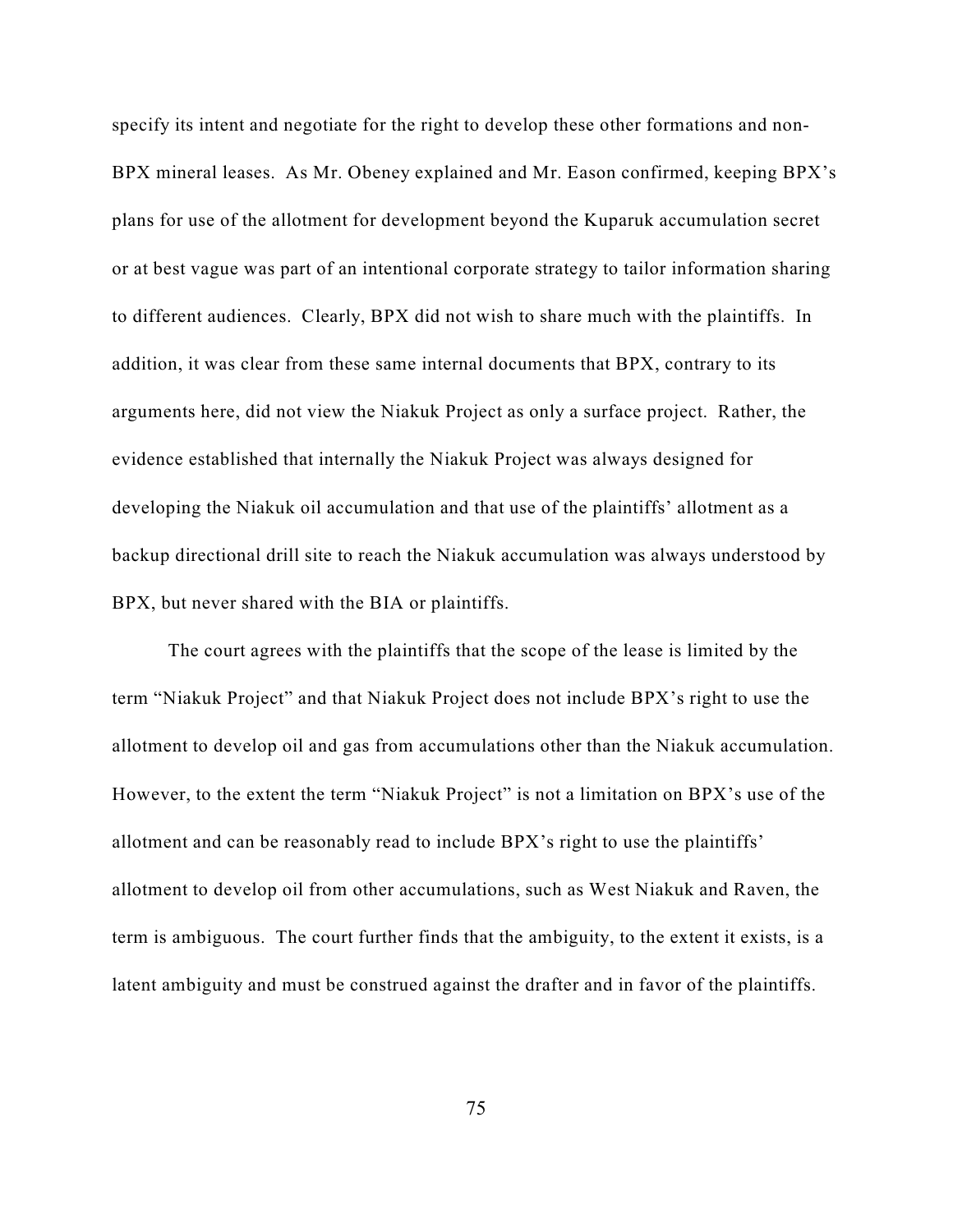specify its intent and negotiate for the right to develop these other formations and non-BPX mineral leases. As Mr. Obeney explained and Mr. Eason confirmed, keeping BPX's plans for use of the allotment for development beyond the Kuparuk accumulation secret or at best vague was part of an intentional corporate strategy to tailor information sharing to different audiences. Clearly, BPX did not wish to share much with the plaintiffs. In addition, it was clear from these same internal documents that BPX, contrary to its arguments here, did not view the Niakuk Project as only a surface project. Rather, the evidence established that internally the Niakuk Project was always designed for developing the Niakuk oil accumulation and that use of the plaintiffs' allotment as a backup directional drill site to reach the Niakuk accumulation was always understood by BPX, but never shared with the BIA or plaintiffs.

The court agrees with the plaintiffs that the scope of the lease is limited by the term "Niakuk Project" and that Niakuk Project does not include BPX's right to use the allotment to develop oil and gas from accumulations other than the Niakuk accumulation. However, to the extent the term "Niakuk Project" is not a limitation on BPX's use of the allotment and can be reasonably read to include BPX's right to use the plaintiffs' allotment to develop oil from other accumulations, such as West Niakuk and Raven, the term is ambiguous. The court further finds that the ambiguity, to the extent it exists, is a latent ambiguity and must be construed against the drafter and in favor of the plaintiffs.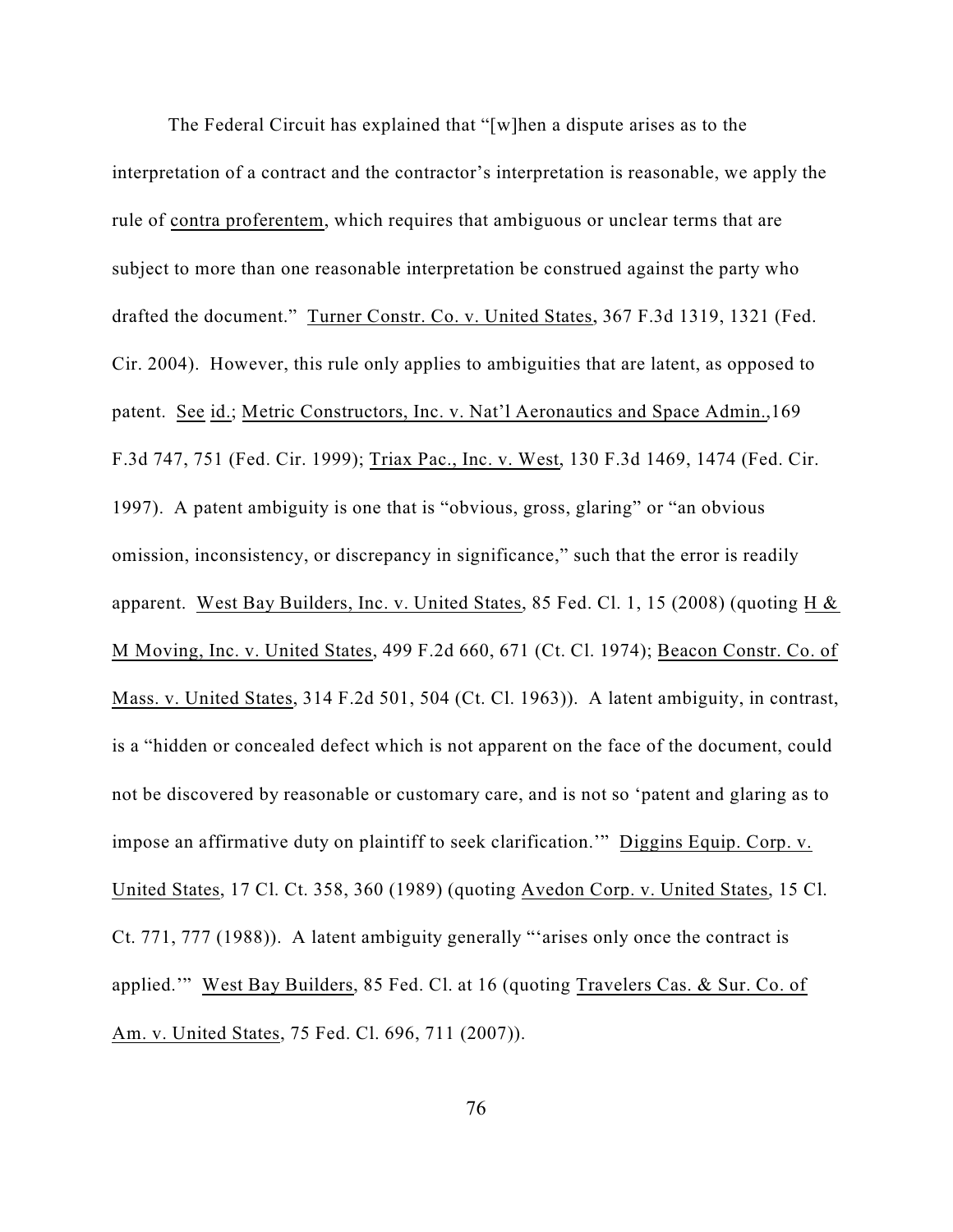The Federal Circuit has explained that "[w]hen a dispute arises as to the interpretation of a contract and the contractor's interpretation is reasonable, we apply the rule of contra proferentem, which requires that ambiguous or unclear terms that are subject to more than one reasonable interpretation be construed against the party who drafted the document." Turner Constr. Co. v. United States, 367 F.3d 1319, 1321 (Fed. Cir. 2004). However, this rule only applies to ambiguities that are latent, as opposed to patent. See id.; Metric Constructors, Inc. v. Nat'l Aeronautics and Space Admin.,169 F.3d 747, 751 (Fed. Cir. 1999); Triax Pac., Inc. v. West, 130 F.3d 1469, 1474 (Fed. Cir. 1997). A patent ambiguity is one that is "obvious, gross, glaring" or "an obvious omission, inconsistency, or discrepancy in significance," such that the error is readily apparent. West Bay Builders, Inc. v. United States, 85 Fed. Cl. 1, 15 (2008) (quoting H & M Moving, Inc. v. United States, 499 F.2d 660, 671 (Ct. Cl. 1974); Beacon Constr. Co. of Mass. v. United States, 314 F.2d 501, 504 (Ct. Cl. 1963)). A latent ambiguity, in contrast, is a "hidden or concealed defect which is not apparent on the face of the document, could not be discovered by reasonable or customary care, and is not so 'patent and glaring as to impose an affirmative duty on plaintiff to seek clarification.'" Diggins Equip. Corp. v. United States, 17 Cl. Ct. 358, 360 (1989) (quoting Avedon Corp. v. United States, 15 Cl. Ct. 771, 777 (1988)). A latent ambiguity generally "'arises only once the contract is applied.'" West Bay Builders, 85 Fed. Cl. at 16 (quoting Travelers Cas. & Sur. Co. of Am. v. United States, 75 Fed. Cl. 696, 711 (2007)).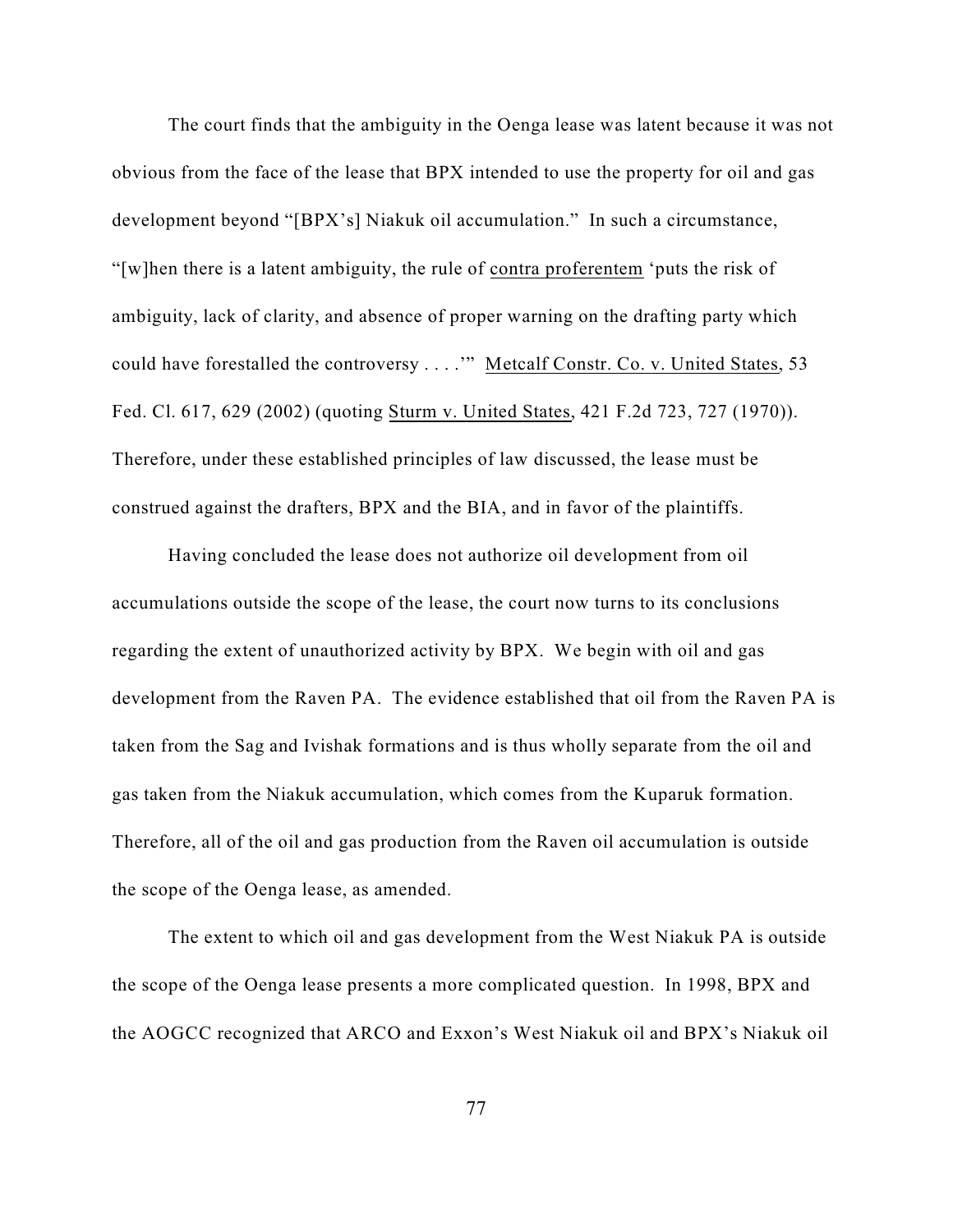The court finds that the ambiguity in the Oenga lease was latent because it was not obvious from the face of the lease that BPX intended to use the property for oil and gas development beyond "[BPX's] Niakuk oil accumulation." In such a circumstance, "[w]hen there is a latent ambiguity, the rule of contra proferentem 'puts the risk of ambiguity, lack of clarity, and absence of proper warning on the drafting party which could have forestalled the controversy . . . .'" Metcalf Constr. Co. v. United States, 53 Fed. Cl. 617, 629 (2002) (quoting Sturm v. United States, 421 F.2d 723, 727 (1970)). Therefore, under these established principles of law discussed, the lease must be construed against the drafters, BPX and the BIA, and in favor of the plaintiffs.

Having concluded the lease does not authorize oil development from oil accumulations outside the scope of the lease, the court now turns to its conclusions regarding the extent of unauthorized activity by BPX. We begin with oil and gas development from the Raven PA. The evidence established that oil from the Raven PA is taken from the Sag and Ivishak formations and is thus wholly separate from the oil and gas taken from the Niakuk accumulation, which comes from the Kuparuk formation. Therefore, all of the oil and gas production from the Raven oil accumulation is outside the scope of the Oenga lease, as amended.

The extent to which oil and gas development from the West Niakuk PA is outside the scope of the Oenga lease presents a more complicated question. In 1998, BPX and the AOGCC recognized that ARCO and Exxon's West Niakuk oil and BPX's Niakuk oil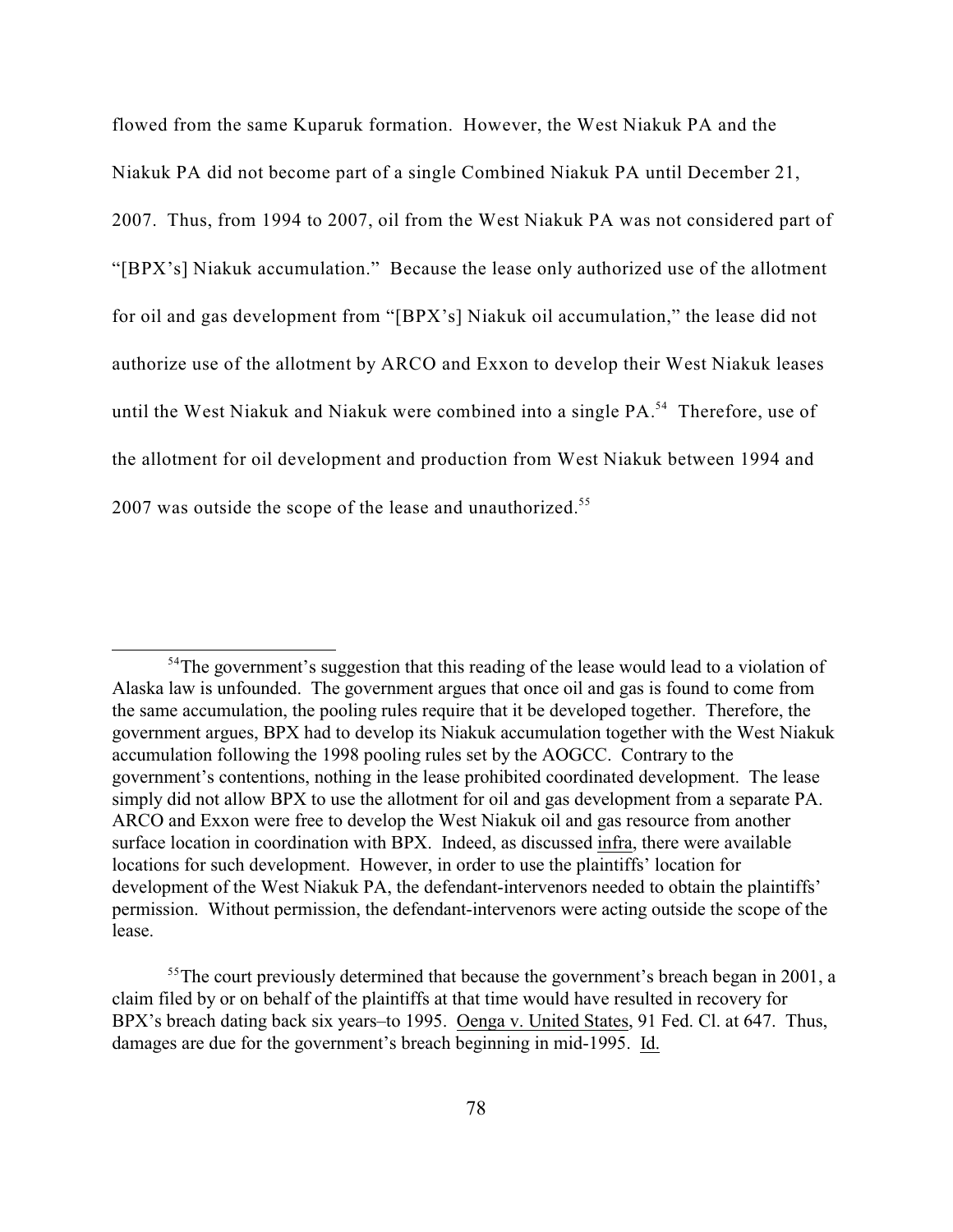flowed from the same Kuparuk formation. However, the West Niakuk PA and the Niakuk PA did not become part of a single Combined Niakuk PA until December 21, 2007. Thus, from 1994 to 2007, oil from the West Niakuk PA was not considered part of "[BPX's] Niakuk accumulation." Because the lease only authorized use of the allotment for oil and gas development from "[BPX's] Niakuk oil accumulation," the lease did not authorize use of the allotment by ARCO and Exxon to develop their West Niakuk leases until the West Niakuk and Niakuk were combined into a single PA.<sup>54</sup> Therefore, use of the allotment for oil development and production from West Niakuk between 1994 and 2007 was outside the scope of the lease and unauthorized.<sup>55</sup>

 $54$ The government's suggestion that this reading of the lease would lead to a violation of Alaska law is unfounded. The government argues that once oil and gas is found to come from the same accumulation, the pooling rules require that it be developed together. Therefore, the government argues, BPX had to develop its Niakuk accumulation together with the West Niakuk accumulation following the 1998 pooling rules set by the AOGCC. Contrary to the government's contentions, nothing in the lease prohibited coordinated development. The lease simply did not allow BPX to use the allotment for oil and gas development from a separate PA. ARCO and Exxon were free to develop the West Niakuk oil and gas resource from another surface location in coordination with BPX. Indeed, as discussed infra, there were available locations for such development. However, in order to use the plaintiffs' location for development of the West Niakuk PA, the defendant-intervenors needed to obtain the plaintiffs' permission. Without permission, the defendant-intervenors were acting outside the scope of the lease.

 $55$ The court previously determined that because the government's breach began in 2001, a claim filed by or on behalf of the plaintiffs at that time would have resulted in recovery for BPX's breach dating back six years–to 1995. Oenga v. United States, 91 Fed. Cl. at 647. Thus, damages are due for the government's breach beginning in mid-1995. Id.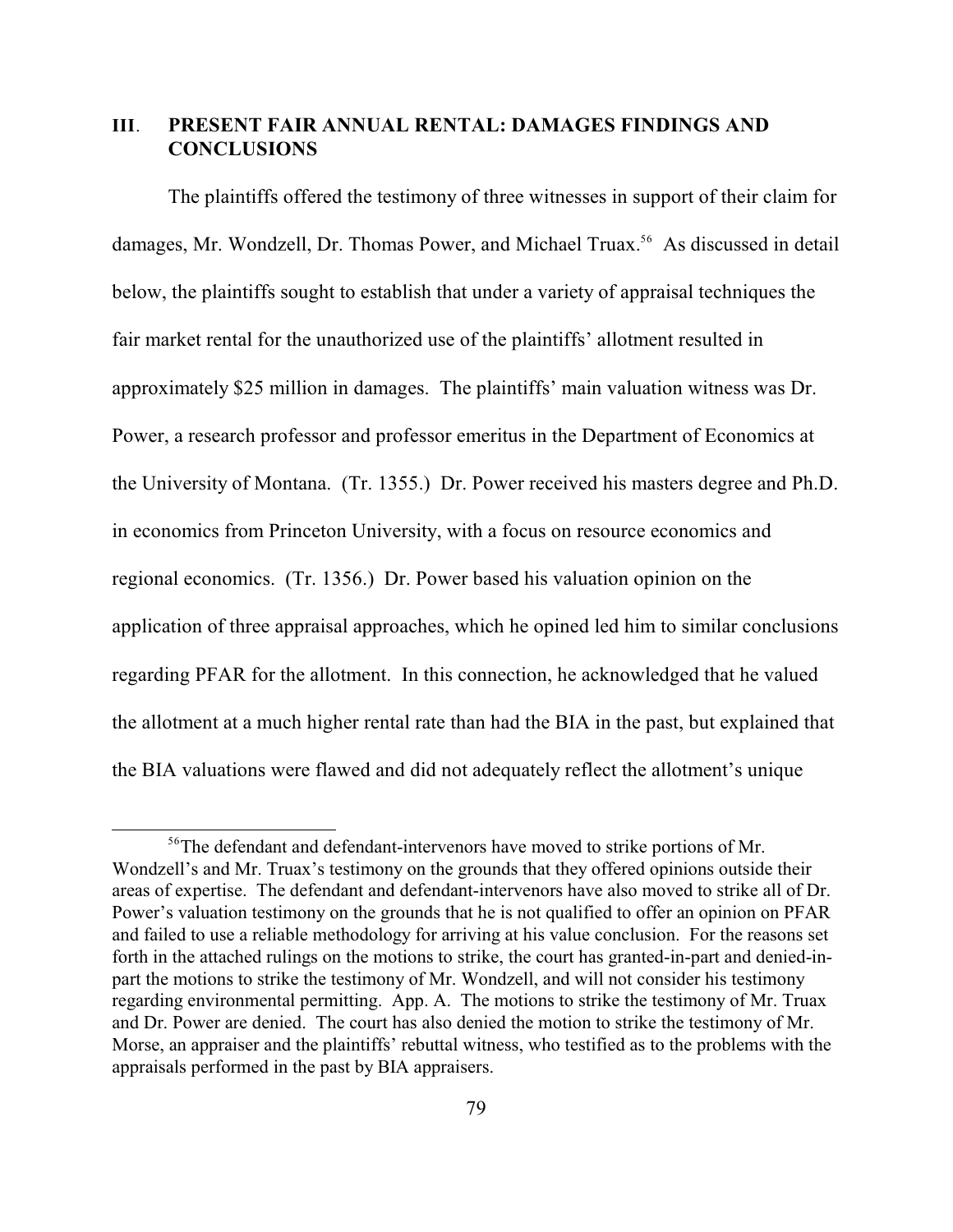## **III**. **PRESENT FAIR ANNUAL RENTAL: DAMAGES FINDINGS AND CONCLUSIONS**

The plaintiffs offered the testimony of three witnesses in support of their claim for damages, Mr. Wondzell, Dr. Thomas Power, and Michael Truax.<sup>56</sup> As discussed in detail below, the plaintiffs sought to establish that under a variety of appraisal techniques the fair market rental for the unauthorized use of the plaintiffs' allotment resulted in approximately \$25 million in damages. The plaintiffs' main valuation witness was Dr. Power, a research professor and professor emeritus in the Department of Economics at the University of Montana. (Tr. 1355.) Dr. Power received his masters degree and Ph.D. in economics from Princeton University, with a focus on resource economics and regional economics. (Tr. 1356.) Dr. Power based his valuation opinion on the application of three appraisal approaches, which he opined led him to similar conclusions regarding PFAR for the allotment. In this connection, he acknowledged that he valued the allotment at a much higher rental rate than had the BIA in the past, but explained that the BIA valuations were flawed and did not adequately reflect the allotment's unique

<sup>&</sup>lt;sup>56</sup>The defendant and defendant-intervenors have moved to strike portions of Mr. Wondzell's and Mr. Truax's testimony on the grounds that they offered opinions outside their areas of expertise. The defendant and defendant-intervenors have also moved to strike all of Dr. Power's valuation testimony on the grounds that he is not qualified to offer an opinion on PFAR and failed to use a reliable methodology for arriving at his value conclusion. For the reasons set forth in the attached rulings on the motions to strike, the court has granted-in-part and denied-inpart the motions to strike the testimony of Mr. Wondzell, and will not consider his testimony regarding environmental permitting. App. A. The motions to strike the testimony of Mr. Truax and Dr. Power are denied. The court has also denied the motion to strike the testimony of Mr. Morse, an appraiser and the plaintiffs' rebuttal witness, who testified as to the problems with the appraisals performed in the past by BIA appraisers.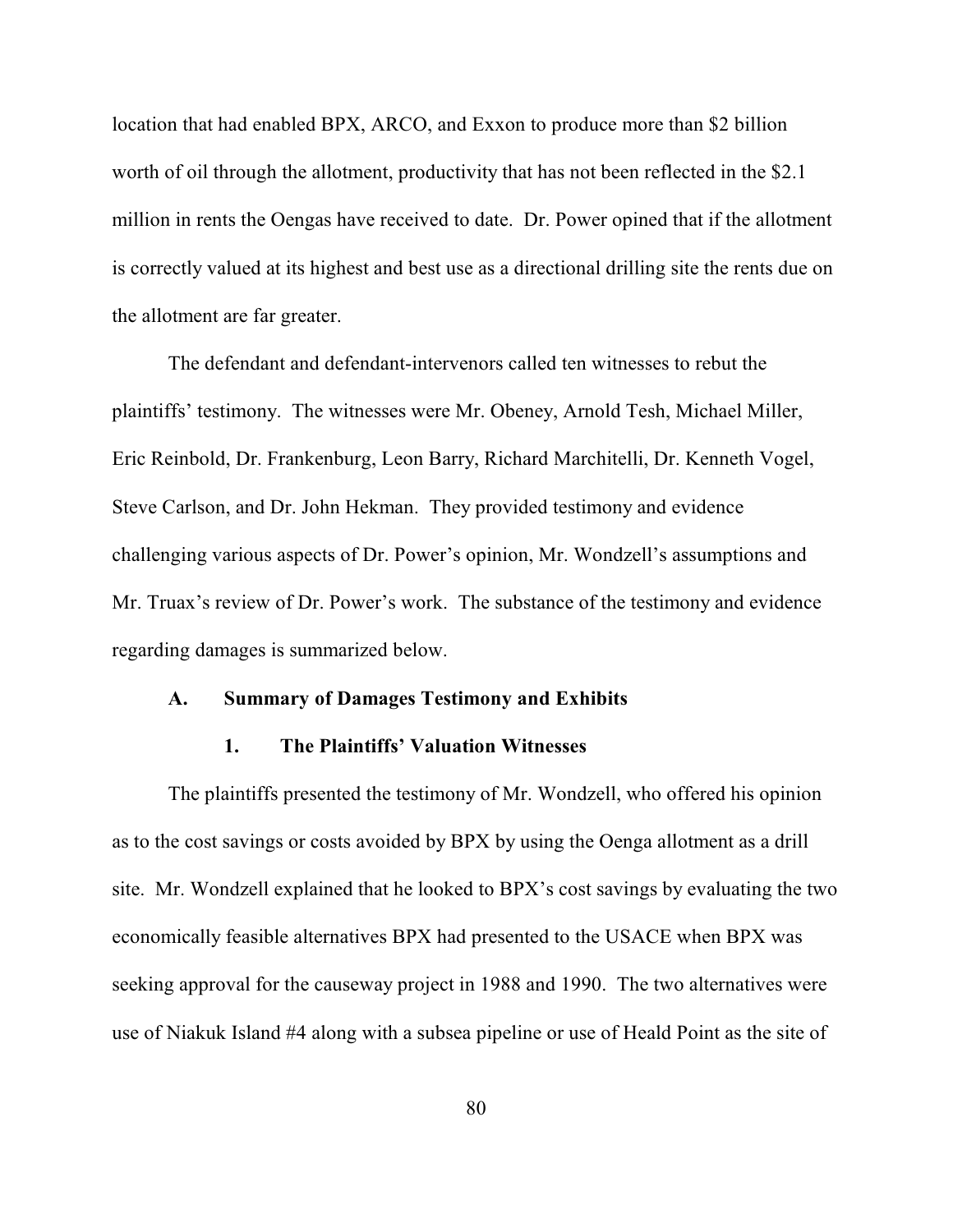location that had enabled BPX, ARCO, and Exxon to produce more than \$2 billion worth of oil through the allotment, productivity that has not been reflected in the \$2.1 million in rents the Oengas have received to date. Dr. Power opined that if the allotment is correctly valued at its highest and best use as a directional drilling site the rents due on the allotment are far greater.

The defendant and defendant-intervenors called ten witnesses to rebut the plaintiffs' testimony. The witnesses were Mr. Obeney, Arnold Tesh, Michael Miller, Eric Reinbold, Dr. Frankenburg, Leon Barry, Richard Marchitelli, Dr. Kenneth Vogel, Steve Carlson, and Dr. John Hekman. They provided testimony and evidence challenging various aspects of Dr. Power's opinion, Mr. Wondzell's assumptions and Mr. Truax's review of Dr. Power's work. The substance of the testimony and evidence regarding damages is summarized below.

## **A. Summary of Damages Testimony and Exhibits**

## **1. The Plaintiffs' Valuation Witnesses**

The plaintiffs presented the testimony of Mr. Wondzell, who offered his opinion as to the cost savings or costs avoided by BPX by using the Oenga allotment as a drill site. Mr. Wondzell explained that he looked to BPX's cost savings by evaluating the two economically feasible alternatives BPX had presented to the USACE when BPX was seeking approval for the causeway project in 1988 and 1990. The two alternatives were use of Niakuk Island #4 along with a subsea pipeline or use of Heald Point as the site of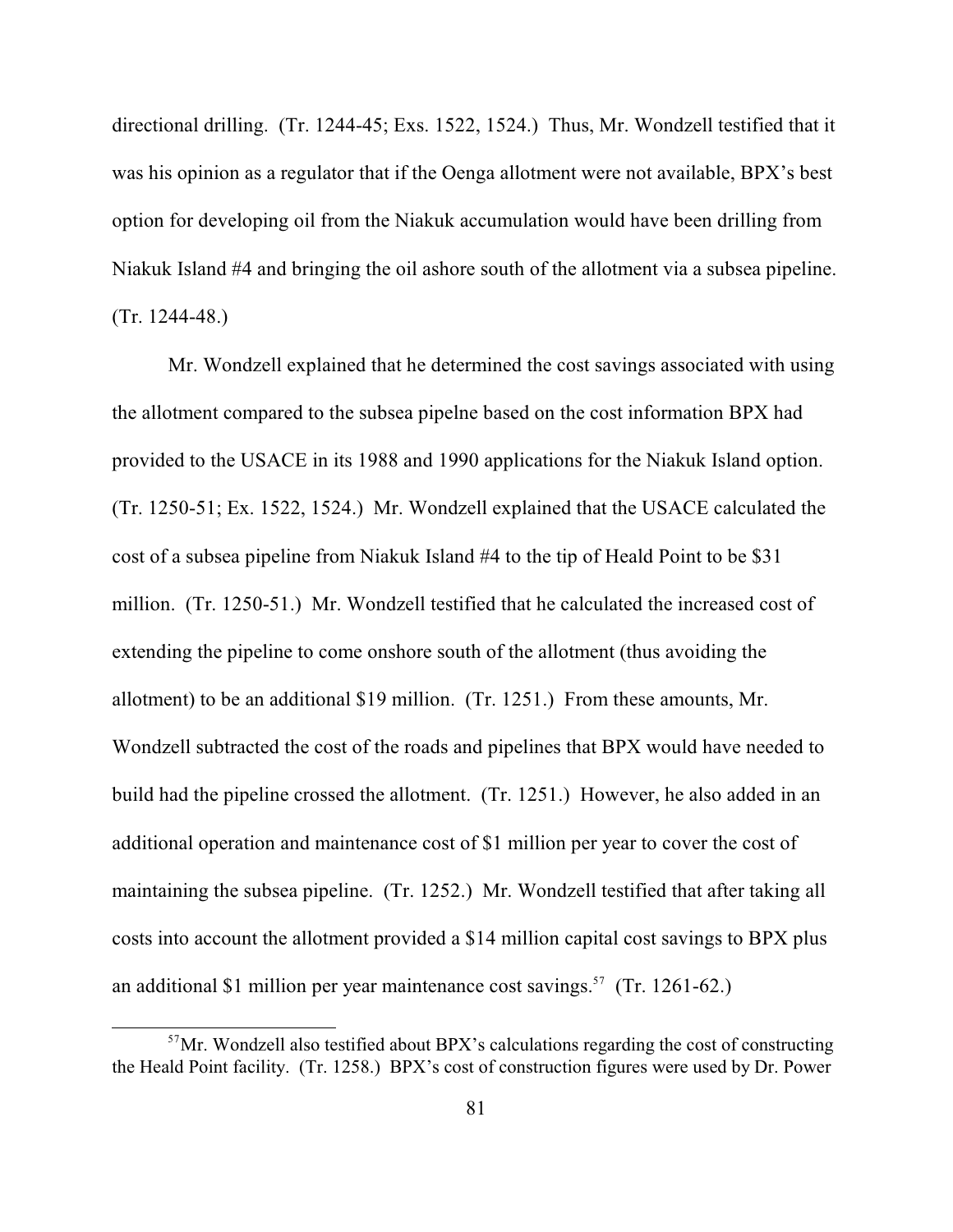directional drilling. (Tr. 1244-45; Exs. 1522, 1524.) Thus, Mr. Wondzell testified that it was his opinion as a regulator that if the Oenga allotment were not available, BPX's best option for developing oil from the Niakuk accumulation would have been drilling from Niakuk Island #4 and bringing the oil ashore south of the allotment via a subsea pipeline. (Tr. 1244-48.)

Mr. Wondzell explained that he determined the cost savings associated with using the allotment compared to the subsea pipelne based on the cost information BPX had provided to the USACE in its 1988 and 1990 applications for the Niakuk Island option. (Tr. 1250-51; Ex. 1522, 1524.) Mr. Wondzell explained that the USACE calculated the cost of a subsea pipeline from Niakuk Island #4 to the tip of Heald Point to be \$31 million. (Tr. 1250-51.) Mr. Wondzell testified that he calculated the increased cost of extending the pipeline to come onshore south of the allotment (thus avoiding the allotment) to be an additional \$19 million. (Tr. 1251.) From these amounts, Mr. Wondzell subtracted the cost of the roads and pipelines that BPX would have needed to build had the pipeline crossed the allotment. (Tr. 1251.) However, he also added in an additional operation and maintenance cost of \$1 million per year to cover the cost of maintaining the subsea pipeline. (Tr. 1252.) Mr. Wondzell testified that after taking all costs into account the allotment provided a \$14 million capital cost savings to BPX plus an additional \$1 million per year maintenance cost savings.<sup>57</sup> (Tr. 1261-62.)

 $57$ Mr. Wondzell also testified about BPX's calculations regarding the cost of constructing the Heald Point facility. (Tr. 1258.) BPX's cost of construction figures were used by Dr. Power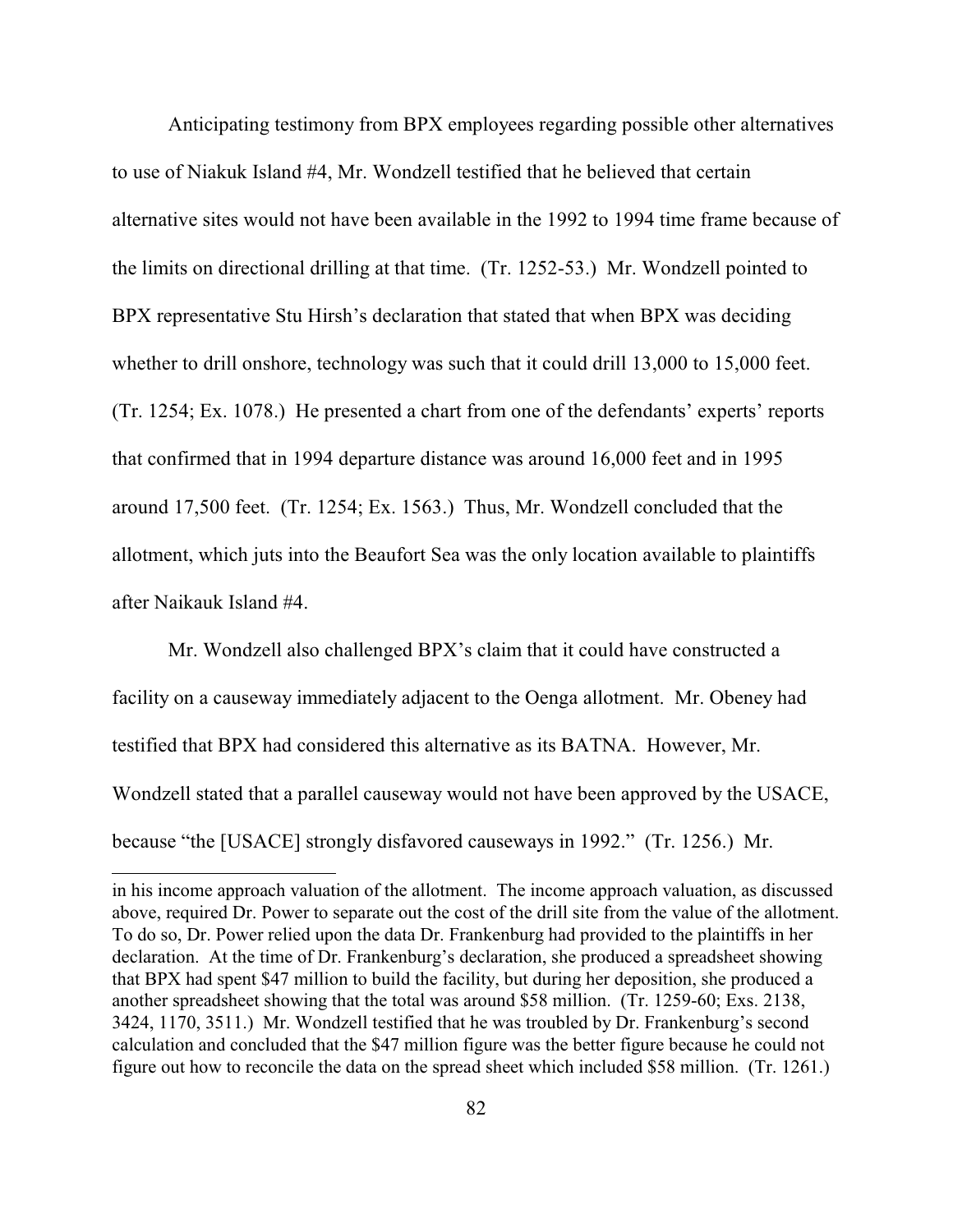Anticipating testimony from BPX employees regarding possible other alternatives to use of Niakuk Island #4, Mr. Wondzell testified that he believed that certain alternative sites would not have been available in the 1992 to 1994 time frame because of the limits on directional drilling at that time. (Tr. 1252-53.) Mr. Wondzell pointed to BPX representative Stu Hirsh's declaration that stated that when BPX was deciding whether to drill onshore, technology was such that it could drill 13,000 to 15,000 feet. (Tr. 1254; Ex. 1078.) He presented a chart from one of the defendants' experts' reports that confirmed that in 1994 departure distance was around 16,000 feet and in 1995 around 17,500 feet. (Tr. 1254; Ex. 1563.) Thus, Mr. Wondzell concluded that the allotment, which juts into the Beaufort Sea was the only location available to plaintiffs after Naikauk Island #4.

Mr. Wondzell also challenged BPX's claim that it could have constructed a facility on a causeway immediately adjacent to the Oenga allotment. Mr. Obeney had testified that BPX had considered this alternative as its BATNA. However, Mr. Wondzell stated that a parallel causeway would not have been approved by the USACE, because "the [USACE] strongly disfavored causeways in 1992." (Tr. 1256.) Mr.

in his income approach valuation of the allotment. The income approach valuation, as discussed above, required Dr. Power to separate out the cost of the drill site from the value of the allotment. To do so, Dr. Power relied upon the data Dr. Frankenburg had provided to the plaintiffs in her declaration. At the time of Dr. Frankenburg's declaration, she produced a spreadsheet showing that BPX had spent \$47 million to build the facility, but during her deposition, she produced a another spreadsheet showing that the total was around \$58 million. (Tr. 1259-60; Exs. 2138, 3424, 1170, 3511.) Mr. Wondzell testified that he was troubled by Dr. Frankenburg's second calculation and concluded that the \$47 million figure was the better figure because he could not figure out how to reconcile the data on the spread sheet which included \$58 million. (Tr. 1261.)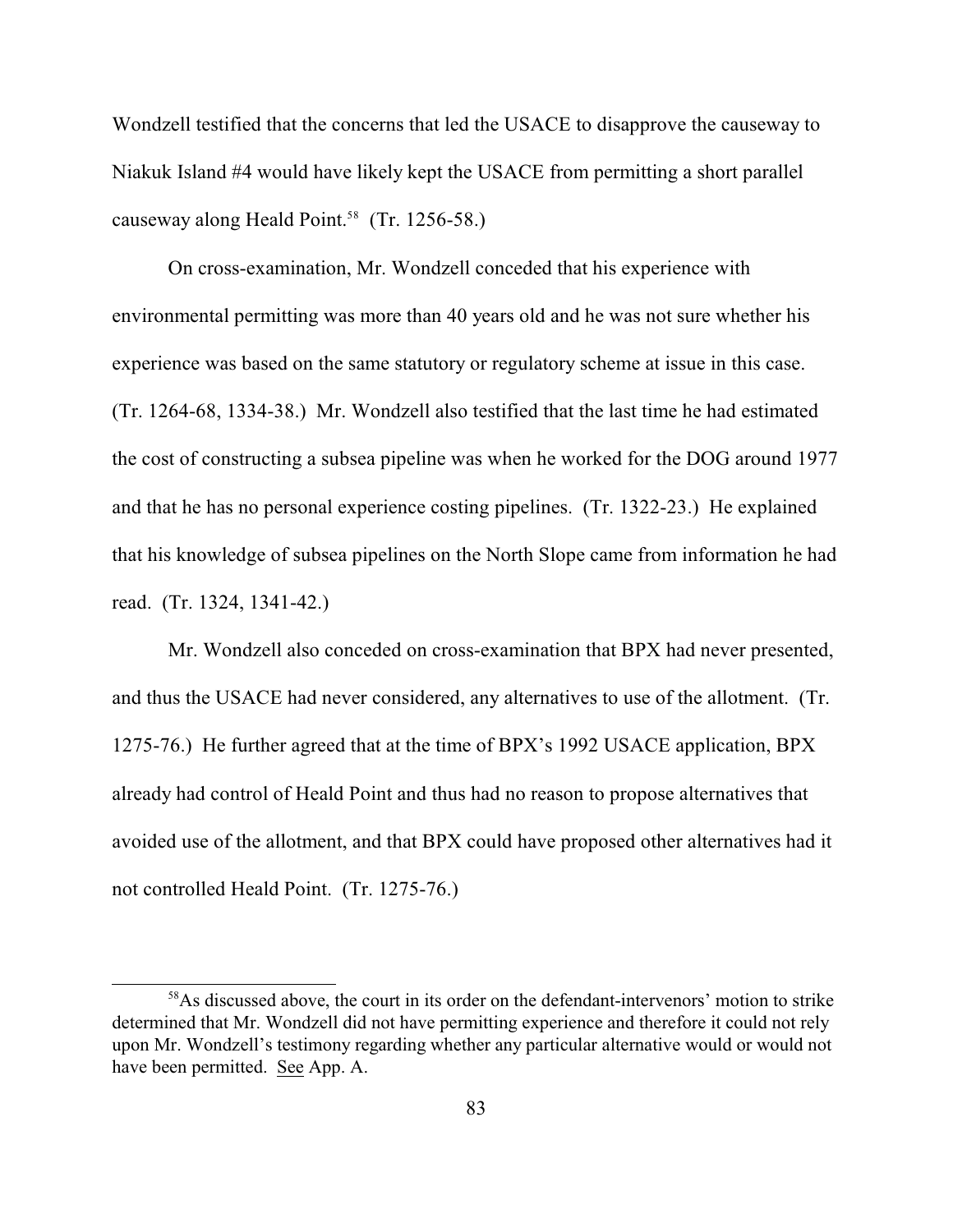Wondzell testified that the concerns that led the USACE to disapprove the causeway to Niakuk Island #4 would have likely kept the USACE from permitting a short parallel causeway along Heald Point.<sup>58</sup> (Tr. 1256-58.)

On cross-examination, Mr. Wondzell conceded that his experience with environmental permitting was more than 40 years old and he was not sure whether his experience was based on the same statutory or regulatory scheme at issue in this case. (Tr. 1264-68, 1334-38.) Mr. Wondzell also testified that the last time he had estimated the cost of constructing a subsea pipeline was when he worked for the DOG around 1977 and that he has no personal experience costing pipelines. (Tr. 1322-23.) He explained that his knowledge of subsea pipelines on the North Slope came from information he had read. (Tr. 1324, 1341-42.)

Mr. Wondzell also conceded on cross-examination that BPX had never presented, and thus the USACE had never considered, any alternatives to use of the allotment. (Tr. 1275-76.) He further agreed that at the time of BPX's 1992 USACE application, BPX already had control of Heald Point and thus had no reason to propose alternatives that avoided use of the allotment, and that BPX could have proposed other alternatives had it not controlled Heald Point. (Tr. 1275-76.)

 $58\text{As}$  discussed above, the court in its order on the defendant-intervenors' motion to strike determined that Mr. Wondzell did not have permitting experience and therefore it could not rely upon Mr. Wondzell's testimony regarding whether any particular alternative would or would not have been permitted. See App. A.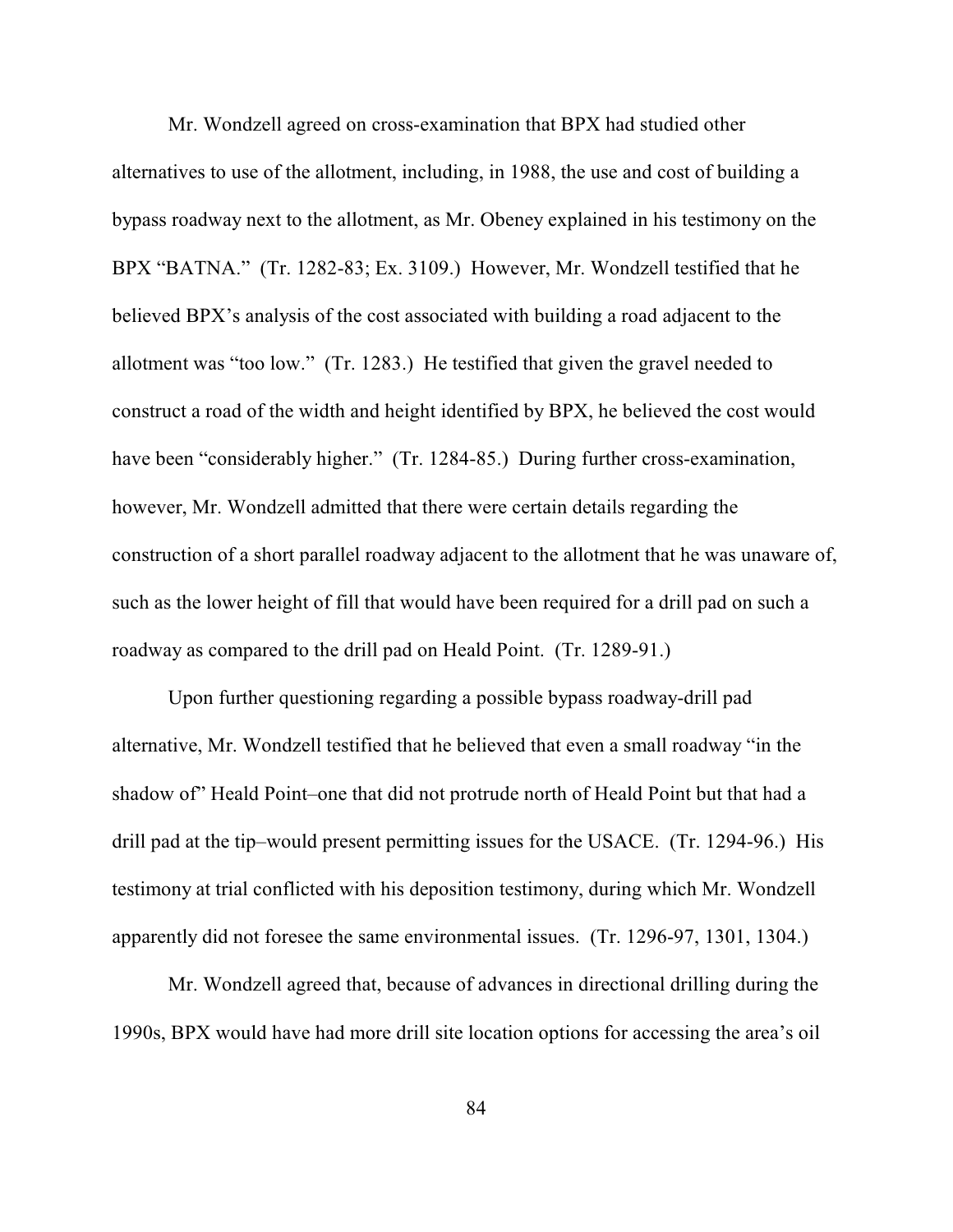Mr. Wondzell agreed on cross-examination that BPX had studied other alternatives to use of the allotment, including, in 1988, the use and cost of building a bypass roadway next to the allotment, as Mr. Obeney explained in his testimony on the BPX "BATNA." (Tr. 1282-83; Ex. 3109.) However, Mr. Wondzell testified that he believed BPX's analysis of the cost associated with building a road adjacent to the allotment was "too low." (Tr. 1283.) He testified that given the gravel needed to construct a road of the width and height identified by BPX, he believed the cost would have been "considerably higher." (Tr. 1284-85.) During further cross-examination, however, Mr. Wondzell admitted that there were certain details regarding the construction of a short parallel roadway adjacent to the allotment that he was unaware of, such as the lower height of fill that would have been required for a drill pad on such a roadway as compared to the drill pad on Heald Point. (Tr. 1289-91.)

Upon further questioning regarding a possible bypass roadway-drill pad alternative, Mr. Wondzell testified that he believed that even a small roadway "in the shadow of" Heald Point–one that did not protrude north of Heald Point but that had a drill pad at the tip–would present permitting issues for the USACE. (Tr. 1294-96.) His testimony at trial conflicted with his deposition testimony, during which Mr. Wondzell apparently did not foresee the same environmental issues. (Tr. 1296-97, 1301, 1304.)

Mr. Wondzell agreed that, because of advances in directional drilling during the 1990s, BPX would have had more drill site location options for accessing the area's oil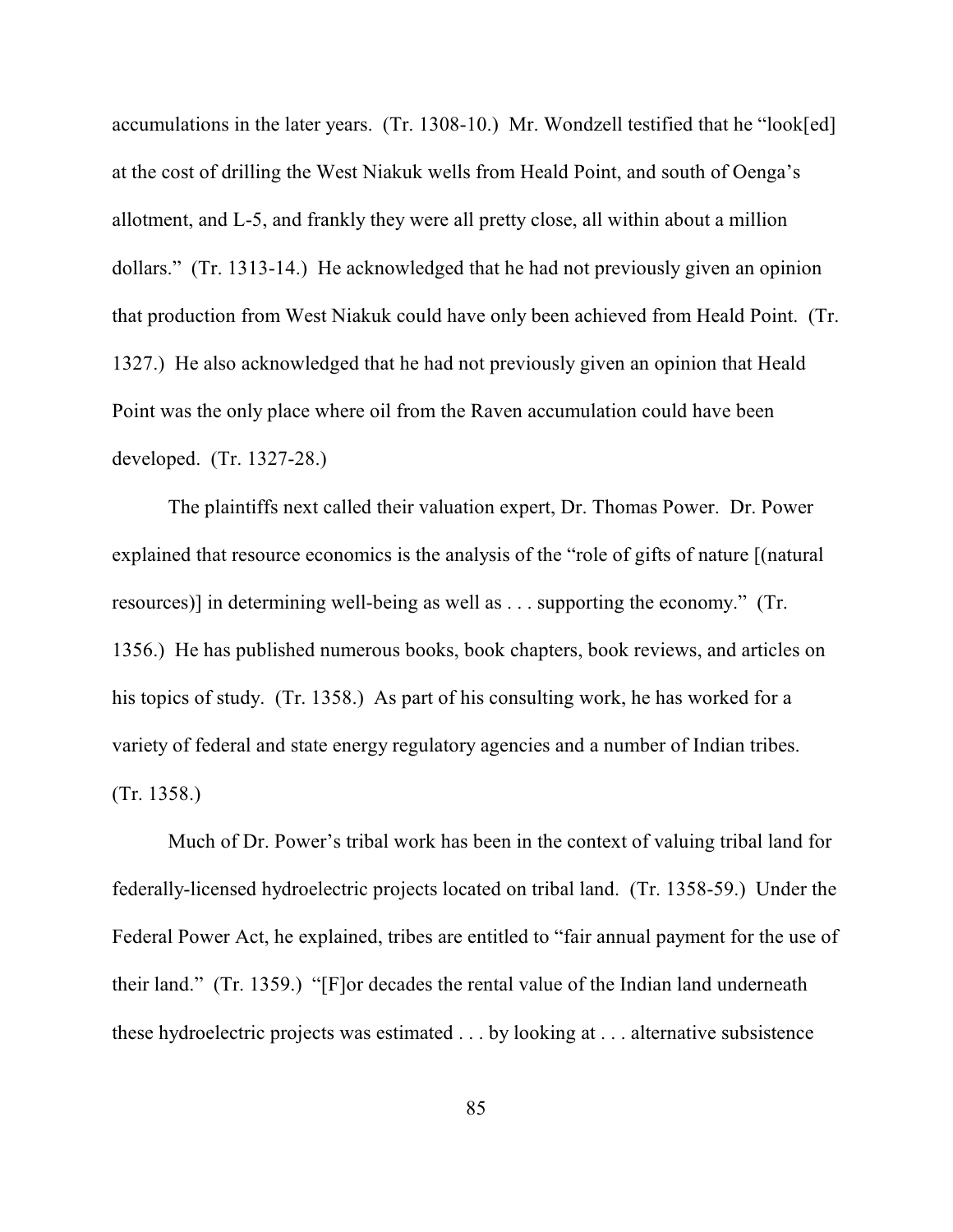accumulations in the later years. (Tr. 1308-10.) Mr. Wondzell testified that he "look[ed] at the cost of drilling the West Niakuk wells from Heald Point, and south of Oenga's allotment, and L-5, and frankly they were all pretty close, all within about a million dollars." (Tr. 1313-14.) He acknowledged that he had not previously given an opinion that production from West Niakuk could have only been achieved from Heald Point. (Tr. 1327.) He also acknowledged that he had not previously given an opinion that Heald Point was the only place where oil from the Raven accumulation could have been developed. (Tr. 1327-28.)

The plaintiffs next called their valuation expert, Dr. Thomas Power. Dr. Power explained that resource economics is the analysis of the "role of gifts of nature [(natural resources)] in determining well-being as well as . . . supporting the economy." (Tr. 1356.) He has published numerous books, book chapters, book reviews, and articles on his topics of study. (Tr. 1358.) As part of his consulting work, he has worked for a variety of federal and state energy regulatory agencies and a number of Indian tribes. (Tr. 1358.)

Much of Dr. Power's tribal work has been in the context of valuing tribal land for federally-licensed hydroelectric projects located on tribal land. (Tr. 1358-59.) Under the Federal Power Act, he explained, tribes are entitled to "fair annual payment for the use of their land." (Tr. 1359.) "[F]or decades the rental value of the Indian land underneath these hydroelectric projects was estimated . . . by looking at . . . alternative subsistence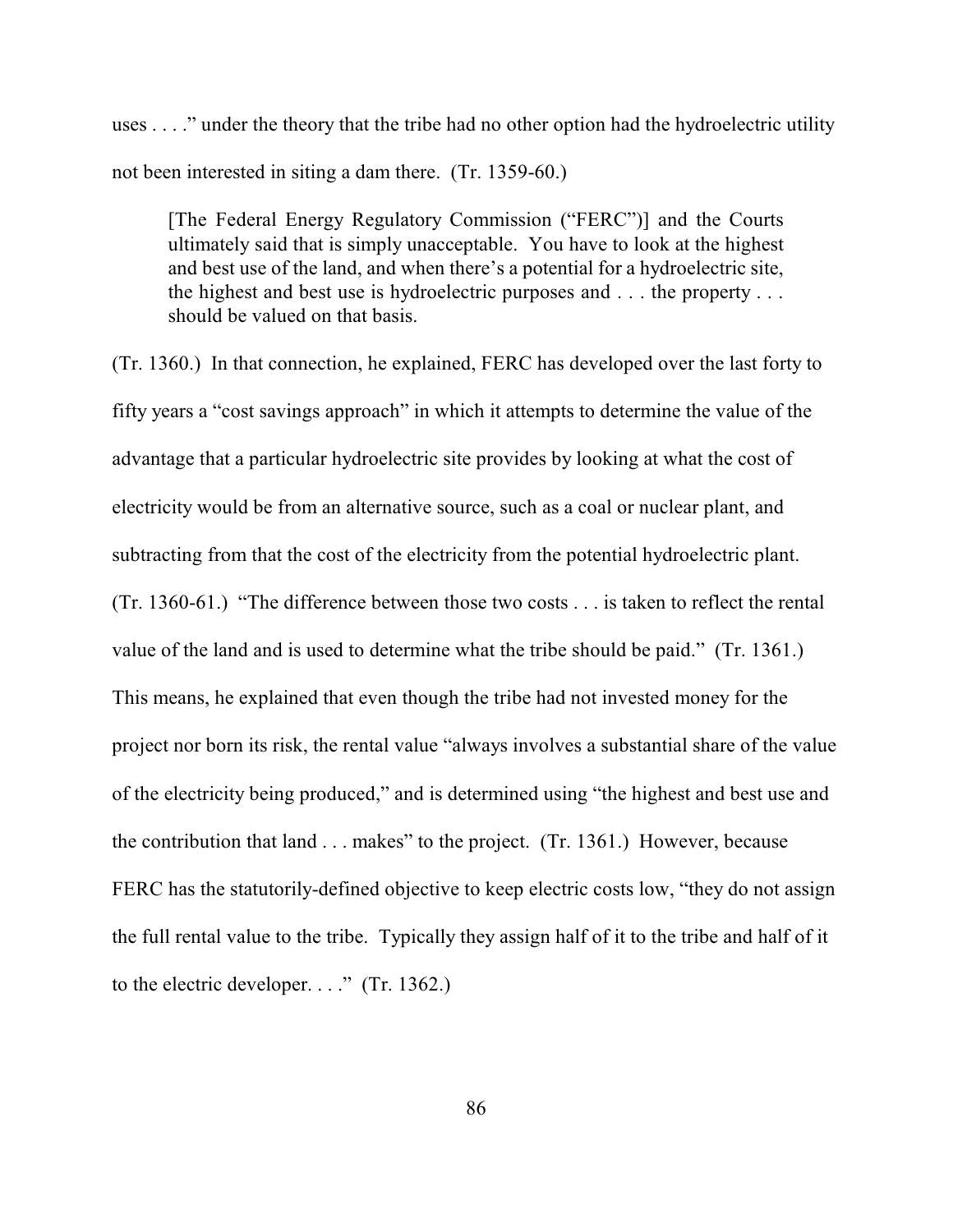uses . . . ." under the theory that the tribe had no other option had the hydroelectric utility not been interested in siting a dam there. (Tr. 1359-60.)

[The Federal Energy Regulatory Commission ("FERC")] and the Courts ultimately said that is simply unacceptable. You have to look at the highest and best use of the land, and when there's a potential for a hydroelectric site, the highest and best use is hydroelectric purposes and . . . the property . . . should be valued on that basis.

(Tr. 1360.) In that connection, he explained, FERC has developed over the last forty to fifty years a "cost savings approach" in which it attempts to determine the value of the advantage that a particular hydroelectric site provides by looking at what the cost of electricity would be from an alternative source, such as a coal or nuclear plant, and subtracting from that the cost of the electricity from the potential hydroelectric plant. (Tr. 1360-61.) "The difference between those two costs . . . is taken to reflect the rental value of the land and is used to determine what the tribe should be paid." (Tr. 1361.) This means, he explained that even though the tribe had not invested money for the project nor born its risk, the rental value "always involves a substantial share of the value of the electricity being produced," and is determined using "the highest and best use and the contribution that land . . . makes" to the project. (Tr. 1361.) However, because FERC has the statutorily-defined objective to keep electric costs low, "they do not assign the full rental value to the tribe. Typically they assign half of it to the tribe and half of it to the electric developer. . . ." (Tr. 1362.)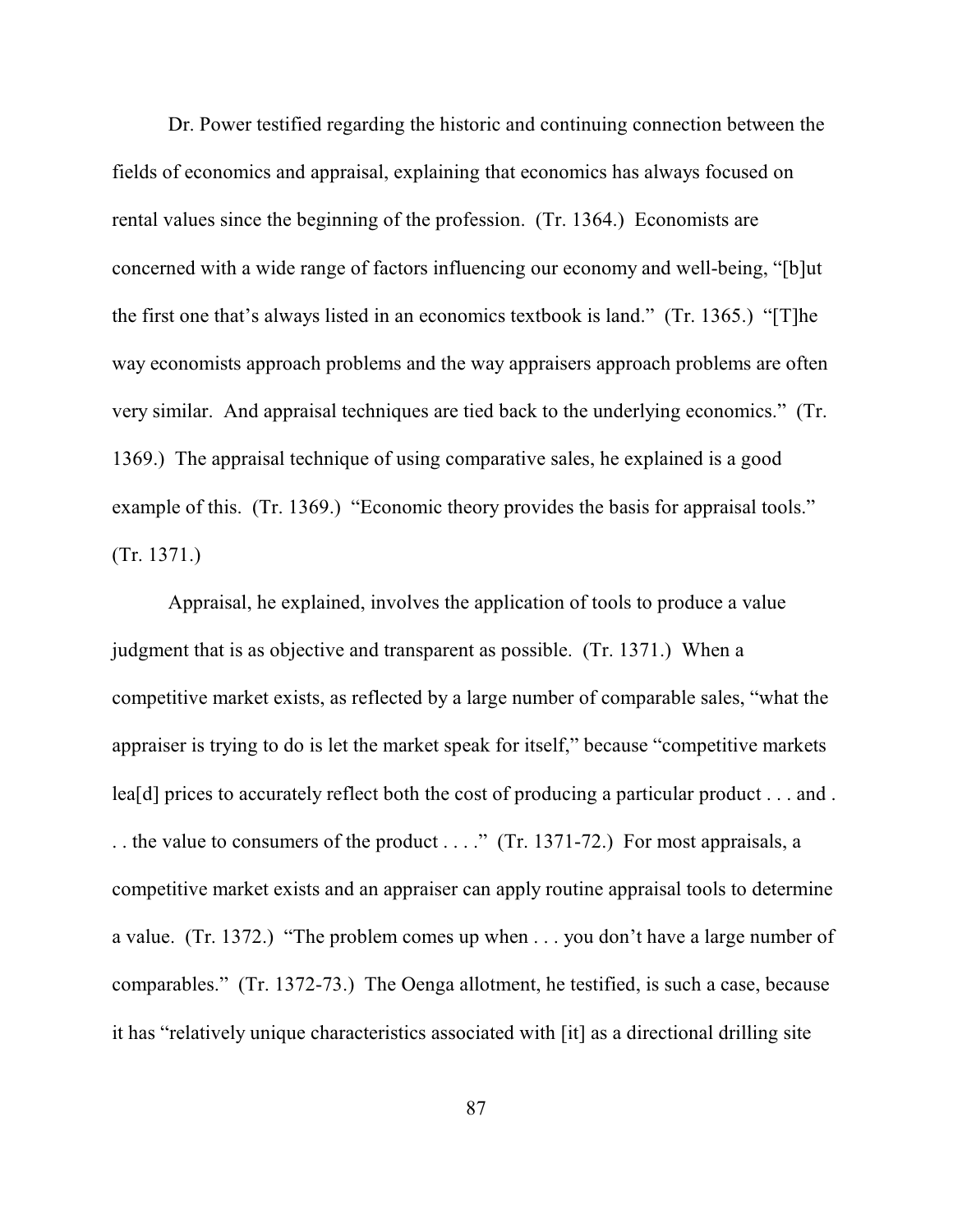Dr. Power testified regarding the historic and continuing connection between the fields of economics and appraisal, explaining that economics has always focused on rental values since the beginning of the profession. (Tr. 1364.) Economists are concerned with a wide range of factors influencing our economy and well-being, "[b]ut the first one that's always listed in an economics textbook is land." (Tr. 1365.) "[T]he way economists approach problems and the way appraisers approach problems are often very similar. And appraisal techniques are tied back to the underlying economics." (Tr. 1369.) The appraisal technique of using comparative sales, he explained is a good example of this. (Tr. 1369.) "Economic theory provides the basis for appraisal tools." (Tr. 1371.)

Appraisal, he explained, involves the application of tools to produce a value judgment that is as objective and transparent as possible. (Tr. 1371.) When a competitive market exists, as reflected by a large number of comparable sales, "what the appraiser is trying to do is let the market speak for itself," because "competitive markets lea[d] prices to accurately reflect both the cost of producing a particular product . . . and . . . the value to consumers of the product . . . ." (Tr. 1371-72.) For most appraisals, a competitive market exists and an appraiser can apply routine appraisal tools to determine a value. (Tr. 1372.) "The problem comes up when . . . you don't have a large number of comparables." (Tr. 1372-73.) The Oenga allotment, he testified, is such a case, because it has "relatively unique characteristics associated with [it] as a directional drilling site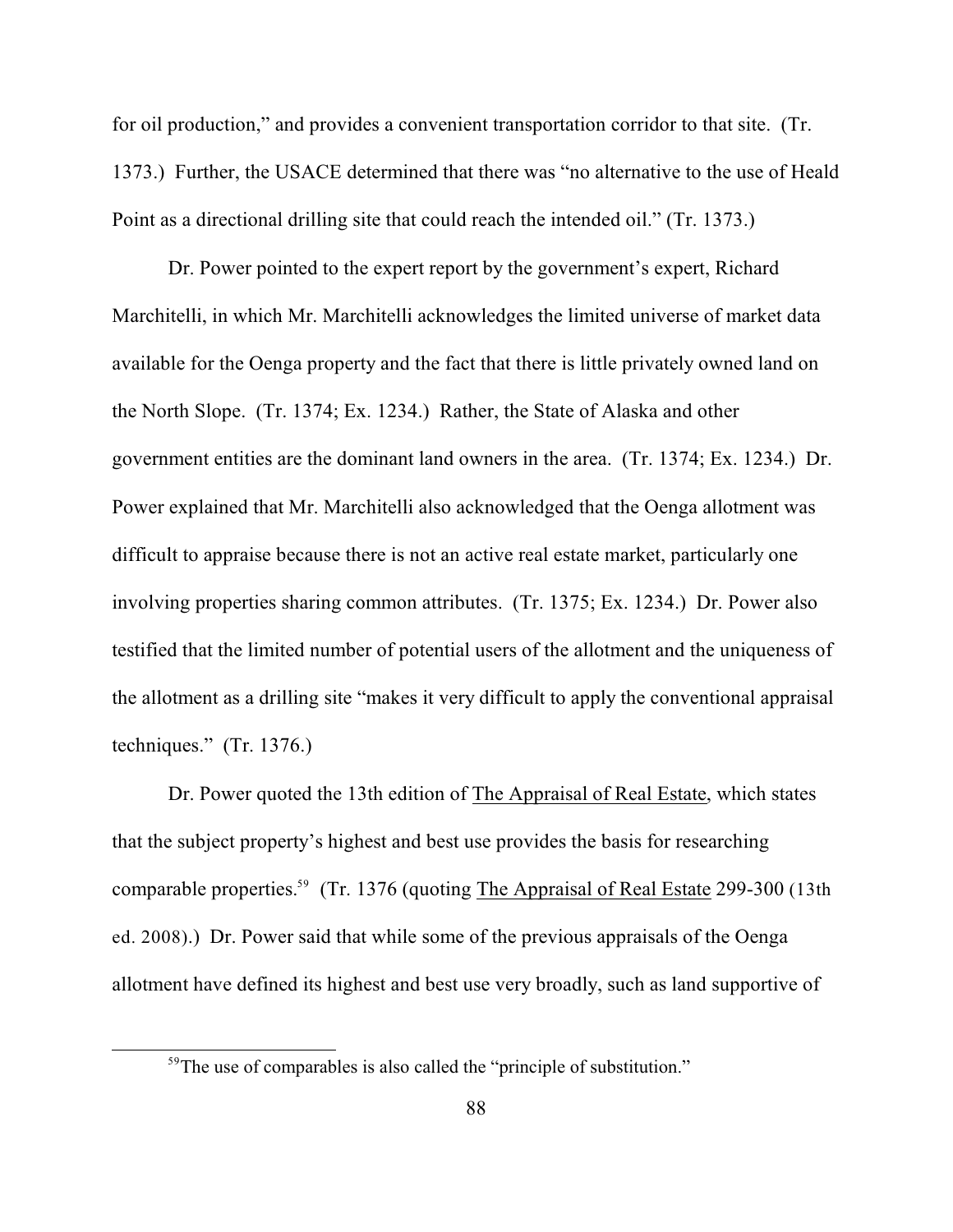for oil production," and provides a convenient transportation corridor to that site. (Tr. 1373.) Further, the USACE determined that there was "no alternative to the use of Heald Point as a directional drilling site that could reach the intended oil." (Tr. 1373.)

Dr. Power pointed to the expert report by the government's expert, Richard Marchitelli, in which Mr. Marchitelli acknowledges the limited universe of market data available for the Oenga property and the fact that there is little privately owned land on the North Slope. (Tr. 1374; Ex. 1234.) Rather, the State of Alaska and other government entities are the dominant land owners in the area. (Tr. 1374; Ex. 1234.) Dr. Power explained that Mr. Marchitelli also acknowledged that the Oenga allotment was difficult to appraise because there is not an active real estate market, particularly one involving properties sharing common attributes. (Tr. 1375; Ex. 1234.) Dr. Power also testified that the limited number of potential users of the allotment and the uniqueness of the allotment as a drilling site "makes it very difficult to apply the conventional appraisal techniques." (Tr. 1376.)

Dr. Power quoted the 13th edition of The Appraisal of Real Estate, which states that the subject property's highest and best use provides the basis for researching comparable properties.<sup>59</sup> (Tr. 1376 (quoting The Appraisal of Real Estate 299-300 (13th ed. 2008).) Dr. Power said that while some of the previous appraisals of the Oenga allotment have defined its highest and best use very broadly, such as land supportive of

 $59$ The use of comparables is also called the "principle of substitution."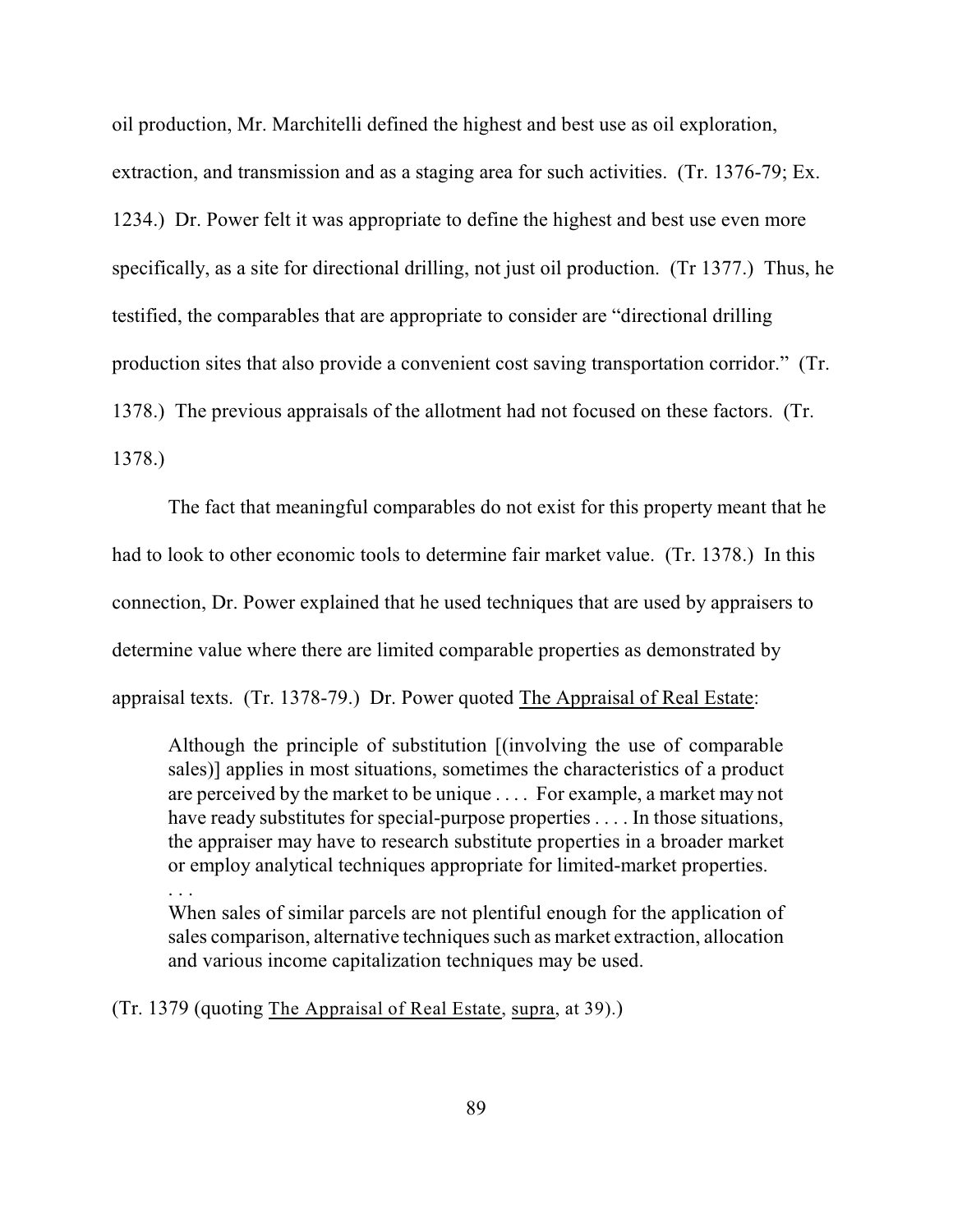oil production, Mr. Marchitelli defined the highest and best use as oil exploration, extraction, and transmission and as a staging area for such activities. (Tr. 1376-79; Ex. 1234.) Dr. Power felt it was appropriate to define the highest and best use even more specifically, as a site for directional drilling, not just oil production. (Tr 1377.) Thus, he testified, the comparables that are appropriate to consider are "directional drilling production sites that also provide a convenient cost saving transportation corridor." (Tr. 1378.) The previous appraisals of the allotment had not focused on these factors. (Tr. 1378.)

The fact that meaningful comparables do not exist for this property meant that he had to look to other economic tools to determine fair market value. (Tr. 1378.) In this connection, Dr. Power explained that he used techniques that are used by appraisers to determine value where there are limited comparable properties as demonstrated by appraisal texts. (Tr. 1378-79.) Dr. Power quoted The Appraisal of Real Estate:

Although the principle of substitution [(involving the use of comparable sales)] applies in most situations, sometimes the characteristics of a product are perceived by the market to be unique . . . . For example, a market may not have ready substitutes for special-purpose properties . . . . In those situations, the appraiser may have to research substitute properties in a broader market or employ analytical techniques appropriate for limited-market properties.

. . .

When sales of similar parcels are not plentiful enough for the application of sales comparison, alternative techniques such as market extraction, allocation and various income capitalization techniques may be used.

(Tr. 1379 (quoting The Appraisal of Real Estate, supra, at 39).)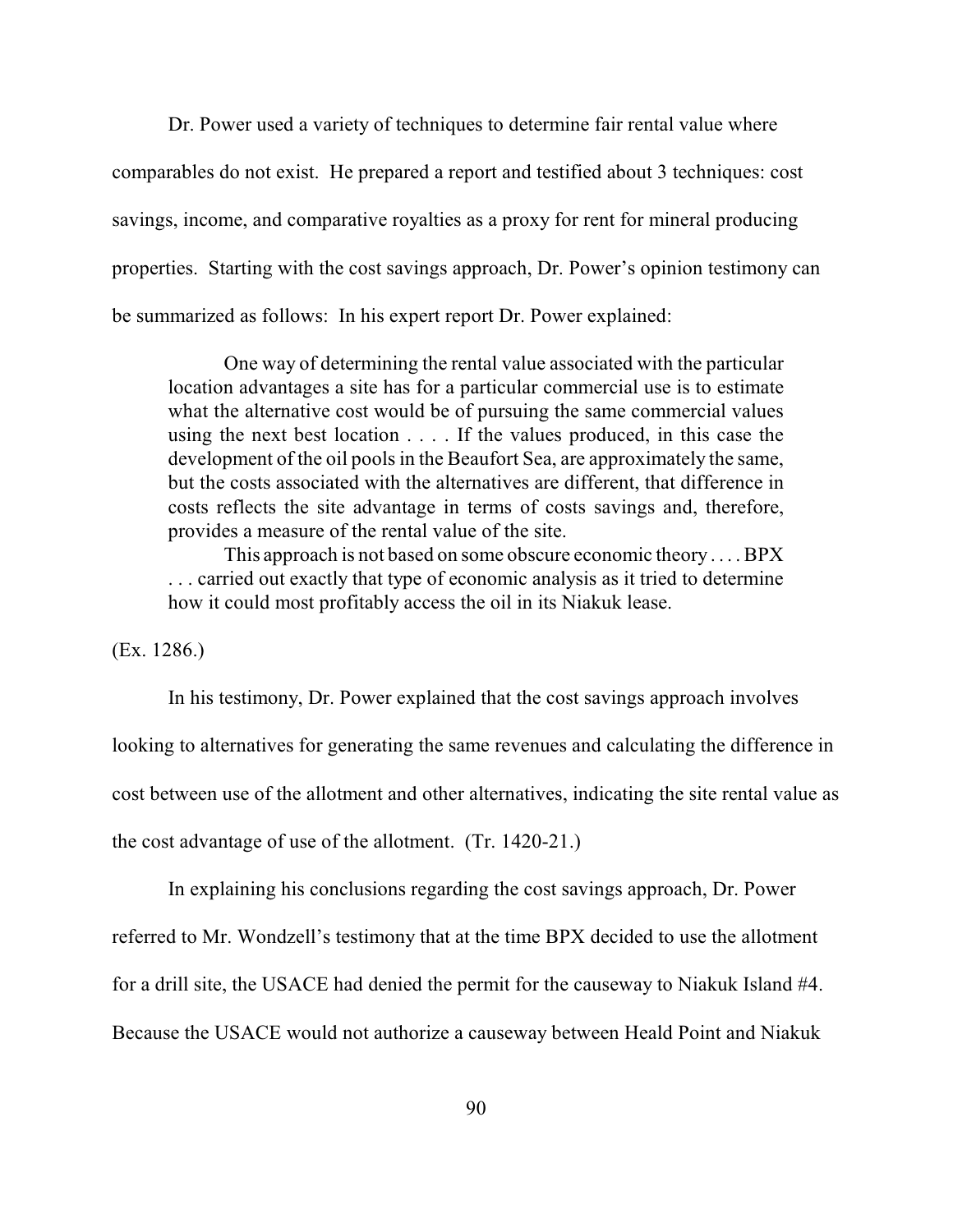Dr. Power used a variety of techniques to determine fair rental value where comparables do not exist. He prepared a report and testified about 3 techniques: cost savings, income, and comparative royalties as a proxy for rent for mineral producing properties. Starting with the cost savings approach, Dr. Power's opinion testimony can be summarized as follows: In his expert report Dr. Power explained:

One way of determining the rental value associated with the particular location advantages a site has for a particular commercial use is to estimate what the alternative cost would be of pursuing the same commercial values using the next best location . . . . If the values produced, in this case the development of the oil pools in the Beaufort Sea, are approximately the same, but the costs associated with the alternatives are different, that difference in costs reflects the site advantage in terms of costs savings and, therefore, provides a measure of the rental value of the site.

This approach is not based on some obscure economic theory . . . . BPX . . . carried out exactly that type of economic analysis as it tried to determine how it could most profitably access the oil in its Niakuk lease.

(Ex. 1286.)

In his testimony, Dr. Power explained that the cost savings approach involves

looking to alternatives for generating the same revenues and calculating the difference in

cost between use of the allotment and other alternatives, indicating the site rental value as

the cost advantage of use of the allotment. (Tr. 1420-21.)

In explaining his conclusions regarding the cost savings approach, Dr. Power

referred to Mr. Wondzell's testimony that at the time BPX decided to use the allotment

for a drill site, the USACE had denied the permit for the causeway to Niakuk Island #4.

Because the USACE would not authorize a causeway between Heald Point and Niakuk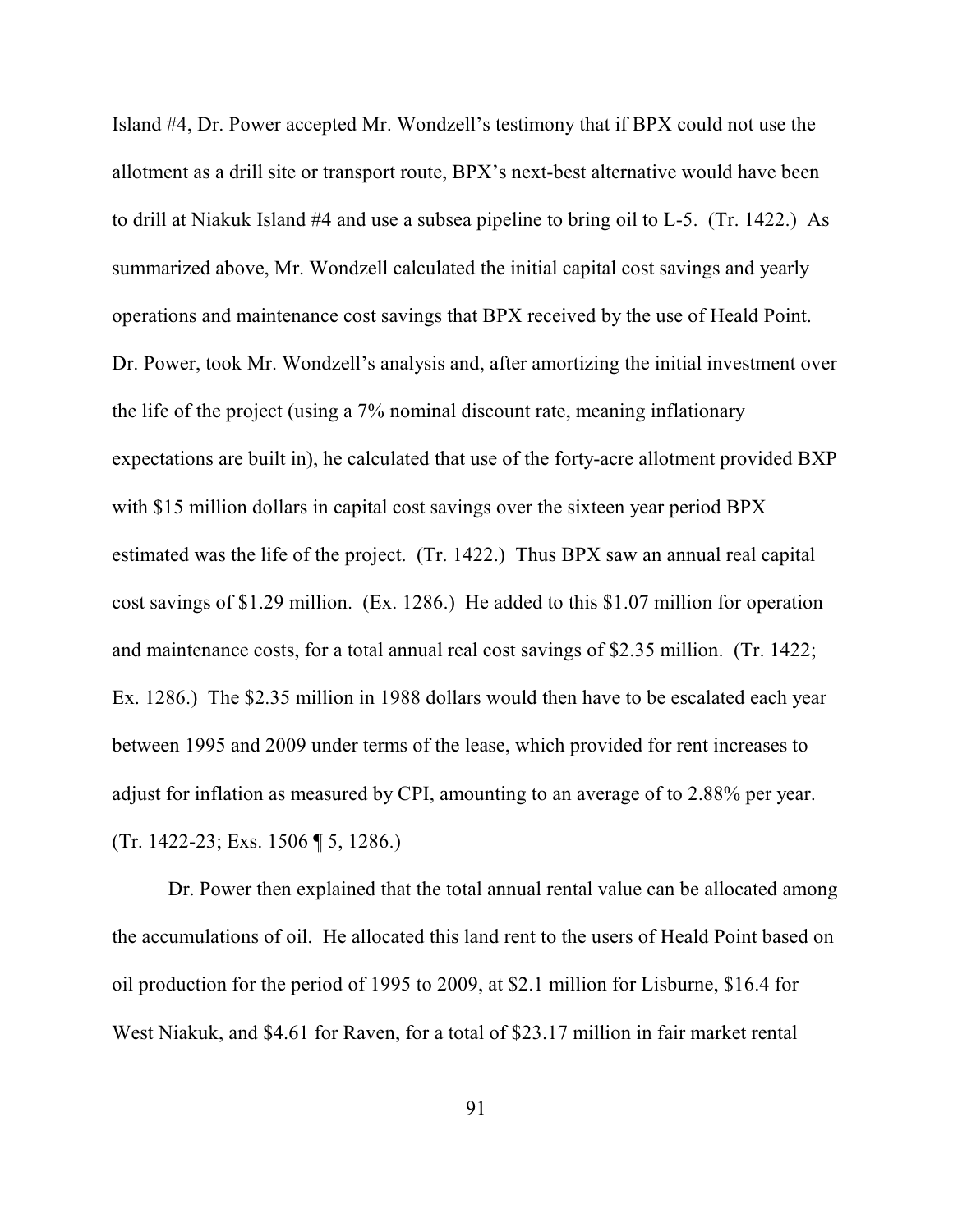Island #4, Dr. Power accepted Mr. Wondzell's testimony that if BPX could not use the allotment as a drill site or transport route, BPX's next-best alternative would have been to drill at Niakuk Island #4 and use a subsea pipeline to bring oil to L-5. (Tr. 1422.) As summarized above, Mr. Wondzell calculated the initial capital cost savings and yearly operations and maintenance cost savings that BPX received by the use of Heald Point. Dr. Power, took Mr. Wondzell's analysis and, after amortizing the initial investment over the life of the project (using a 7% nominal discount rate, meaning inflationary expectations are built in), he calculated that use of the forty-acre allotment provided BXP with \$15 million dollars in capital cost savings over the sixteen year period BPX estimated was the life of the project. (Tr. 1422.) Thus BPX saw an annual real capital cost savings of \$1.29 million. (Ex. 1286.) He added to this \$1.07 million for operation and maintenance costs, for a total annual real cost savings of \$2.35 million. (Tr. 1422; Ex. 1286.) The \$2.35 million in 1988 dollars would then have to be escalated each year between 1995 and 2009 under terms of the lease, which provided for rent increases to adjust for inflation as measured by CPI, amounting to an average of to 2.88% per year. (Tr. 1422-23; Exs. 1506 ¶ 5, 1286.)

Dr. Power then explained that the total annual rental value can be allocated among the accumulations of oil. He allocated this land rent to the users of Heald Point based on oil production for the period of 1995 to 2009, at \$2.1 million for Lisburne, \$16.4 for West Niakuk, and \$4.61 for Raven, for a total of \$23.17 million in fair market rental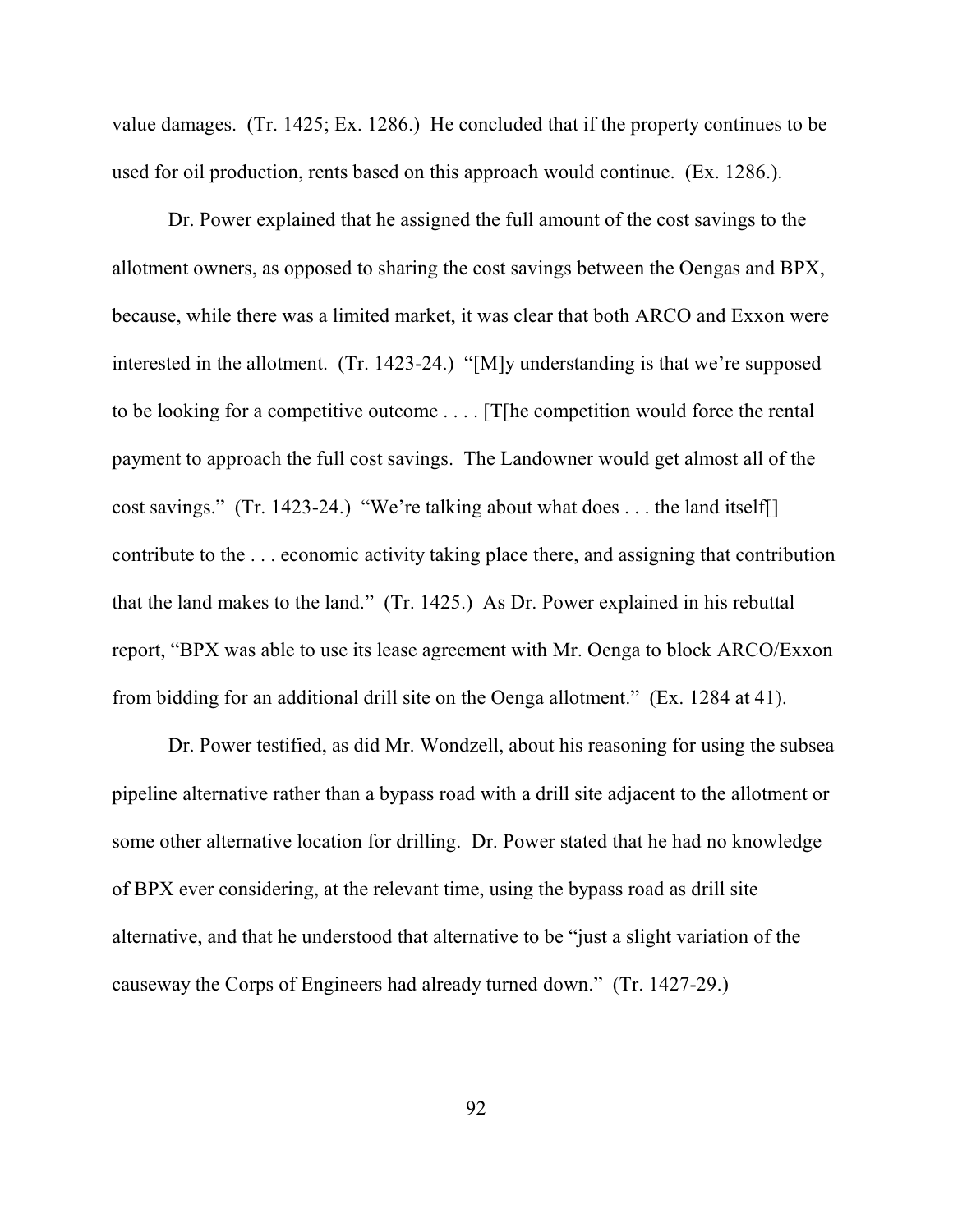value damages. (Tr. 1425; Ex. 1286.) He concluded that if the property continues to be used for oil production, rents based on this approach would continue. (Ex. 1286.).

Dr. Power explained that he assigned the full amount of the cost savings to the allotment owners, as opposed to sharing the cost savings between the Oengas and BPX, because, while there was a limited market, it was clear that both ARCO and Exxon were interested in the allotment. (Tr. 1423-24.) "[M]y understanding is that we're supposed to be looking for a competitive outcome . . . . [T[he competition would force the rental payment to approach the full cost savings. The Landowner would get almost all of the cost savings." (Tr. 1423-24.) "We're talking about what does . . . the land itself[] contribute to the . . . economic activity taking place there, and assigning that contribution that the land makes to the land." (Tr. 1425.) As Dr. Power explained in his rebuttal report, "BPX was able to use its lease agreement with Mr. Oenga to block ARCO/Exxon from bidding for an additional drill site on the Oenga allotment." (Ex. 1284 at 41).

Dr. Power testified, as did Mr. Wondzell, about his reasoning for using the subsea pipeline alternative rather than a bypass road with a drill site adjacent to the allotment or some other alternative location for drilling. Dr. Power stated that he had no knowledge of BPX ever considering, at the relevant time, using the bypass road as drill site alternative, and that he understood that alternative to be "just a slight variation of the causeway the Corps of Engineers had already turned down." (Tr. 1427-29.)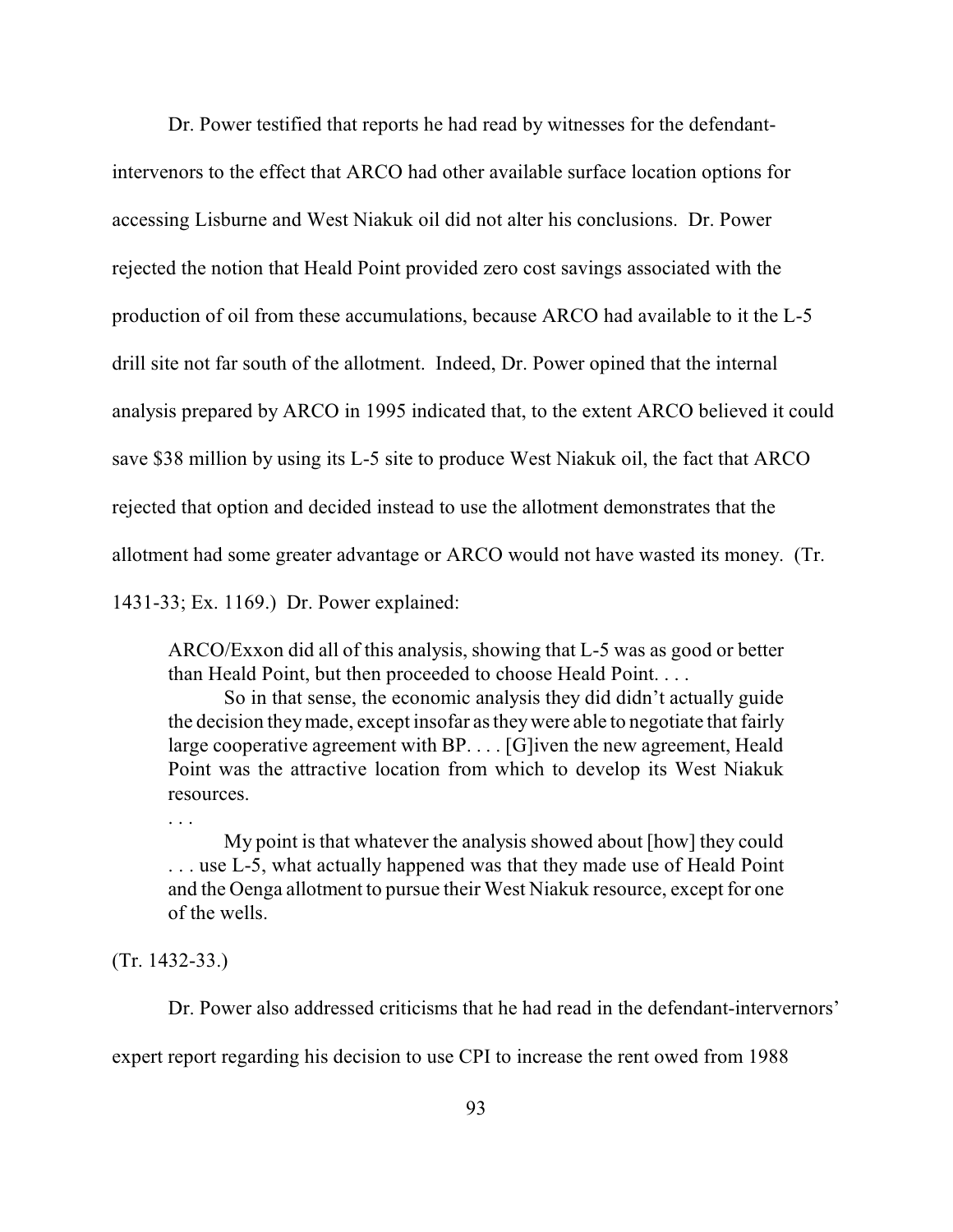Dr. Power testified that reports he had read by witnesses for the defendantintervenors to the effect that ARCO had other available surface location options for accessing Lisburne and West Niakuk oil did not alter his conclusions. Dr. Power rejected the notion that Heald Point provided zero cost savings associated with the production of oil from these accumulations, because ARCO had available to it the L-5 drill site not far south of the allotment. Indeed, Dr. Power opined that the internal analysis prepared by ARCO in 1995 indicated that, to the extent ARCO believed it could save \$38 million by using its L-5 site to produce West Niakuk oil, the fact that ARCO rejected that option and decided instead to use the allotment demonstrates that the allotment had some greater advantage or ARCO would not have wasted its money. (Tr. 1431-33; Ex. 1169.) Dr. Power explained:

ARCO/Exxon did all of this analysis, showing that L-5 was as good or better than Heald Point, but then proceeded to choose Heald Point. . . .

So in that sense, the economic analysis they did didn't actually guide the decision theymade, except insofar as theywere able to negotiate that fairly large cooperative agreement with BP. . . . [G]iven the new agreement, Heald Point was the attractive location from which to develop its West Niakuk resources.

My point is that whatever the analysis showed about [how] they could . . . use L-5, what actually happened was that they made use of Heald Point and the Oenga allotment to pursue their West Niakuk resource, except for one of the wells.

(Tr. 1432-33.)

. . .

Dr. Power also addressed criticisms that he had read in the defendant-intervernors'

expert report regarding his decision to use CPI to increase the rent owed from 1988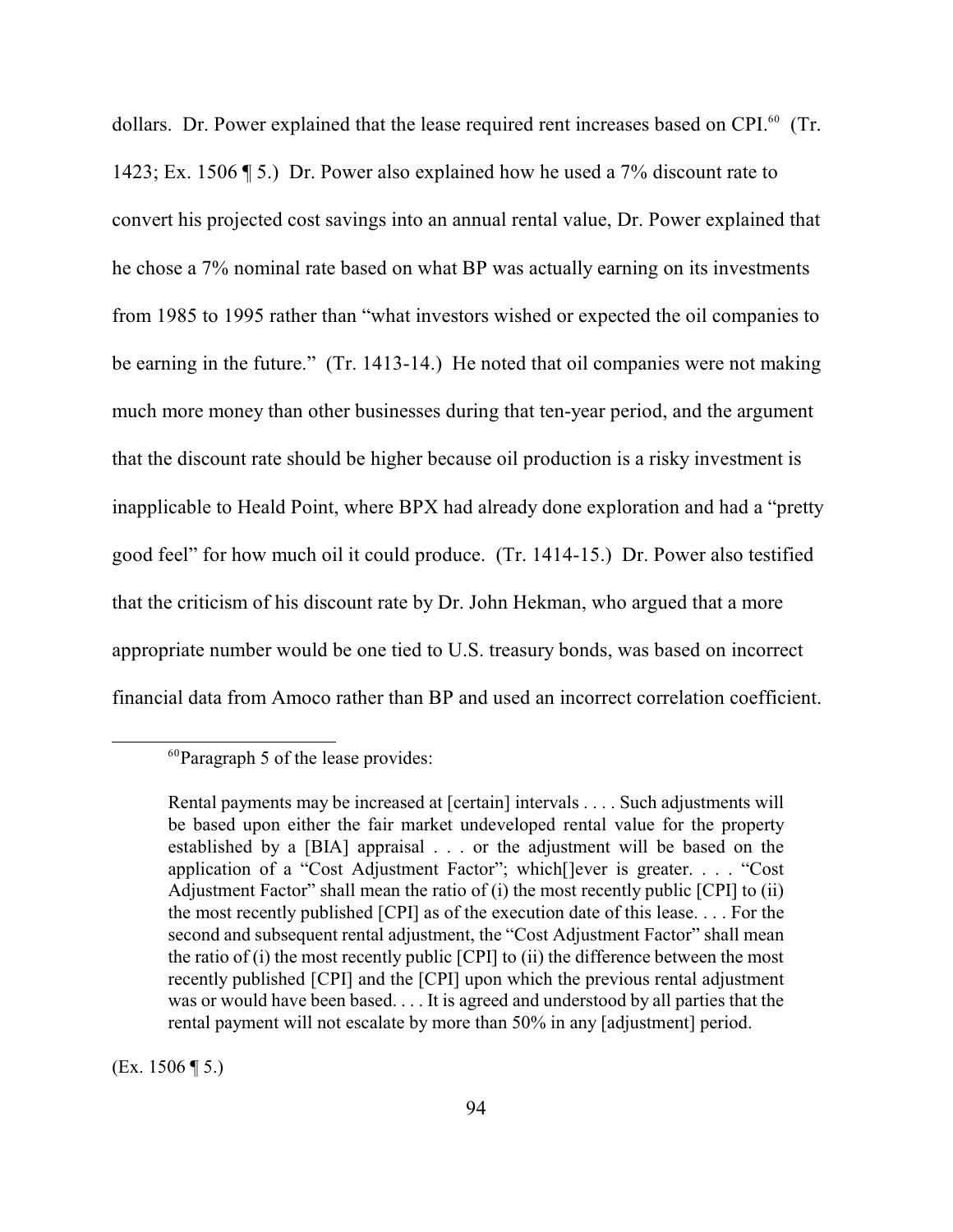dollars. Dr. Power explained that the lease required rent increases based on CPI.<sup>60</sup> (Tr. 1423; Ex. 1506 ¶ 5.) Dr. Power also explained how he used a 7% discount rate to convert his projected cost savings into an annual rental value, Dr. Power explained that he chose a 7% nominal rate based on what BP was actually earning on its investments from 1985 to 1995 rather than "what investors wished or expected the oil companies to be earning in the future." (Tr. 1413-14.) He noted that oil companies were not making much more money than other businesses during that ten-year period, and the argument that the discount rate should be higher because oil production is a risky investment is inapplicable to Heald Point, where BPX had already done exploration and had a "pretty good feel" for how much oil it could produce. (Tr. 1414-15.) Dr. Power also testified that the criticism of his discount rate by Dr. John Hekman, who argued that a more appropriate number would be one tied to U.S. treasury bonds, was based on incorrect financial data from Amoco rather than BP and used an incorrect correlation coefficient.

(Ex. 1506 ¶ 5.)

 ${}^{60}$ Paragraph 5 of the lease provides:

Rental payments may be increased at [certain] intervals . . . . Such adjustments will be based upon either the fair market undeveloped rental value for the property established by a [BIA] appraisal . . . or the adjustment will be based on the application of a "Cost Adjustment Factor"; which[]ever is greater. . . . "Cost Adjustment Factor" shall mean the ratio of (i) the most recently public [CPI] to (ii) the most recently published [CPI] as of the execution date of this lease. . . . For the second and subsequent rental adjustment, the "Cost Adjustment Factor" shall mean the ratio of (i) the most recently public [CPI] to (ii) the difference between the most recently published [CPI] and the [CPI] upon which the previous rental adjustment was or would have been based. . . . It is agreed and understood by all parties that the rental payment will not escalate by more than 50% in any [adjustment] period.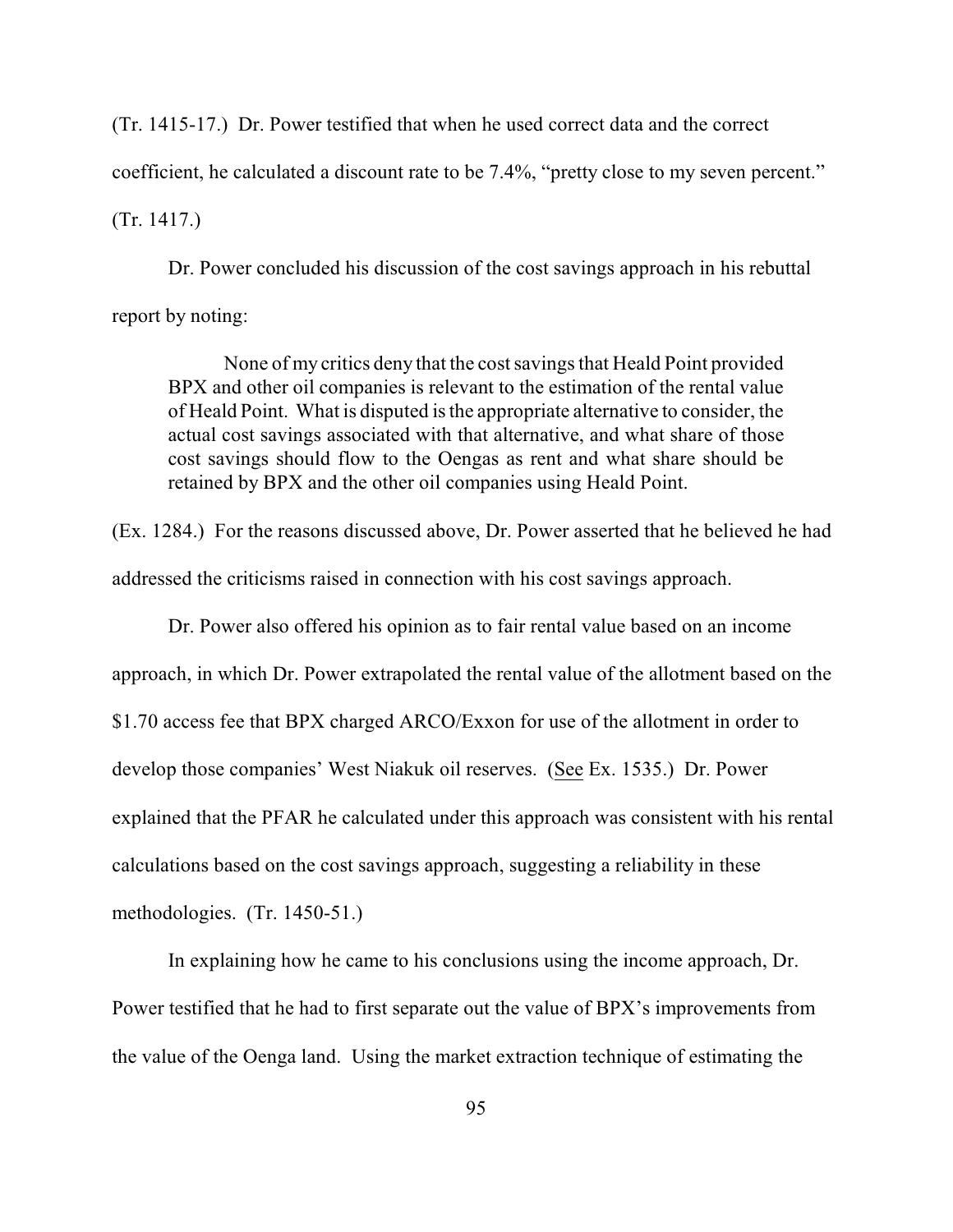(Tr. 1415-17.) Dr. Power testified that when he used correct data and the correct coefficient, he calculated a discount rate to be 7.4%, "pretty close to my seven percent." (Tr. 1417.)

Dr. Power concluded his discussion of the cost savings approach in his rebuttal report by noting:

None of my critics deny that the cost savings that Heald Point provided BPX and other oil companies is relevant to the estimation of the rental value of Heald Point. What is disputed is the appropriate alternative to consider, the actual cost savings associated with that alternative, and what share of those cost savings should flow to the Oengas as rent and what share should be retained by BPX and the other oil companies using Heald Point.

(Ex. 1284.) For the reasons discussed above, Dr. Power asserted that he believed he had addressed the criticisms raised in connection with his cost savings approach.

Dr. Power also offered his opinion as to fair rental value based on an income approach, in which Dr. Power extrapolated the rental value of the allotment based on the \$1.70 access fee that BPX charged ARCO/Exxon for use of the allotment in order to develop those companies' West Niakuk oil reserves. (See Ex. 1535.) Dr. Power explained that the PFAR he calculated under this approach was consistent with his rental calculations based on the cost savings approach, suggesting a reliability in these methodologies. (Tr. 1450-51.)

In explaining how he came to his conclusions using the income approach, Dr. Power testified that he had to first separate out the value of BPX's improvements from the value of the Oenga land. Using the market extraction technique of estimating the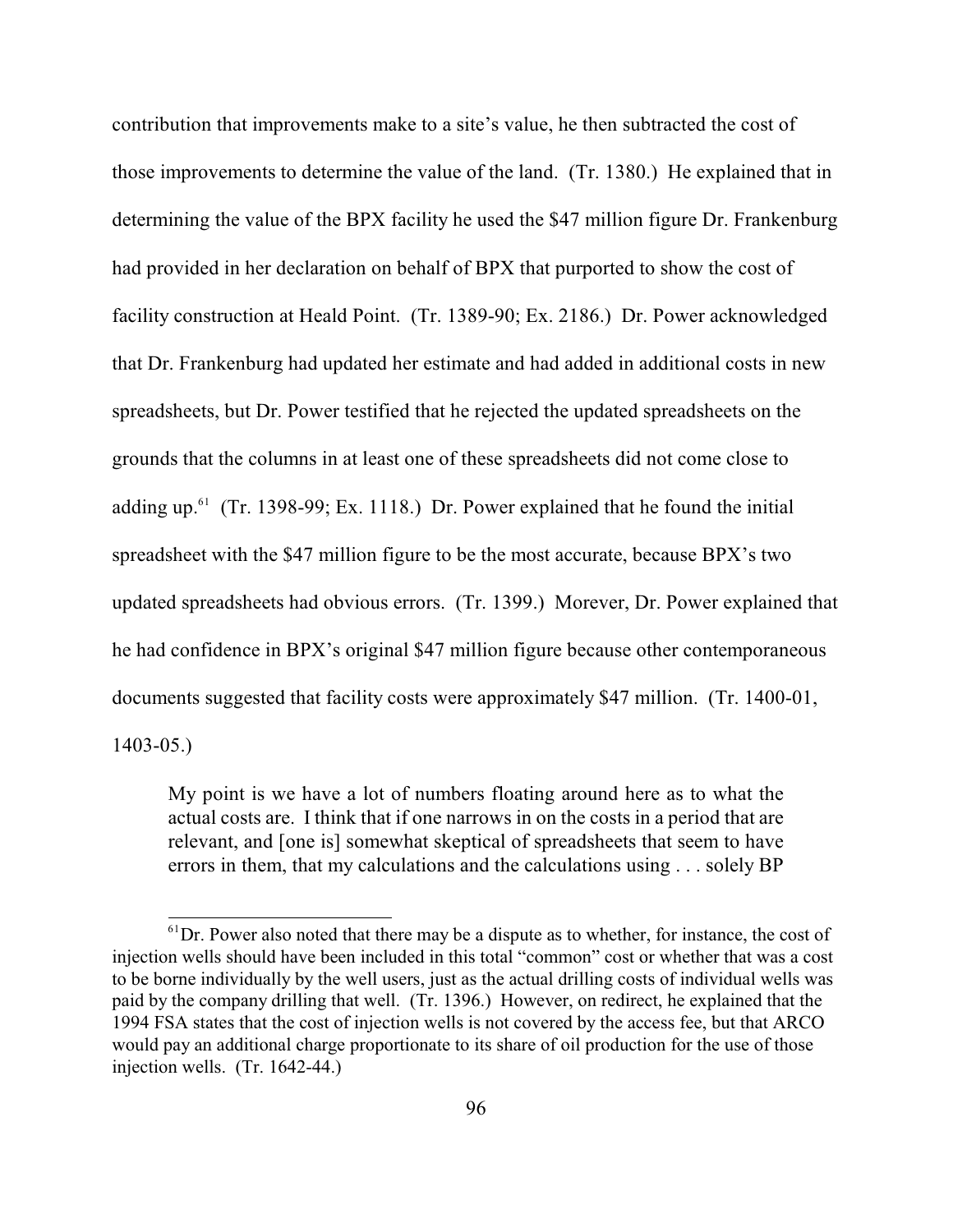contribution that improvements make to a site's value, he then subtracted the cost of those improvements to determine the value of the land. (Tr. 1380.) He explained that in determining the value of the BPX facility he used the \$47 million figure Dr. Frankenburg had provided in her declaration on behalf of BPX that purported to show the cost of facility construction at Heald Point. (Tr. 1389-90; Ex. 2186.) Dr. Power acknowledged that Dr. Frankenburg had updated her estimate and had added in additional costs in new spreadsheets, but Dr. Power testified that he rejected the updated spreadsheets on the grounds that the columns in at least one of these spreadsheets did not come close to adding up.<sup> $61$ </sup> (Tr. 1398-99; Ex. 1118.) Dr. Power explained that he found the initial spreadsheet with the \$47 million figure to be the most accurate, because BPX's two updated spreadsheets had obvious errors. (Tr. 1399.) Morever, Dr. Power explained that he had confidence in BPX's original \$47 million figure because other contemporaneous documents suggested that facility costs were approximately \$47 million. (Tr. 1400-01, 1403-05.)

My point is we have a lot of numbers floating around here as to what the actual costs are. I think that if one narrows in on the costs in a period that are relevant, and [one is] somewhat skeptical of spreadsheets that seem to have errors in them, that my calculations and the calculations using . . . solely BP

 ${}^{61}$ Dr. Power also noted that there may be a dispute as to whether, for instance, the cost of injection wells should have been included in this total "common" cost or whether that was a cost to be borne individually by the well users, just as the actual drilling costs of individual wells was paid by the company drilling that well. (Tr. 1396.) However, on redirect, he explained that the 1994 FSA states that the cost of injection wells is not covered by the access fee, but that ARCO would pay an additional charge proportionate to its share of oil production for the use of those injection wells. (Tr. 1642-44.)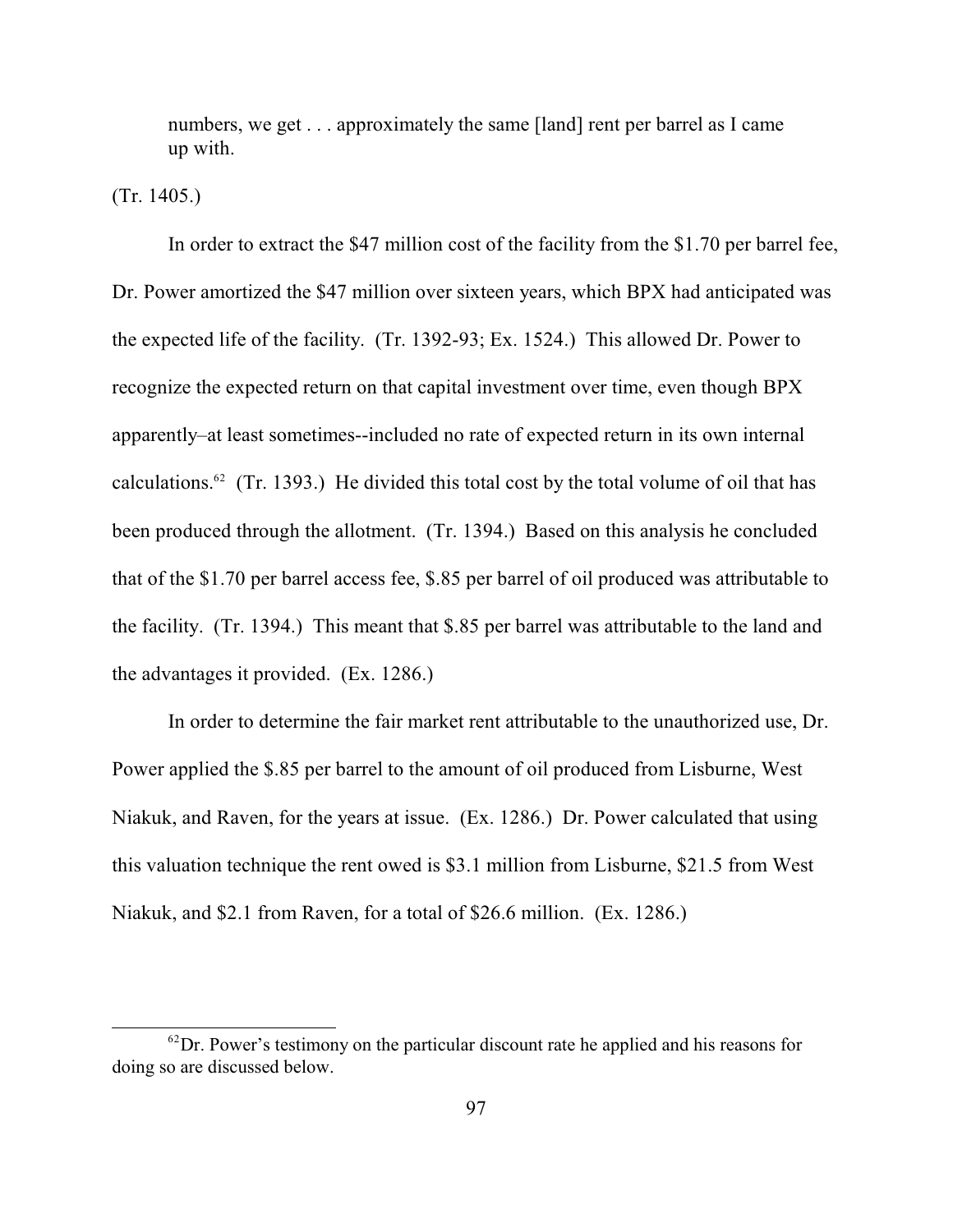numbers, we get . . . approximately the same [land] rent per barrel as I came up with.

(Tr. 1405.)

In order to extract the \$47 million cost of the facility from the \$1.70 per barrel fee, Dr. Power amortized the \$47 million over sixteen years, which BPX had anticipated was the expected life of the facility. (Tr. 1392-93; Ex. 1524.) This allowed Dr. Power to recognize the expected return on that capital investment over time, even though BPX apparently–at least sometimes--included no rate of expected return in its own internal calculations.<sup>62</sup> (Tr. 1393.) He divided this total cost by the total volume of oil that has been produced through the allotment. (Tr. 1394.) Based on this analysis he concluded that of the \$1.70 per barrel access fee, \$.85 per barrel of oil produced was attributable to the facility. (Tr. 1394.) This meant that \$.85 per barrel was attributable to the land and the advantages it provided. (Ex. 1286.)

In order to determine the fair market rent attributable to the unauthorized use, Dr. Power applied the \$.85 per barrel to the amount of oil produced from Lisburne, West Niakuk, and Raven, for the years at issue. (Ex. 1286.) Dr. Power calculated that using this valuation technique the rent owed is \$3.1 million from Lisburne, \$21.5 from West Niakuk, and \$2.1 from Raven, for a total of \$26.6 million. (Ex. 1286.)

 ${}^{62}$ Dr. Power's testimony on the particular discount rate he applied and his reasons for doing so are discussed below.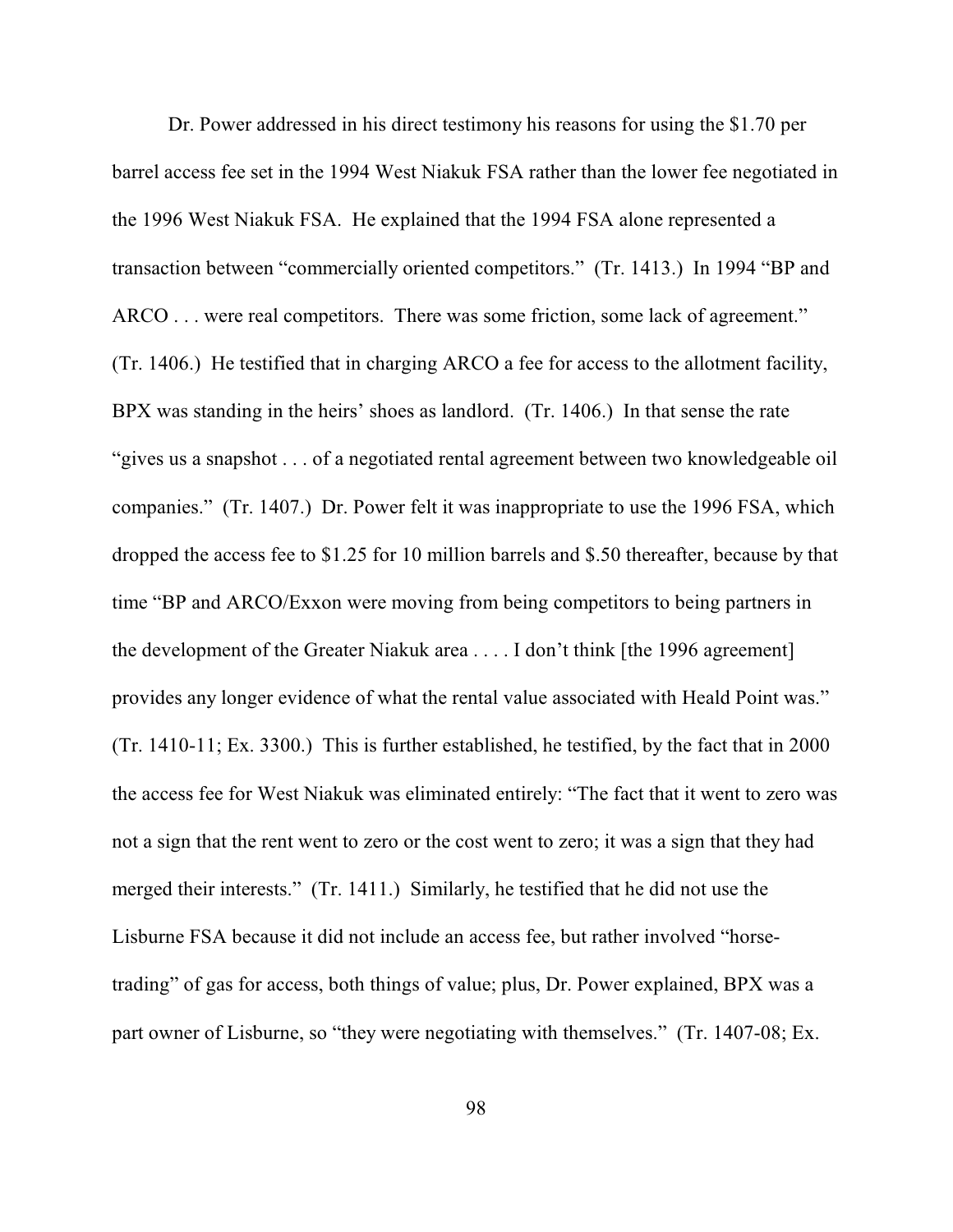Dr. Power addressed in his direct testimony his reasons for using the \$1.70 per barrel access fee set in the 1994 West Niakuk FSA rather than the lower fee negotiated in the 1996 West Niakuk FSA. He explained that the 1994 FSA alone represented a transaction between "commercially oriented competitors." (Tr. 1413.) In 1994 "BP and ARCO . . . were real competitors. There was some friction, some lack of agreement." (Tr. 1406.) He testified that in charging ARCO a fee for access to the allotment facility, BPX was standing in the heirs' shoes as landlord. (Tr. 1406.) In that sense the rate "gives us a snapshot . . . of a negotiated rental agreement between two knowledgeable oil companies." (Tr. 1407.) Dr. Power felt it was inappropriate to use the 1996 FSA, which dropped the access fee to \$1.25 for 10 million barrels and \$.50 thereafter, because by that time "BP and ARCO/Exxon were moving from being competitors to being partners in the development of the Greater Niakuk area . . . . I don't think [the 1996 agreement] provides any longer evidence of what the rental value associated with Heald Point was." (Tr. 1410-11; Ex. 3300.) This is further established, he testified, by the fact that in 2000 the access fee for West Niakuk was eliminated entirely: "The fact that it went to zero was not a sign that the rent went to zero or the cost went to zero; it was a sign that they had merged their interests." (Tr. 1411.) Similarly, he testified that he did not use the Lisburne FSA because it did not include an access fee, but rather involved "horsetrading" of gas for access, both things of value; plus, Dr. Power explained, BPX was a part owner of Lisburne, so "they were negotiating with themselves." (Tr. 1407-08; Ex.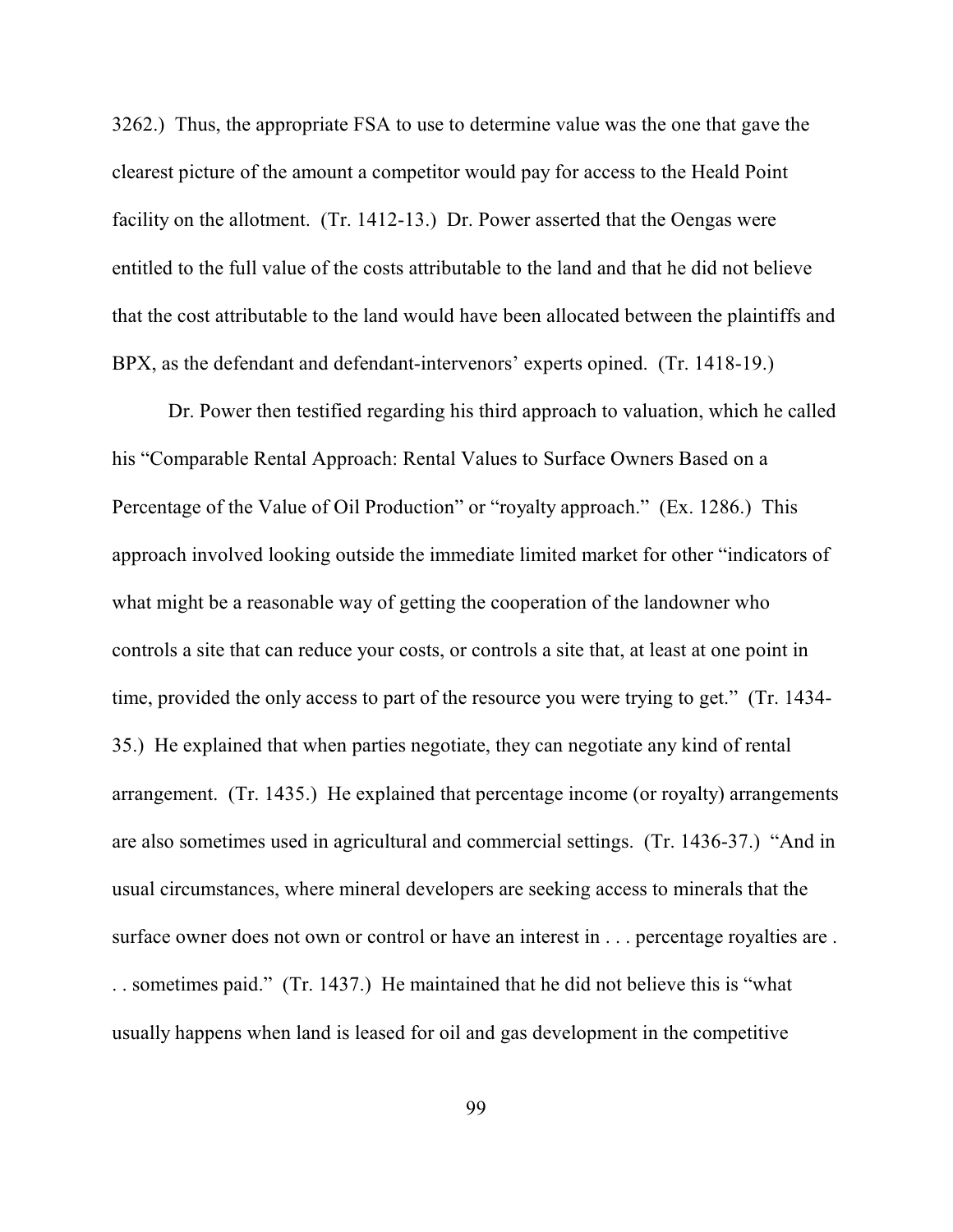3262.) Thus, the appropriate FSA to use to determine value was the one that gave the clearest picture of the amount a competitor would pay for access to the Heald Point facility on the allotment. (Tr. 1412-13.) Dr. Power asserted that the Oengas were entitled to the full value of the costs attributable to the land and that he did not believe that the cost attributable to the land would have been allocated between the plaintiffs and BPX, as the defendant and defendant-intervenors' experts opined. (Tr. 1418-19.)

Dr. Power then testified regarding his third approach to valuation, which he called his "Comparable Rental Approach: Rental Values to Surface Owners Based on a Percentage of the Value of Oil Production" or "royalty approach." (Ex. 1286.) This approach involved looking outside the immediate limited market for other "indicators of what might be a reasonable way of getting the cooperation of the landowner who controls a site that can reduce your costs, or controls a site that, at least at one point in time, provided the only access to part of the resource you were trying to get." (Tr. 1434- 35.) He explained that when parties negotiate, they can negotiate any kind of rental arrangement. (Tr. 1435.) He explained that percentage income (or royalty) arrangements are also sometimes used in agricultural and commercial settings. (Tr. 1436-37.) "And in usual circumstances, where mineral developers are seeking access to minerals that the surface owner does not own or control or have an interest in . . . percentage royalties are . . . sometimes paid." (Tr. 1437.) He maintained that he did not believe this is "what usually happens when land is leased for oil and gas development in the competitive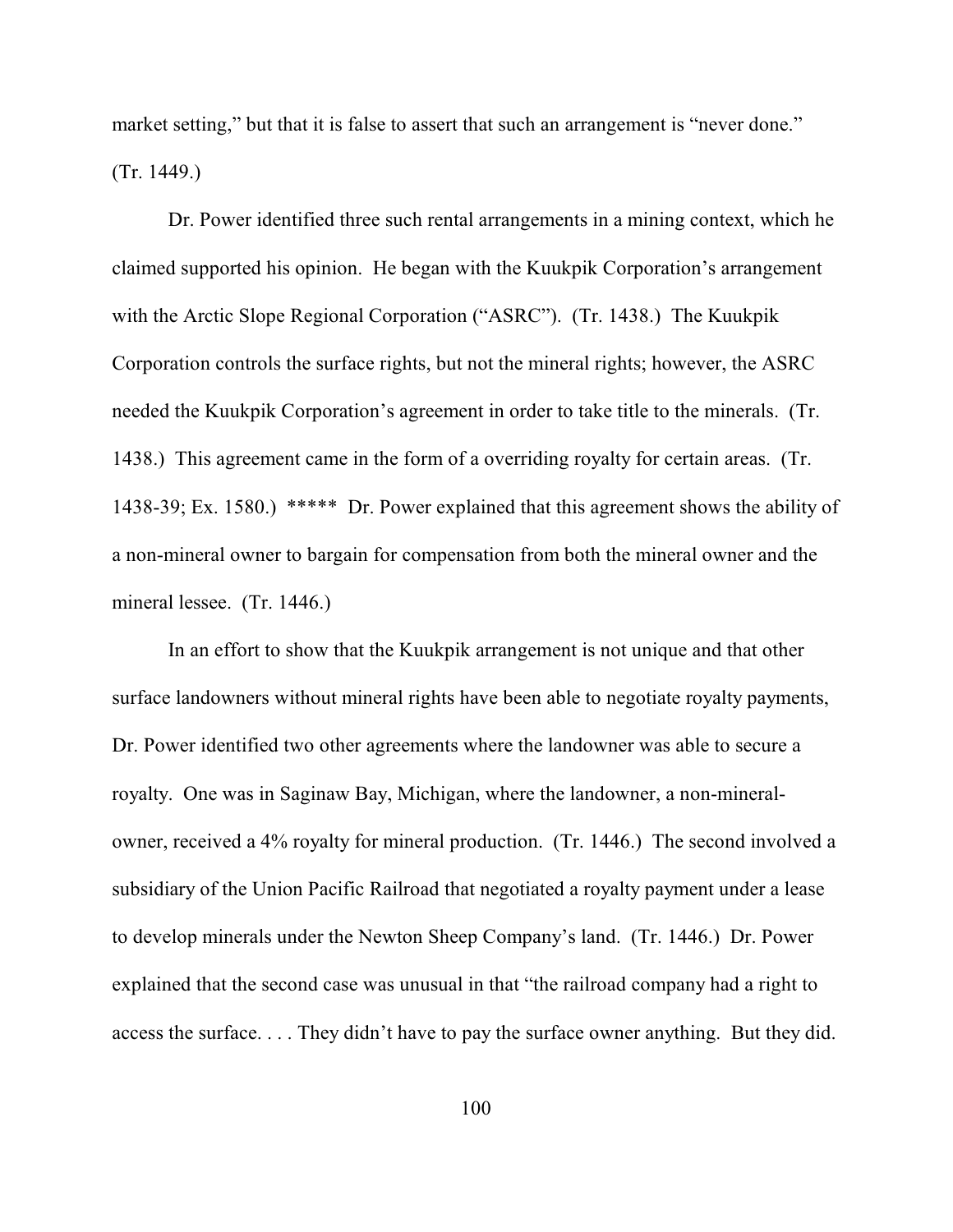market setting," but that it is false to assert that such an arrangement is "never done." (Tr. 1449.)

Dr. Power identified three such rental arrangements in a mining context, which he claimed supported his opinion. He began with the Kuukpik Corporation's arrangement with the Arctic Slope Regional Corporation ("ASRC"). (Tr. 1438.) The Kuukpik Corporation controls the surface rights, but not the mineral rights; however, the ASRC needed the Kuukpik Corporation's agreement in order to take title to the minerals. (Tr. 1438.) This agreement came in the form of a overriding royalty for certain areas. (Tr. 1438-39; Ex. 1580.) \*\*\*\*\* Dr. Power explained that this agreement shows the ability of a non-mineral owner to bargain for compensation from both the mineral owner and the mineral lessee. (Tr. 1446.)

In an effort to show that the Kuukpik arrangement is not unique and that other surface landowners without mineral rights have been able to negotiate royalty payments, Dr. Power identified two other agreements where the landowner was able to secure a royalty. One was in Saginaw Bay, Michigan, where the landowner, a non-mineralowner, received a 4% royalty for mineral production. (Tr. 1446.) The second involved a subsidiary of the Union Pacific Railroad that negotiated a royalty payment under a lease to develop minerals under the Newton Sheep Company's land. (Tr. 1446.) Dr. Power explained that the second case was unusual in that "the railroad company had a right to access the surface. . . . They didn't have to pay the surface owner anything. But they did.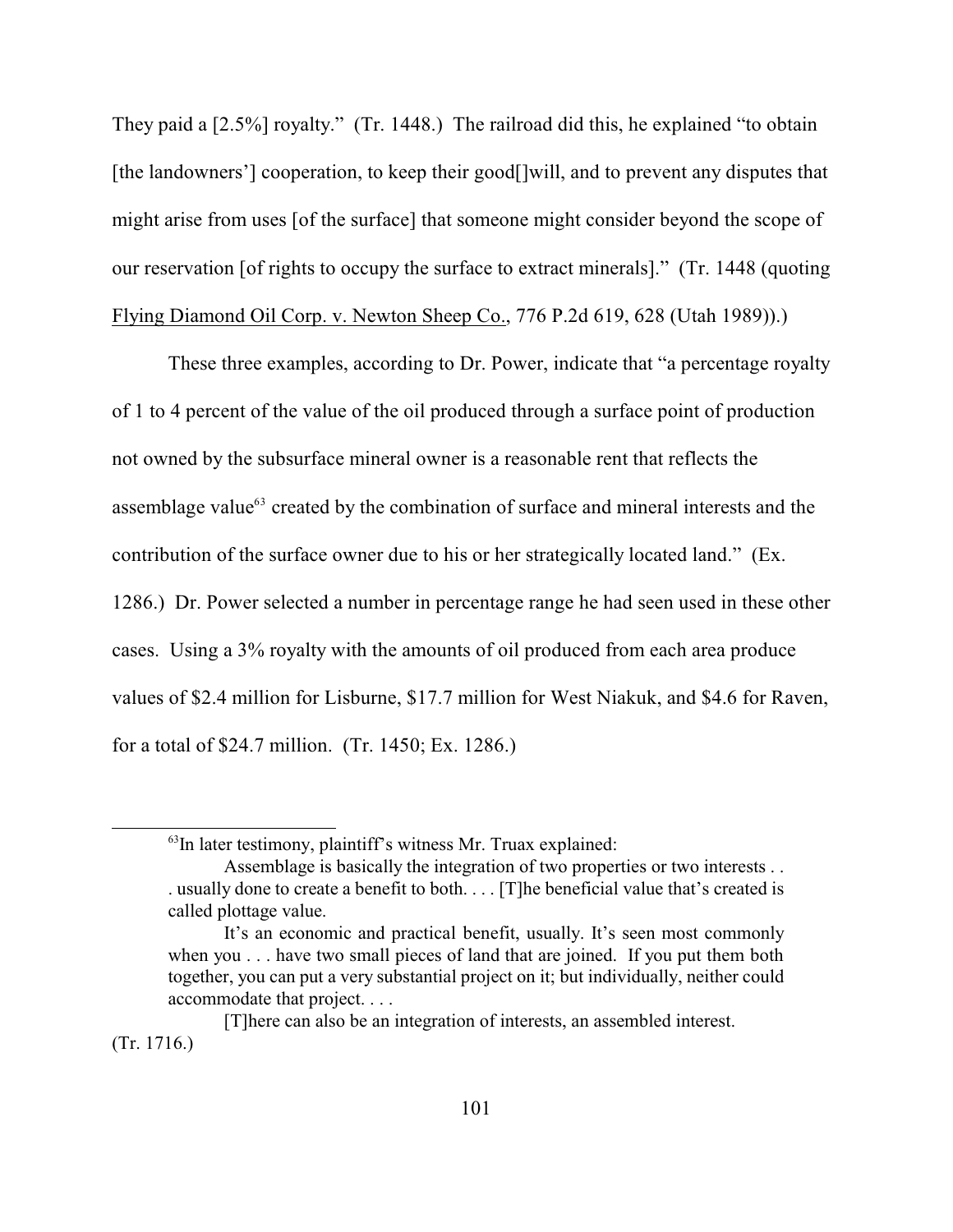They paid a [2.5%] royalty." (Tr. 1448.) The railroad did this, he explained "to obtain [the landowners'] cooperation, to keep their good<sup>[]</sup>will, and to prevent any disputes that might arise from uses [of the surface] that someone might consider beyond the scope of our reservation [of rights to occupy the surface to extract minerals]." (Tr. 1448 (quoting Flying Diamond Oil Corp. v. Newton Sheep Co., 776 P.2d 619, 628 (Utah 1989)).)

These three examples, according to Dr. Power, indicate that "a percentage royalty of 1 to 4 percent of the value of the oil produced through a surface point of production not owned by the subsurface mineral owner is a reasonable rent that reflects the assemblage value $^{63}$  created by the combination of surface and mineral interests and the contribution of the surface owner due to his or her strategically located land." (Ex. 1286.) Dr. Power selected a number in percentage range he had seen used in these other cases. Using a 3% royalty with the amounts of oil produced from each area produce values of \$2.4 million for Lisburne, \$17.7 million for West Niakuk, and \$4.6 for Raven, for a total of \$24.7 million. (Tr. 1450; Ex. 1286.)

 $\mathrm{^{63}In}$  later testimony, plaintiff's witness Mr. Truax explained:

Assemblage is basically the integration of two properties or two interests . . . usually done to create a benefit to both. . . . [T]he beneficial value that's created is called plottage value.

It's an economic and practical benefit, usually. It's seen most commonly when you . . . have two small pieces of land that are joined. If you put them both together, you can put a very substantial project on it; but individually, neither could accommodate that project. . . .

<sup>[</sup>T]here can also be an integration of interests, an assembled interest. (Tr. 1716.)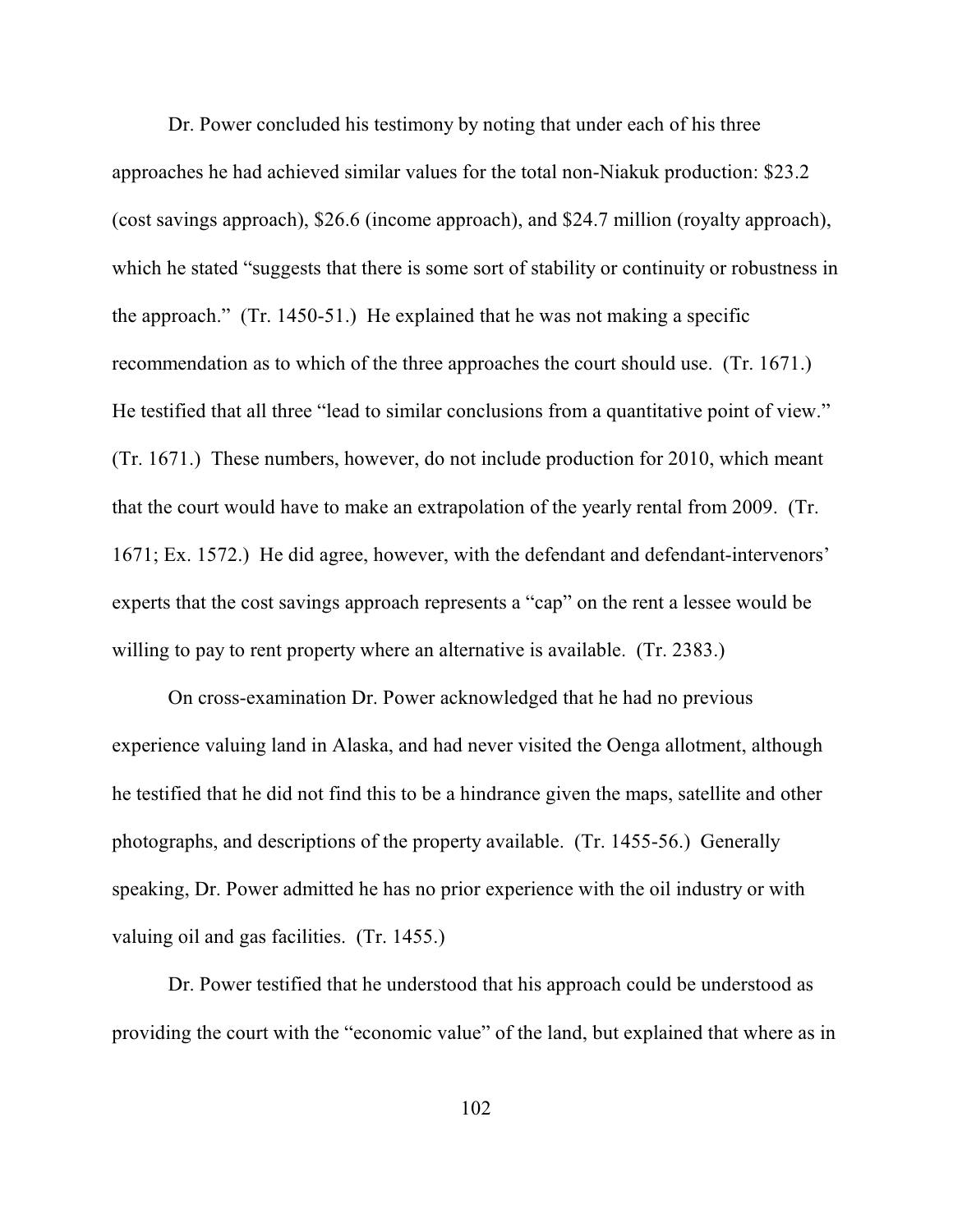Dr. Power concluded his testimony by noting that under each of his three approaches he had achieved similar values for the total non-Niakuk production: \$23.2 (cost savings approach), \$26.6 (income approach), and \$24.7 million (royalty approach), which he stated "suggests that there is some sort of stability or continuity or robustness in the approach." (Tr. 1450-51.) He explained that he was not making a specific recommendation as to which of the three approaches the court should use. (Tr. 1671.) He testified that all three "lead to similar conclusions from a quantitative point of view." (Tr. 1671.) These numbers, however, do not include production for 2010, which meant that the court would have to make an extrapolation of the yearly rental from 2009. (Tr. 1671; Ex. 1572.) He did agree, however, with the defendant and defendant-intervenors' experts that the cost savings approach represents a "cap" on the rent a lessee would be willing to pay to rent property where an alternative is available. (Tr. 2383.)

On cross-examination Dr. Power acknowledged that he had no previous experience valuing land in Alaska, and had never visited the Oenga allotment, although he testified that he did not find this to be a hindrance given the maps, satellite and other photographs, and descriptions of the property available. (Tr. 1455-56.) Generally speaking, Dr. Power admitted he has no prior experience with the oil industry or with valuing oil and gas facilities. (Tr. 1455.)

Dr. Power testified that he understood that his approach could be understood as providing the court with the "economic value" of the land, but explained that where as in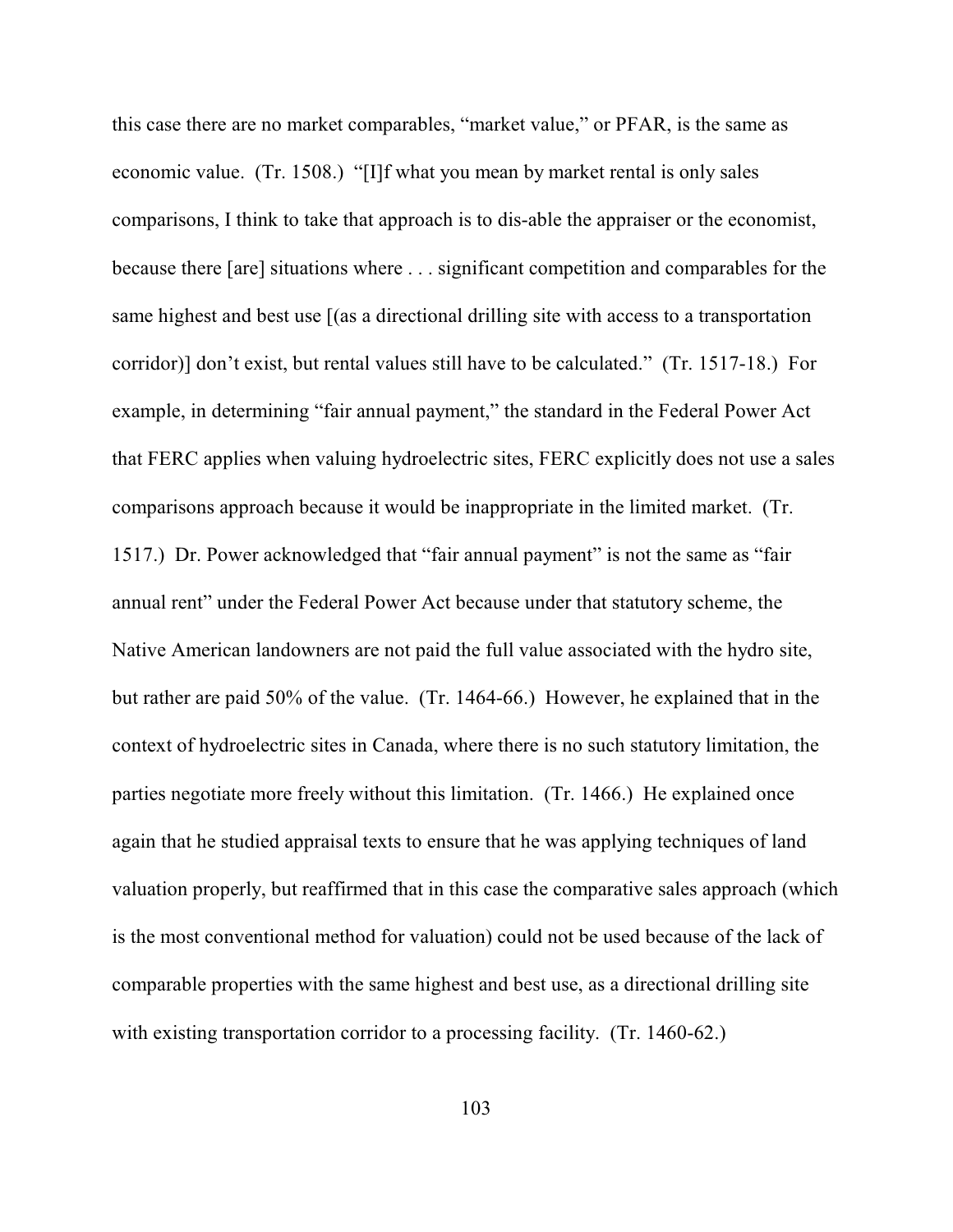this case there are no market comparables, "market value," or PFAR, is the same as economic value. (Tr. 1508.) "[I]f what you mean by market rental is only sales comparisons, I think to take that approach is to dis-able the appraiser or the economist, because there [are] situations where . . . significant competition and comparables for the same highest and best use [(as a directional drilling site with access to a transportation corridor)] don't exist, but rental values still have to be calculated." (Tr. 1517-18.) For example, in determining "fair annual payment," the standard in the Federal Power Act that FERC applies when valuing hydroelectric sites, FERC explicitly does not use a sales comparisons approach because it would be inappropriate in the limited market. (Tr. 1517.) Dr. Power acknowledged that "fair annual payment" is not the same as "fair annual rent" under the Federal Power Act because under that statutory scheme, the Native American landowners are not paid the full value associated with the hydro site, but rather are paid 50% of the value. (Tr. 1464-66.) However, he explained that in the context of hydroelectric sites in Canada, where there is no such statutory limitation, the parties negotiate more freely without this limitation. (Tr. 1466.) He explained once again that he studied appraisal texts to ensure that he was applying techniques of land valuation properly, but reaffirmed that in this case the comparative sales approach (which is the most conventional method for valuation) could not be used because of the lack of comparable properties with the same highest and best use, as a directional drilling site with existing transportation corridor to a processing facility. (Tr. 1460-62.)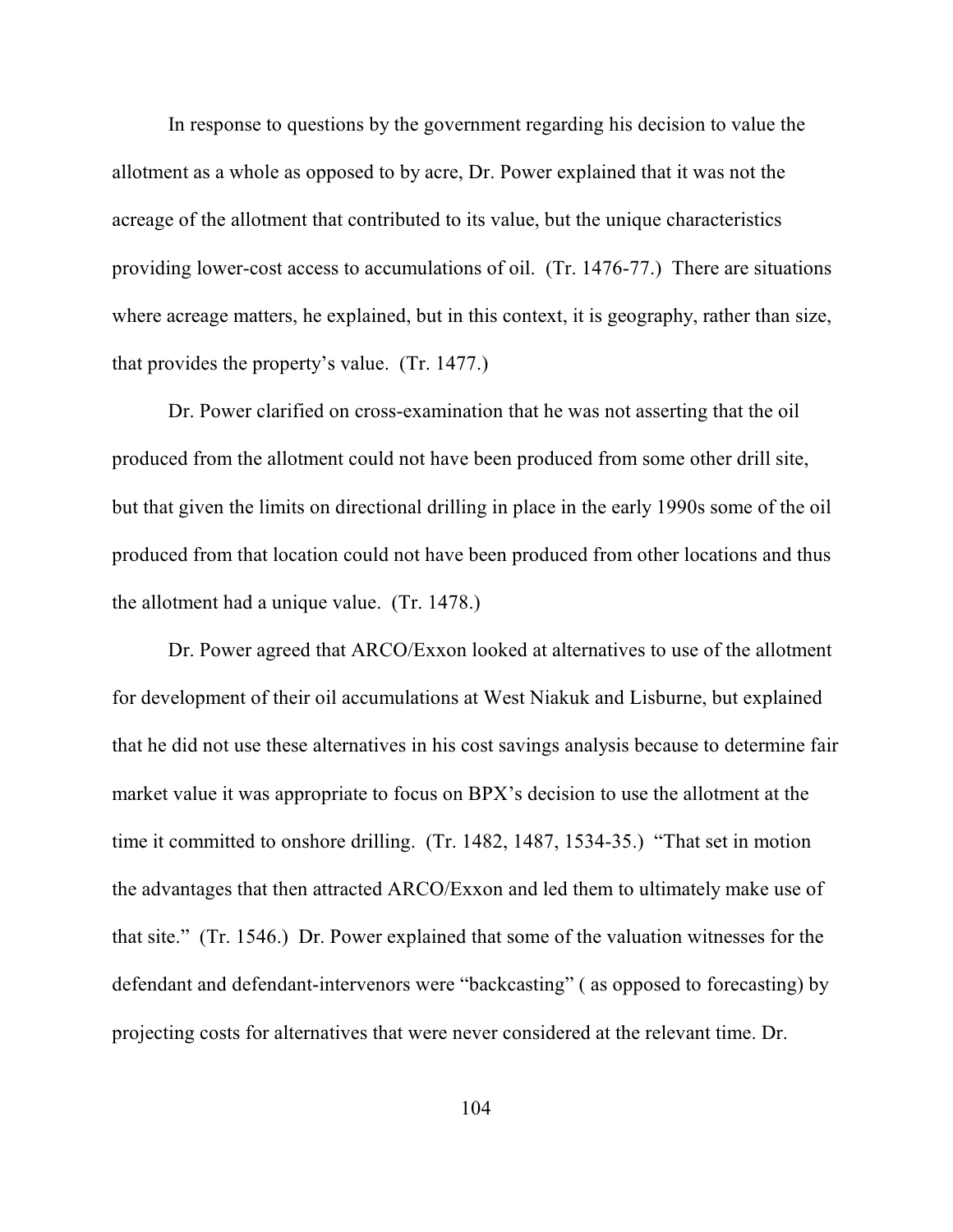In response to questions by the government regarding his decision to value the allotment as a whole as opposed to by acre, Dr. Power explained that it was not the acreage of the allotment that contributed to its value, but the unique characteristics providing lower-cost access to accumulations of oil. (Tr. 1476-77.) There are situations where acreage matters, he explained, but in this context, it is geography, rather than size, that provides the property's value. (Tr. 1477.)

Dr. Power clarified on cross-examination that he was not asserting that the oil produced from the allotment could not have been produced from some other drill site, but that given the limits on directional drilling in place in the early 1990s some of the oil produced from that location could not have been produced from other locations and thus the allotment had a unique value. (Tr. 1478.)

Dr. Power agreed that ARCO/Exxon looked at alternatives to use of the allotment for development of their oil accumulations at West Niakuk and Lisburne, but explained that he did not use these alternatives in his cost savings analysis because to determine fair market value it was appropriate to focus on BPX's decision to use the allotment at the time it committed to onshore drilling. (Tr. 1482, 1487, 1534-35.) "That set in motion the advantages that then attracted ARCO/Exxon and led them to ultimately make use of that site." (Tr. 1546.) Dr. Power explained that some of the valuation witnesses for the defendant and defendant-intervenors were "backcasting" ( as opposed to forecasting) by projecting costs for alternatives that were never considered at the relevant time. Dr.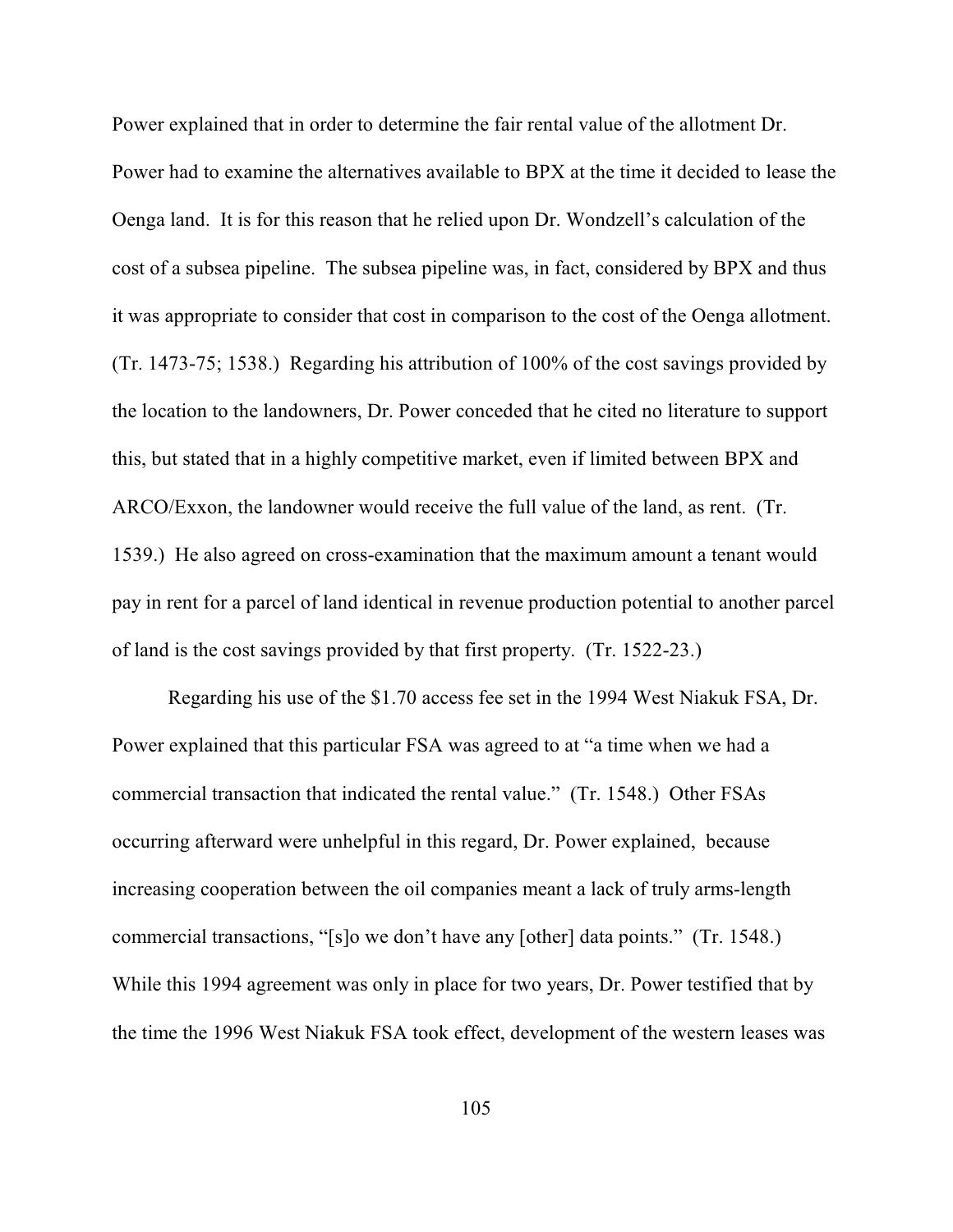Power explained that in order to determine the fair rental value of the allotment Dr. Power had to examine the alternatives available to BPX at the time it decided to lease the Oenga land. It is for this reason that he relied upon Dr. Wondzell's calculation of the cost of a subsea pipeline. The subsea pipeline was, in fact, considered by BPX and thus it was appropriate to consider that cost in comparison to the cost of the Oenga allotment. (Tr. 1473-75; 1538.) Regarding his attribution of 100% of the cost savings provided by the location to the landowners, Dr. Power conceded that he cited no literature to support this, but stated that in a highly competitive market, even if limited between BPX and ARCO/Exxon, the landowner would receive the full value of the land, as rent. (Tr. 1539.) He also agreed on cross-examination that the maximum amount a tenant would pay in rent for a parcel of land identical in revenue production potential to another parcel of land is the cost savings provided by that first property. (Tr. 1522-23.)

Regarding his use of the \$1.70 access fee set in the 1994 West Niakuk FSA, Dr. Power explained that this particular FSA was agreed to at "a time when we had a commercial transaction that indicated the rental value." (Tr. 1548.) Other FSAs occurring afterward were unhelpful in this regard, Dr. Power explained, because increasing cooperation between the oil companies meant a lack of truly arms-length commercial transactions, "[s]o we don't have any [other] data points." (Tr. 1548.) While this 1994 agreement was only in place for two years, Dr. Power testified that by the time the 1996 West Niakuk FSA took effect, development of the western leases was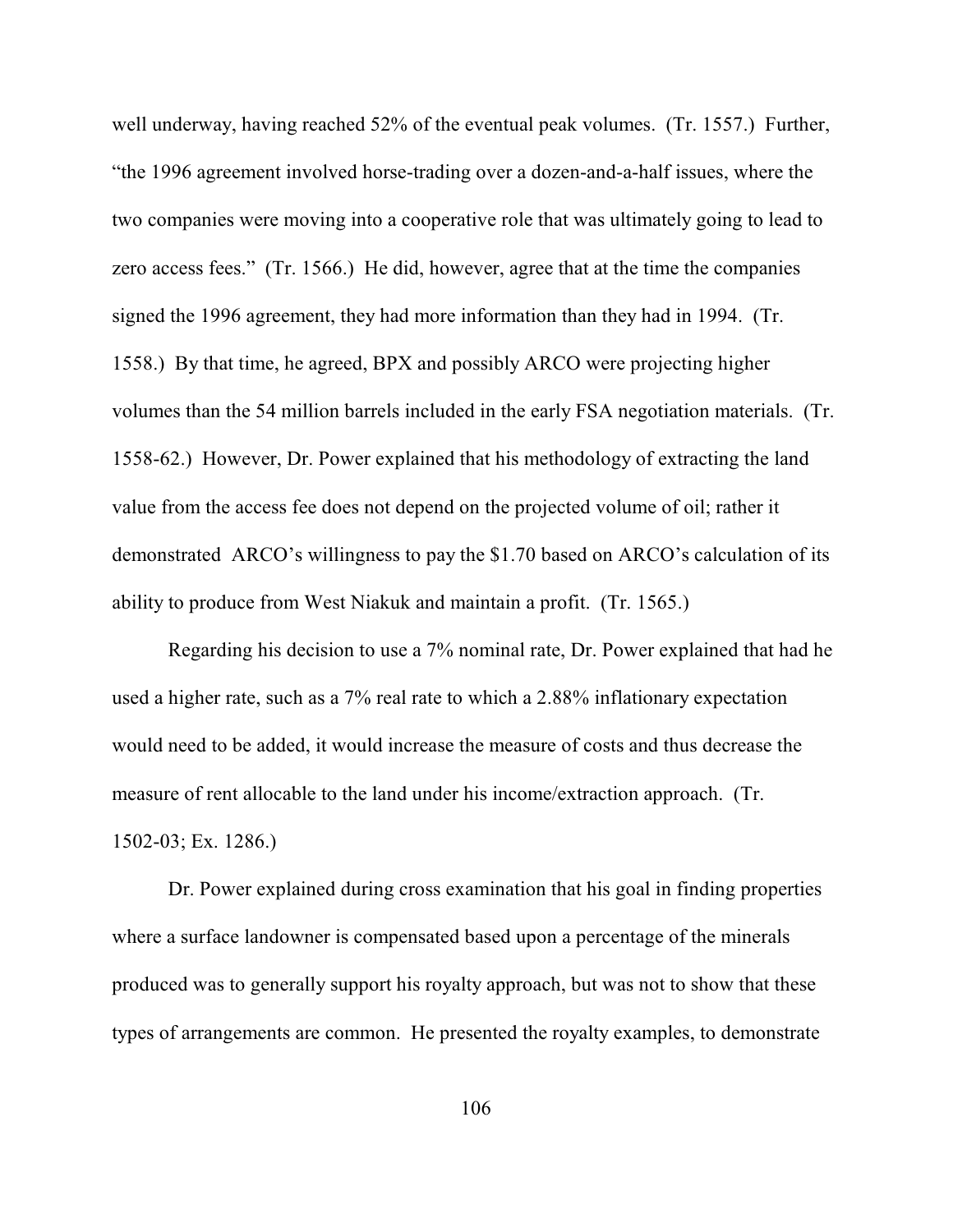well underway, having reached 52% of the eventual peak volumes. (Tr. 1557.) Further, "the 1996 agreement involved horse-trading over a dozen-and-a-half issues, where the two companies were moving into a cooperative role that was ultimately going to lead to zero access fees." (Tr. 1566.) He did, however, agree that at the time the companies signed the 1996 agreement, they had more information than they had in 1994. (Tr. 1558.) By that time, he agreed, BPX and possibly ARCO were projecting higher volumes than the 54 million barrels included in the early FSA negotiation materials. (Tr. 1558-62.) However, Dr. Power explained that his methodology of extracting the land value from the access fee does not depend on the projected volume of oil; rather it demonstrated ARCO's willingness to pay the \$1.70 based on ARCO's calculation of its ability to produce from West Niakuk and maintain a profit. (Tr. 1565.)

Regarding his decision to use a 7% nominal rate, Dr. Power explained that had he used a higher rate, such as a 7% real rate to which a 2.88% inflationary expectation would need to be added, it would increase the measure of costs and thus decrease the measure of rent allocable to the land under his income/extraction approach. (Tr. 1502-03; Ex. 1286.)

Dr. Power explained during cross examination that his goal in finding properties where a surface landowner is compensated based upon a percentage of the minerals produced was to generally support his royalty approach, but was not to show that these types of arrangements are common. He presented the royalty examples, to demonstrate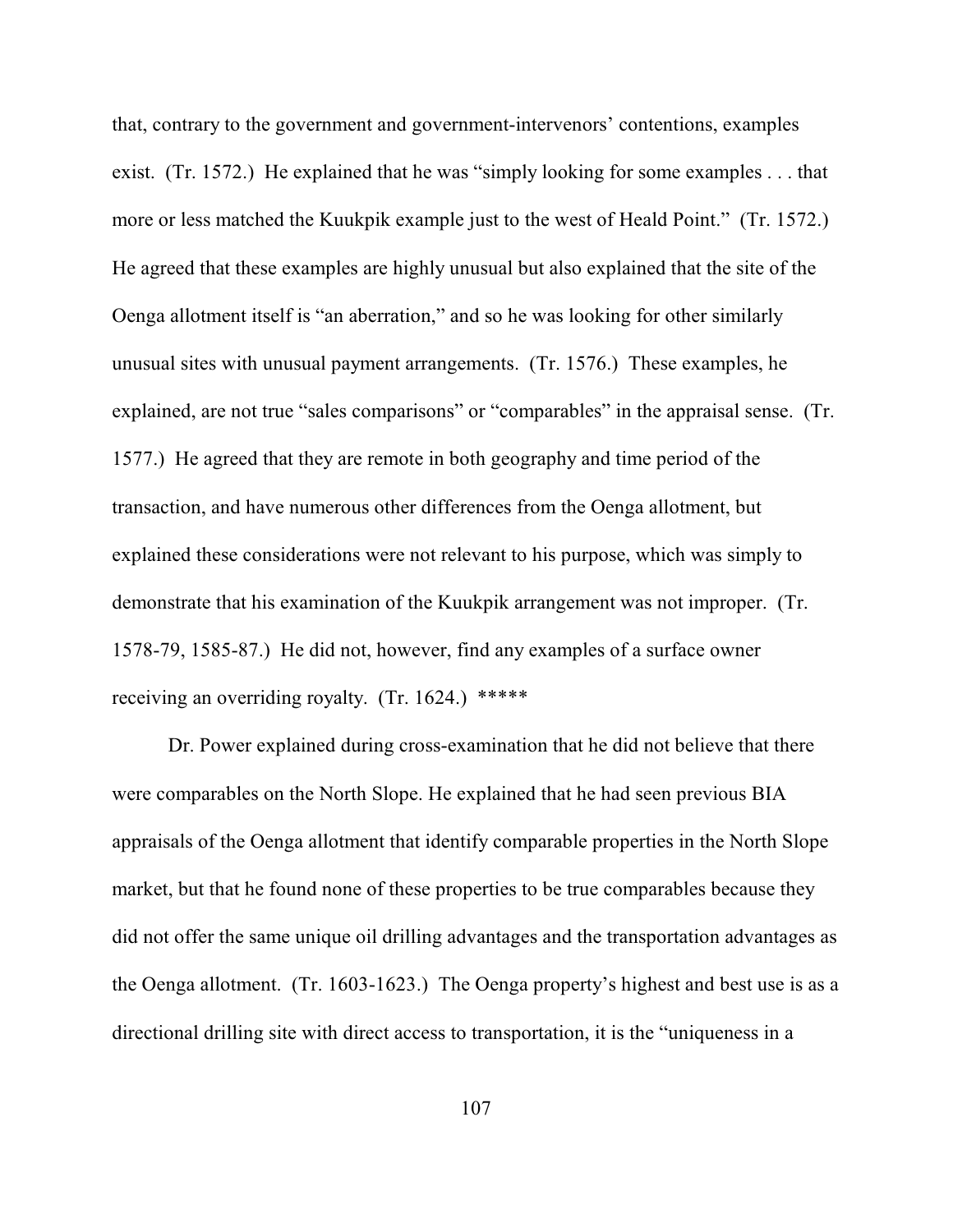that, contrary to the government and government-intervenors' contentions, examples exist. (Tr. 1572.) He explained that he was "simply looking for some examples . . . that more or less matched the Kuukpik example just to the west of Heald Point." (Tr. 1572.) He agreed that these examples are highly unusual but also explained that the site of the Oenga allotment itself is "an aberration," and so he was looking for other similarly unusual sites with unusual payment arrangements. (Tr. 1576.) These examples, he explained, are not true "sales comparisons" or "comparables" in the appraisal sense. (Tr. 1577.) He agreed that they are remote in both geography and time period of the transaction, and have numerous other differences from the Oenga allotment, but explained these considerations were not relevant to his purpose, which was simply to demonstrate that his examination of the Kuukpik arrangement was not improper. (Tr. 1578-79, 1585-87.) He did not, however, find any examples of a surface owner receiving an overriding royalty. (Tr. 1624.) \*\*\*\*\*

Dr. Power explained during cross-examination that he did not believe that there were comparables on the North Slope. He explained that he had seen previous BIA appraisals of the Oenga allotment that identify comparable properties in the North Slope market, but that he found none of these properties to be true comparables because they did not offer the same unique oil drilling advantages and the transportation advantages as the Oenga allotment. (Tr. 1603-1623.) The Oenga property's highest and best use is as a directional drilling site with direct access to transportation, it is the "uniqueness in a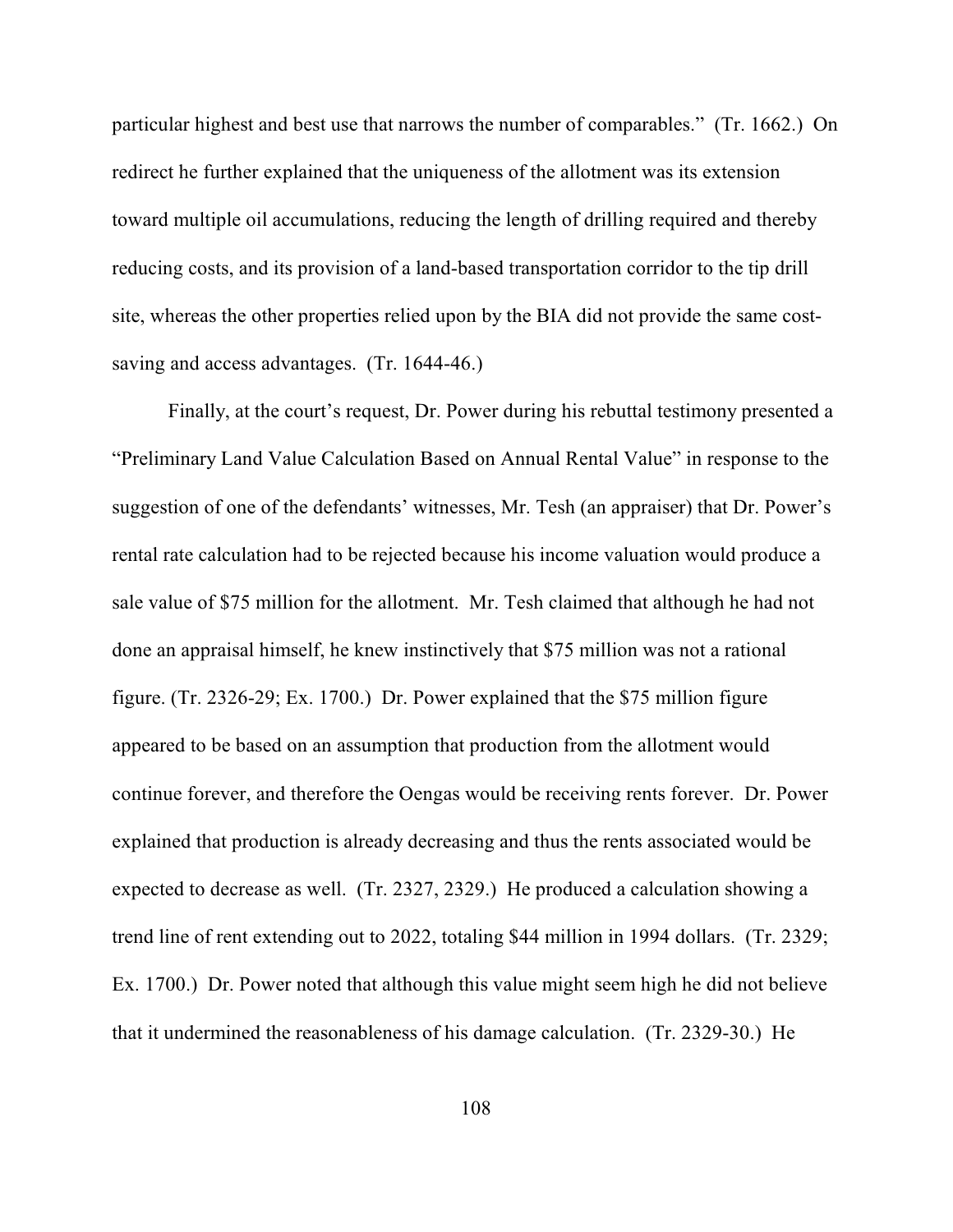particular highest and best use that narrows the number of comparables." (Tr. 1662.) On redirect he further explained that the uniqueness of the allotment was its extension toward multiple oil accumulations, reducing the length of drilling required and thereby reducing costs, and its provision of a land-based transportation corridor to the tip drill site, whereas the other properties relied upon by the BIA did not provide the same costsaving and access advantages. (Tr. 1644-46.)

Finally, at the court's request, Dr. Power during his rebuttal testimony presented a "Preliminary Land Value Calculation Based on Annual Rental Value" in response to the suggestion of one of the defendants' witnesses, Mr. Tesh (an appraiser) that Dr. Power's rental rate calculation had to be rejected because his income valuation would produce a sale value of \$75 million for the allotment. Mr. Tesh claimed that although he had not done an appraisal himself, he knew instinctively that \$75 million was not a rational figure. (Tr. 2326-29; Ex. 1700.) Dr. Power explained that the \$75 million figure appeared to be based on an assumption that production from the allotment would continue forever, and therefore the Oengas would be receiving rents forever. Dr. Power explained that production is already decreasing and thus the rents associated would be expected to decrease as well. (Tr. 2327, 2329.) He produced a calculation showing a trend line of rent extending out to 2022, totaling \$44 million in 1994 dollars. (Tr. 2329; Ex. 1700.) Dr. Power noted that although this value might seem high he did not believe that it undermined the reasonableness of his damage calculation. (Tr. 2329-30.) He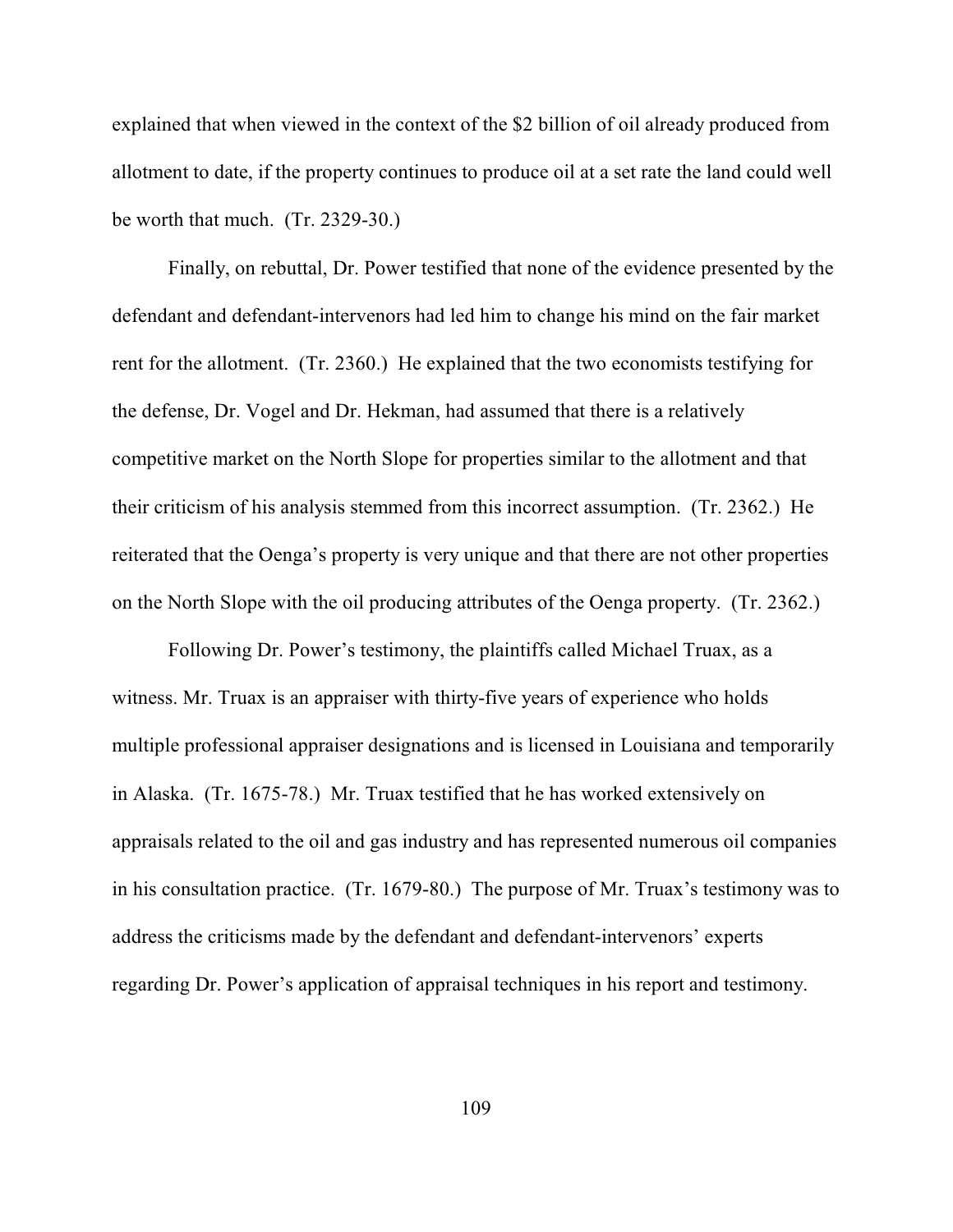explained that when viewed in the context of the \$2 billion of oil already produced from allotment to date, if the property continues to produce oil at a set rate the land could well be worth that much. (Tr. 2329-30.)

Finally, on rebuttal, Dr. Power testified that none of the evidence presented by the defendant and defendant-intervenors had led him to change his mind on the fair market rent for the allotment. (Tr. 2360.) He explained that the two economists testifying for the defense, Dr. Vogel and Dr. Hekman, had assumed that there is a relatively competitive market on the North Slope for properties similar to the allotment and that their criticism of his analysis stemmed from this incorrect assumption. (Tr. 2362.) He reiterated that the Oenga's property is very unique and that there are not other properties on the North Slope with the oil producing attributes of the Oenga property. (Tr. 2362.)

Following Dr. Power's testimony, the plaintiffs called Michael Truax, as a witness. Mr. Truax is an appraiser with thirty-five years of experience who holds multiple professional appraiser designations and is licensed in Louisiana and temporarily in Alaska. (Tr. 1675-78.) Mr. Truax testified that he has worked extensively on appraisals related to the oil and gas industry and has represented numerous oil companies in his consultation practice. (Tr. 1679-80.) The purpose of Mr. Truax's testimony was to address the criticisms made by the defendant and defendant-intervenors' experts regarding Dr. Power's application of appraisal techniques in his report and testimony.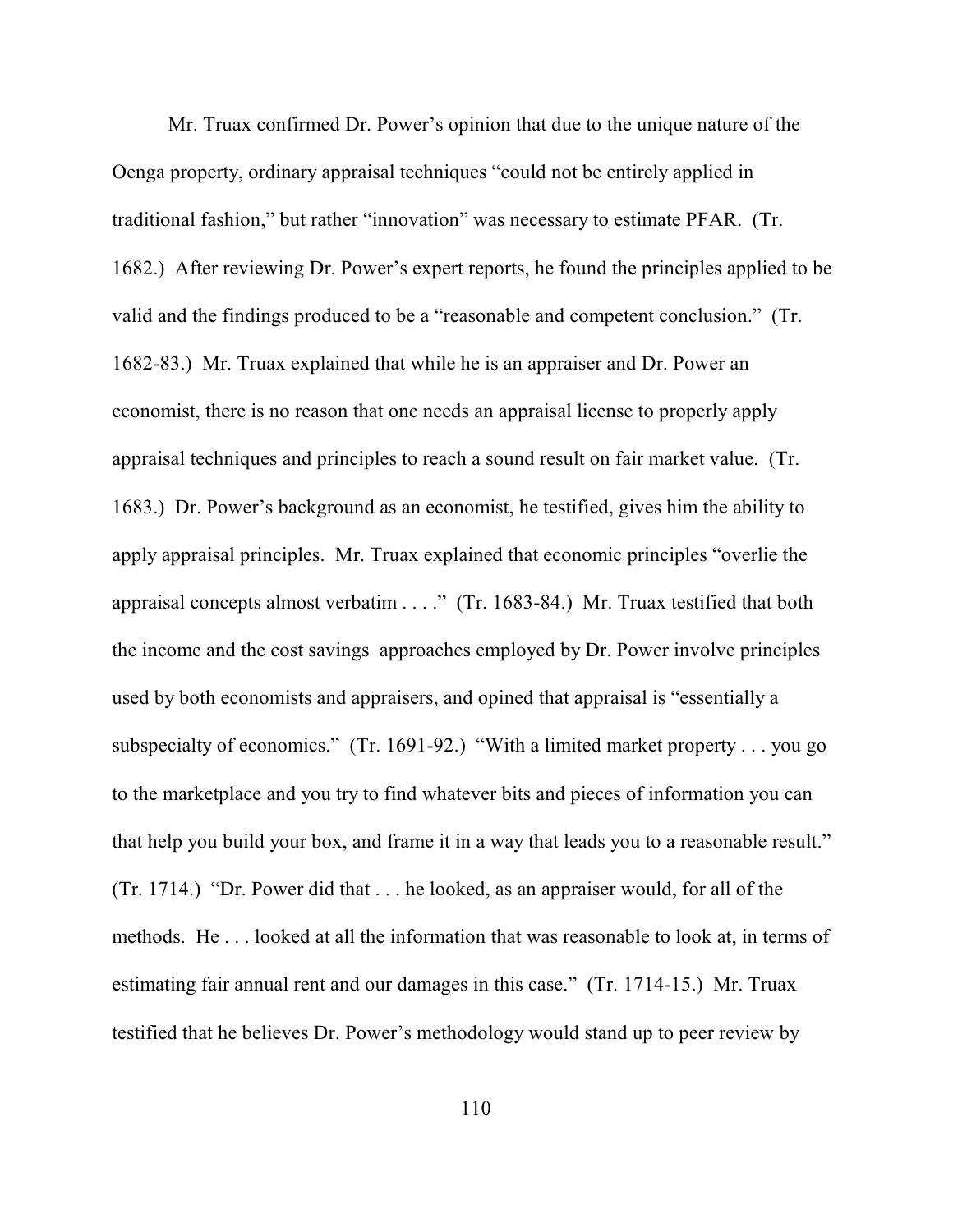Mr. Truax confirmed Dr. Power's opinion that due to the unique nature of the Oenga property, ordinary appraisal techniques "could not be entirely applied in traditional fashion," but rather "innovation" was necessary to estimate PFAR. (Tr. 1682.) After reviewing Dr. Power's expert reports, he found the principles applied to be valid and the findings produced to be a "reasonable and competent conclusion." (Tr. 1682-83.) Mr. Truax explained that while he is an appraiser and Dr. Power an economist, there is no reason that one needs an appraisal license to properly apply appraisal techniques and principles to reach a sound result on fair market value. (Tr. 1683.) Dr. Power's background as an economist, he testified, gives him the ability to apply appraisal principles. Mr. Truax explained that economic principles "overlie the appraisal concepts almost verbatim . . . ." (Tr. 1683-84.) Mr. Truax testified that both the income and the cost savings approaches employed by Dr. Power involve principles used by both economists and appraisers, and opined that appraisal is "essentially a subspecialty of economics." (Tr. 1691-92.) "With a limited market property . . . you go to the marketplace and you try to find whatever bits and pieces of information you can that help you build your box, and frame it in a way that leads you to a reasonable result." (Tr. 1714.) "Dr. Power did that . . . he looked, as an appraiser would, for all of the methods. He . . . looked at all the information that was reasonable to look at, in terms of estimating fair annual rent and our damages in this case." (Tr. 1714-15.) Mr. Truax testified that he believes Dr. Power's methodology would stand up to peer review by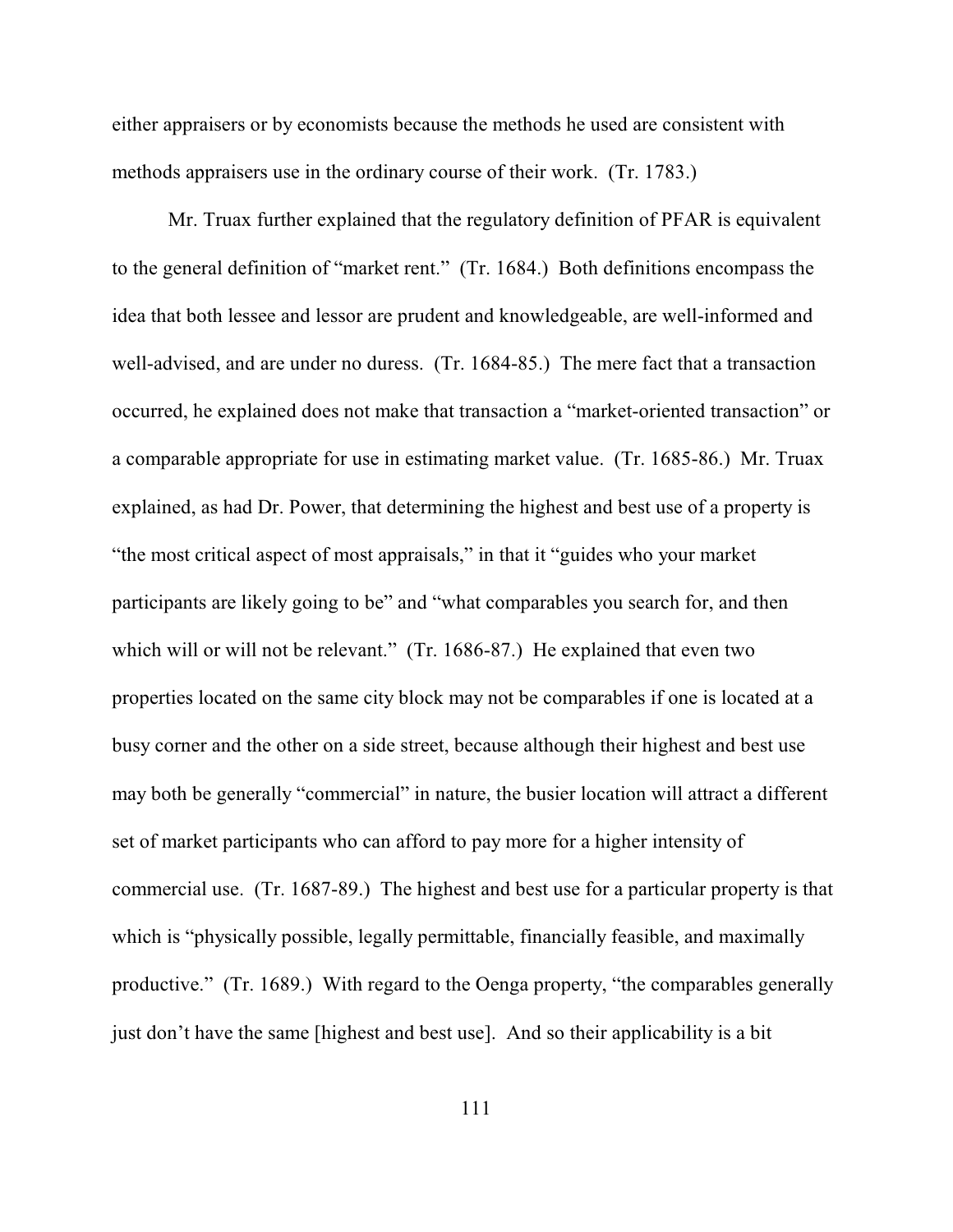either appraisers or by economists because the methods he used are consistent with methods appraisers use in the ordinary course of their work. (Tr. 1783.)

Mr. Truax further explained that the regulatory definition of PFAR is equivalent to the general definition of "market rent." (Tr. 1684.) Both definitions encompass the idea that both lessee and lessor are prudent and knowledgeable, are well-informed and well-advised, and are under no duress. (Tr. 1684-85.) The mere fact that a transaction occurred, he explained does not make that transaction a "market-oriented transaction" or a comparable appropriate for use in estimating market value. (Tr. 1685-86.) Mr. Truax explained, as had Dr. Power, that determining the highest and best use of a property is "the most critical aspect of most appraisals," in that it "guides who your market participants are likely going to be" and "what comparables you search for, and then which will or will not be relevant." (Tr. 1686-87.) He explained that even two properties located on the same city block may not be comparables if one is located at a busy corner and the other on a side street, because although their highest and best use may both be generally "commercial" in nature, the busier location will attract a different set of market participants who can afford to pay more for a higher intensity of commercial use. (Tr. 1687-89.) The highest and best use for a particular property is that which is "physically possible, legally permittable, financially feasible, and maximally productive." (Tr. 1689.) With regard to the Oenga property, "the comparables generally just don't have the same [highest and best use]. And so their applicability is a bit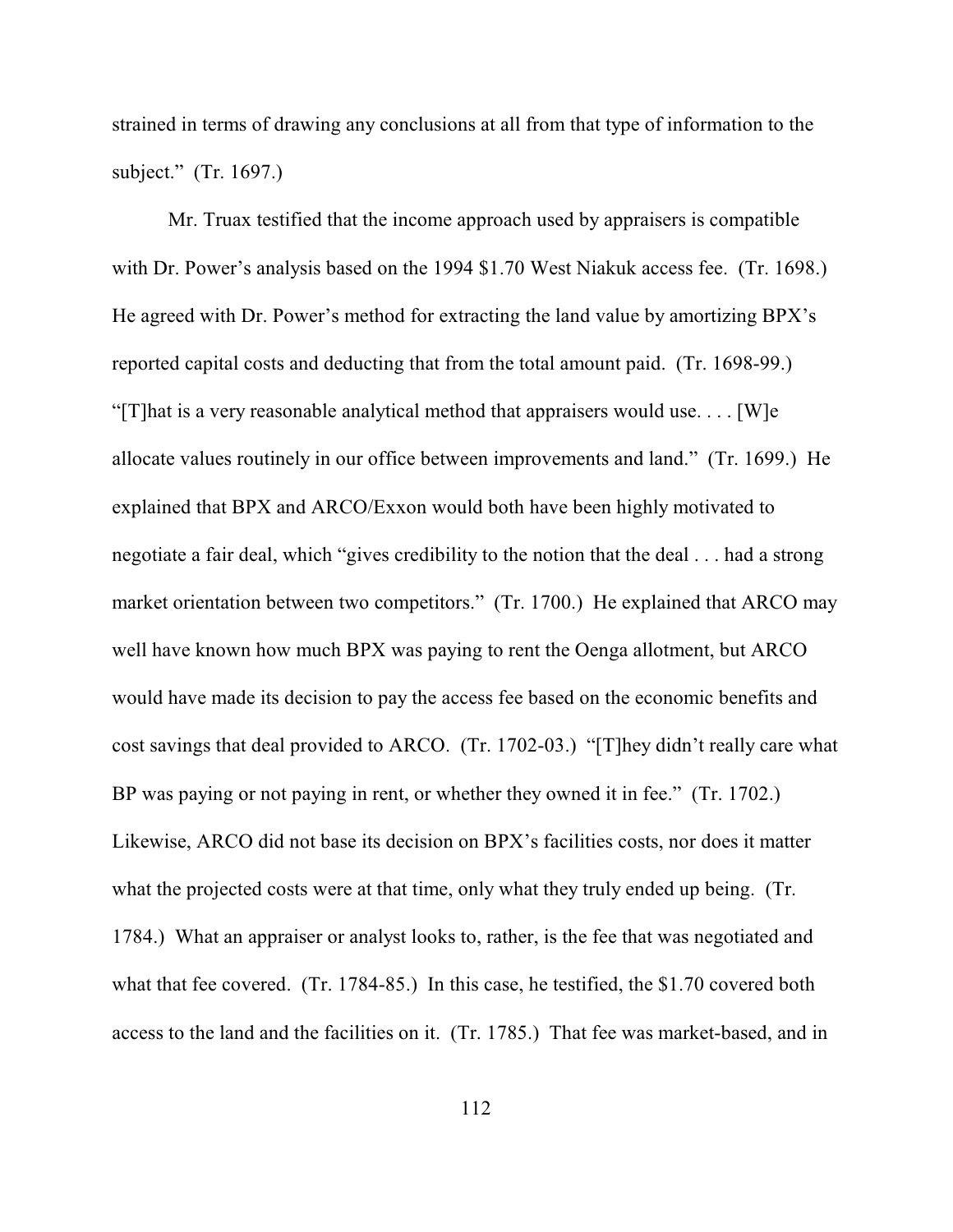strained in terms of drawing any conclusions at all from that type of information to the subject." (Tr. 1697.)

Mr. Truax testified that the income approach used by appraisers is compatible with Dr. Power's analysis based on the 1994 \$1.70 West Niakuk access fee. (Tr. 1698.) He agreed with Dr. Power's method for extracting the land value by amortizing BPX's reported capital costs and deducting that from the total amount paid. (Tr. 1698-99.) "[T]hat is a very reasonable analytical method that appraisers would use. . . . [W]e allocate values routinely in our office between improvements and land." (Tr. 1699.) He explained that BPX and ARCO/Exxon would both have been highly motivated to negotiate a fair deal, which "gives credibility to the notion that the deal . . . had a strong market orientation between two competitors." (Tr. 1700.) He explained that ARCO may well have known how much BPX was paying to rent the Oenga allotment, but ARCO would have made its decision to pay the access fee based on the economic benefits and cost savings that deal provided to ARCO. (Tr. 1702-03.) "[T]hey didn't really care what BP was paying or not paying in rent, or whether they owned it in fee." (Tr. 1702.) Likewise, ARCO did not base its decision on BPX's facilities costs, nor does it matter what the projected costs were at that time, only what they truly ended up being. (Tr. 1784.) What an appraiser or analyst looks to, rather, is the fee that was negotiated and what that fee covered. (Tr. 1784-85.) In this case, he testified, the \$1.70 covered both access to the land and the facilities on it. (Tr. 1785.) That fee was market-based, and in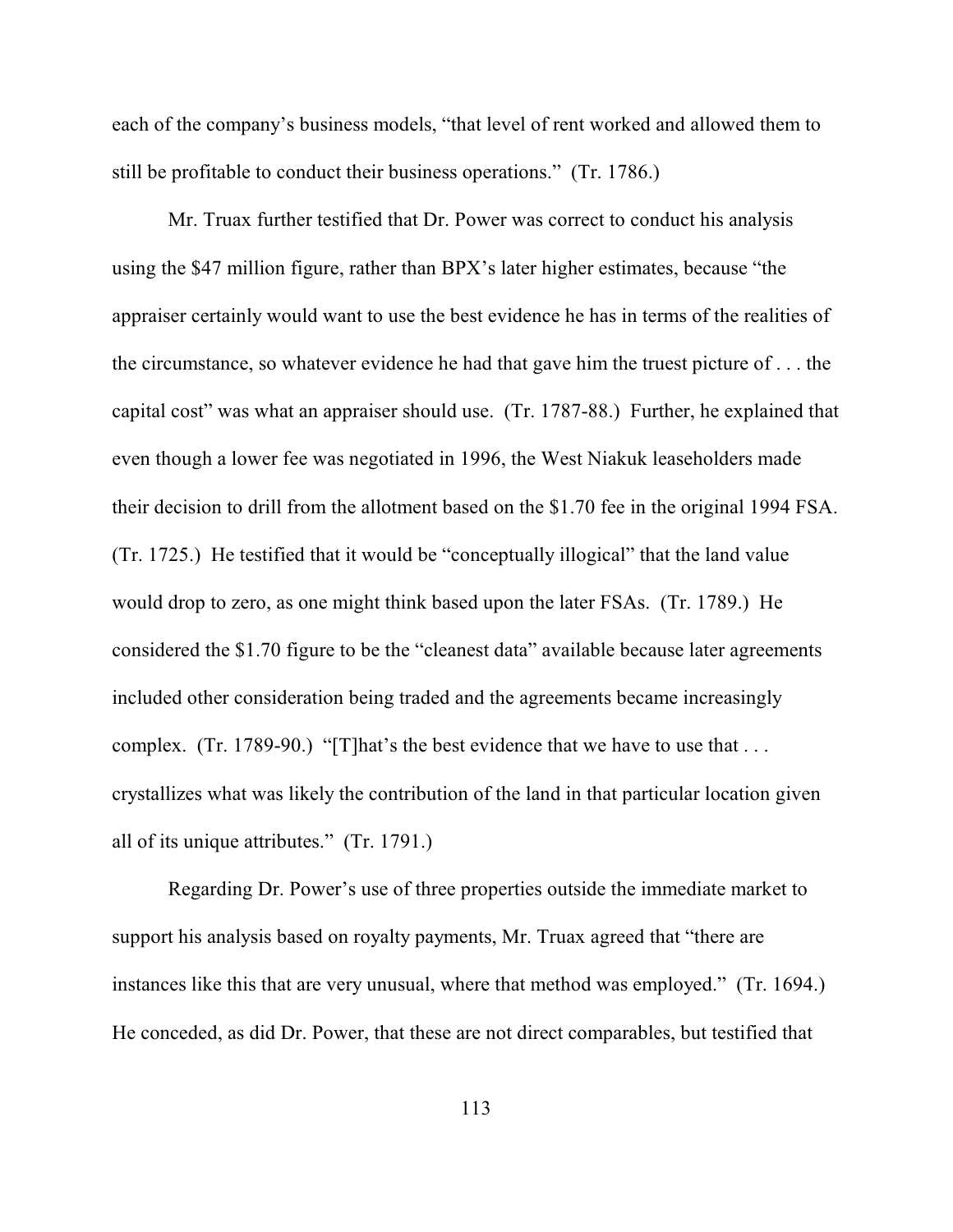each of the company's business models, "that level of rent worked and allowed them to still be profitable to conduct their business operations." (Tr. 1786.)

Mr. Truax further testified that Dr. Power was correct to conduct his analysis using the \$47 million figure, rather than BPX's later higher estimates, because "the appraiser certainly would want to use the best evidence he has in terms of the realities of the circumstance, so whatever evidence he had that gave him the truest picture of . . . the capital cost" was what an appraiser should use. (Tr. 1787-88.) Further, he explained that even though a lower fee was negotiated in 1996, the West Niakuk leaseholders made their decision to drill from the allotment based on the \$1.70 fee in the original 1994 FSA. (Tr. 1725.) He testified that it would be "conceptually illogical" that the land value would drop to zero, as one might think based upon the later FSAs. (Tr. 1789.) He considered the \$1.70 figure to be the "cleanest data" available because later agreements included other consideration being traded and the agreements became increasingly complex. (Tr. 1789-90.) "[T]hat's the best evidence that we have to use that ... crystallizes what was likely the contribution of the land in that particular location given all of its unique attributes." (Tr. 1791.)

Regarding Dr. Power's use of three properties outside the immediate market to support his analysis based on royalty payments, Mr. Truax agreed that "there are instances like this that are very unusual, where that method was employed." (Tr. 1694.) He conceded, as did Dr. Power, that these are not direct comparables, but testified that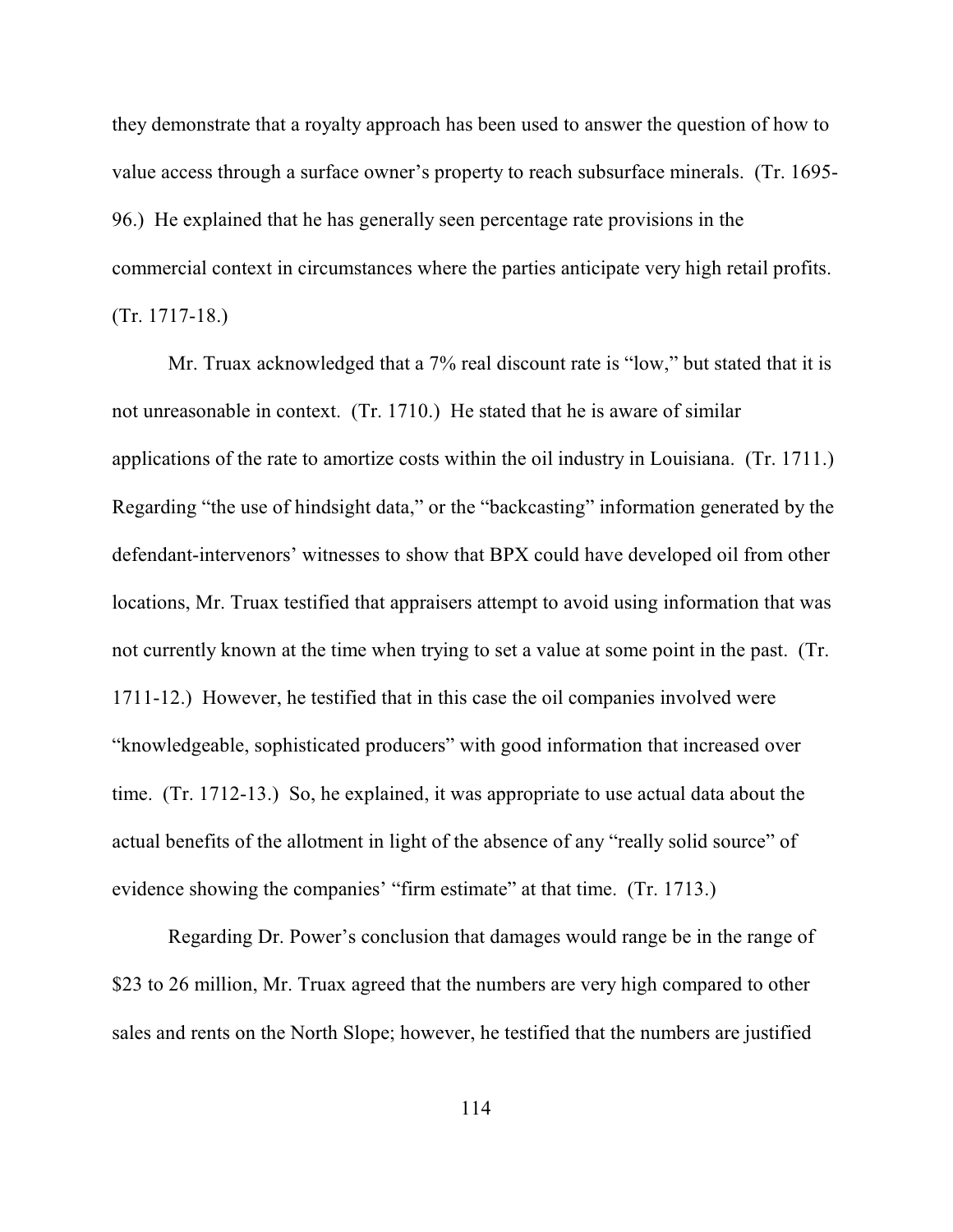they demonstrate that a royalty approach has been used to answer the question of how to value access through a surface owner's property to reach subsurface minerals. (Tr. 1695- 96.) He explained that he has generally seen percentage rate provisions in the commercial context in circumstances where the parties anticipate very high retail profits. (Tr. 1717-18.)

Mr. Truax acknowledged that a 7% real discount rate is "low," but stated that it is not unreasonable in context. (Tr. 1710.) He stated that he is aware of similar applications of the rate to amortize costs within the oil industry in Louisiana. (Tr. 1711.) Regarding "the use of hindsight data," or the "backcasting" information generated by the defendant-intervenors' witnesses to show that BPX could have developed oil from other locations, Mr. Truax testified that appraisers attempt to avoid using information that was not currently known at the time when trying to set a value at some point in the past. (Tr. 1711-12.) However, he testified that in this case the oil companies involved were "knowledgeable, sophisticated producers" with good information that increased over time. (Tr. 1712-13.) So, he explained, it was appropriate to use actual data about the actual benefits of the allotment in light of the absence of any "really solid source" of evidence showing the companies' "firm estimate" at that time. (Tr. 1713.)

Regarding Dr. Power's conclusion that damages would range be in the range of \$23 to 26 million, Mr. Truax agreed that the numbers are very high compared to other sales and rents on the North Slope; however, he testified that the numbers are justified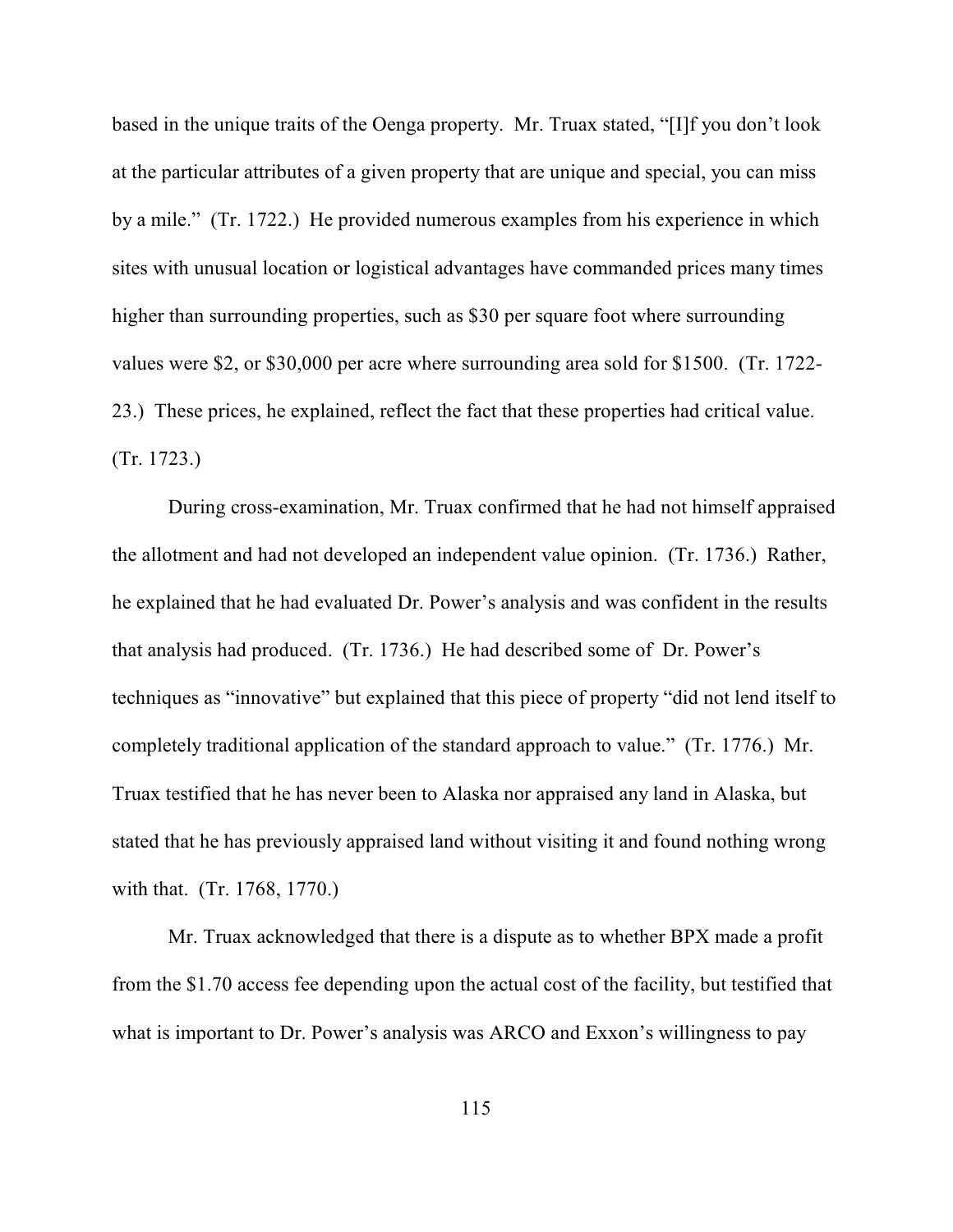based in the unique traits of the Oenga property. Mr. Truax stated, "[I]f you don't look at the particular attributes of a given property that are unique and special, you can miss by a mile." (Tr. 1722.) He provided numerous examples from his experience in which sites with unusual location or logistical advantages have commanded prices many times higher than surrounding properties, such as \$30 per square foot where surrounding values were \$2, or \$30,000 per acre where surrounding area sold for \$1500. (Tr. 1722- 23.) These prices, he explained, reflect the fact that these properties had critical value. (Tr. 1723.)

During cross-examination, Mr. Truax confirmed that he had not himself appraised the allotment and had not developed an independent value opinion. (Tr. 1736.) Rather, he explained that he had evaluated Dr. Power's analysis and was confident in the results that analysis had produced. (Tr. 1736.) He had described some of Dr. Power's techniques as "innovative" but explained that this piece of property "did not lend itself to completely traditional application of the standard approach to value." (Tr. 1776.) Mr. Truax testified that he has never been to Alaska nor appraised any land in Alaska, but stated that he has previously appraised land without visiting it and found nothing wrong with that. (Tr. 1768, 1770.)

Mr. Truax acknowledged that there is a dispute as to whether BPX made a profit from the \$1.70 access fee depending upon the actual cost of the facility, but testified that what is important to Dr. Power's analysis was ARCO and Exxon's willingness to pay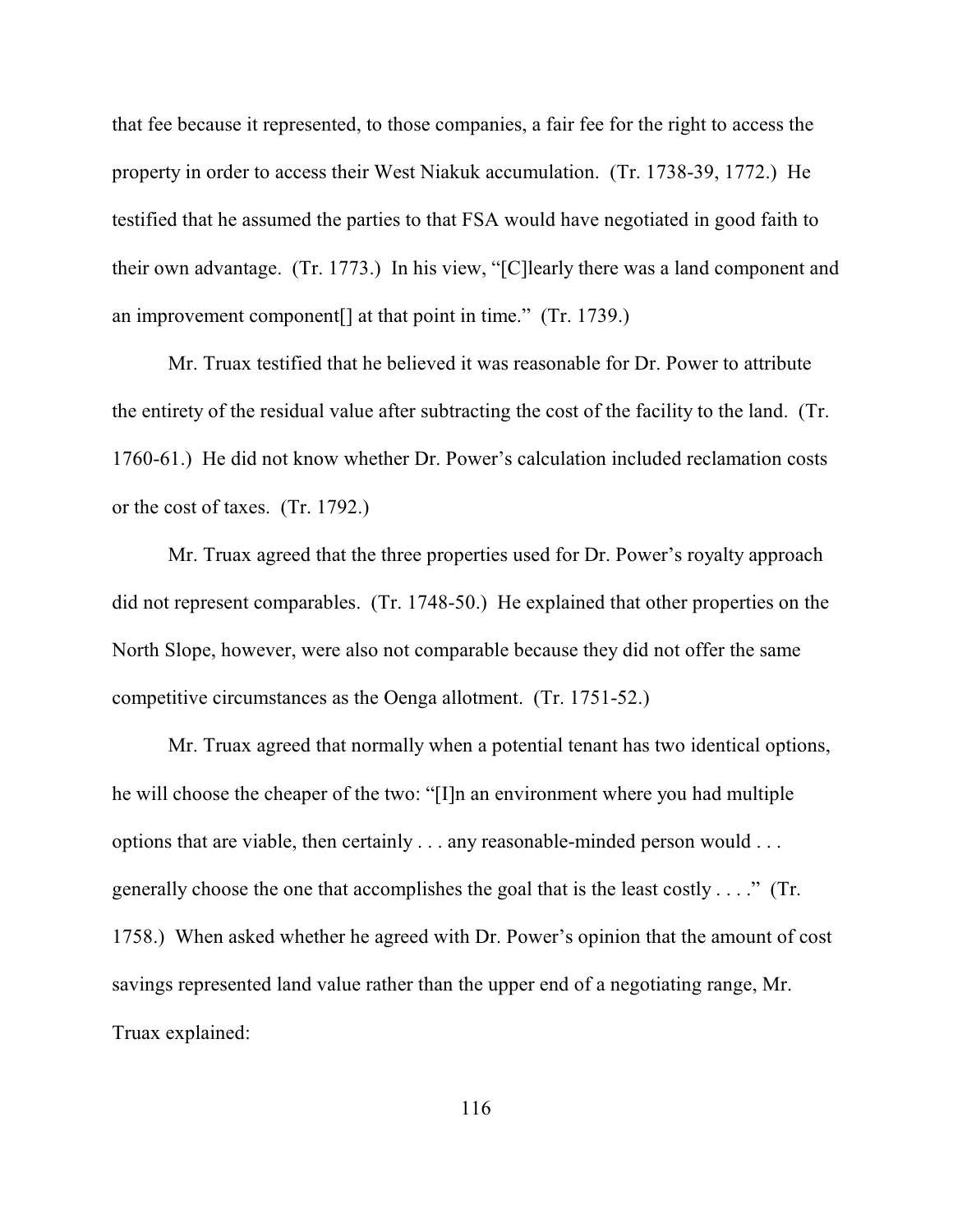that fee because it represented, to those companies, a fair fee for the right to access the property in order to access their West Niakuk accumulation. (Tr. 1738-39, 1772.) He testified that he assumed the parties to that FSA would have negotiated in good faith to their own advantage. (Tr. 1773.) In his view, "[C]learly there was a land component and an improvement component[] at that point in time." (Tr. 1739.)

Mr. Truax testified that he believed it was reasonable for Dr. Power to attribute the entirety of the residual value after subtracting the cost of the facility to the land. (Tr. 1760-61.) He did not know whether Dr. Power's calculation included reclamation costs or the cost of taxes. (Tr. 1792.)

Mr. Truax agreed that the three properties used for Dr. Power's royalty approach did not represent comparables. (Tr. 1748-50.) He explained that other properties on the North Slope, however, were also not comparable because they did not offer the same competitive circumstances as the Oenga allotment. (Tr. 1751-52.)

Mr. Truax agreed that normally when a potential tenant has two identical options, he will choose the cheaper of the two: "[I]n an environment where you had multiple options that are viable, then certainly . . . any reasonable-minded person would . . . generally choose the one that accomplishes the goal that is the least costly . . . ." (Tr. 1758.) When asked whether he agreed with Dr. Power's opinion that the amount of cost savings represented land value rather than the upper end of a negotiating range, Mr. Truax explained: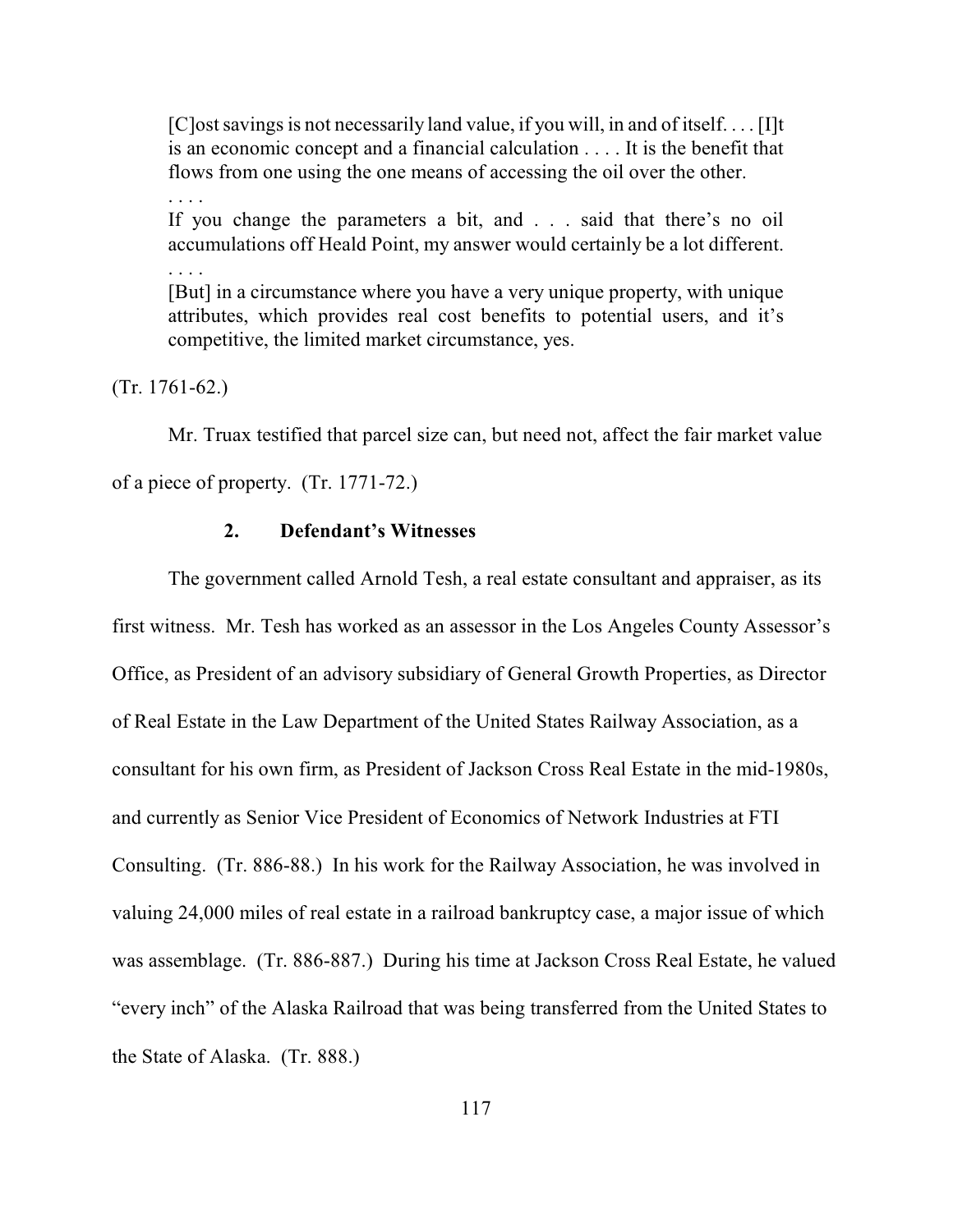[C]ost savings is not necessarily land value, if you will, in and of itself. . . . [I]t is an economic concept and a financial calculation . . . . It is the benefit that flows from one using the one means of accessing the oil over the other.

If you change the parameters a bit, and . . . said that there's no oil accumulations off Heald Point, my answer would certainly be a lot different. . . . .

[But] in a circumstance where you have a very unique property, with unique attributes, which provides real cost benefits to potential users, and it's competitive, the limited market circumstance, yes.

(Tr. 1761-62.)

. . . .

Mr. Truax testified that parcel size can, but need not, affect the fair market value of a piece of property. (Tr. 1771-72.)

## **2. Defendant's Witnesses**

The government called Arnold Tesh, a real estate consultant and appraiser, as its first witness. Mr. Tesh has worked as an assessor in the Los Angeles County Assessor's Office, as President of an advisory subsidiary of General Growth Properties, as Director of Real Estate in the Law Department of the United States Railway Association, as a consultant for his own firm, as President of Jackson Cross Real Estate in the mid-1980s, and currently as Senior Vice President of Economics of Network Industries at FTI Consulting. (Tr. 886-88.) In his work for the Railway Association, he was involved in valuing 24,000 miles of real estate in a railroad bankruptcy case, a major issue of which was assemblage. (Tr. 886-887.) During his time at Jackson Cross Real Estate, he valued "every inch" of the Alaska Railroad that was being transferred from the United States to the State of Alaska. (Tr. 888.)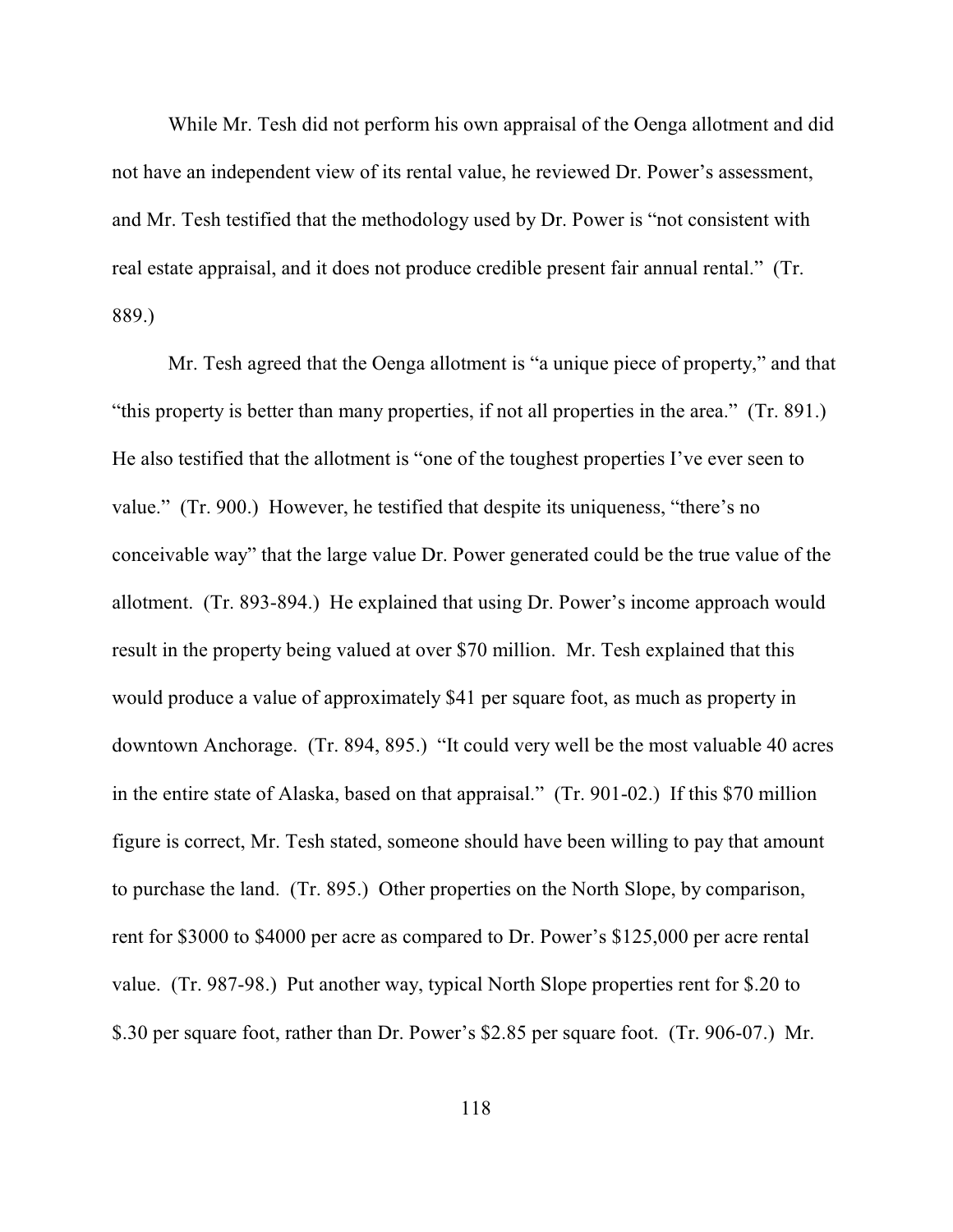While Mr. Tesh did not perform his own appraisal of the Oenga allotment and did not have an independent view of its rental value, he reviewed Dr. Power's assessment, and Mr. Tesh testified that the methodology used by Dr. Power is "not consistent with real estate appraisal, and it does not produce credible present fair annual rental." (Tr. 889.)

Mr. Tesh agreed that the Oenga allotment is "a unique piece of property," and that "this property is better than many properties, if not all properties in the area." (Tr. 891.) He also testified that the allotment is "one of the toughest properties I've ever seen to value." (Tr. 900.) However, he testified that despite its uniqueness, "there's no conceivable way" that the large value Dr. Power generated could be the true value of the allotment. (Tr. 893-894.) He explained that using Dr. Power's income approach would result in the property being valued at over \$70 million. Mr. Tesh explained that this would produce a value of approximately \$41 per square foot, as much as property in downtown Anchorage. (Tr. 894, 895.) "It could very well be the most valuable 40 acres in the entire state of Alaska, based on that appraisal." (Tr. 901-02.) If this \$70 million figure is correct, Mr. Tesh stated, someone should have been willing to pay that amount to purchase the land. (Tr. 895.) Other properties on the North Slope, by comparison, rent for \$3000 to \$4000 per acre as compared to Dr. Power's \$125,000 per acre rental value. (Tr. 987-98.) Put another way, typical North Slope properties rent for \$.20 to \$.30 per square foot, rather than Dr. Power's \$2.85 per square foot. (Tr. 906-07.) Mr.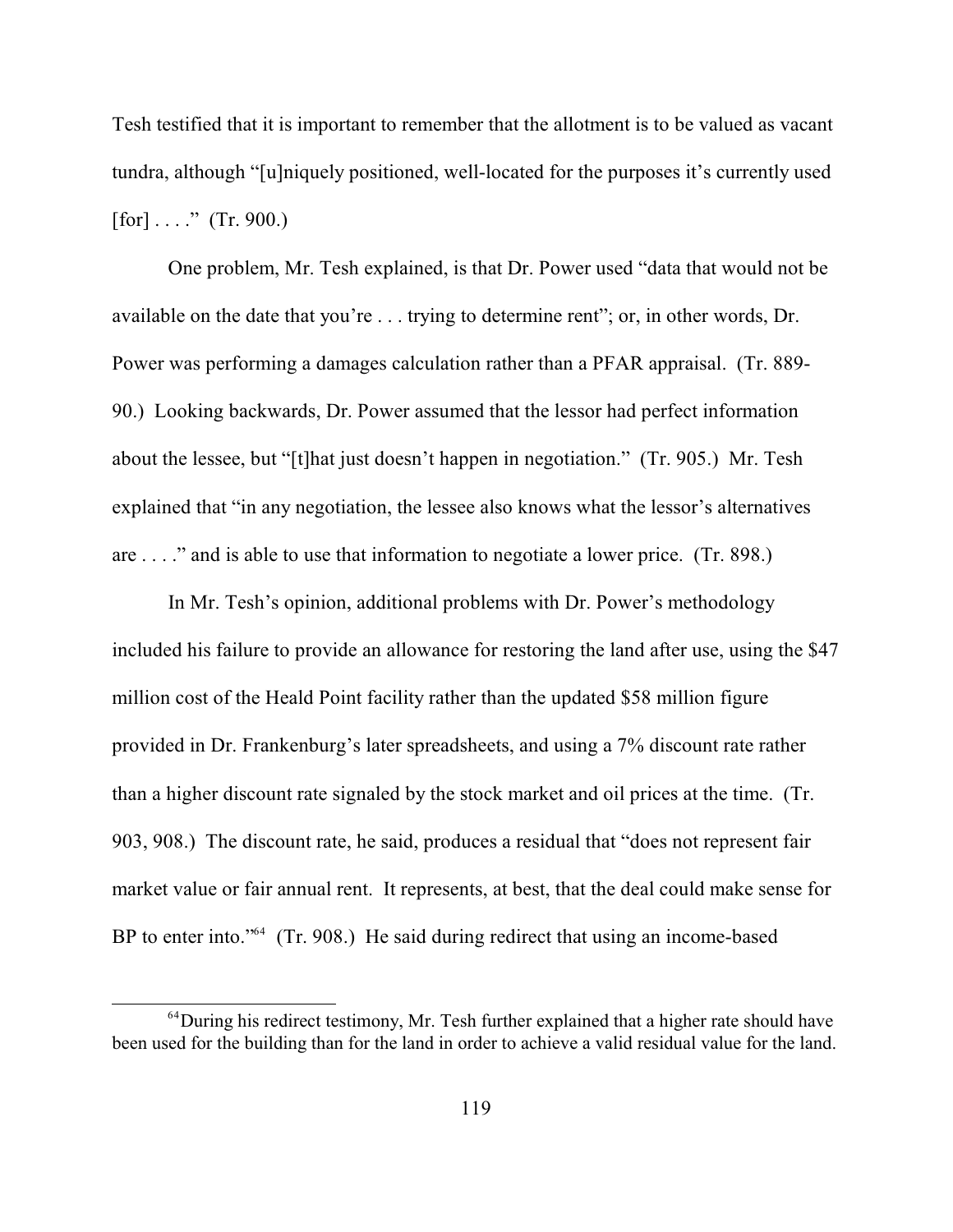Tesh testified that it is important to remember that the allotment is to be valued as vacant tundra, although "[u]niquely positioned, well-located for the purposes it's currently used  $[for] \ldots$ ." (Tr. 900.)

One problem, Mr. Tesh explained, is that Dr. Power used "data that would not be available on the date that you're . . . trying to determine rent"; or, in other words, Dr. Power was performing a damages calculation rather than a PFAR appraisal. (Tr. 889- 90.) Looking backwards, Dr. Power assumed that the lessor had perfect information about the lessee, but "[t]hat just doesn't happen in negotiation." (Tr. 905.) Mr. Tesh explained that "in any negotiation, the lessee also knows what the lessor's alternatives are . . . ." and is able to use that information to negotiate a lower price. (Tr. 898.)

In Mr. Tesh's opinion, additional problems with Dr. Power's methodology included his failure to provide an allowance for restoring the land after use, using the \$47 million cost of the Heald Point facility rather than the updated \$58 million figure provided in Dr. Frankenburg's later spreadsheets, and using a 7% discount rate rather than a higher discount rate signaled by the stock market and oil prices at the time. (Tr. 903, 908.) The discount rate, he said, produces a residual that "does not represent fair market value or fair annual rent. It represents, at best, that the deal could make sense for BP to enter into." $4$  (Tr. 908.) He said during redirect that using an income-based

 $64$  During his redirect testimony, Mr. Tesh further explained that a higher rate should have been used for the building than for the land in order to achieve a valid residual value for the land.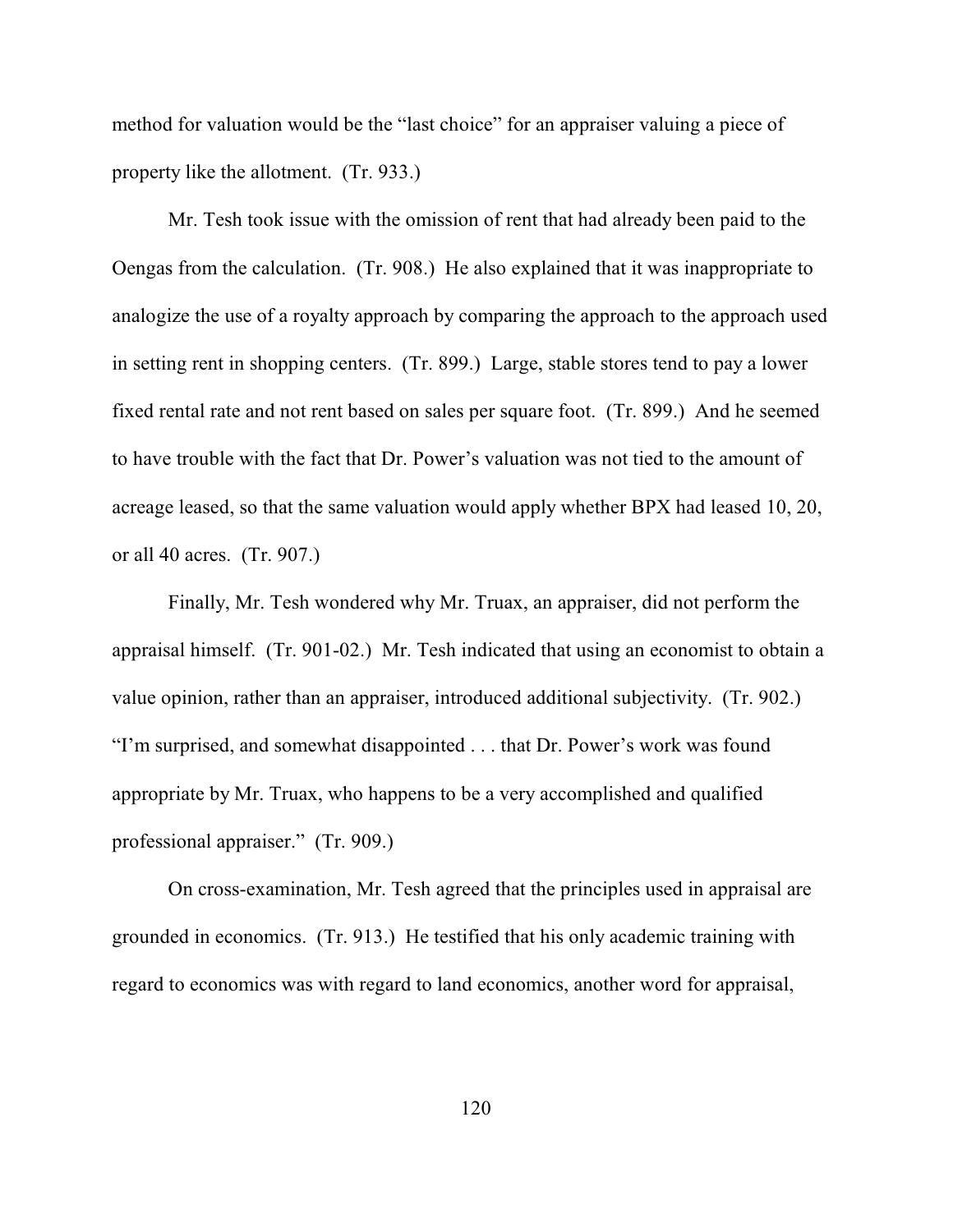method for valuation would be the "last choice" for an appraiser valuing a piece of property like the allotment. (Tr. 933.)

Mr. Tesh took issue with the omission of rent that had already been paid to the Oengas from the calculation. (Tr. 908.) He also explained that it was inappropriate to analogize the use of a royalty approach by comparing the approach to the approach used in setting rent in shopping centers. (Tr. 899.) Large, stable stores tend to pay a lower fixed rental rate and not rent based on sales per square foot. (Tr. 899.) And he seemed to have trouble with the fact that Dr. Power's valuation was not tied to the amount of acreage leased, so that the same valuation would apply whether BPX had leased 10, 20, or all 40 acres. (Tr. 907.)

Finally, Mr. Tesh wondered why Mr. Truax, an appraiser, did not perform the appraisal himself. (Tr. 901-02.) Mr. Tesh indicated that using an economist to obtain a value opinion, rather than an appraiser, introduced additional subjectivity. (Tr. 902.) "I'm surprised, and somewhat disappointed . . . that Dr. Power's work was found appropriate by Mr. Truax, who happens to be a very accomplished and qualified professional appraiser." (Tr. 909.)

On cross-examination, Mr. Tesh agreed that the principles used in appraisal are grounded in economics. (Tr. 913.) He testified that his only academic training with regard to economics was with regard to land economics, another word for appraisal,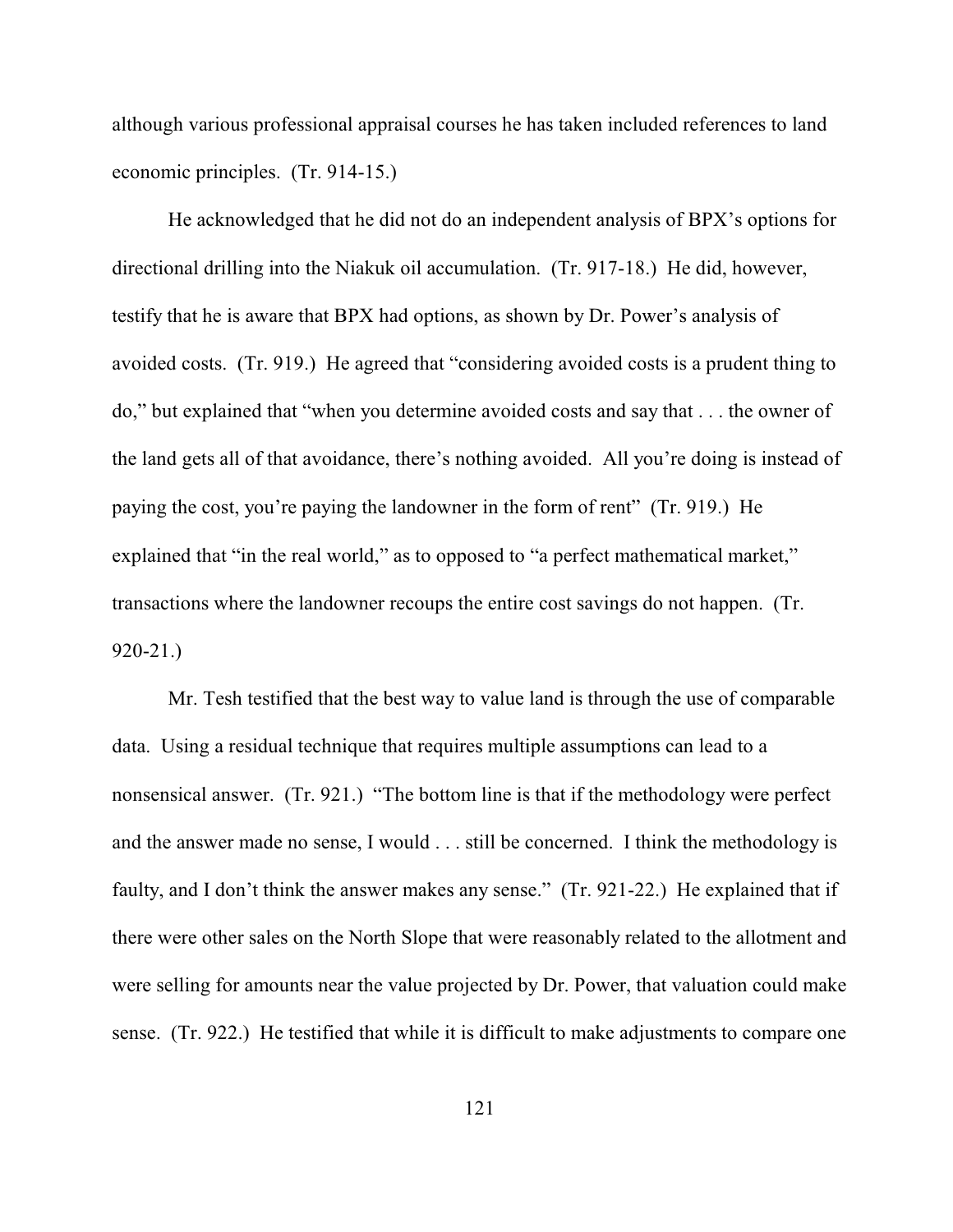although various professional appraisal courses he has taken included references to land economic principles. (Tr. 914-15.)

He acknowledged that he did not do an independent analysis of BPX's options for directional drilling into the Niakuk oil accumulation. (Tr. 917-18.) He did, however, testify that he is aware that BPX had options, as shown by Dr. Power's analysis of avoided costs. (Tr. 919.) He agreed that "considering avoided costs is a prudent thing to do," but explained that "when you determine avoided costs and say that . . . the owner of the land gets all of that avoidance, there's nothing avoided. All you're doing is instead of paying the cost, you're paying the landowner in the form of rent" (Tr. 919.)He explained that "in the real world," as to opposed to "a perfect mathematical market," transactions where the landowner recoups the entire cost savings do not happen. (Tr. 920-21.)

Mr. Tesh testified that the best way to value land is through the use of comparable data. Using a residual technique that requires multiple assumptions can lead to a nonsensical answer. (Tr. 921.) "The bottom line is that if the methodology were perfect and the answer made no sense, I would . . . still be concerned. I think the methodology is faulty, and I don't think the answer makes any sense." (Tr. 921-22.) He explained that if there were other sales on the North Slope that were reasonably related to the allotment and were selling for amounts near the value projected by Dr. Power, that valuation could make sense. (Tr. 922.) He testified that while it is difficult to make adjustments to compare one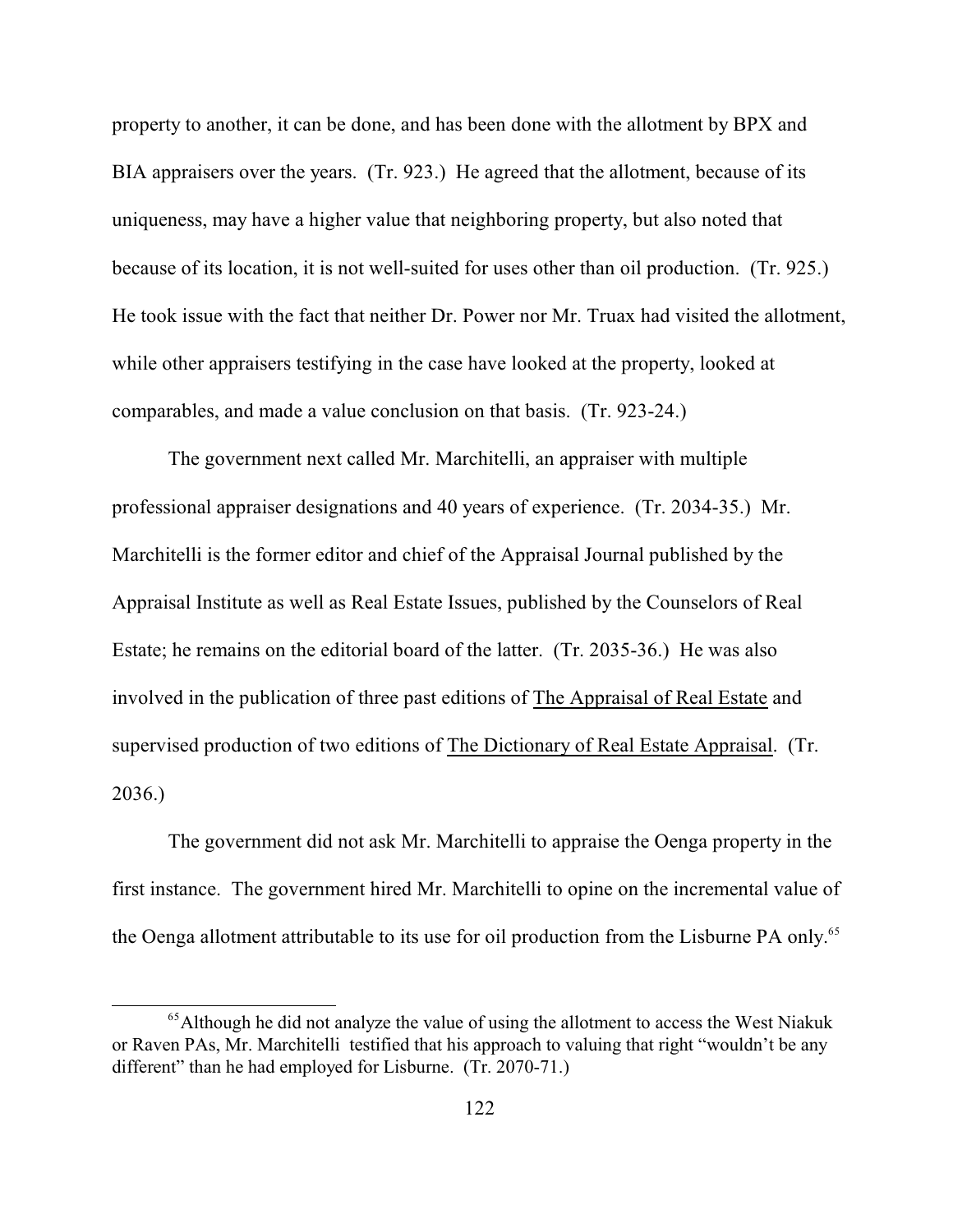property to another, it can be done, and has been done with the allotment by BPX and BIA appraisers over the years. (Tr. 923.) He agreed that the allotment, because of its uniqueness, may have a higher value that neighboring property, but also noted that because of its location, it is not well-suited for uses other than oil production. (Tr. 925.) He took issue with the fact that neither Dr. Power nor Mr. Truax had visited the allotment, while other appraisers testifying in the case have looked at the property, looked at comparables, and made a value conclusion on that basis. (Tr. 923-24.)

The government next called Mr. Marchitelli, an appraiser with multiple professional appraiser designations and 40 years of experience. (Tr. 2034-35.) Mr. Marchitelli is the former editor and chief of the Appraisal Journal published by the Appraisal Institute as well as Real Estate Issues, published by the Counselors of Real Estate; he remains on the editorial board of the latter. (Tr. 2035-36.) He was also involved in the publication of three past editions of The Appraisal of Real Estate and supervised production of two editions of The Dictionary of Real Estate Appraisal. (Tr. 2036.)

The government did not ask Mr. Marchitelli to appraise the Oenga property in the first instance. The government hired Mr. Marchitelli to opine on the incremental value of the Oenga allotment attributable to its use for oil production from the Lisburne PA only.<sup>65</sup>

 $<sup>65</sup>$ Although he did not analyze the value of using the allotment to access the West Niakuk</sup> or Raven PAs, Mr. Marchitelli testified that his approach to valuing that right "wouldn't be any different" than he had employed for Lisburne. (Tr. 2070-71.)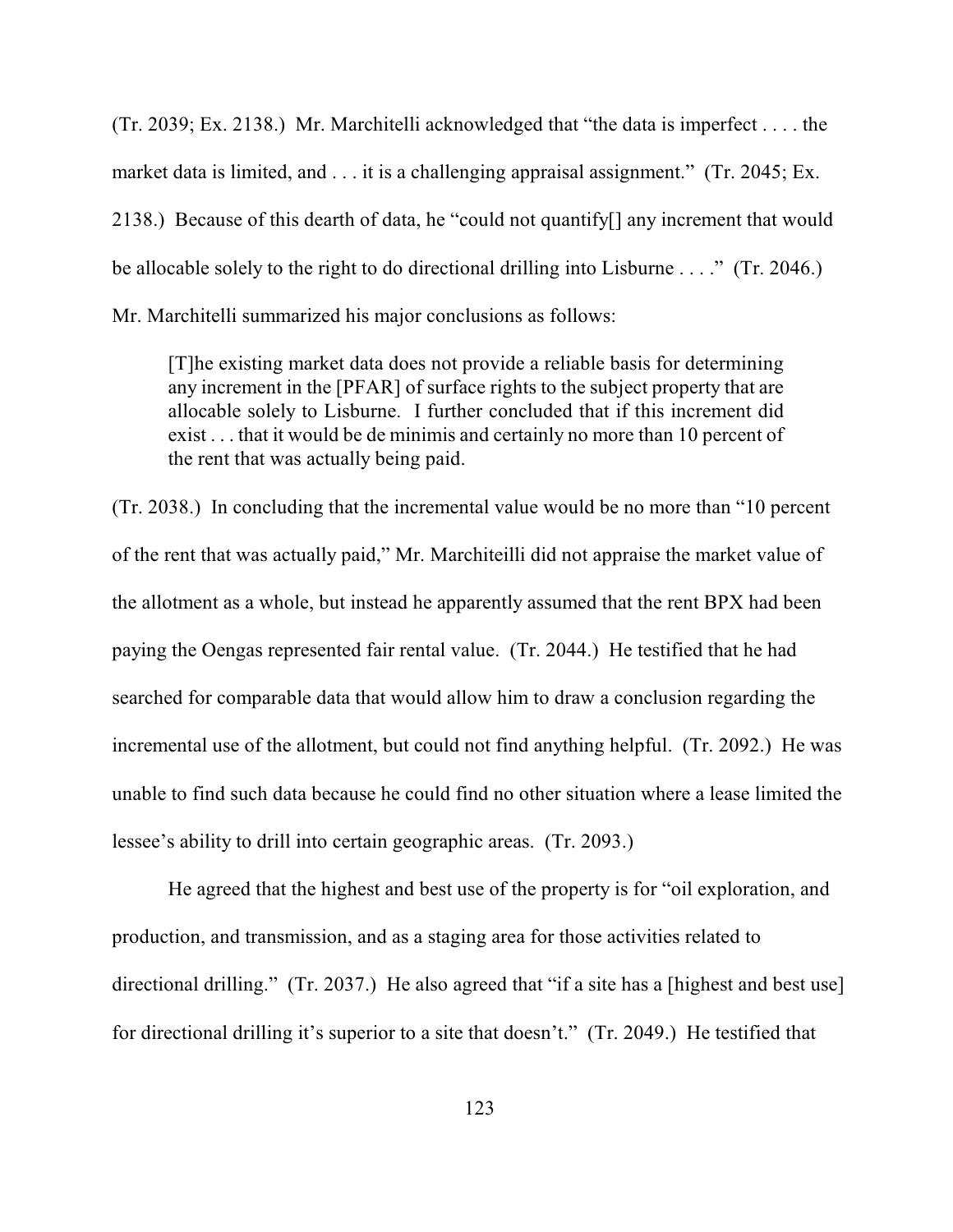(Tr. 2039; Ex. 2138.) Mr. Marchitelli acknowledged that "the data is imperfect . . . . the market data is limited, and . . . it is a challenging appraisal assignment." (Tr. 2045; Ex. 2138.) Because of this dearth of data, he "could not quantify[] any increment that would be allocable solely to the right to do directional drilling into Lisburne . . . ." (Tr. 2046.) Mr. Marchitelli summarized his major conclusions as follows:

[T]he existing market data does not provide a reliable basis for determining any increment in the [PFAR] of surface rights to the subject property that are allocable solely to Lisburne. I further concluded that if this increment did exist . . . that it would be de minimis and certainly no more than 10 percent of the rent that was actually being paid.

(Tr. 2038.) In concluding that the incremental value would be no more than "10 percent of the rent that was actually paid," Mr. Marchiteilli did not appraise the market value of the allotment as a whole, but instead he apparently assumed that the rent BPX had been paying the Oengas represented fair rental value. (Tr. 2044.) He testified that he had searched for comparable data that would allow him to draw a conclusion regarding the incremental use of the allotment, but could not find anything helpful. (Tr. 2092.) He was unable to find such data because he could find no other situation where a lease limited the lessee's ability to drill into certain geographic areas. (Tr. 2093.)

He agreed that the highest and best use of the property is for "oil exploration, and production, and transmission, and as a staging area for those activities related to directional drilling." (Tr. 2037.) He also agreed that "if a site has a [highest and best use] for directional drilling it's superior to a site that doesn't." (Tr. 2049.) He testified that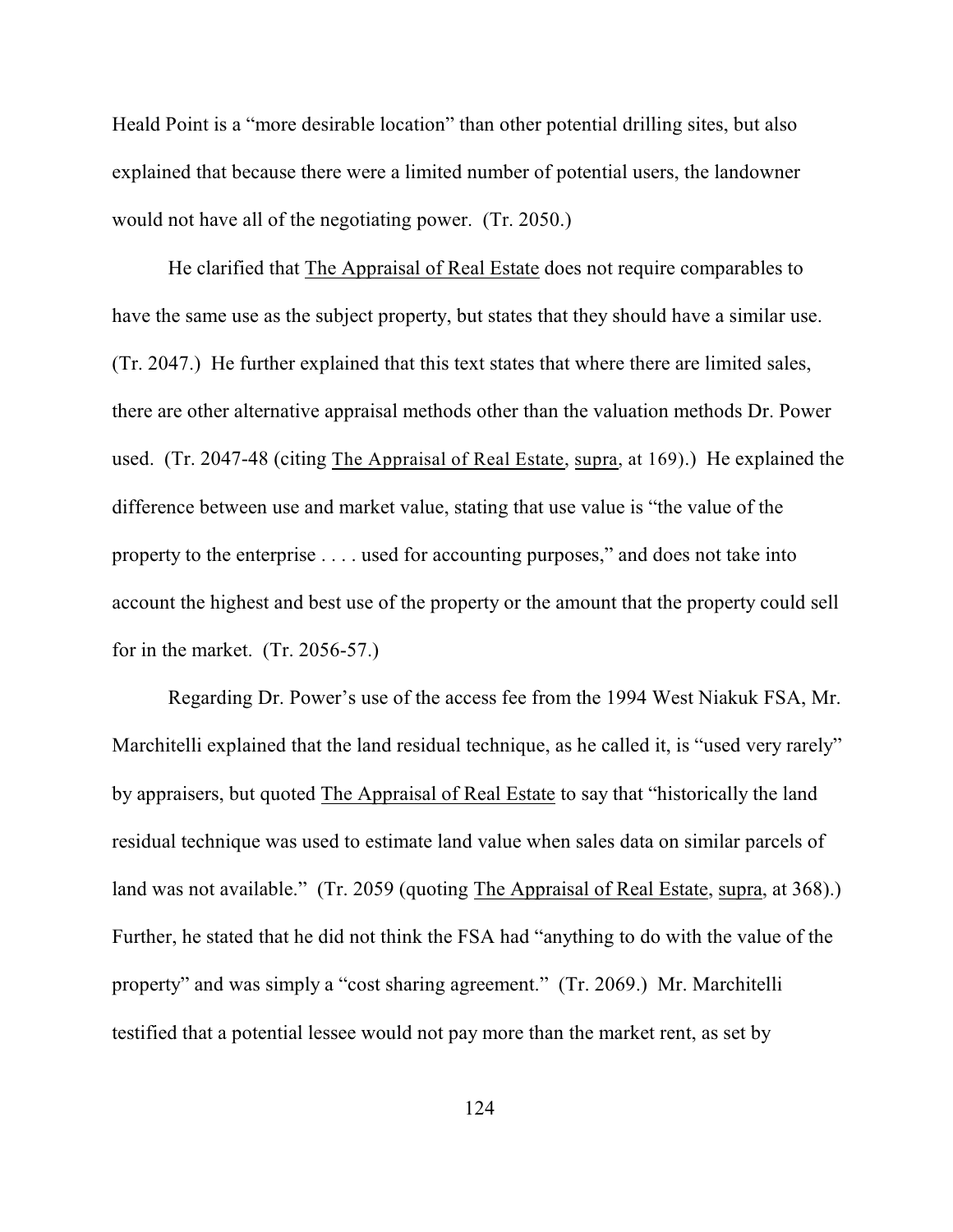Heald Point is a "more desirable location" than other potential drilling sites, but also explained that because there were a limited number of potential users, the landowner would not have all of the negotiating power. (Tr. 2050.)

He clarified that The Appraisal of Real Estate does not require comparables to have the same use as the subject property, but states that they should have a similar use. (Tr. 2047.) He further explained that this text states that where there are limited sales, there are other alternative appraisal methods other than the valuation methods Dr. Power used. (Tr. 2047-48 (citing The Appraisal of Real Estate, supra, at 169).) He explained the difference between use and market value, stating that use value is "the value of the property to the enterprise . . . . used for accounting purposes," and does not take into account the highest and best use of the property or the amount that the property could sell for in the market. (Tr. 2056-57.)

Regarding Dr. Power's use of the access fee from the 1994 West Niakuk FSA, Mr. Marchitelli explained that the land residual technique, as he called it, is "used very rarely" by appraisers, but quoted The Appraisal of Real Estate to say that "historically the land residual technique was used to estimate land value when sales data on similar parcels of land was not available." (Tr. 2059 (quoting The Appraisal of Real Estate, supra, at 368).) Further, he stated that he did not think the FSA had "anything to do with the value of the property" and was simply a "cost sharing agreement." (Tr. 2069.) Mr. Marchitelli testified that a potential lessee would not pay more than the market rent, as set by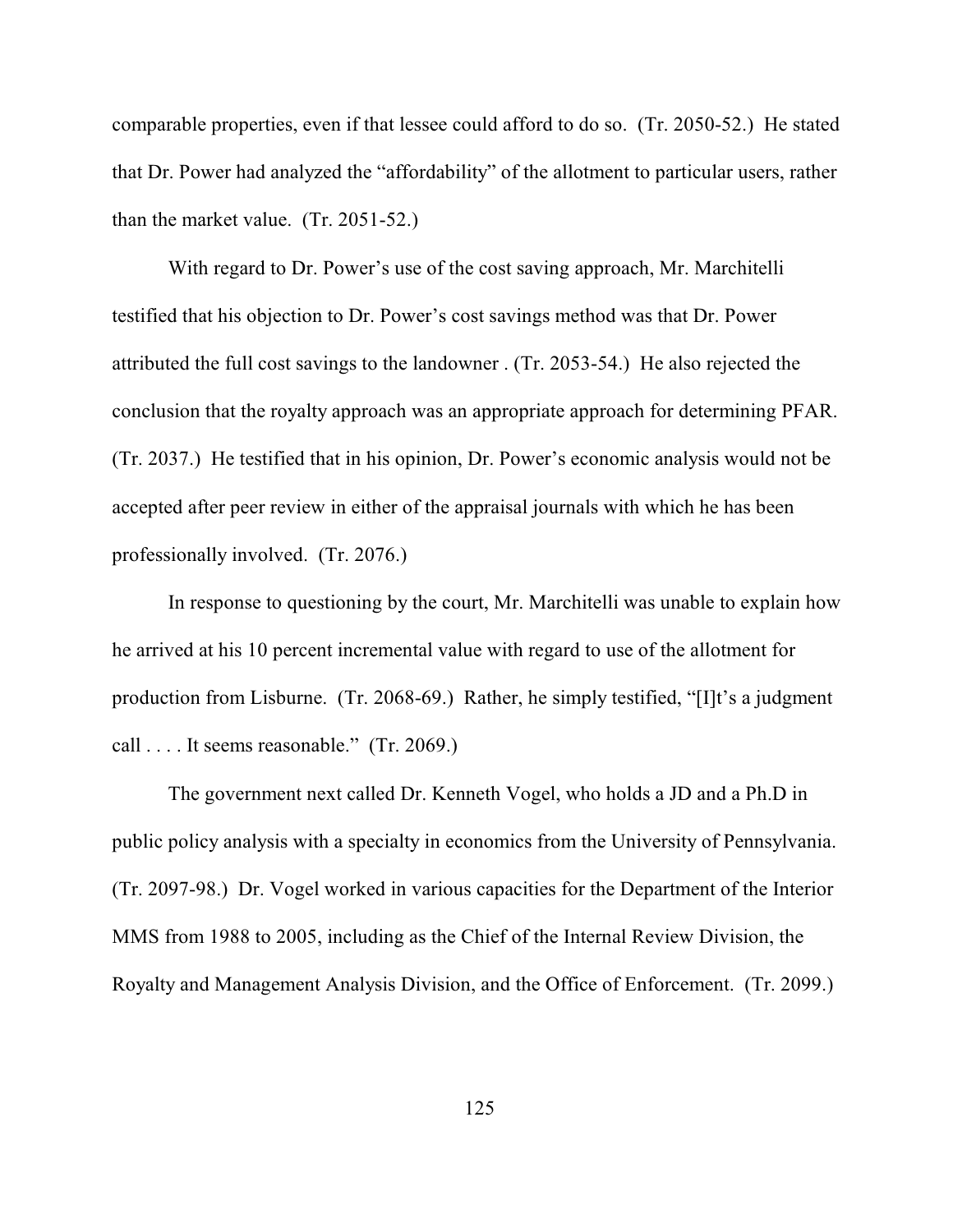comparable properties, even if that lessee could afford to do so. (Tr. 2050-52.) He stated that Dr. Power had analyzed the "affordability" of the allotment to particular users, rather than the market value. (Tr. 2051-52.)

With regard to Dr. Power's use of the cost saving approach, Mr. Marchitelli testified that his objection to Dr. Power's cost savings method was that Dr. Power attributed the full cost savings to the landowner . (Tr. 2053-54.) He also rejected the conclusion that the royalty approach was an appropriate approach for determining PFAR. (Tr. 2037.) He testified that in his opinion, Dr. Power's economic analysis would not be accepted after peer review in either of the appraisal journals with which he has been professionally involved. (Tr. 2076.)

In response to questioning by the court, Mr. Marchitelli was unable to explain how he arrived at his 10 percent incremental value with regard to use of the allotment for production from Lisburne. (Tr. 2068-69.) Rather, he simply testified, "[I]t's a judgment call . . . . It seems reasonable." (Tr. 2069.)

The government next called Dr. Kenneth Vogel, who holds a JD and a Ph.D in public policy analysis with a specialty in economics from the University of Pennsylvania. (Tr. 2097-98.) Dr. Vogel worked in various capacities for the Department of the Interior MMS from 1988 to 2005, including as the Chief of the Internal Review Division, the Royalty and Management Analysis Division, and the Office of Enforcement. (Tr. 2099.)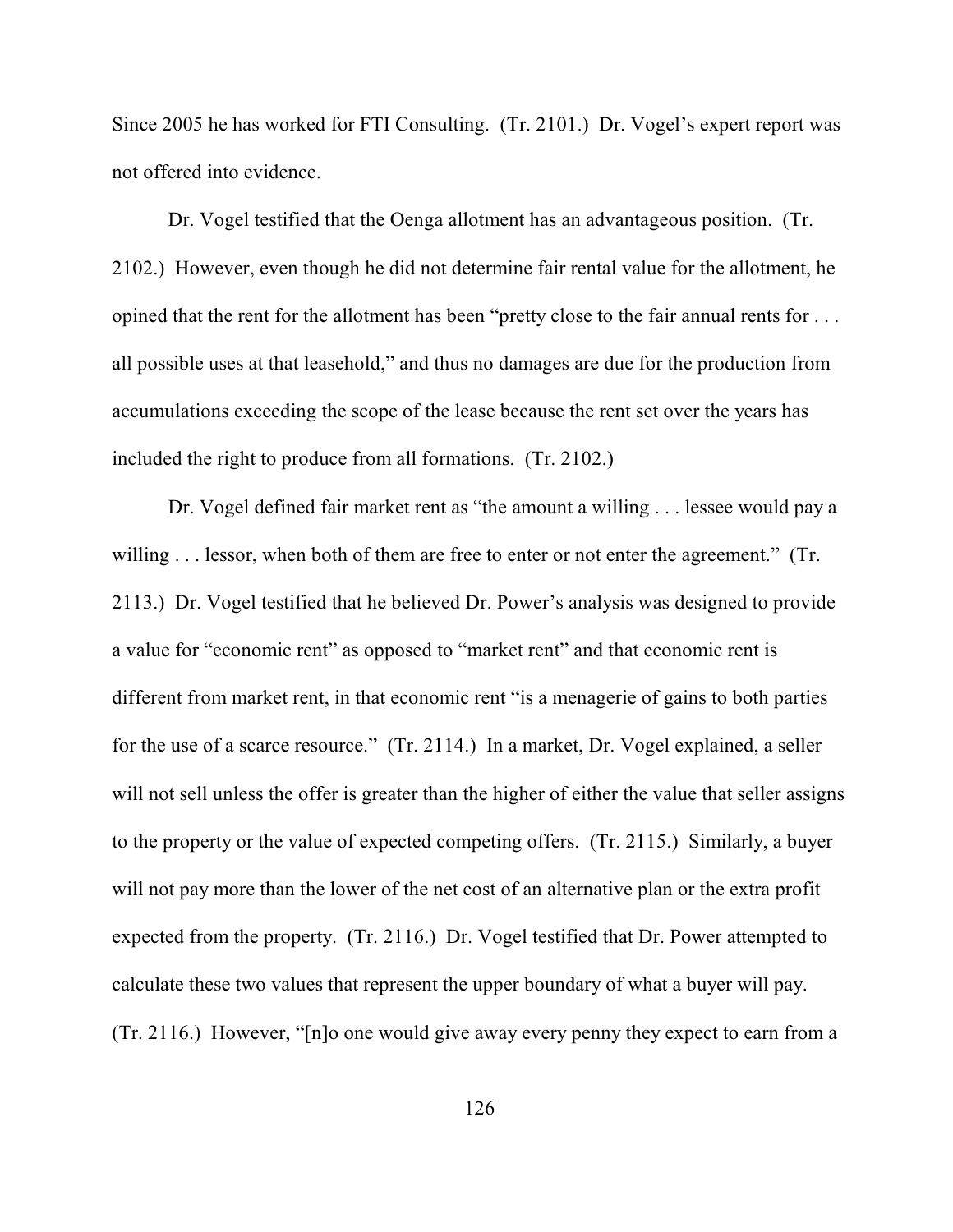Since 2005 he has worked for FTI Consulting. (Tr. 2101.) Dr. Vogel's expert report was not offered into evidence.

Dr. Vogel testified that the Oenga allotment has an advantageous position. (Tr. 2102.) However, even though he did not determine fair rental value for the allotment, he opined that the rent for the allotment has been "pretty close to the fair annual rents for . . . all possible uses at that leasehold," and thus no damages are due for the production from accumulations exceeding the scope of the lease because the rent set over the years has included the right to produce from all formations. (Tr. 2102.)

Dr. Vogel defined fair market rent as "the amount a willing . . . lessee would pay a willing . . . lessor, when both of them are free to enter or not enter the agreement." (Tr. 2113.) Dr. Vogel testified that he believed Dr. Power's analysis was designed to provide a value for "economic rent" as opposed to "market rent" and that economic rent is different from market rent, in that economic rent "is a menagerie of gains to both parties for the use of a scarce resource." (Tr. 2114.) In a market, Dr. Vogel explained, a seller will not sell unless the offer is greater than the higher of either the value that seller assigns to the property or the value of expected competing offers. (Tr. 2115.) Similarly, a buyer will not pay more than the lower of the net cost of an alternative plan or the extra profit expected from the property. (Tr. 2116.) Dr. Vogel testified that Dr. Power attempted to calculate these two values that represent the upper boundary of what a buyer will pay. (Tr. 2116.) However, "[n]o one would give away every penny they expect to earn from a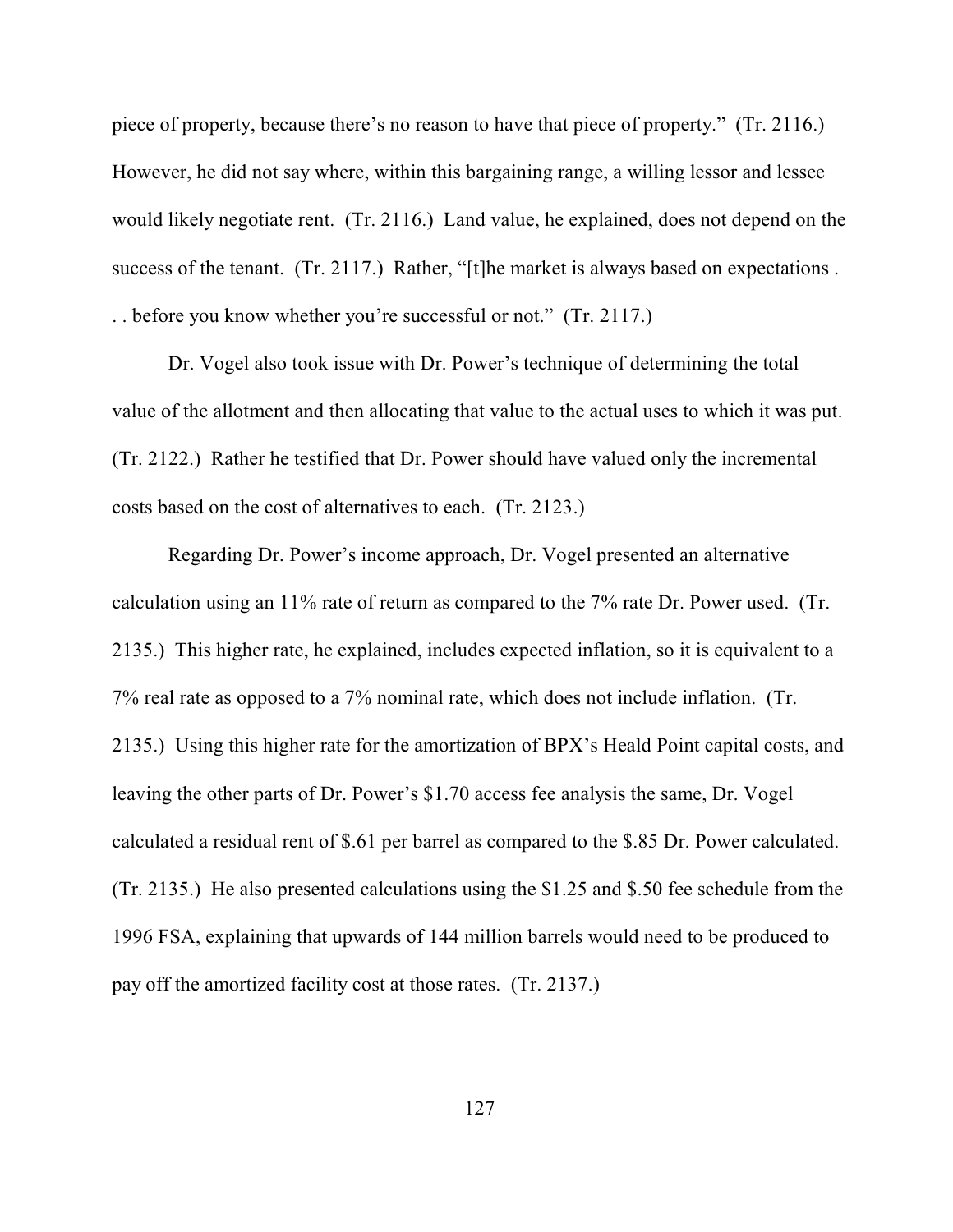piece of property, because there's no reason to have that piece of property." (Tr. 2116.) However, he did not say where, within this bargaining range, a willing lessor and lessee would likely negotiate rent. (Tr. 2116.) Land value, he explained, does not depend on the success of the tenant. (Tr. 2117.) Rather, "[t]he market is always based on expectations. . . before you know whether you're successful or not." (Tr. 2117.)

Dr. Vogel also took issue with Dr. Power's technique of determining the total value of the allotment and then allocating that value to the actual uses to which it was put. (Tr. 2122.) Rather he testified that Dr. Power should have valued only the incremental costs based on the cost of alternatives to each. (Tr. 2123.)

Regarding Dr. Power's income approach, Dr. Vogel presented an alternative calculation using an 11% rate of return as compared to the 7% rate Dr. Power used. (Tr. 2135.) This higher rate, he explained, includes expected inflation, so it is equivalent to a 7% real rate as opposed to a 7% nominal rate, which does not include inflation. (Tr. 2135.) Using this higher rate for the amortization of BPX's Heald Point capital costs, and leaving the other parts of Dr. Power's \$1.70 access fee analysis the same, Dr. Vogel calculated a residual rent of \$.61 per barrel as compared to the \$.85 Dr. Power calculated. (Tr. 2135.) He also presented calculations using the \$1.25 and \$.50 fee schedule from the 1996 FSA, explaining that upwards of 144 million barrels would need to be produced to pay off the amortized facility cost at those rates. (Tr. 2137.)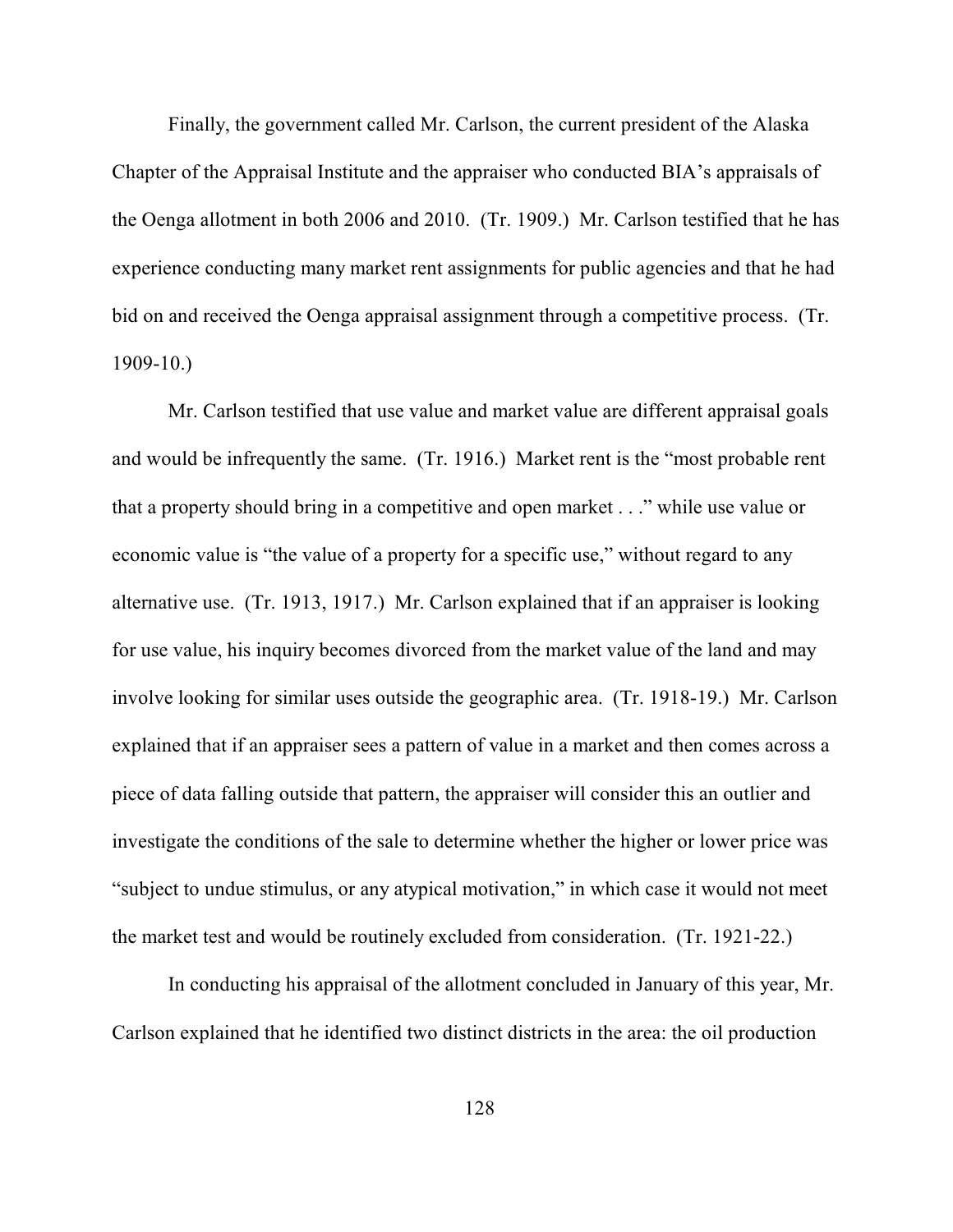Finally, the government called Mr. Carlson, the current president of the Alaska Chapter of the Appraisal Institute and the appraiser who conducted BIA's appraisals of the Oenga allotment in both 2006 and 2010. (Tr. 1909.) Mr. Carlson testified that he has experience conducting many market rent assignments for public agencies and that he had bid on and received the Oenga appraisal assignment through a competitive process. (Tr. 1909-10.)

Mr. Carlson testified that use value and market value are different appraisal goals and would be infrequently the same. (Tr. 1916.) Market rent is the "most probable rent that a property should bring in a competitive and open market . . ." while use value or economic value is "the value of a property for a specific use," without regard to any alternative use. (Tr. 1913, 1917.) Mr. Carlson explained that if an appraiser is looking for use value, his inquiry becomes divorced from the market value of the land and may involve looking for similar uses outside the geographic area. (Tr. 1918-19.) Mr. Carlson explained that if an appraiser sees a pattern of value in a market and then comes across a piece of data falling outside that pattern, the appraiser will consider this an outlier and investigate the conditions of the sale to determine whether the higher or lower price was "subject to undue stimulus, or any atypical motivation," in which case it would not meet the market test and would be routinely excluded from consideration. (Tr. 1921-22.)

In conducting his appraisal of the allotment concluded in January of this year, Mr. Carlson explained that he identified two distinct districts in the area: the oil production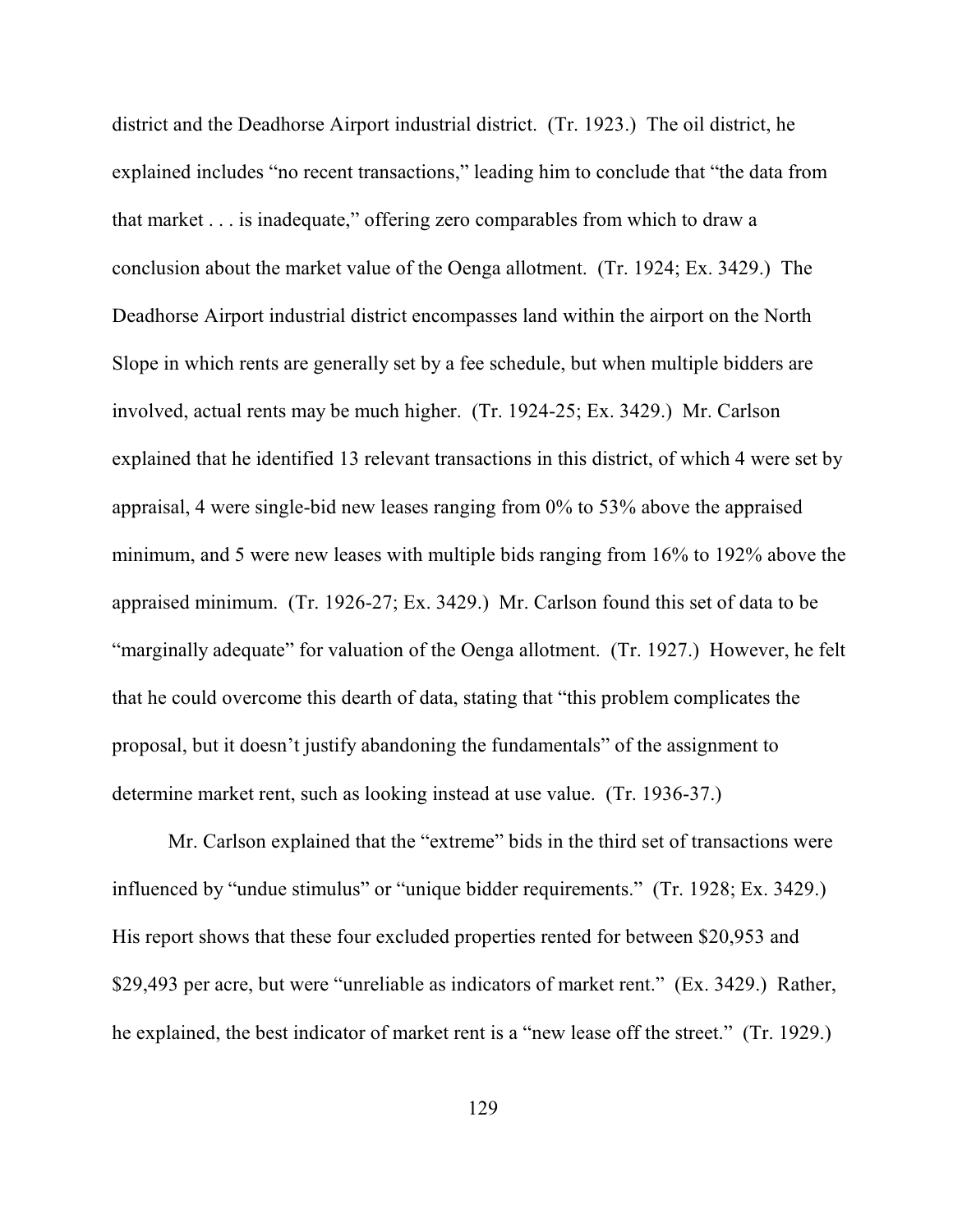district and the Deadhorse Airport industrial district. (Tr. 1923.) The oil district, he explained includes "no recent transactions," leading him to conclude that "the data from that market . . . is inadequate," offering zero comparables from which to draw a conclusion about the market value of the Oenga allotment. (Tr. 1924; Ex. 3429.) The Deadhorse Airport industrial district encompasses land within the airport on the North Slope in which rents are generally set by a fee schedule, but when multiple bidders are involved, actual rents may be much higher. (Tr. 1924-25; Ex. 3429.) Mr. Carlson explained that he identified 13 relevant transactions in this district, of which 4 were set by appraisal, 4 were single-bid new leases ranging from 0% to 53% above the appraised minimum, and 5 were new leases with multiple bids ranging from 16% to 192% above the appraised minimum. (Tr. 1926-27; Ex. 3429.) Mr. Carlson found this set of data to be "marginally adequate" for valuation of the Oenga allotment. (Tr. 1927.) However, he felt that he could overcome this dearth of data, stating that "this problem complicates the proposal, but it doesn't justify abandoning the fundamentals" of the assignment to determine market rent, such as looking instead at use value. (Tr. 1936-37.)

Mr. Carlson explained that the "extreme" bids in the third set of transactions were influenced by "undue stimulus" or "unique bidder requirements." (Tr. 1928; Ex. 3429.) His report shows that these four excluded properties rented for between \$20,953 and \$29,493 per acre, but were "unreliable as indicators of market rent." (Ex. 3429.) Rather, he explained, the best indicator of market rent is a "new lease off the street." (Tr. 1929.)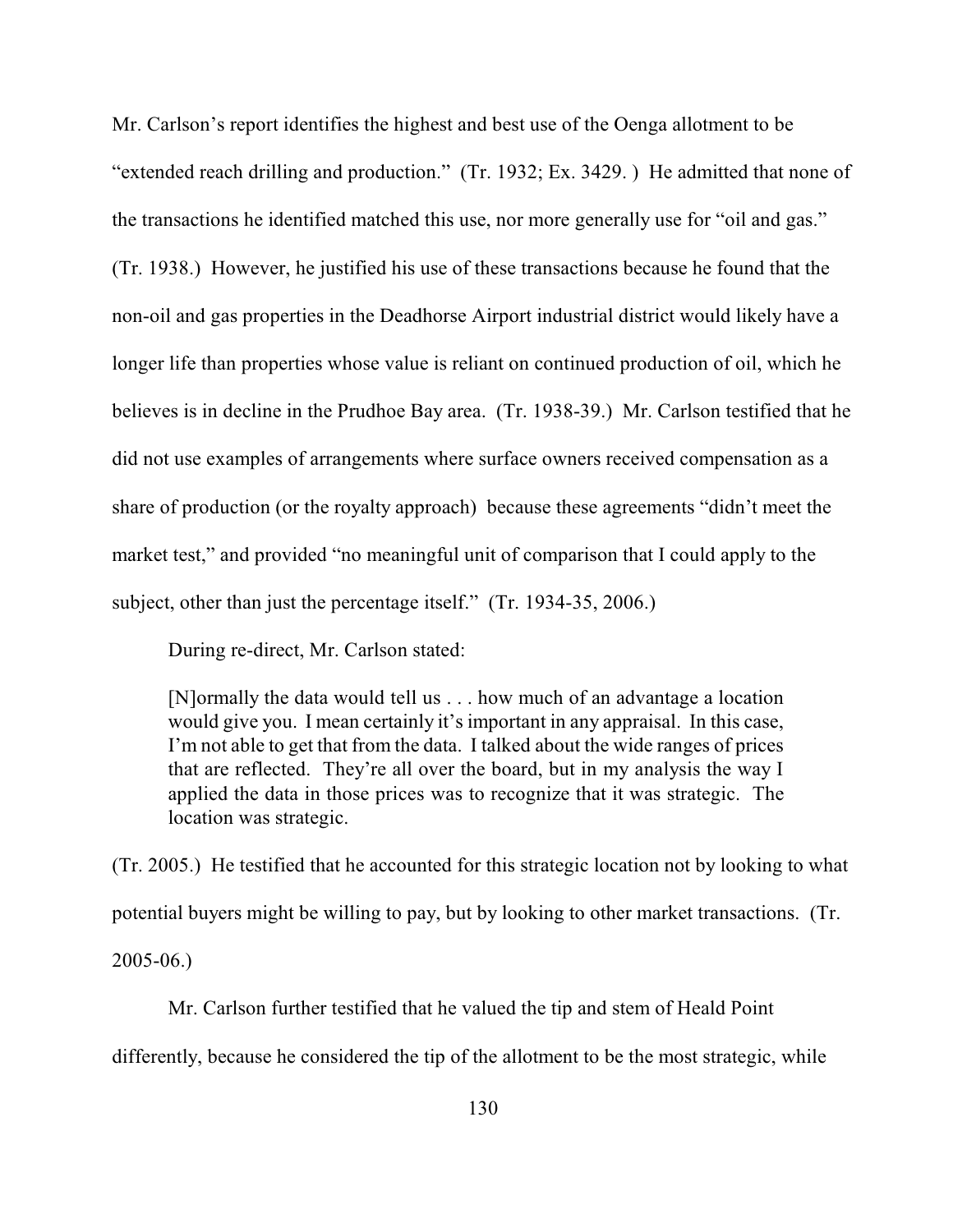Mr. Carlson's report identifies the highest and best use of the Oenga allotment to be "extended reach drilling and production." (Tr. 1932; Ex. 3429. ) He admitted that none of the transactions he identified matched this use, nor more generally use for "oil and gas." (Tr. 1938.) However, he justified his use of these transactions because he found that the non-oil and gas properties in the Deadhorse Airport industrial district would likely have a longer life than properties whose value is reliant on continued production of oil, which he believes is in decline in the Prudhoe Bay area. (Tr. 1938-39.) Mr. Carlson testified that he did not use examples of arrangements where surface owners received compensation as a share of production (or the royalty approach) because these agreements "didn't meet the market test," and provided "no meaningful unit of comparison that I could apply to the subject, other than just the percentage itself." (Tr. 1934-35, 2006.)

During re-direct, Mr. Carlson stated:

[N]ormally the data would tell us . . . how much of an advantage a location would give you. I mean certainly it's important in any appraisal. In this case, I'm not able to get that from the data. I talked about the wide ranges of prices that are reflected. They're all over the board, but in my analysis the way I applied the data in those prices was to recognize that it was strategic. The location was strategic.

(Tr. 2005.) He testified that he accounted for this strategic location not by looking to what potential buyers might be willing to pay, but by looking to other market transactions. (Tr.

2005-06.)

Mr. Carlson further testified that he valued the tip and stem of Heald Point differently, because he considered the tip of the allotment to be the most strategic, while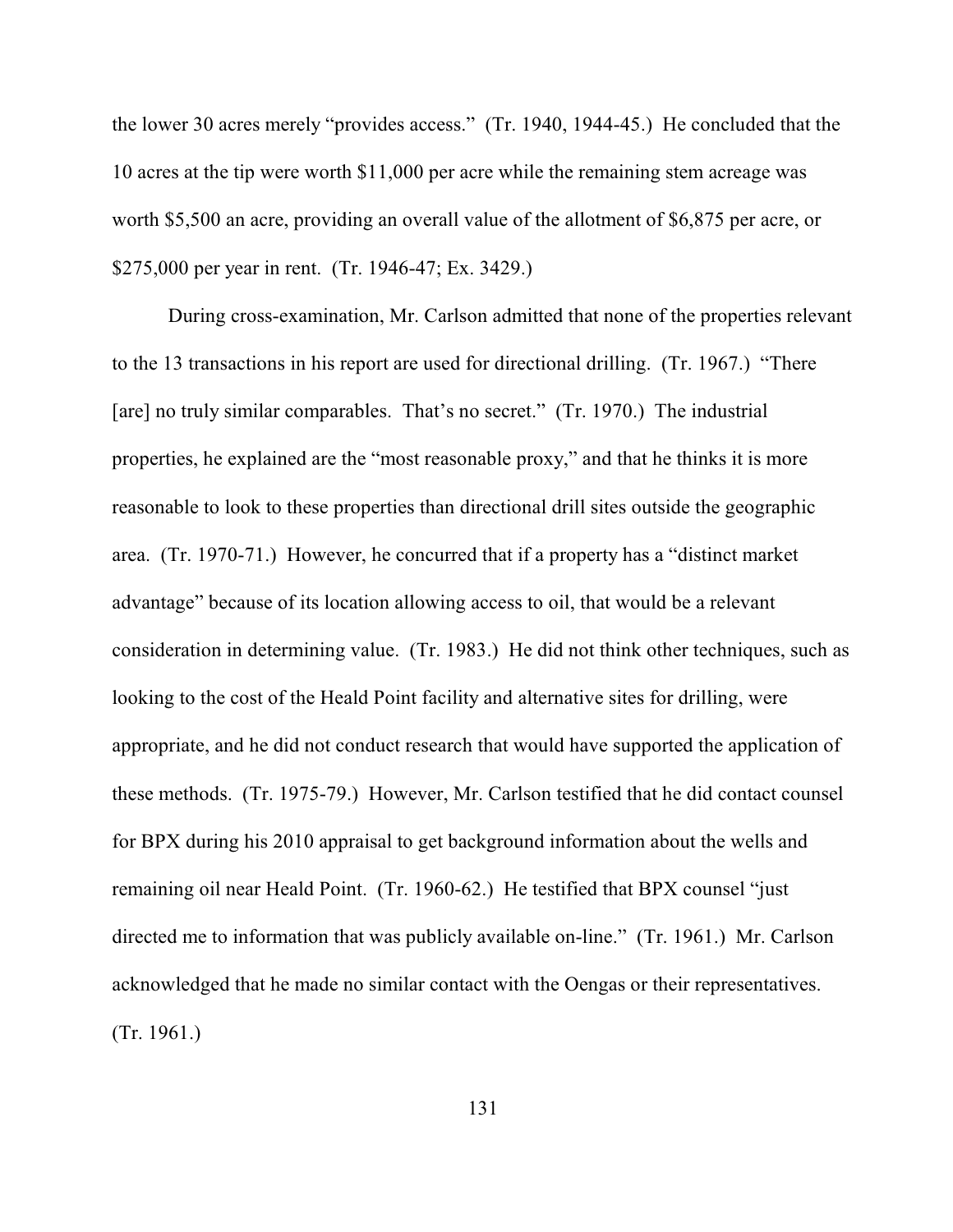the lower 30 acres merely "provides access." (Tr. 1940, 1944-45.) He concluded that the 10 acres at the tip were worth \$11,000 per acre while the remaining stem acreage was worth \$5,500 an acre, providing an overall value of the allotment of \$6,875 per acre, or \$275,000 per year in rent. (Tr. 1946-47; Ex. 3429.)

During cross-examination, Mr. Carlson admitted that none of the properties relevant to the 13 transactions in his report are used for directional drilling. (Tr. 1967.) "There [are] no truly similar comparables. That's no secret." (Tr. 1970.) The industrial properties, he explained are the "most reasonable proxy," and that he thinks it is more reasonable to look to these properties than directional drill sites outside the geographic area. (Tr. 1970-71.) However, he concurred that if a property has a "distinct market advantage" because of its location allowing access to oil, that would be a relevant consideration in determining value. (Tr. 1983.) He did not think other techniques, such as looking to the cost of the Heald Point facility and alternative sites for drilling, were appropriate, and he did not conduct research that would have supported the application of these methods. (Tr. 1975-79.) However, Mr. Carlson testified that he did contact counsel for BPX during his 2010 appraisal to get background information about the wells and remaining oil near Heald Point. (Tr. 1960-62.) He testified that BPX counsel "just directed me to information that was publicly available on-line." (Tr. 1961.) Mr. Carlson acknowledged that he made no similar contact with the Oengas or their representatives. (Tr. 1961.)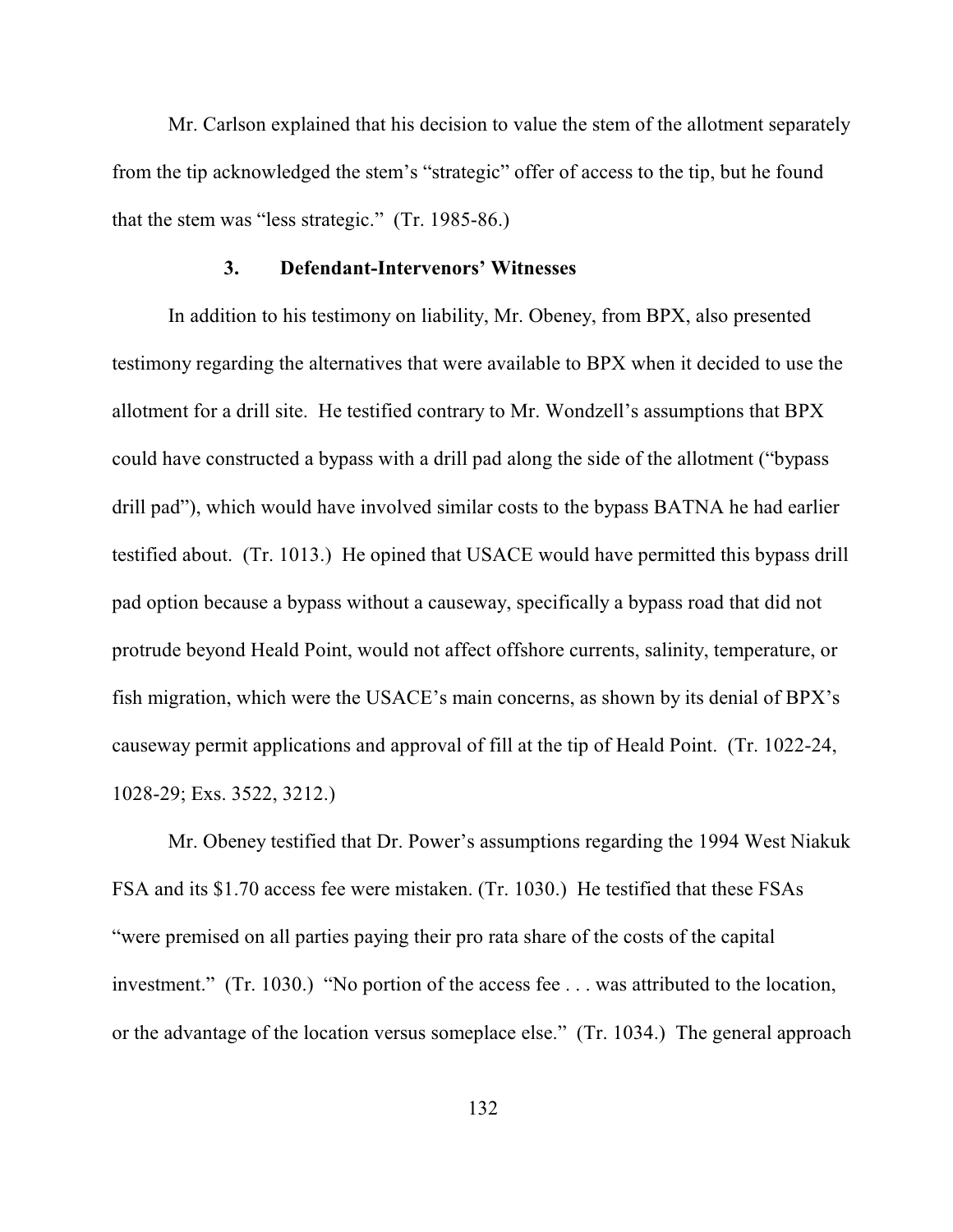Mr. Carlson explained that his decision to value the stem of the allotment separately from the tip acknowledged the stem's "strategic" offer of access to the tip, but he found that the stem was "less strategic." (Tr. 1985-86.)

## **3. Defendant-Intervenors' Witnesses**

In addition to his testimony on liability, Mr. Obeney, from BPX, also presented testimony regarding the alternatives that were available to BPX when it decided to use the allotment for a drill site. He testified contrary to Mr. Wondzell's assumptions that BPX could have constructed a bypass with a drill pad along the side of the allotment ("bypass drill pad"), which would have involved similar costs to the bypass BATNA he had earlier testified about. (Tr. 1013.) He opined that USACE would have permitted this bypass drill pad option because a bypass without a causeway, specifically a bypass road that did not protrude beyond Heald Point, would not affect offshore currents, salinity, temperature, or fish migration, which were the USACE's main concerns, as shown by its denial of BPX's causeway permit applications and approval of fill at the tip of Heald Point. (Tr. 1022-24, 1028-29; Exs. 3522, 3212.)

Mr. Obeney testified that Dr. Power's assumptions regarding the 1994 West Niakuk FSA and its \$1.70 access fee were mistaken. (Tr. 1030.) He testified that these FSAs "were premised on all parties paying their pro rata share of the costs of the capital investment." (Tr. 1030.) "No portion of the access fee . . . was attributed to the location, or the advantage of the location versus someplace else." (Tr. 1034.) The general approach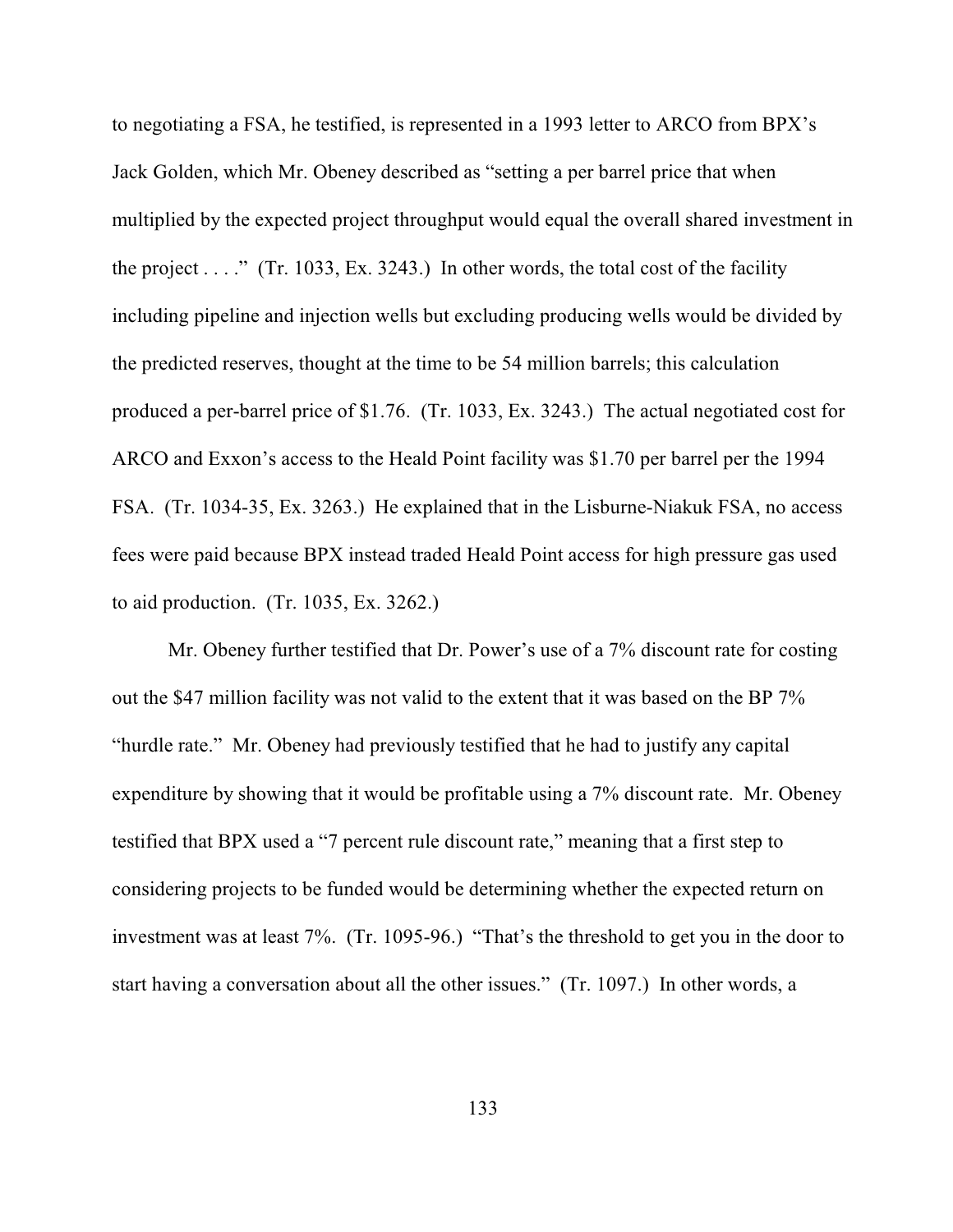to negotiating a FSA, he testified, is represented in a 1993 letter to ARCO from BPX's Jack Golden, which Mr. Obeney described as "setting a per barrel price that when multiplied by the expected project throughput would equal the overall shared investment in the project . . . ." (Tr. 1033, Ex. 3243.) In other words, the total cost of the facility including pipeline and injection wells but excluding producing wells would be divided by the predicted reserves, thought at the time to be 54 million barrels; this calculation produced a per-barrel price of \$1.76. (Tr. 1033, Ex. 3243.) The actual negotiated cost for ARCO and Exxon's access to the Heald Point facility was \$1.70 per barrel per the 1994 FSA. (Tr. 1034-35, Ex. 3263.) He explained that in the Lisburne-Niakuk FSA, no access fees were paid because BPX instead traded Heald Point access for high pressure gas used to aid production. (Tr. 1035, Ex. 3262.)

Mr. Obeney further testified that Dr. Power's use of a 7% discount rate for costing out the \$47 million facility was not valid to the extent that it was based on the BP 7% "hurdle rate." Mr. Obeney had previously testified that he had to justify any capital expenditure by showing that it would be profitable using a 7% discount rate. Mr. Obeney testified that BPX used a "7 percent rule discount rate," meaning that a first step to considering projects to be funded would be determining whether the expected return on investment was at least 7%. (Tr. 1095-96.) "That's the threshold to get you in the door to start having a conversation about all the other issues." (Tr. 1097.) In other words, a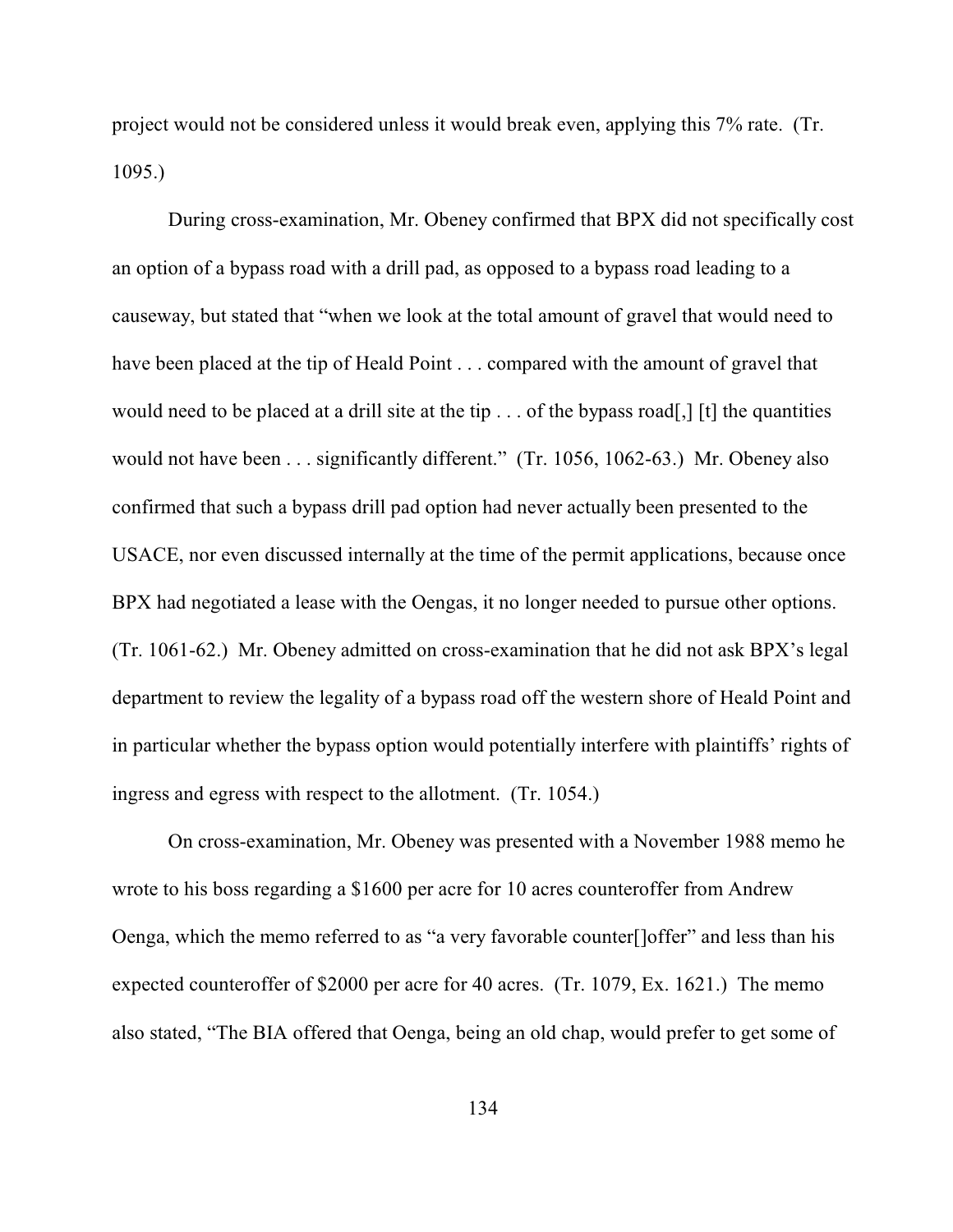project would not be considered unless it would break even, applying this 7% rate. (Tr. 1095.)

During cross-examination, Mr. Obeney confirmed that BPX did not specifically cost an option of a bypass road with a drill pad, as opposed to a bypass road leading to a causeway, but stated that "when we look at the total amount of gravel that would need to have been placed at the tip of Heald Point . . . compared with the amount of gravel that would need to be placed at a drill site at the tip . . . of the bypass road[,] [t] the quantities would not have been . . . significantly different." (Tr. 1056, 1062-63.) Mr. Obeney also confirmed that such a bypass drill pad option had never actually been presented to the USACE, nor even discussed internally at the time of the permit applications, because once BPX had negotiated a lease with the Oengas, it no longer needed to pursue other options. (Tr. 1061-62.) Mr. Obeney admitted on cross-examination that he did not ask BPX's legal department to review the legality of a bypass road off the western shore of Heald Point and in particular whether the bypass option would potentially interfere with plaintiffs' rights of ingress and egress with respect to the allotment. (Tr. 1054.)

On cross-examination, Mr. Obeney was presented with a November 1988 memo he wrote to his boss regarding a \$1600 per acre for 10 acres counteroffer from Andrew Oenga, which the memo referred to as "a very favorable counter[]offer" and less than his expected counteroffer of \$2000 per acre for 40 acres. (Tr. 1079, Ex. 1621.) The memo also stated, "The BIA offered that Oenga, being an old chap, would prefer to get some of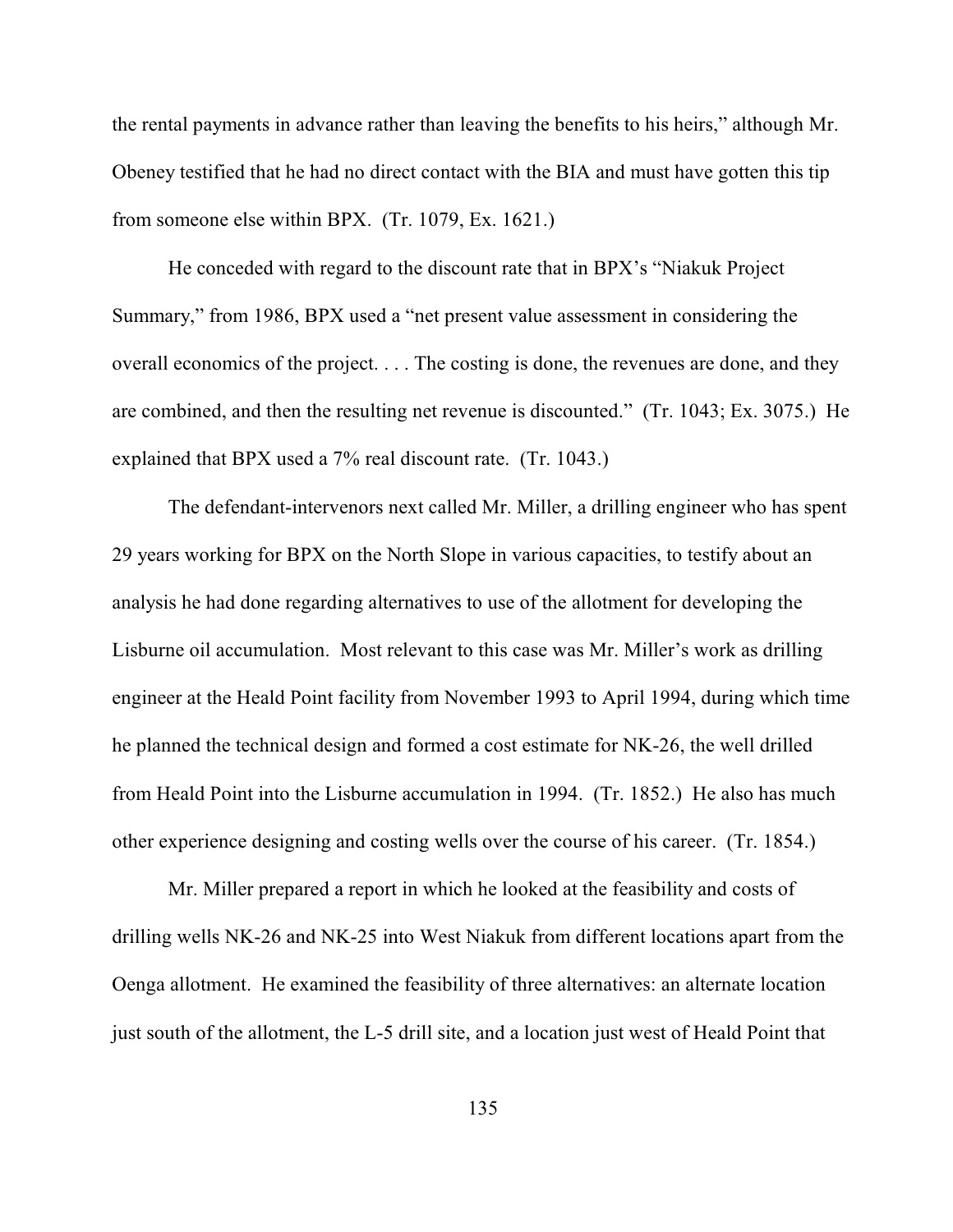the rental payments in advance rather than leaving the benefits to his heirs," although Mr. Obeney testified that he had no direct contact with the BIA and must have gotten this tip from someone else within BPX. (Tr. 1079, Ex. 1621.)

He conceded with regard to the discount rate that in BPX's "Niakuk Project Summary," from 1986, BPX used a "net present value assessment in considering the overall economics of the project. . . . The costing is done, the revenues are done, and they are combined, and then the resulting net revenue is discounted." (Tr. 1043; Ex. 3075.) He explained that BPX used a 7% real discount rate. (Tr. 1043.)

The defendant-intervenors next called Mr. Miller, a drilling engineer who has spent 29 years working for BPX on the North Slope in various capacities, to testify about an analysis he had done regarding alternatives to use of the allotment for developing the Lisburne oil accumulation. Most relevant to this case was Mr. Miller's work as drilling engineer at the Heald Point facility from November 1993 to April 1994, during which time he planned the technical design and formed a cost estimate for NK-26, the well drilled from Heald Point into the Lisburne accumulation in 1994. (Tr. 1852.) He also has much other experience designing and costing wells over the course of his career. (Tr. 1854.)

Mr. Miller prepared a report in which he looked at the feasibility and costs of drilling wells NK-26 and NK-25 into West Niakuk from different locations apart from the Oenga allotment. He examined the feasibility of three alternatives: an alternate location just south of the allotment, the L-5 drill site, and a location just west of Heald Point that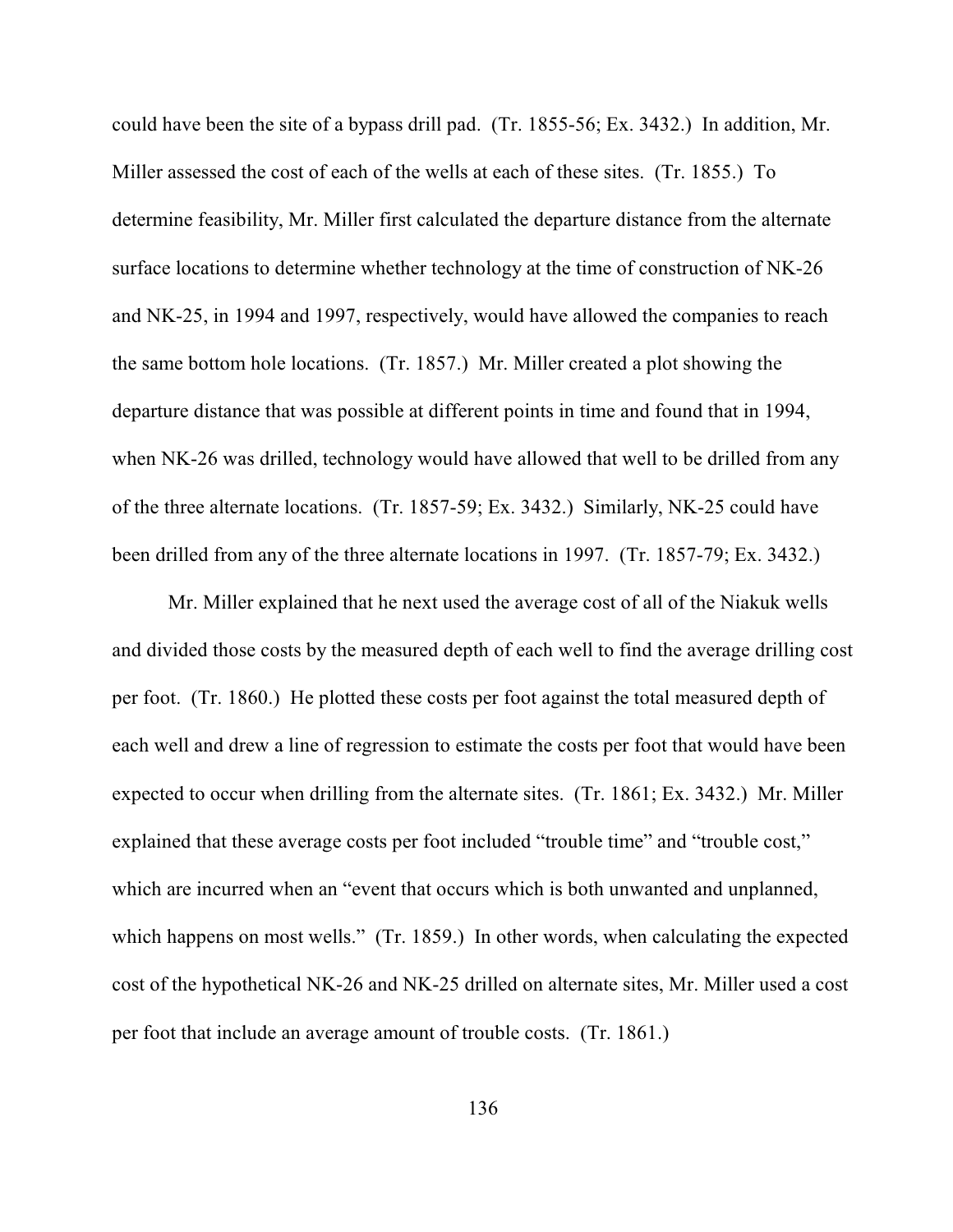could have been the site of a bypass drill pad. (Tr. 1855-56; Ex. 3432.) In addition, Mr. Miller assessed the cost of each of the wells at each of these sites. (Tr. 1855.) To determine feasibility, Mr. Miller first calculated the departure distance from the alternate surface locations to determine whether technology at the time of construction of NK-26 and NK-25, in 1994 and 1997, respectively, would have allowed the companies to reach the same bottom hole locations. (Tr. 1857.) Mr. Miller created a plot showing the departure distance that was possible at different points in time and found that in 1994, when NK-26 was drilled, technology would have allowed that well to be drilled from any of the three alternate locations. (Tr. 1857-59; Ex. 3432.) Similarly, NK-25 could have been drilled from any of the three alternate locations in 1997. (Tr. 1857-79; Ex. 3432.)

Mr. Miller explained that he next used the average cost of all of the Niakuk wells and divided those costs by the measured depth of each well to find the average drilling cost per foot. (Tr. 1860.) He plotted these costs per foot against the total measured depth of each well and drew a line of regression to estimate the costs per foot that would have been expected to occur when drilling from the alternate sites. (Tr. 1861; Ex. 3432.) Mr. Miller explained that these average costs per foot included "trouble time" and "trouble cost," which are incurred when an "event that occurs which is both unwanted and unplanned, which happens on most wells." (Tr. 1859.) In other words, when calculating the expected cost of the hypothetical NK-26 and NK-25 drilled on alternate sites, Mr. Miller used a cost per foot that include an average amount of trouble costs. (Tr. 1861.)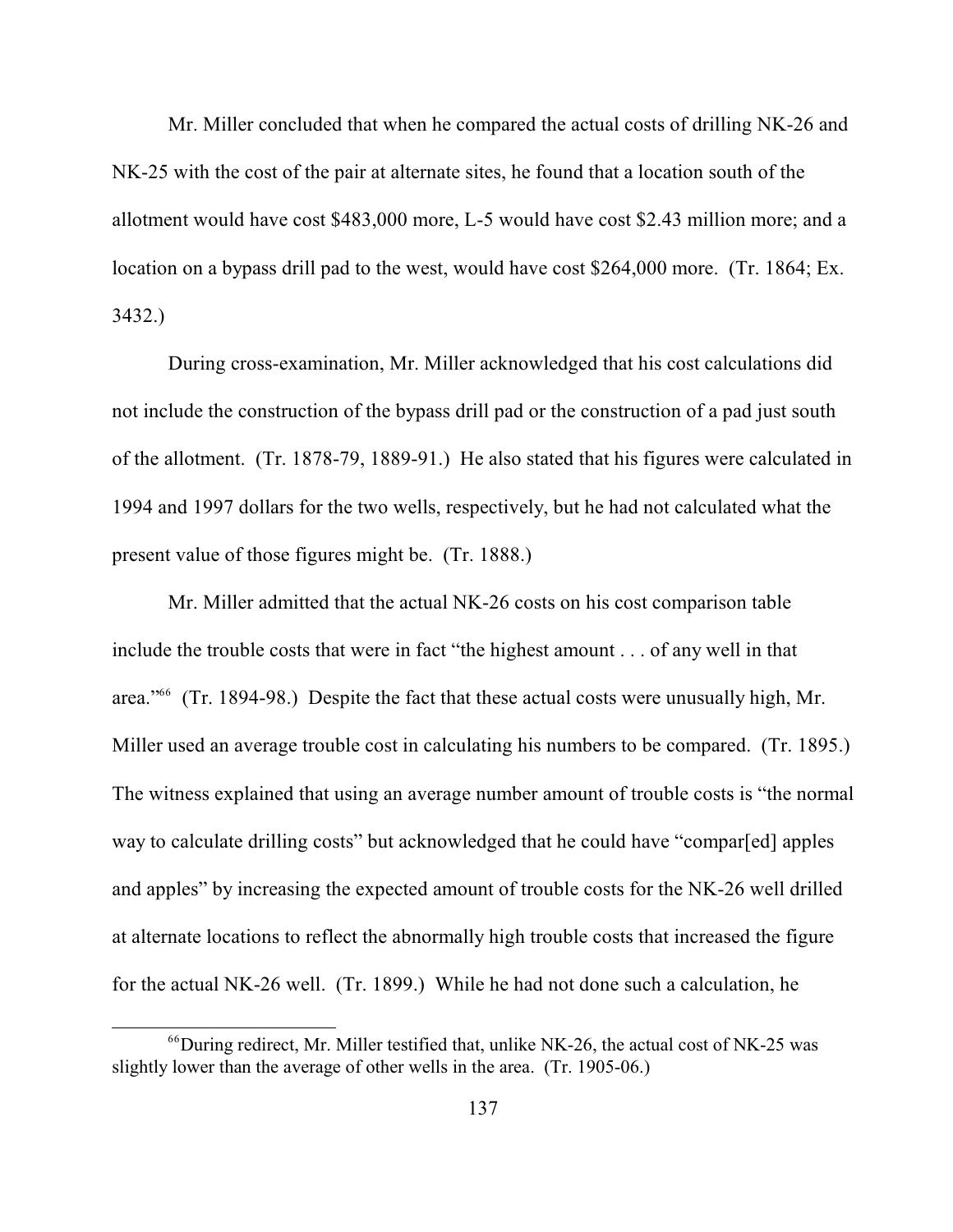Mr. Miller concluded that when he compared the actual costs of drilling NK-26 and NK-25 with the cost of the pair at alternate sites, he found that a location south of the allotment would have cost \$483,000 more, L-5 would have cost \$2.43 million more; and a location on a bypass drill pad to the west, would have cost \$264,000 more. (Tr. 1864; Ex. 3432.)

During cross-examination, Mr. Miller acknowledged that his cost calculations did not include the construction of the bypass drill pad or the construction of a pad just south of the allotment. (Tr. 1878-79, 1889-91.) He also stated that his figures were calculated in 1994 and 1997 dollars for the two wells, respectively, but he had not calculated what the present value of those figures might be. (Tr. 1888.)

Mr. Miller admitted that the actual NK-26 costs on his cost comparison table include the trouble costs that were in fact "the highest amount . . . of any well in that area."<sup>66</sup> (Tr. 1894-98.) Despite the fact that these actual costs were unusually high, Mr. Miller used an average trouble cost in calculating his numbers to be compared. (Tr. 1895.) The witness explained that using an average number amount of trouble costs is "the normal way to calculate drilling costs" but acknowledged that he could have "compar[ed] apples and apples" by increasing the expected amount of trouble costs for the NK-26 well drilled at alternate locations to reflect the abnormally high trouble costs that increased the figure for the actual NK-26 well. (Tr. 1899.) While he had not done such a calculation, he

 $^{66}$ During redirect, Mr. Miller testified that, unlike NK-26, the actual cost of NK-25 was slightly lower than the average of other wells in the area. (Tr. 1905-06.)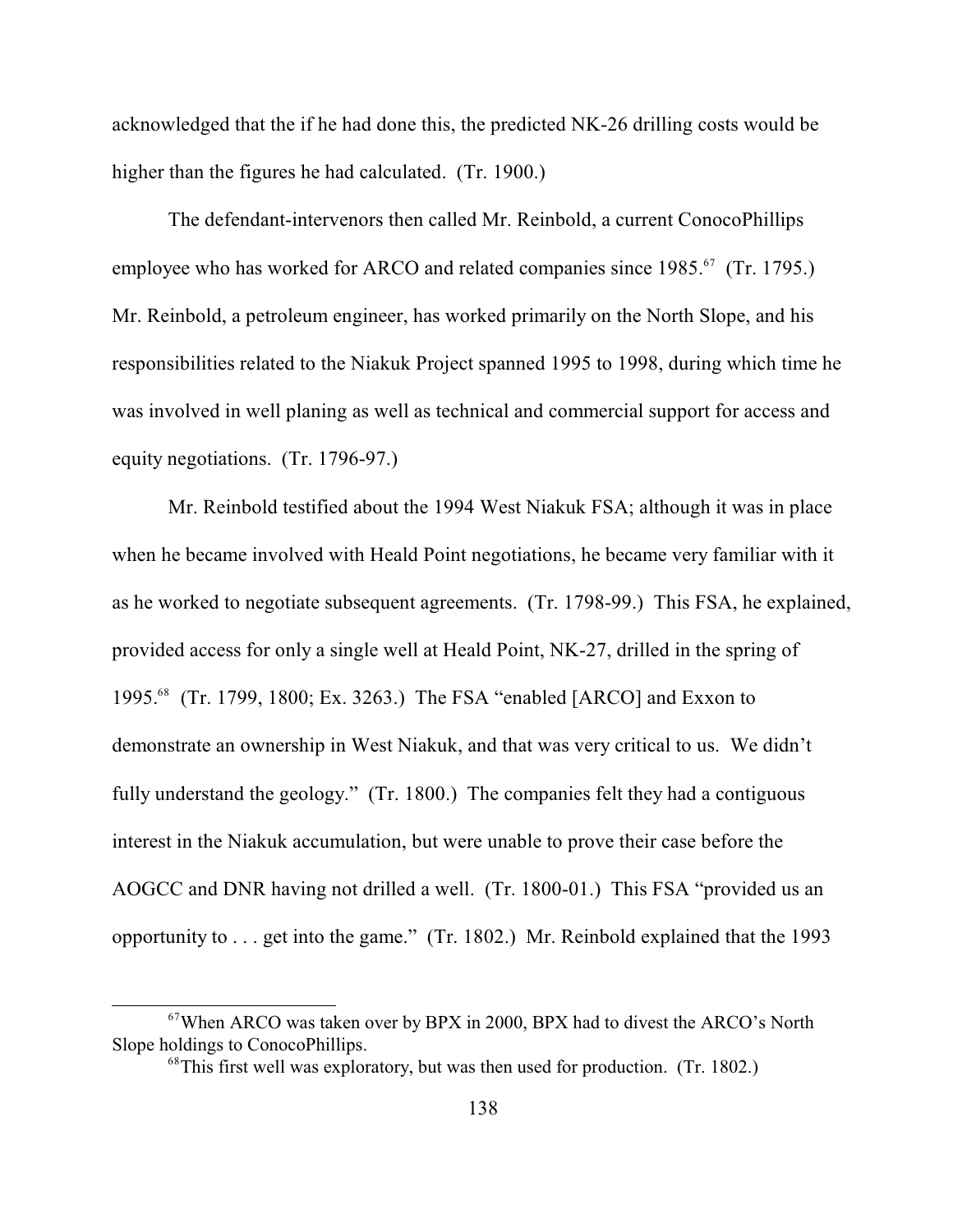acknowledged that the if he had done this, the predicted NK-26 drilling costs would be higher than the figures he had calculated. (Tr. 1900.)

The defendant-intervenors then called Mr. Reinbold, a current ConocoPhillips employee who has worked for ARCO and related companies since 1985.<sup>67</sup> (Tr. 1795.) Mr. Reinbold, a petroleum engineer, has worked primarily on the North Slope, and his responsibilities related to the Niakuk Project spanned 1995 to 1998, during which time he was involved in well planing as well as technical and commercial support for access and equity negotiations. (Tr. 1796-97.)

Mr. Reinbold testified about the 1994 West Niakuk FSA; although it was in place when he became involved with Heald Point negotiations, he became very familiar with it as he worked to negotiate subsequent agreements. (Tr. 1798-99.) This FSA, he explained, provided access for only a single well at Heald Point, NK-27, drilled in the spring of 1995.<sup>68</sup> (Tr. 1799, 1800; Ex. 3263.) The FSA "enabled [ARCO] and Exxon to demonstrate an ownership in West Niakuk, and that was very critical to us. We didn't fully understand the geology." (Tr. 1800.) The companies felt they had a contiguous interest in the Niakuk accumulation, but were unable to prove their case before the AOGCC and DNR having not drilled a well. (Tr. 1800-01.) This FSA "provided us an opportunity to . . . get into the game." (Tr. 1802.) Mr. Reinbold explained that the 1993

 $67$ When ARCO was taken over by BPX in 2000, BPX had to divest the ARCO's North Slope holdings to ConocoPhillips.

 $^{68}$ This first well was exploratory, but was then used for production. (Tr. 1802.)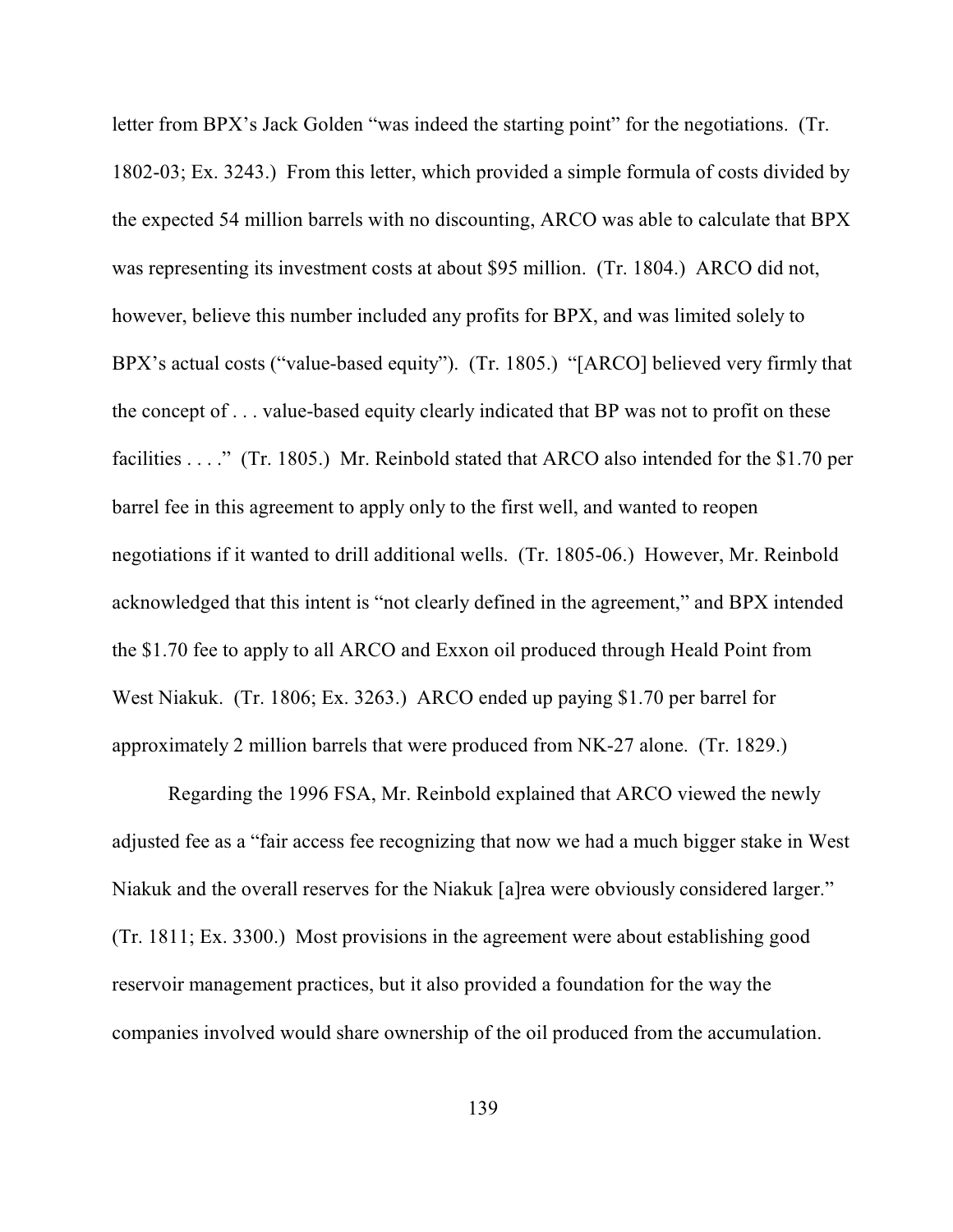letter from BPX's Jack Golden "was indeed the starting point" for the negotiations. (Tr. 1802-03; Ex. 3243.) From this letter, which provided a simple formula of costs divided by the expected 54 million barrels with no discounting, ARCO was able to calculate that BPX was representing its investment costs at about \$95 million. (Tr. 1804.) ARCO did not, however, believe this number included any profits for BPX, and was limited solely to BPX's actual costs ("value-based equity"). (Tr. 1805.) "[ARCO] believed very firmly that the concept of . . . value-based equity clearly indicated that BP was not to profit on these facilities . . . ." (Tr. 1805.) Mr. Reinbold stated that ARCO also intended for the \$1.70 per barrel fee in this agreement to apply only to the first well, and wanted to reopen negotiations if it wanted to drill additional wells. (Tr. 1805-06.) However, Mr. Reinbold acknowledged that this intent is "not clearly defined in the agreement," and BPX intended the \$1.70 fee to apply to all ARCO and Exxon oil produced through Heald Point from West Niakuk. (Tr. 1806; Ex. 3263.) ARCO ended up paying \$1.70 per barrel for approximately 2 million barrels that were produced from NK-27 alone. (Tr. 1829.)

Regarding the 1996 FSA, Mr. Reinbold explained that ARCO viewed the newly adjusted fee as a "fair access fee recognizing that now we had a much bigger stake in West Niakuk and the overall reserves for the Niakuk [a]rea were obviously considered larger." (Tr. 1811; Ex. 3300.) Most provisions in the agreement were about establishing good reservoir management practices, but it also provided a foundation for the way the companies involved would share ownership of the oil produced from the accumulation.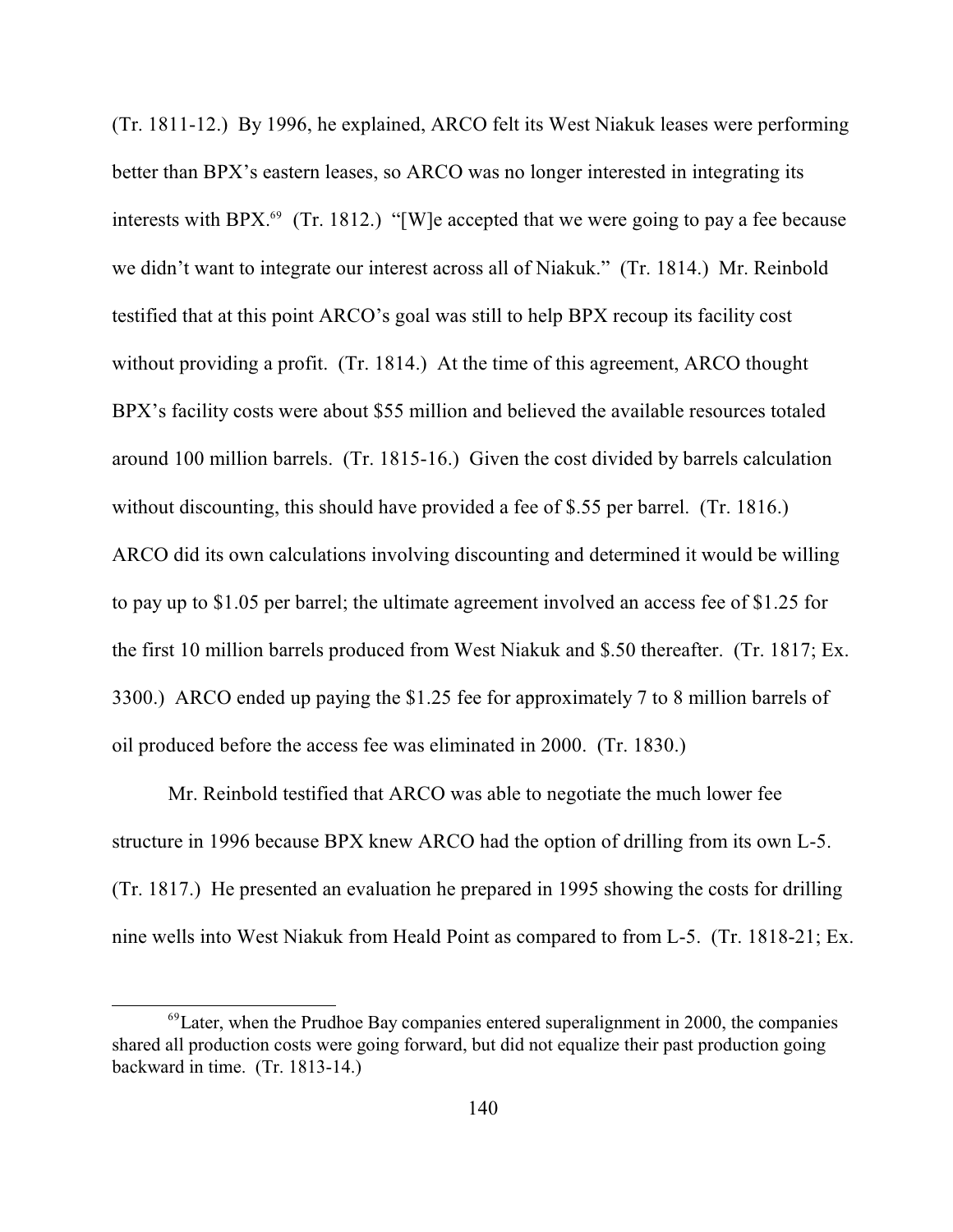(Tr. 1811-12.) By 1996, he explained, ARCO felt its West Niakuk leases were performing better than BPX's eastern leases, so ARCO was no longer interested in integrating its interests with BPX.<sup>69</sup> (Tr. 1812.) "[W]e accepted that we were going to pay a fee because we didn't want to integrate our interest across all of Niakuk." (Tr. 1814.) Mr. Reinbold testified that at this point ARCO's goal was still to help BPX recoup its facility cost without providing a profit. (Tr. 1814.) At the time of this agreement, ARCO thought BPX's facility costs were about \$55 million and believed the available resources totaled around 100 million barrels. (Tr. 1815-16.) Given the cost divided by barrels calculation without discounting, this should have provided a fee of \$.55 per barrel. (Tr. 1816.) ARCO did its own calculations involving discounting and determined it would be willing to pay up to \$1.05 per barrel; the ultimate agreement involved an access fee of \$1.25 for the first 10 million barrels produced from West Niakuk and \$.50 thereafter. (Tr. 1817; Ex. 3300.) ARCO ended up paying the \$1.25 fee for approximately 7 to 8 million barrels of oil produced before the access fee was eliminated in 2000. (Tr. 1830.)

Mr. Reinbold testified that ARCO was able to negotiate the much lower fee structure in 1996 because BPX knew ARCO had the option of drilling from its own L-5. (Tr. 1817.) He presented an evaluation he prepared in 1995 showing the costs for drilling nine wells into West Niakuk from Heald Point as compared to from L-5. (Tr. 1818-21; Ex.

 $^{69}$ Later, when the Prudhoe Bay companies entered superalignment in 2000, the companies shared all production costs were going forward, but did not equalize their past production going backward in time. (Tr. 1813-14.)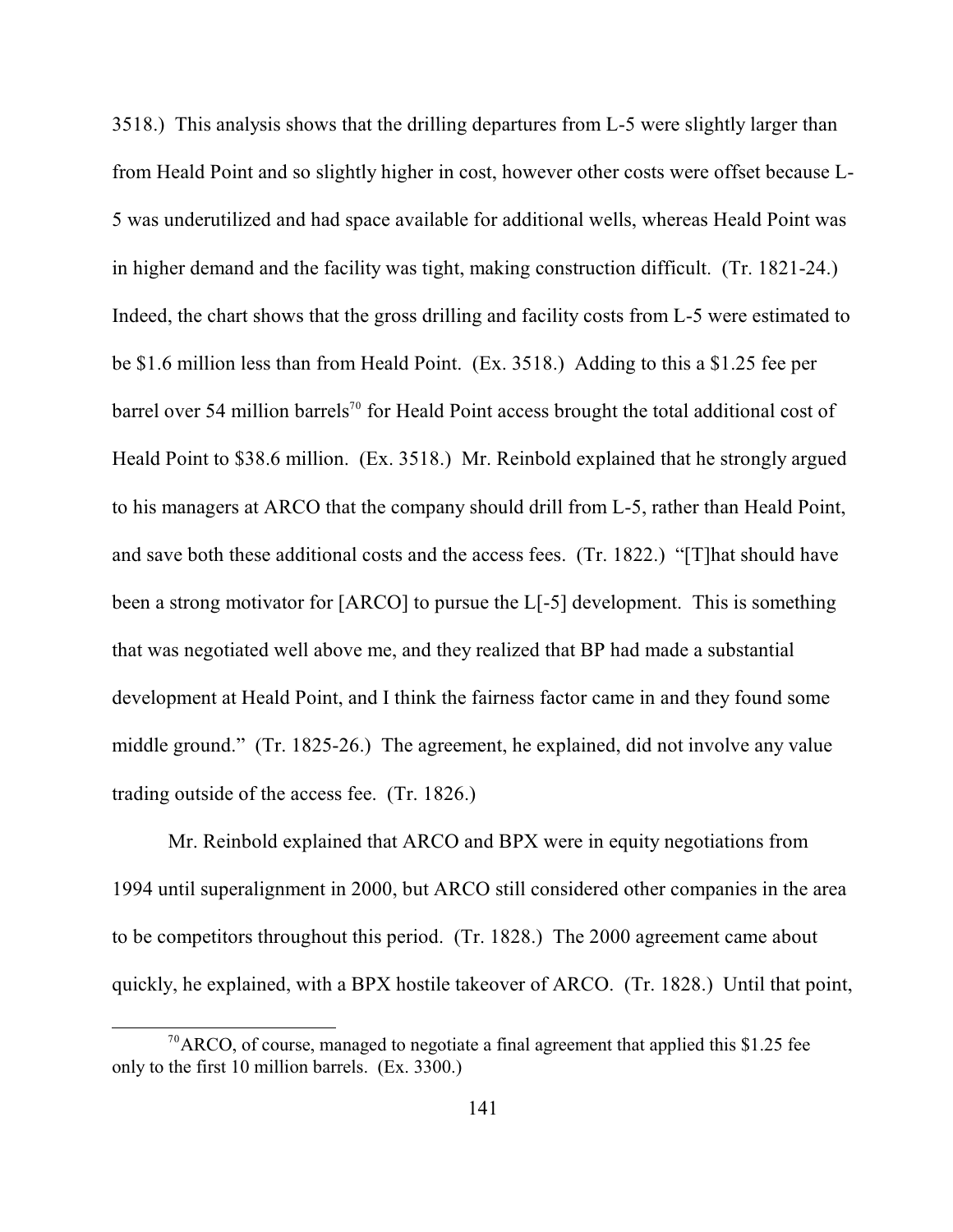3518.) This analysis shows that the drilling departures from L-5 were slightly larger than from Heald Point and so slightly higher in cost, however other costs were offset because L-5 was underutilized and had space available for additional wells, whereas Heald Point was in higher demand and the facility was tight, making construction difficult. (Tr. 1821-24.) Indeed, the chart shows that the gross drilling and facility costs from L-5 were estimated to be \$1.6 million less than from Heald Point. (Ex. 3518.) Adding to this a \$1.25 fee per barrel over 54 million barrels<sup>70</sup> for Heald Point access brought the total additional cost of Heald Point to \$38.6 million. (Ex. 3518.) Mr. Reinbold explained that he strongly argued to his managers at ARCO that the company should drill from L-5, rather than Heald Point, and save both these additional costs and the access fees. (Tr. 1822.) "[T]hat should have been a strong motivator for [ARCO] to pursue the L[-5] development. This is something that was negotiated well above me, and they realized that BP had made a substantial development at Heald Point, and I think the fairness factor came in and they found some middle ground." (Tr. 1825-26.) The agreement, he explained, did not involve any value trading outside of the access fee. (Tr. 1826.)

Mr. Reinbold explained that ARCO and BPX were in equity negotiations from 1994 until superalignment in 2000, but ARCO still considered other companies in the area to be competitors throughout this period. (Tr. 1828.) The 2000 agreement came about quickly, he explained, with a BPX hostile takeover of ARCO. (Tr. 1828.) Until that point,

 $70$ ARCO, of course, managed to negotiate a final agreement that applied this \$1.25 fee only to the first 10 million barrels. (Ex. 3300.)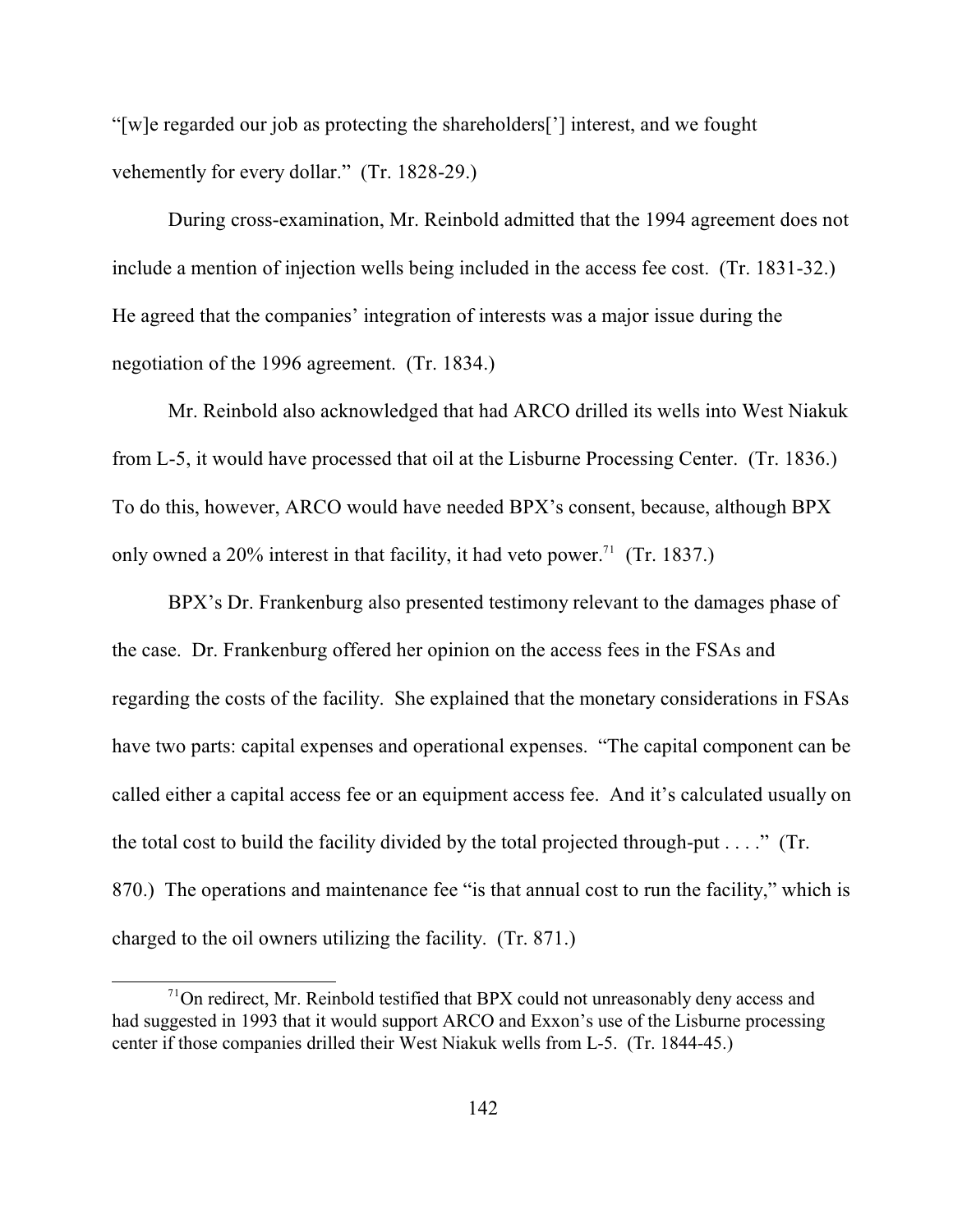"[w]e regarded our job as protecting the shareholders['] interest, and we fought vehemently for every dollar." (Tr. 1828-29.)

During cross-examination, Mr. Reinbold admitted that the 1994 agreement does not include a mention of injection wells being included in the access fee cost. (Tr. 1831-32.) He agreed that the companies' integration of interests was a major issue during the negotiation of the 1996 agreement. (Tr. 1834.)

Mr. Reinbold also acknowledged that had ARCO drilled its wells into West Niakuk from L-5, it would have processed that oil at the Lisburne Processing Center. (Tr. 1836.) To do this, however, ARCO would have needed BPX's consent, because, although BPX only owned a 20% interest in that facility, it had veto power.<sup>71</sup> (Tr. 1837.)

BPX's Dr. Frankenburg also presented testimony relevant to the damages phase of the case. Dr. Frankenburg offered her opinion on the access fees in the FSAs and regarding the costs of the facility. She explained that the monetary considerations in FSAs have two parts: capital expenses and operational expenses. "The capital component can be called either a capital access fee or an equipment access fee. And it's calculated usually on the total cost to build the facility divided by the total projected through-put  $\dots$ ." (Tr. 870.) The operations and maintenance fee "is that annual cost to run the facility," which is charged to the oil owners utilizing the facility. (Tr. 871.)

 $10<sup>71</sup>$ On redirect, Mr. Reinbold testified that BPX could not unreasonably deny access and had suggested in 1993 that it would support ARCO and Exxon's use of the Lisburne processing center if those companies drilled their West Niakuk wells from L-5. (Tr. 1844-45.)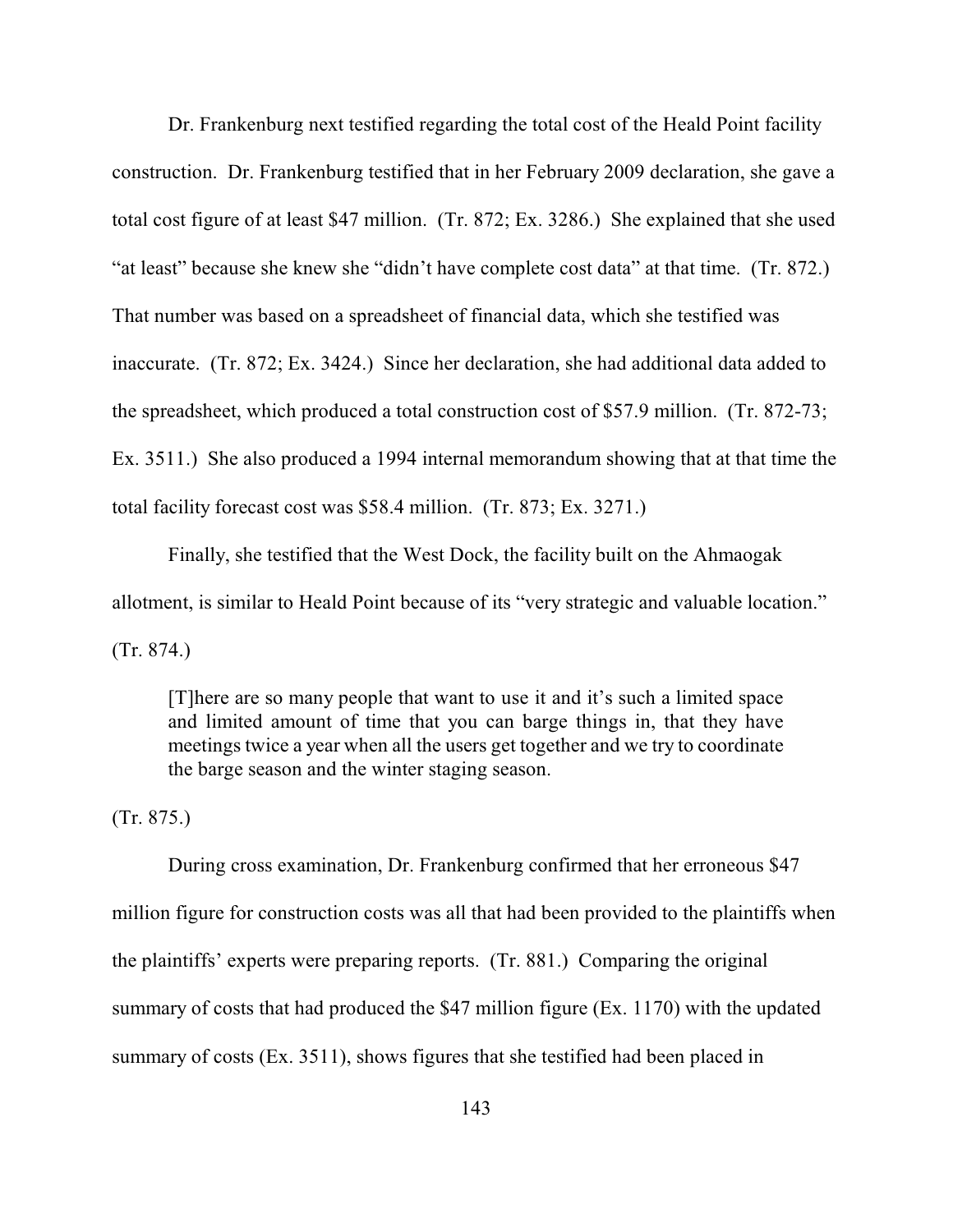Dr. Frankenburg next testified regarding the total cost of the Heald Point facility construction. Dr. Frankenburg testified that in her February 2009 declaration, she gave a total cost figure of at least \$47 million. (Tr. 872; Ex. 3286.) She explained that she used "at least" because she knew she "didn't have complete cost data" at that time. (Tr. 872.) That number was based on a spreadsheet of financial data, which she testified was inaccurate. (Tr. 872; Ex. 3424.) Since her declaration, she had additional data added to the spreadsheet, which produced a total construction cost of \$57.9 million. (Tr. 872-73; Ex. 3511.) She also produced a 1994 internal memorandum showing that at that time the total facility forecast cost was \$58.4 million. (Tr. 873; Ex. 3271.)

Finally, she testified that the West Dock, the facility built on the Ahmaogak allotment, is similar to Heald Point because of its "very strategic and valuable location." (Tr. 874.)

[T]here are so many people that want to use it and it's such a limited space and limited amount of time that you can barge things in, that they have meetings twice a year when all the users get together and we try to coordinate the barge season and the winter staging season.

(Tr. 875.)

During cross examination, Dr. Frankenburg confirmed that her erroneous \$47 million figure for construction costs was all that had been provided to the plaintiffs when the plaintiffs' experts were preparing reports. (Tr. 881.) Comparing the original summary of costs that had produced the \$47 million figure (Ex. 1170) with the updated summary of costs (Ex. 3511), shows figures that she testified had been placed in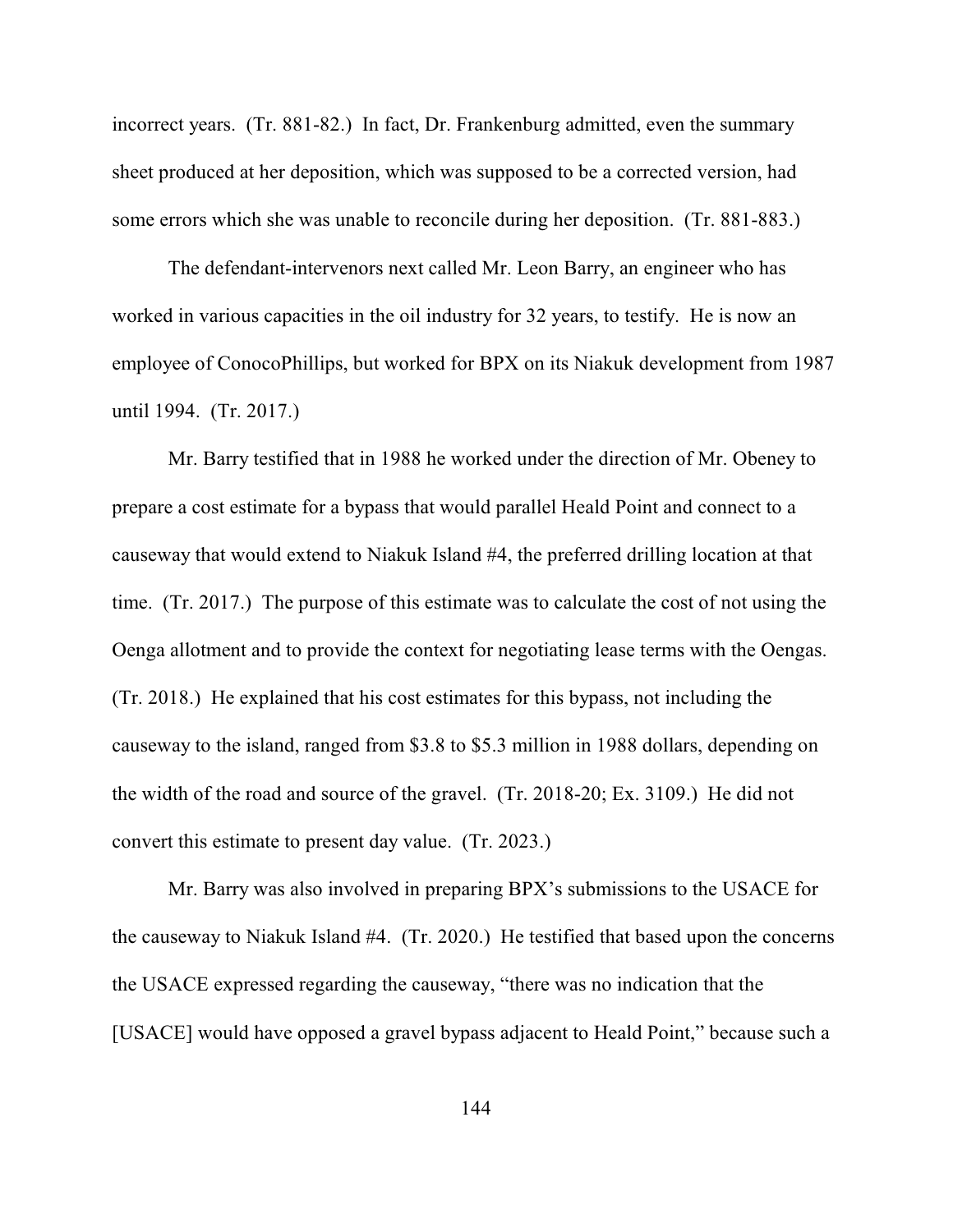incorrect years. (Tr. 881-82.) In fact, Dr. Frankenburg admitted, even the summary sheet produced at her deposition, which was supposed to be a corrected version, had some errors which she was unable to reconcile during her deposition. (Tr. 881-883.)

The defendant-intervenors next called Mr. Leon Barry, an engineer who has worked in various capacities in the oil industry for 32 years, to testify. He is now an employee of ConocoPhillips, but worked for BPX on its Niakuk development from 1987 until 1994. (Tr. 2017.)

Mr. Barry testified that in 1988 he worked under the direction of Mr. Obeney to prepare a cost estimate for a bypass that would parallel Heald Point and connect to a causeway that would extend to Niakuk Island #4, the preferred drilling location at that time. (Tr. 2017.) The purpose of this estimate was to calculate the cost of not using the Oenga allotment and to provide the context for negotiating lease terms with the Oengas. (Tr. 2018.) He explained that his cost estimates for this bypass, not including the causeway to the island, ranged from \$3.8 to \$5.3 million in 1988 dollars, depending on the width of the road and source of the gravel. (Tr. 2018-20; Ex. 3109.) He did not convert this estimate to present day value. (Tr. 2023.)

Mr. Barry was also involved in preparing BPX's submissions to the USACE for the causeway to Niakuk Island #4. (Tr. 2020.) He testified that based upon the concerns the USACE expressed regarding the causeway, "there was no indication that the [USACE] would have opposed a gravel bypass adjacent to Heald Point," because such a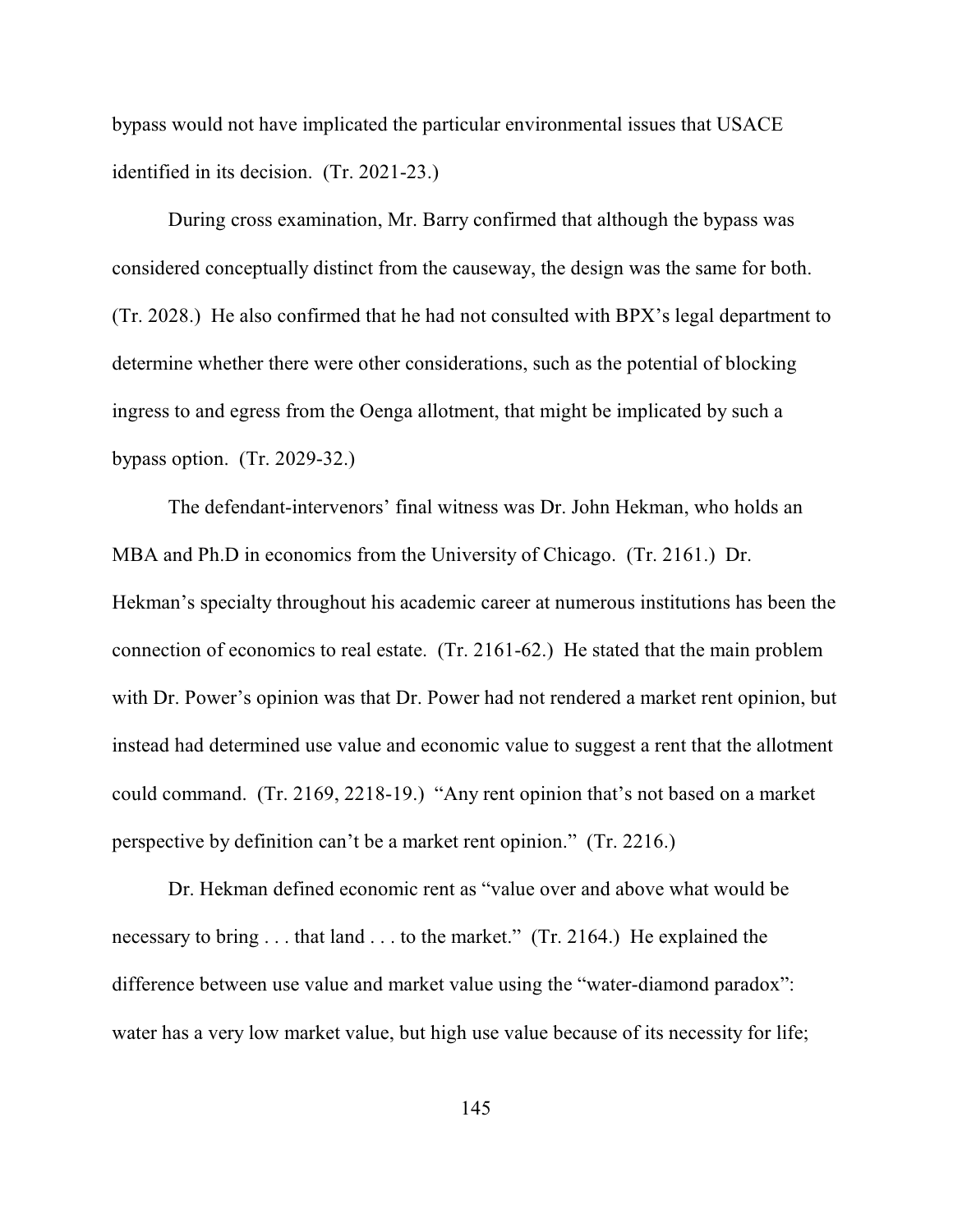bypass would not have implicated the particular environmental issues that USACE identified in its decision. (Tr. 2021-23.)

During cross examination, Mr. Barry confirmed that although the bypass was considered conceptually distinct from the causeway, the design was the same for both. (Tr. 2028.) He also confirmed that he had not consulted with BPX's legal department to determine whether there were other considerations, such as the potential of blocking ingress to and egress from the Oenga allotment, that might be implicated by such a bypass option. (Tr. 2029-32.)

The defendant-intervenors' final witness was Dr. John Hekman, who holds an MBA and Ph.D in economics from the University of Chicago. (Tr. 2161.) Dr. Hekman's specialty throughout his academic career at numerous institutions has been the connection of economics to real estate. (Tr. 2161-62.) He stated that the main problem with Dr. Power's opinion was that Dr. Power had not rendered a market rent opinion, but instead had determined use value and economic value to suggest a rent that the allotment could command. (Tr. 2169, 2218-19.) "Any rent opinion that's not based on a market perspective by definition can't be a market rent opinion." (Tr. 2216.)

Dr. Hekman defined economic rent as "value over and above what would be necessary to bring . . . that land . . . to the market." (Tr. 2164.) He explained the difference between use value and market value using the "water-diamond paradox": water has a very low market value, but high use value because of its necessity for life;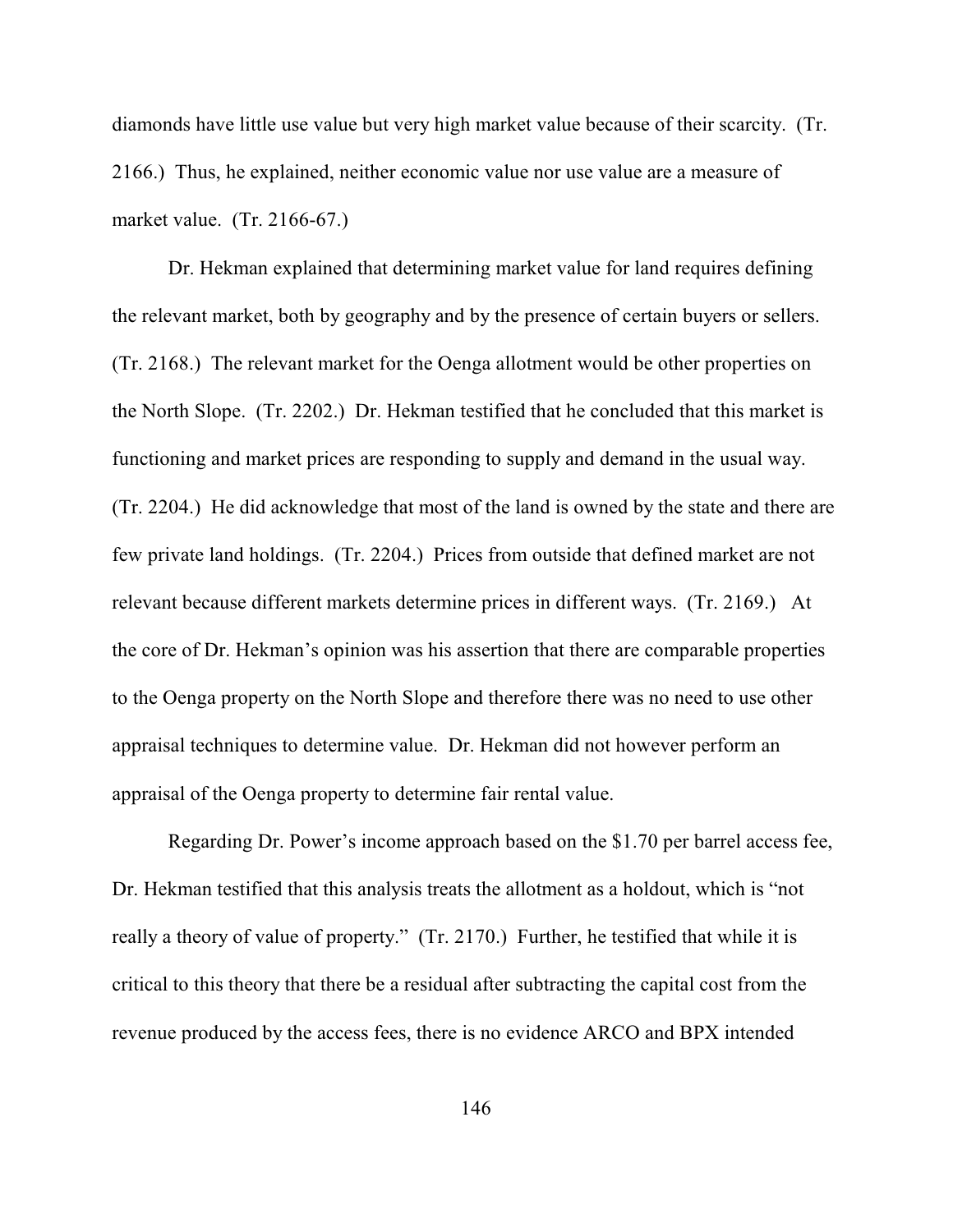diamonds have little use value but very high market value because of their scarcity. (Tr. 2166.) Thus, he explained, neither economic value nor use value are a measure of market value. (Tr. 2166-67.)

Dr. Hekman explained that determining market value for land requires defining the relevant market, both by geography and by the presence of certain buyers or sellers. (Tr. 2168.) The relevant market for the Oenga allotment would be other properties on the North Slope. (Tr. 2202.) Dr. Hekman testified that he concluded that this market is functioning and market prices are responding to supply and demand in the usual way. (Tr. 2204.) He did acknowledge that most of the land is owned by the state and there are few private land holdings. (Tr. 2204.) Prices from outside that defined market are not relevant because different markets determine prices in different ways. (Tr. 2169.) At the core of Dr. Hekman's opinion was his assertion that there are comparable properties to the Oenga property on the North Slope and therefore there was no need to use other appraisal techniques to determine value. Dr. Hekman did not however perform an appraisal of the Oenga property to determine fair rental value.

Regarding Dr. Power's income approach based on the \$1.70 per barrel access fee, Dr. Hekman testified that this analysis treats the allotment as a holdout, which is "not really a theory of value of property." (Tr. 2170.) Further, he testified that while it is critical to this theory that there be a residual after subtracting the capital cost from the revenue produced by the access fees, there is no evidence ARCO and BPX intended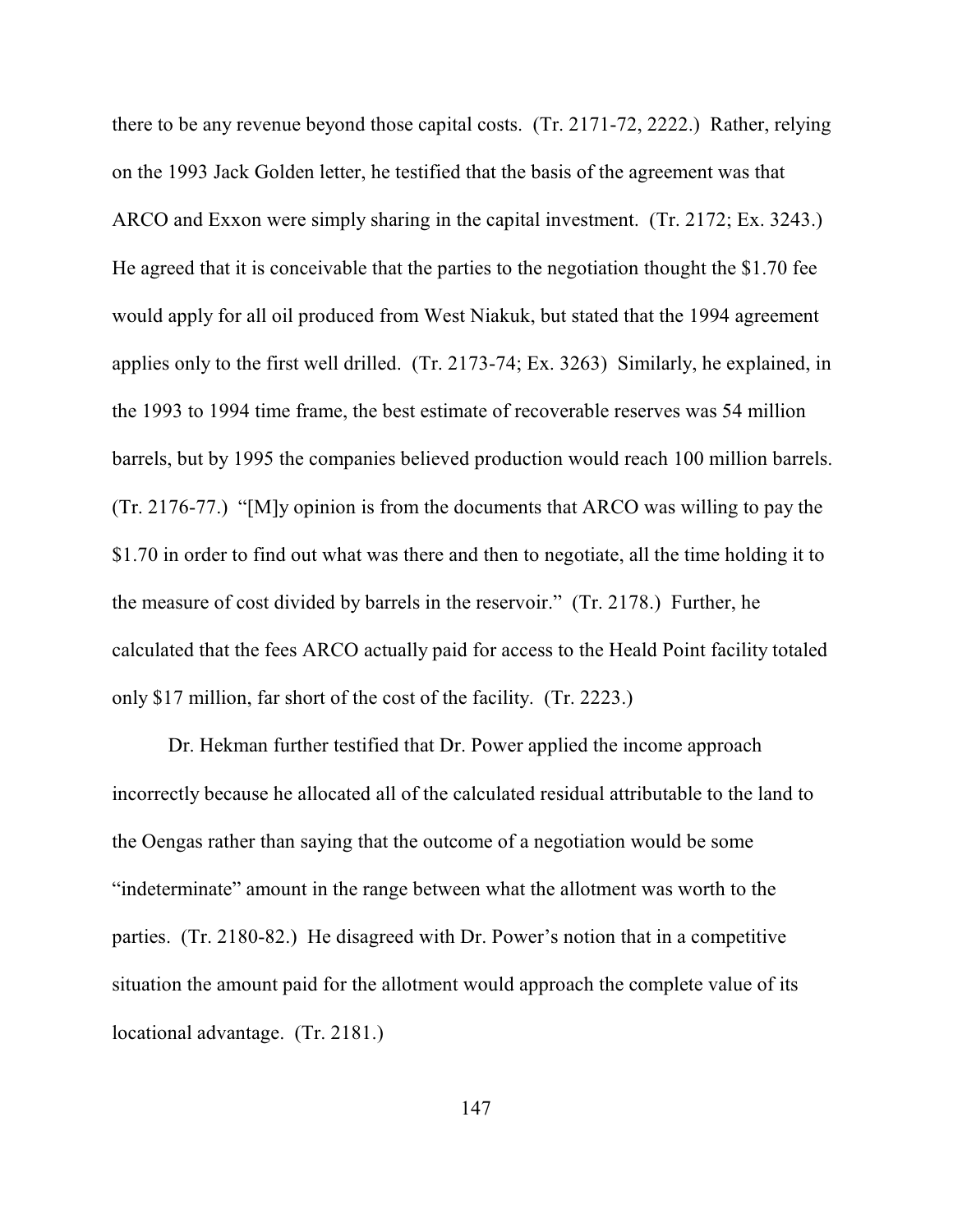there to be any revenue beyond those capital costs. (Tr. 2171-72, 2222.) Rather, relying on the 1993 Jack Golden letter, he testified that the basis of the agreement was that ARCO and Exxon were simply sharing in the capital investment. (Tr. 2172; Ex. 3243.) He agreed that it is conceivable that the parties to the negotiation thought the \$1.70 fee would apply for all oil produced from West Niakuk, but stated that the 1994 agreement applies only to the first well drilled. (Tr. 2173-74; Ex. 3263) Similarly, he explained, in the 1993 to 1994 time frame, the best estimate of recoverable reserves was 54 million barrels, but by 1995 the companies believed production would reach 100 million barrels. (Tr. 2176-77.) "[M]y opinion is from the documents that ARCO was willing to pay the \$1.70 in order to find out what was there and then to negotiate, all the time holding it to the measure of cost divided by barrels in the reservoir." (Tr. 2178.) Further, he calculated that the fees ARCO actually paid for access to the Heald Point facility totaled only \$17 million, far short of the cost of the facility. (Tr. 2223.)

Dr. Hekman further testified that Dr. Power applied the income approach incorrectly because he allocated all of the calculated residual attributable to the land to the Oengas rather than saying that the outcome of a negotiation would be some "indeterminate" amount in the range between what the allotment was worth to the parties. (Tr. 2180-82.) He disagreed with Dr. Power's notion that in a competitive situation the amount paid for the allotment would approach the complete value of its locational advantage. (Tr. 2181.)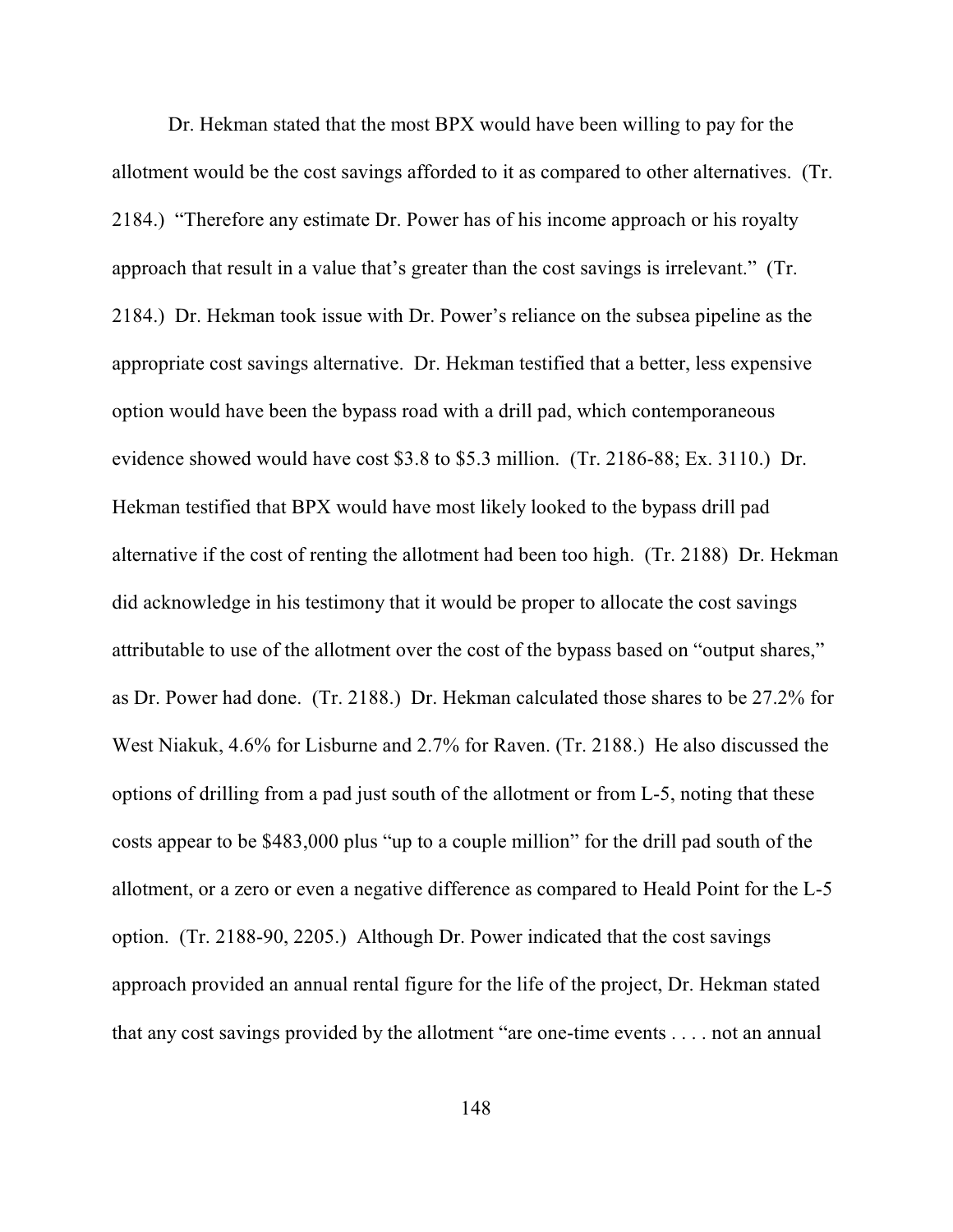Dr. Hekman stated that the most BPX would have been willing to pay for the allotment would be the cost savings afforded to it as compared to other alternatives. (Tr. 2184.) "Therefore any estimate Dr. Power has of his income approach or his royalty approach that result in a value that's greater than the cost savings is irrelevant." (Tr. 2184.) Dr. Hekman took issue with Dr. Power's reliance on the subsea pipeline as the appropriate cost savings alternative. Dr. Hekman testified that a better, less expensive option would have been the bypass road with a drill pad, which contemporaneous evidence showed would have cost \$3.8 to \$5.3 million. (Tr. 2186-88; Ex. 3110.) Dr. Hekman testified that BPX would have most likely looked to the bypass drill pad alternative if the cost of renting the allotment had been too high. (Tr. 2188) Dr. Hekman did acknowledge in his testimony that it would be proper to allocate the cost savings attributable to use of the allotment over the cost of the bypass based on "output shares," as Dr. Power had done. (Tr. 2188.) Dr. Hekman calculated those shares to be 27.2% for West Niakuk, 4.6% for Lisburne and 2.7% for Raven. (Tr. 2188.) He also discussed the options of drilling from a pad just south of the allotment or from L-5, noting that these costs appear to be \$483,000 plus "up to a couple million" for the drill pad south of the allotment, or a zero or even a negative difference as compared to Heald Point for the L-5 option. (Tr. 2188-90, 2205.) Although Dr. Power indicated that the cost savings approach provided an annual rental figure for the life of the project, Dr. Hekman stated that any cost savings provided by the allotment "are one-time events . . . . not an annual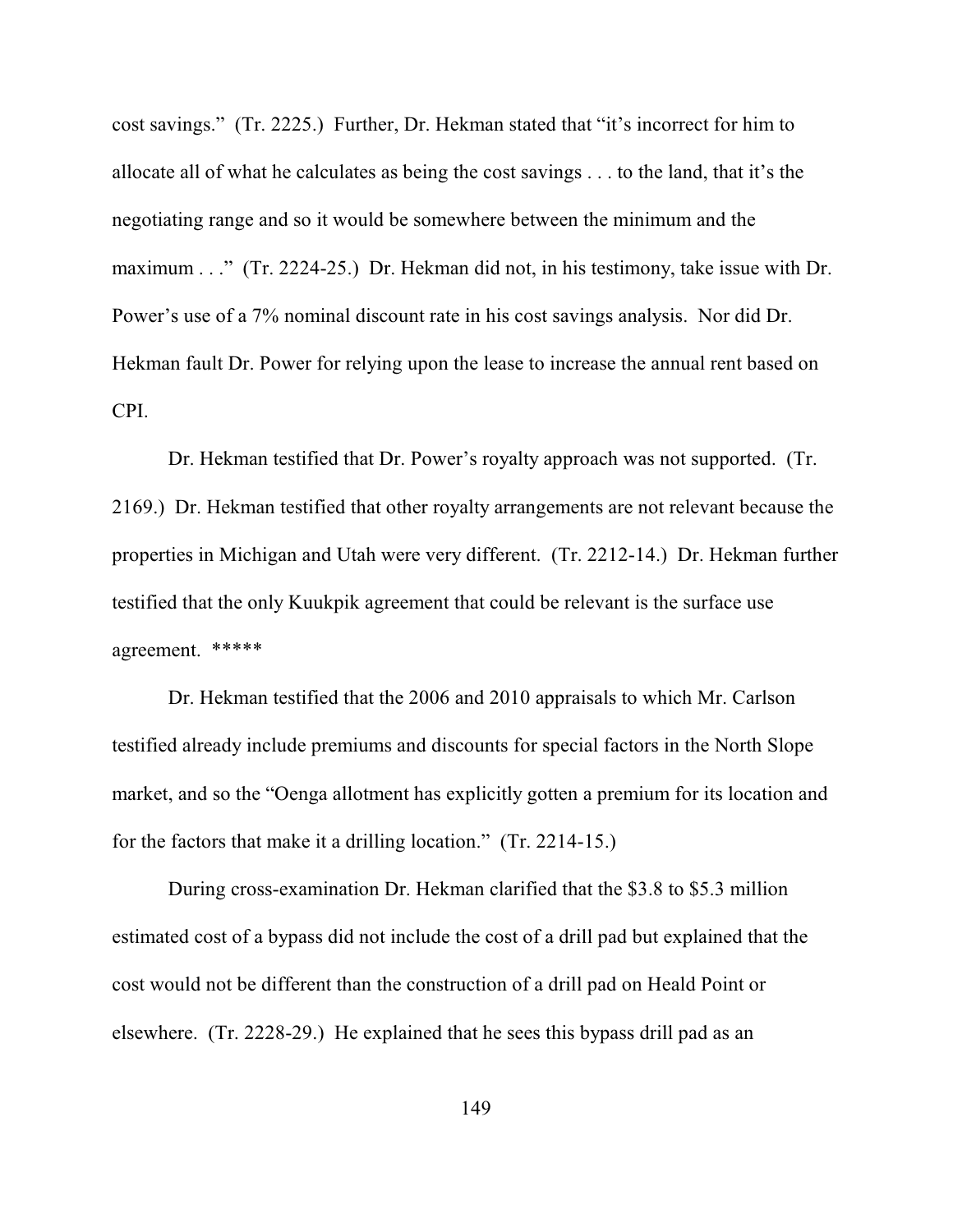cost savings." (Tr. 2225.) Further, Dr. Hekman stated that "it's incorrect for him to allocate all of what he calculates as being the cost savings . . . to the land, that it's the negotiating range and so it would be somewhere between the minimum and the maximum . . ." (Tr. 2224-25.) Dr. Hekman did not, in his testimony, take issue with Dr. Power's use of a 7% nominal discount rate in his cost savings analysis. Nor did Dr. Hekman fault Dr. Power for relying upon the lease to increase the annual rent based on CPI.

Dr. Hekman testified that Dr. Power's royalty approach was not supported. (Tr. 2169.) Dr. Hekman testified that other royalty arrangements are not relevant because the properties in Michigan and Utah were very different. (Tr. 2212-14.) Dr. Hekman further testified that the only Kuukpik agreement that could be relevant is the surface use agreement. \*\*\*\*\*

Dr. Hekman testified that the 2006 and 2010 appraisals to which Mr. Carlson testified already include premiums and discounts for special factors in the North Slope market, and so the "Oenga allotment has explicitly gotten a premium for its location and for the factors that make it a drilling location." (Tr. 2214-15.)

During cross-examination Dr. Hekman clarified that the \$3.8 to \$5.3 million estimated cost of a bypass did not include the cost of a drill pad but explained that the cost would not be different than the construction of a drill pad on Heald Point or elsewhere. (Tr. 2228-29.) He explained that he sees this bypass drill pad as an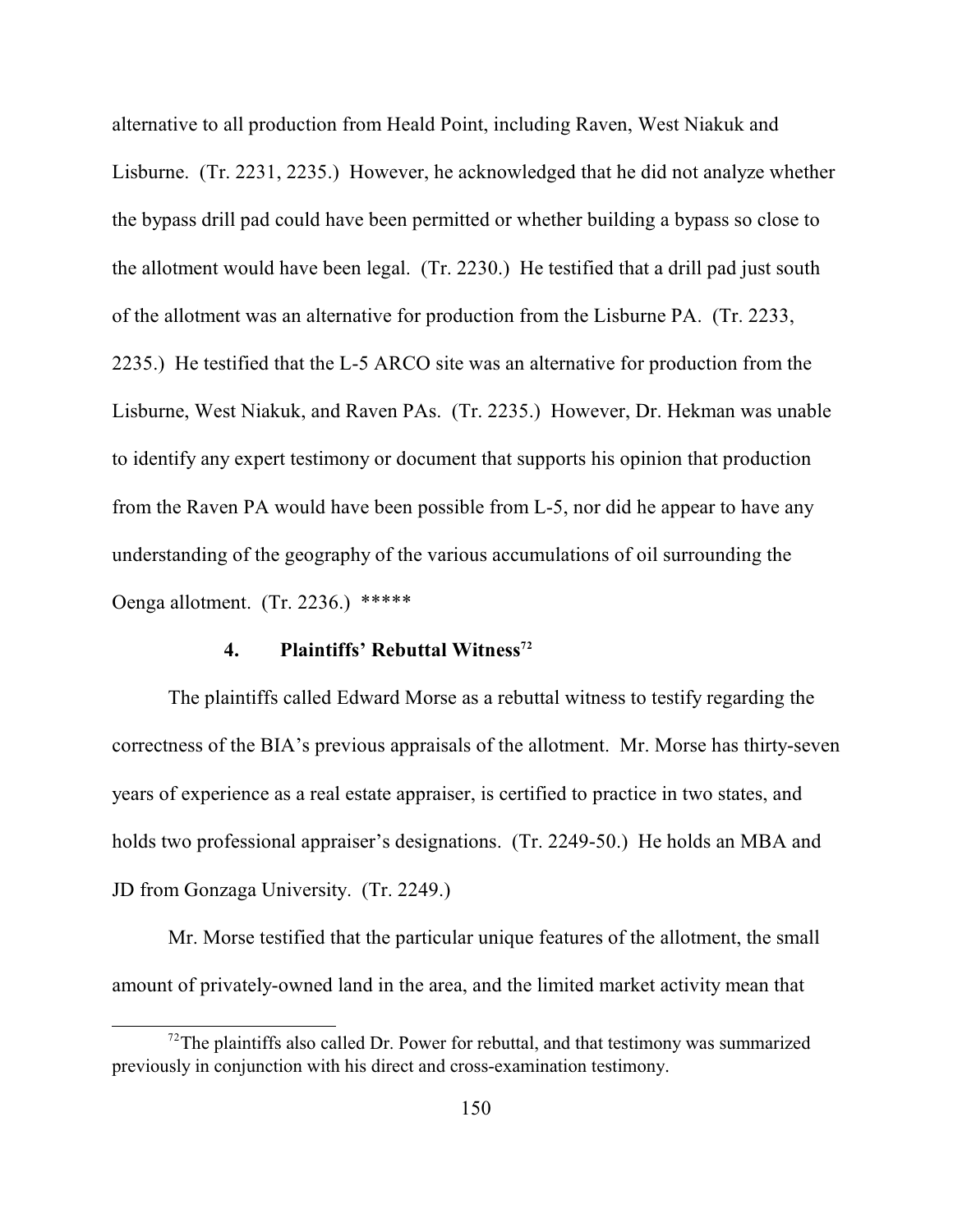alternative to all production from Heald Point, including Raven, West Niakuk and Lisburne. (Tr. 2231, 2235.) However, he acknowledged that he did not analyze whether the bypass drill pad could have been permitted or whether building a bypass so close to the allotment would have been legal. (Tr. 2230.) He testified that a drill pad just south of the allotment was an alternative for production from the Lisburne PA. (Tr. 2233, 2235.) He testified that the L-5 ARCO site was an alternative for production from the Lisburne, West Niakuk, and Raven PAs. (Tr. 2235.) However, Dr. Hekman was unable to identify any expert testimony or document that supports his opinion that production from the Raven PA would have been possible from L-5, nor did he appear to have any understanding of the geography of the various accumulations of oil surrounding the Oenga allotment. (Tr. 2236.) \*\*\*\*\*

# **4. Plaintiffs' Rebuttal Witness<sup>72</sup>**

The plaintiffs called Edward Morse as a rebuttal witness to testify regarding the correctness of the BIA's previous appraisals of the allotment. Mr. Morse has thirty-seven years of experience as a real estate appraiser, is certified to practice in two states, and holds two professional appraiser's designations.(Tr. 2249-50.) He holds an MBA and JD from Gonzaga University. (Tr. 2249.)

Mr. Morse testified that the particular unique features of the allotment, the small amount of privately-owned land in the area, and the limited market activity mean that

 $12$ <sup>72</sup>The plaintiffs also called Dr. Power for rebuttal, and that testimony was summarized previously in conjunction with his direct and cross-examination testimony.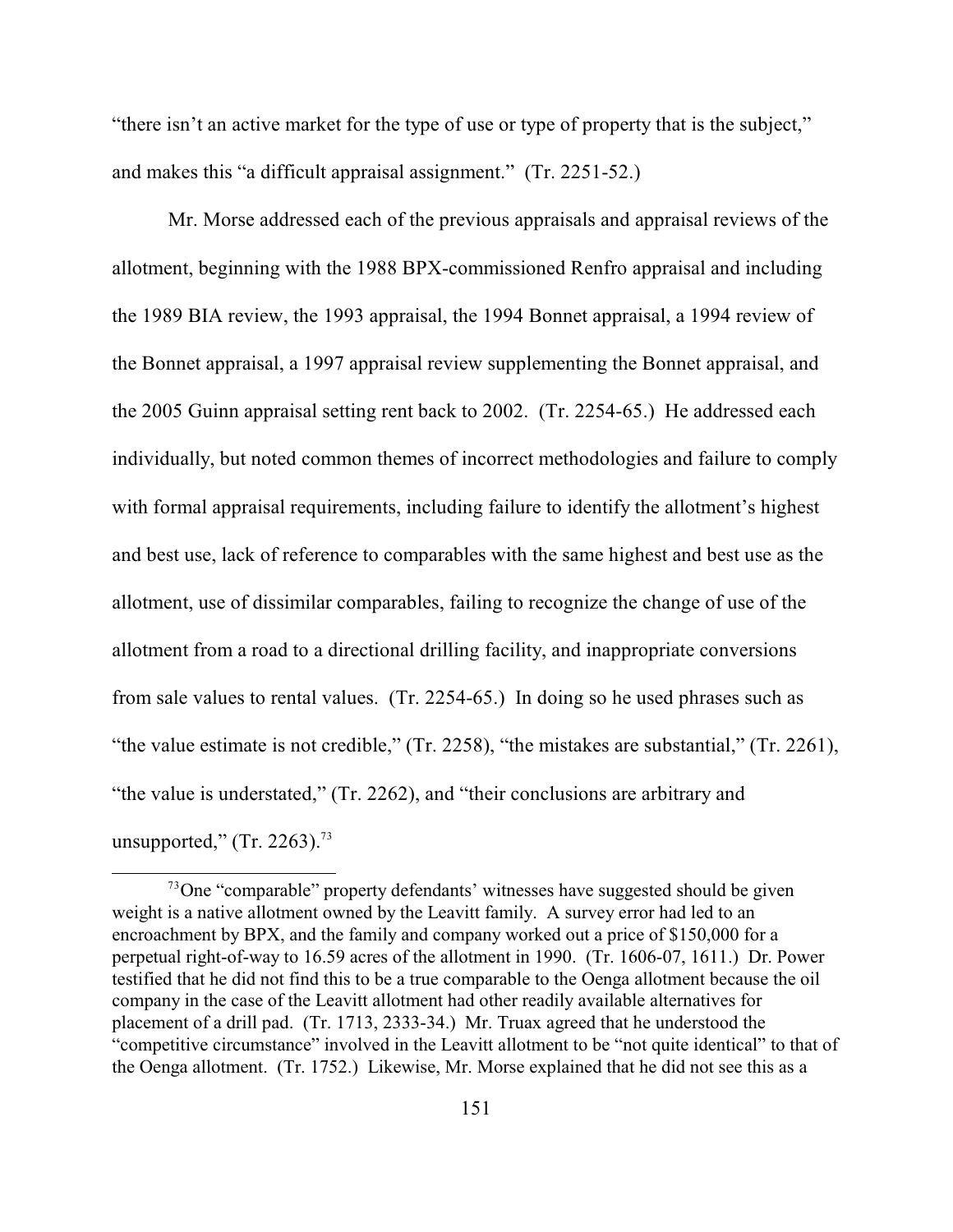"there isn't an active market for the type of use or type of property that is the subject," and makes this "a difficult appraisal assignment." (Tr. 2251-52.)

Mr. Morse addressed each of the previous appraisals and appraisal reviews of the allotment, beginning with the 1988 BPX-commissioned Renfro appraisal and including the 1989 BIA review, the 1993 appraisal, the 1994 Bonnet appraisal, a 1994 review of the Bonnet appraisal, a 1997 appraisal review supplementing the Bonnet appraisal, and the 2005 Guinn appraisal setting rent back to 2002. (Tr. 2254-65.) He addressed each individually, but noted common themes of incorrect methodologies and failure to comply with formal appraisal requirements, including failure to identify the allotment's highest and best use, lack of reference to comparables with the same highest and best use as the allotment, use of dissimilar comparables, failing to recognize the change of use of the allotment from a road to a directional drilling facility, and inappropriate conversions from sale values to rental values. (Tr. 2254-65.) In doing so he used phrases such as "the value estimate is not credible," (Tr. 2258), "the mistakes are substantial," (Tr. 2261), "the value is understated," (Tr. 2262), and "their conclusions are arbitrary and unsupported," (Tr. 2263).<sup>73</sup>

 $\frac{73}{2}$ One "comparable" property defendants' witnesses have suggested should be given weight is a native allotment owned by the Leavitt family. A survey error had led to an encroachment by BPX, and the family and company worked out a price of \$150,000 for a perpetual right-of-way to 16.59 acres of the allotment in 1990. (Tr. 1606-07, 1611.) Dr. Power testified that he did not find this to be a true comparable to the Oenga allotment because the oil company in the case of the Leavitt allotment had other readily available alternatives for placement of a drill pad. (Tr. 1713, 2333-34.) Mr. Truax agreed that he understood the "competitive circumstance" involved in the Leavitt allotment to be "not quite identical" to that of the Oenga allotment. (Tr. 1752.) Likewise, Mr. Morse explained that he did not see this as a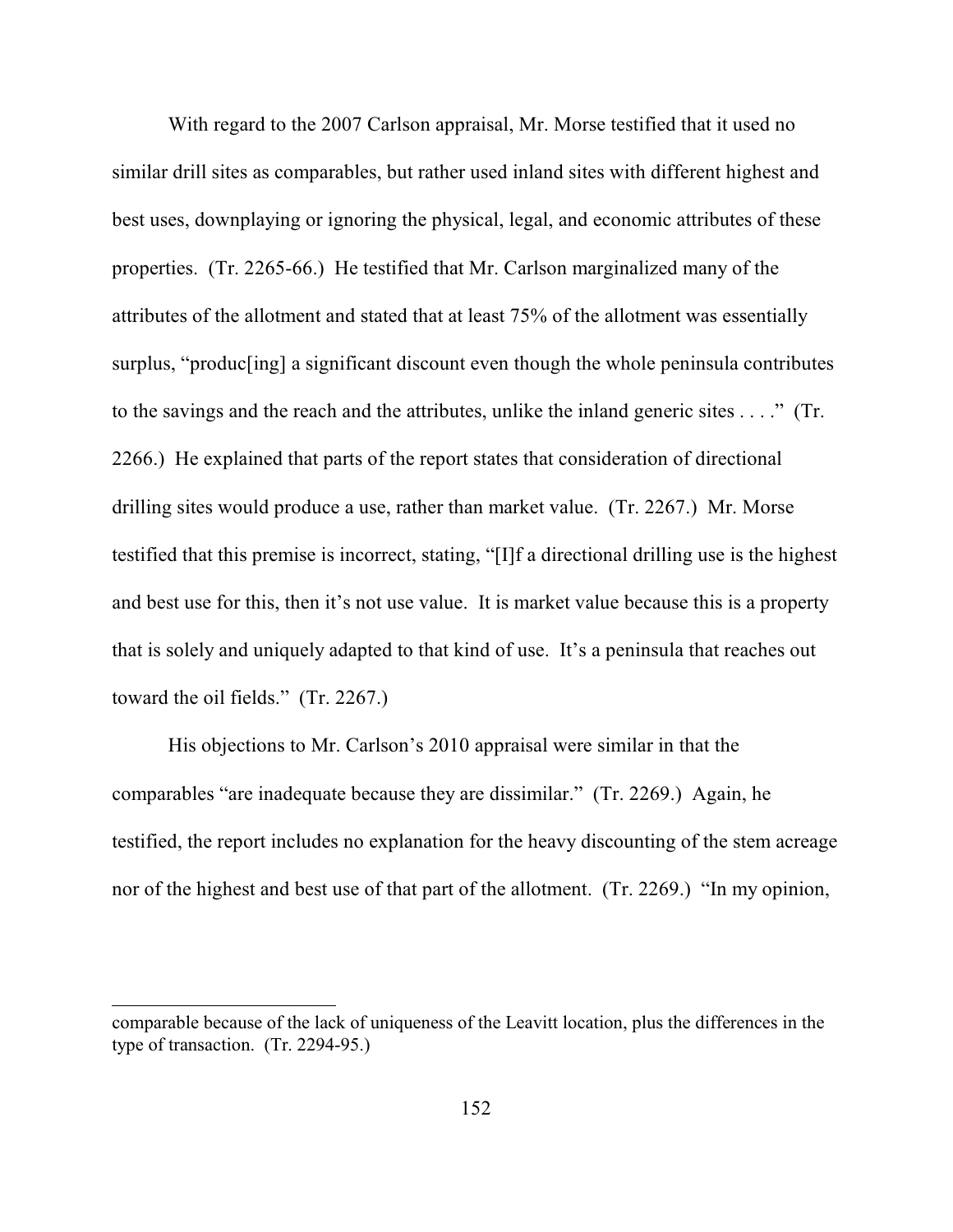With regard to the 2007 Carlson appraisal, Mr. Morse testified that it used no similar drill sites as comparables, but rather used inland sites with different highest and best uses, downplaying or ignoring the physical, legal, and economic attributes of these properties. (Tr. 2265-66.) He testified that Mr. Carlson marginalized many of the attributes of the allotment and stated that at least 75% of the allotment was essentially surplus, "produc[ing] a significant discount even though the whole peninsula contributes to the savings and the reach and the attributes, unlike the inland generic sites . . . ." (Tr. 2266.) He explained that parts of the report states that consideration of directional drilling sites would produce a use, rather than market value. (Tr. 2267.) Mr. Morse testified that this premise is incorrect, stating, "[I]f a directional drilling use is the highest and best use for this, then it's not use value. It is market value because this is a property that is solely and uniquely adapted to that kind of use. It's a peninsula that reaches out toward the oil fields." (Tr. 2267.)

His objections to Mr. Carlson's 2010 appraisal were similar in that the comparables "are inadequate because they are dissimilar." (Tr. 2269.) Again, he testified, the report includes no explanation for the heavy discounting of the stem acreage nor of the highest and best use of that part of the allotment. (Tr. 2269.) "In my opinion,

comparable because of the lack of uniqueness of the Leavitt location, plus the differences in the type of transaction. (Tr. 2294-95.)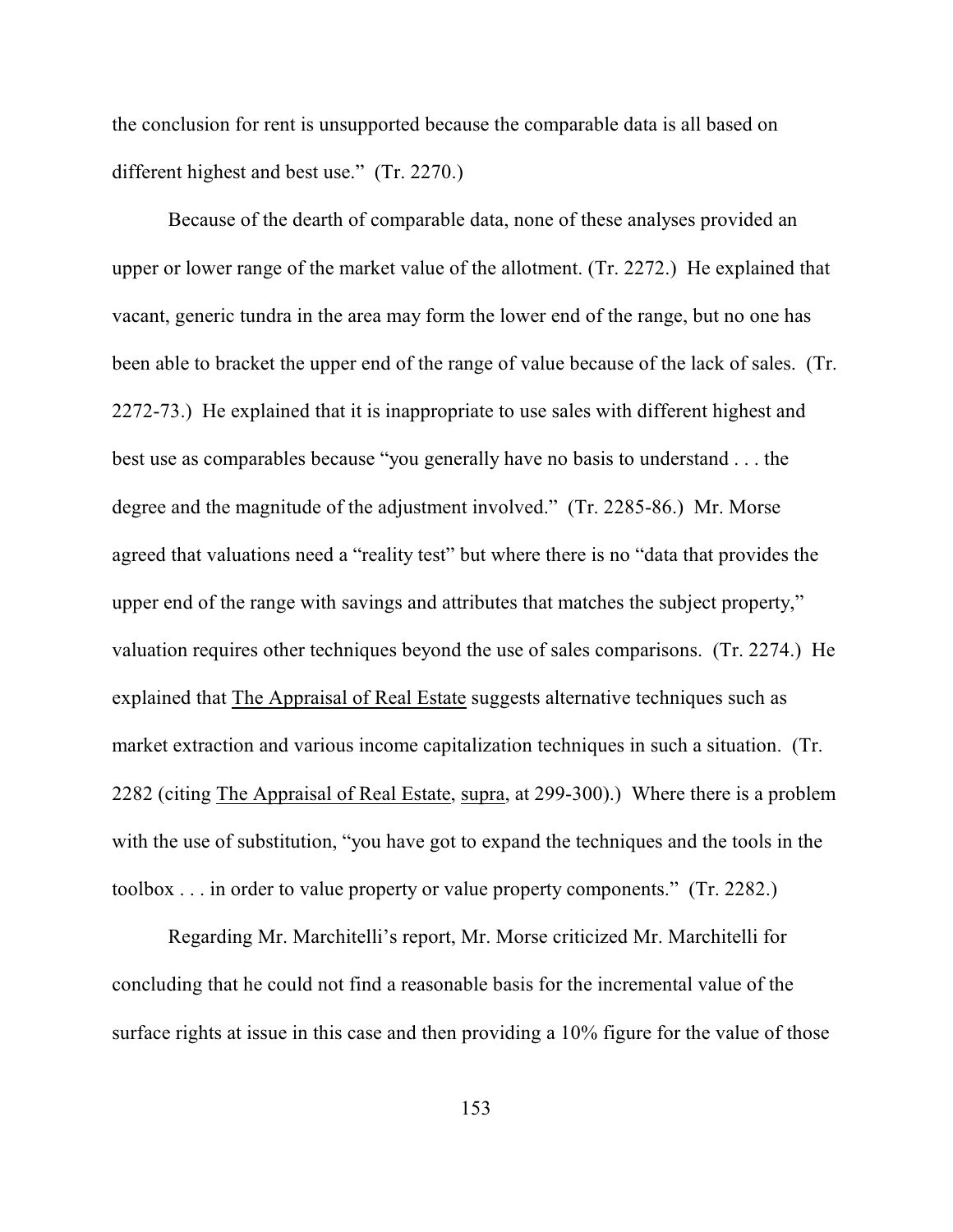the conclusion for rent is unsupported because the comparable data is all based on different highest and best use." (Tr. 2270.)

Because of the dearth of comparable data, none of these analyses provided an upper or lower range of the market value of the allotment. (Tr. 2272.) He explained that vacant, generic tundra in the area may form the lower end of the range, but no one has been able to bracket the upper end of the range of value because of the lack of sales. (Tr. 2272-73.) He explained that it is inappropriate to use sales with different highest and best use as comparables because "you generally have no basis to understand . . . the degree and the magnitude of the adjustment involved." (Tr. 2285-86.) Mr. Morse agreed that valuations need a "reality test" but where there is no "data that provides the upper end of the range with savings and attributes that matches the subject property," valuation requires other techniques beyond the use of sales comparisons. (Tr. 2274.) He explained that The Appraisal of Real Estate suggests alternative techniques such as market extraction and various income capitalization techniques in such a situation. (Tr. 2282 (citing The Appraisal of Real Estate, supra, at 299-300).) Where there is a problem with the use of substitution, "you have got to expand the techniques and the tools in the toolbox . . . in order to value property or value property components." (Tr. 2282.)

Regarding Mr. Marchitelli's report, Mr. Morse criticized Mr. Marchitelli for concluding that he could not find a reasonable basis for the incremental value of the surface rights at issue in this case and then providing a 10% figure for the value of those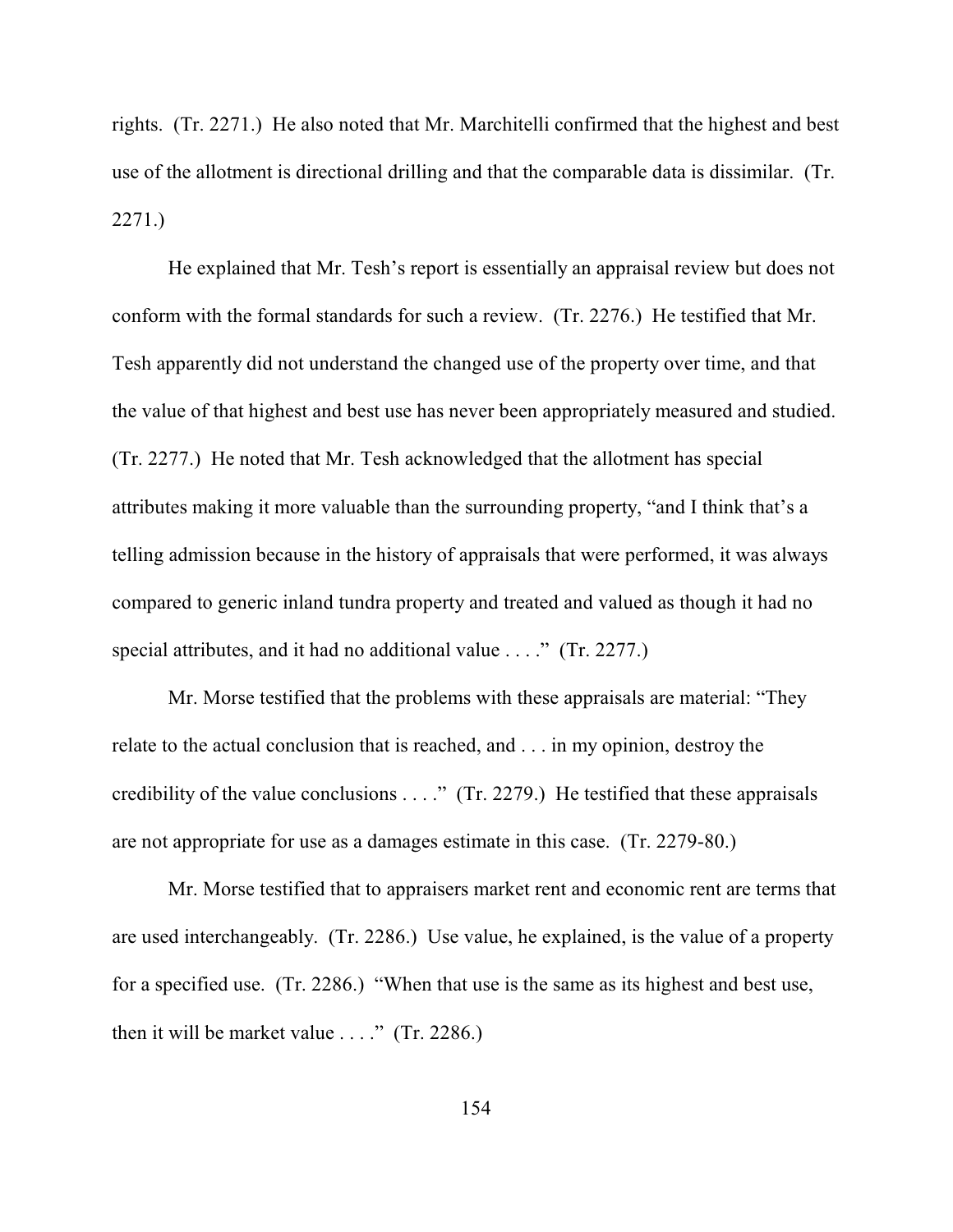rights. (Tr. 2271.) He also noted that Mr. Marchitelli confirmed that the highest and best use of the allotment is directional drilling and that the comparable data is dissimilar. (Tr. 2271.)

He explained that Mr. Tesh's report is essentially an appraisal review but does not conform with the formal standards for such a review. (Tr. 2276.) He testified that Mr. Tesh apparently did not understand the changed use of the property over time, and that the value of that highest and best use has never been appropriately measured and studied. (Tr. 2277.) He noted that Mr. Tesh acknowledged that the allotment has special attributes making it more valuable than the surrounding property, "and I think that's a telling admission because in the history of appraisals that were performed, it was always compared to generic inland tundra property and treated and valued as though it had no special attributes, and it had no additional value . . . ." (Tr. 2277.)

Mr. Morse testified that the problems with these appraisals are material: "They relate to the actual conclusion that is reached, and . . . in my opinion, destroy the credibility of the value conclusions . . . ." (Tr. 2279.) He testified that these appraisals are not appropriate for use as a damages estimate in this case. (Tr. 2279-80.)

Mr. Morse testified that to appraisers market rent and economic rent are terms that are used interchangeably. (Tr. 2286.) Use value, he explained, is the value of a property for a specified use. (Tr. 2286.) "When that use is the same as its highest and best use, then it will be market value  $\dots$ ." (Tr. 2286.)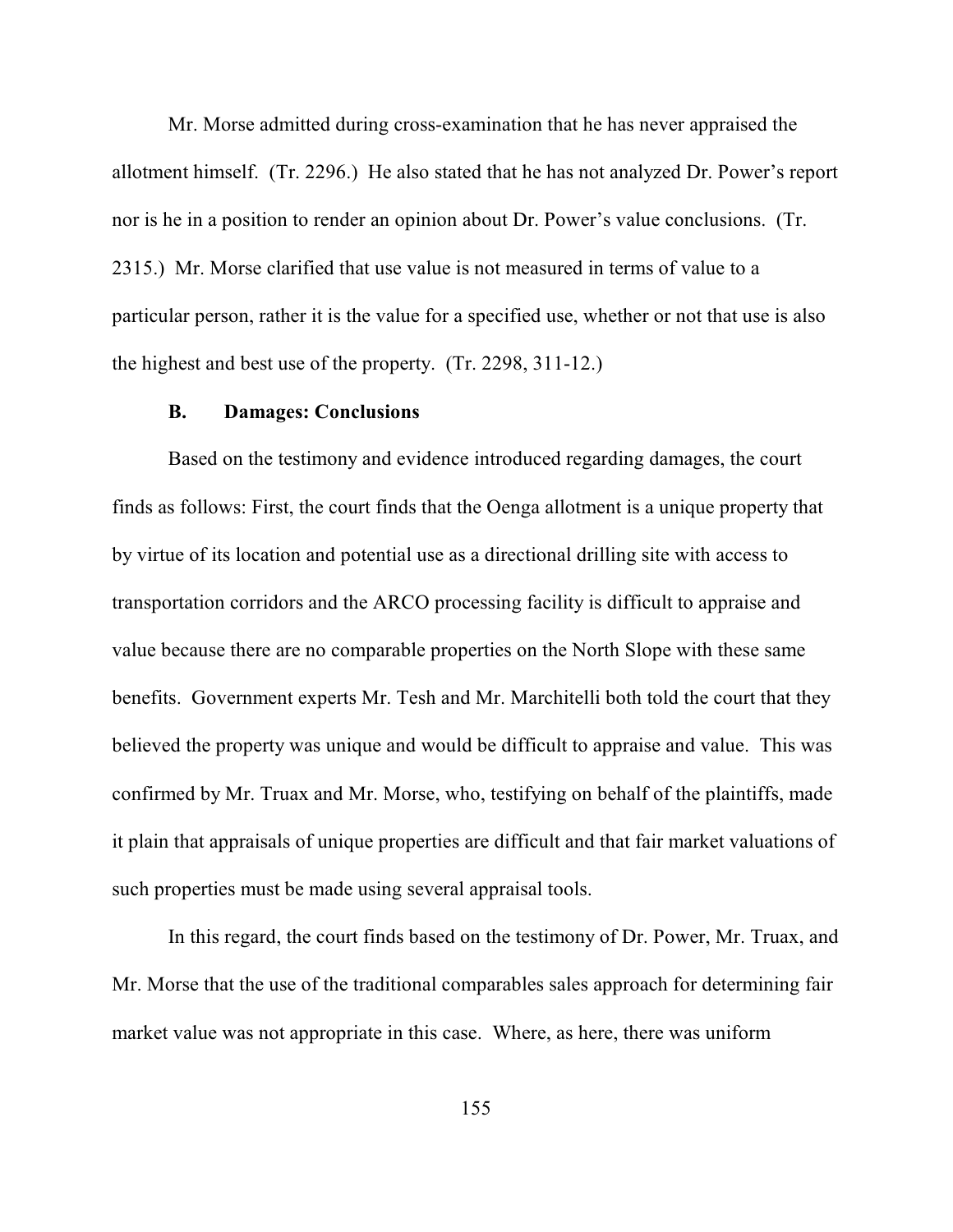Mr. Morse admitted during cross-examination that he has never appraised the allotment himself. (Tr. 2296.) He also stated that he has not analyzed Dr. Power's report nor is he in a position to render an opinion about Dr. Power's value conclusions. (Tr. 2315.) Mr. Morse clarified that use value is not measured in terms of value to a particular person, rather it is the value for a specified use, whether or not that use is also the highest and best use of the property. (Tr. 2298, 311-12.)

## **B. Damages: Conclusions**

Based on the testimony and evidence introduced regarding damages, the court finds as follows: First, the court finds that the Oenga allotment is a unique property that by virtue of its location and potential use as a directional drilling site with access to transportation corridors and the ARCO processing facility is difficult to appraise and value because there are no comparable properties on the North Slope with these same benefits. Government experts Mr. Tesh and Mr. Marchitelli both told the court that they believed the property was unique and would be difficult to appraise and value. This was confirmed by Mr. Truax and Mr. Morse, who, testifying on behalf of the plaintiffs, made it plain that appraisals of unique properties are difficult and that fair market valuations of such properties must be made using several appraisal tools.

In this regard, the court finds based on the testimony of Dr. Power, Mr. Truax, and Mr. Morse that the use of the traditional comparables sales approach for determining fair market value was not appropriate in this case. Where, as here, there was uniform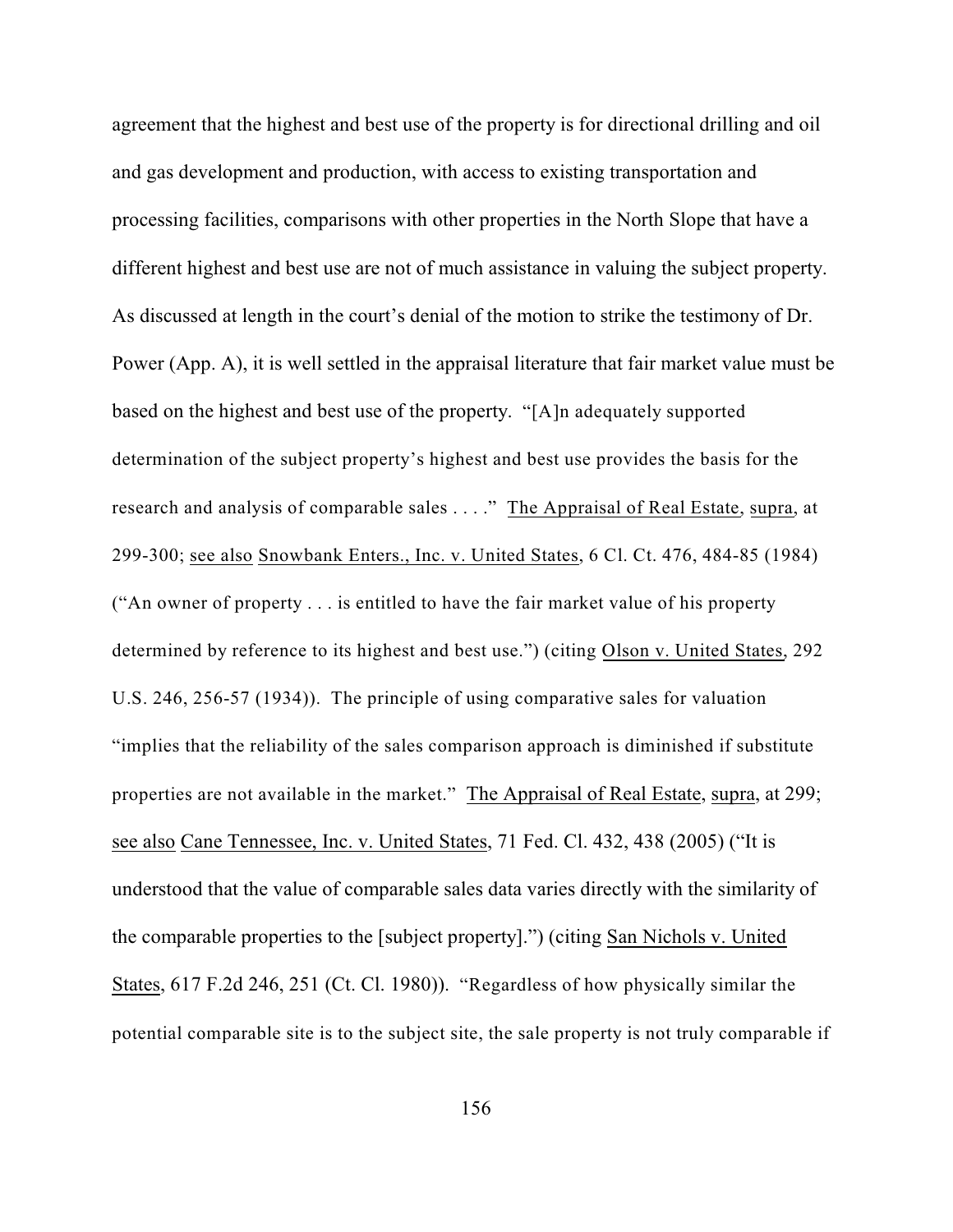agreement that the highest and best use of the property is for directional drilling and oil and gas development and production, with access to existing transportation and processing facilities, comparisons with other properties in the North Slope that have a different highest and best use are not of much assistance in valuing the subject property. As discussed at length in the court's denial of the motion to strike the testimony of Dr. Power (App. A), it is well settled in the appraisal literature that fair market value must be based on the highest and best use of the property. "[A]n adequately supported determination of the subject property's highest and best use provides the basis for the research and analysis of comparable sales . . . ." The Appraisal of Real Estate, supra, at 299-300; see also Snowbank Enters., Inc. v. United States, 6 Cl. Ct. 476, 484-85 (1984) ("An owner of property . . . is entitled to have the fair market value of his property determined by reference to its highest and best use.") (citing Olson v. United States, 292 U.S. 246, 256-57 (1934)). The principle of using comparative sales for valuation "implies that the reliability of the sales comparison approach is diminished if substitute properties are not available in the market." The Appraisal of Real Estate, supra, at 299; see also Cane Tennessee, Inc. v. United States, 71 Fed. Cl. 432, 438 (2005) ("It is understood that the value of comparable sales data varies directly with the similarity of the comparable properties to the [subject property].") (citing San Nichols v. United States, 617 F.2d 246, 251 (Ct. Cl. 1980)). "Regardless of how physically similar the potential comparable site is to the subject site, the sale property is not truly comparable if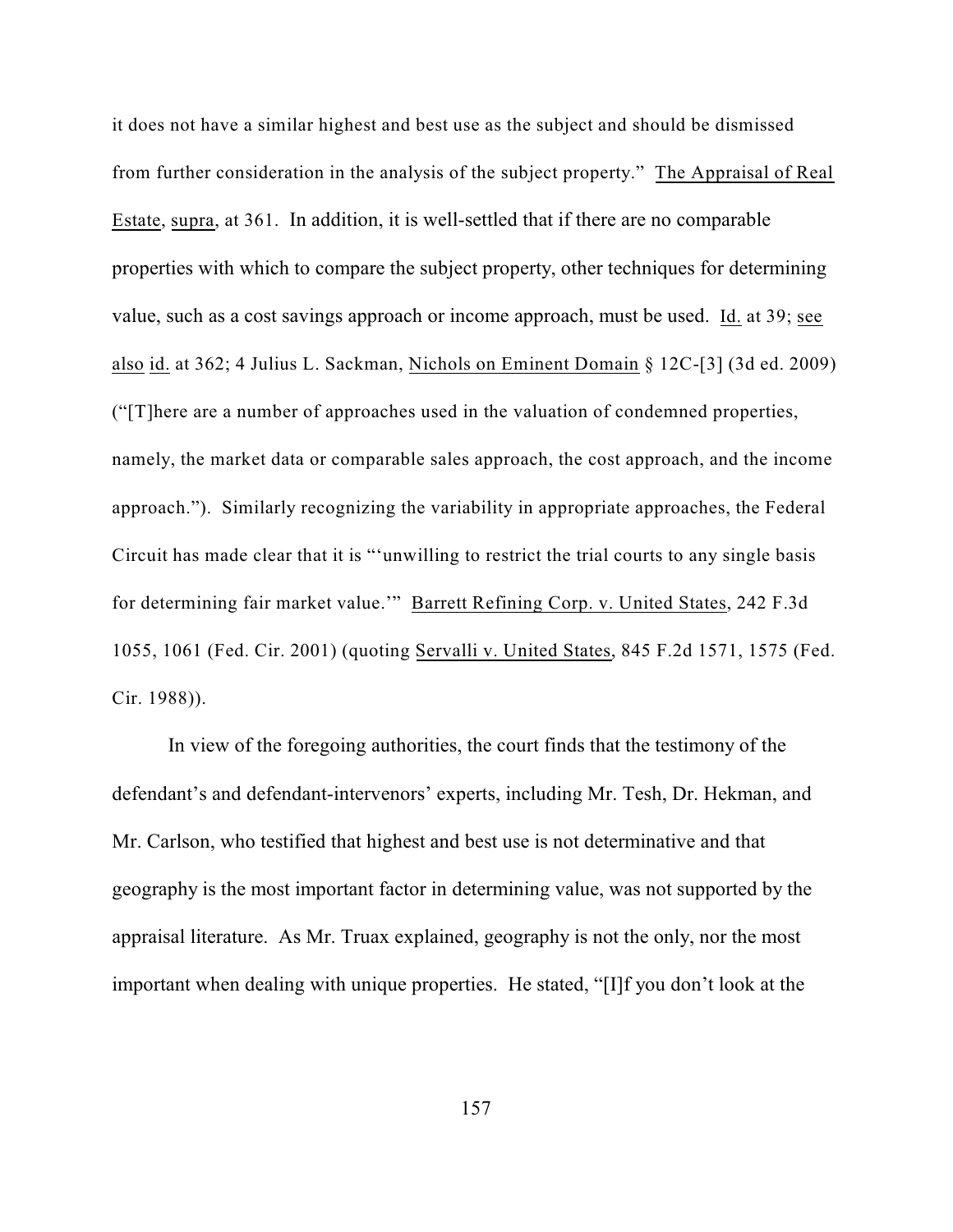it does not have a similar highest and best use as the subject and should be dismissed from further consideration in the analysis of the subject property." The Appraisal of Real Estate, supra, at 361. In addition, it is well-settled that if there are no comparable properties with which to compare the subject property, other techniques for determining value, such as a cost savings approach or income approach, must be used. Id. at 39; see also id. at 362; 4 Julius L. Sackman, Nichols on Eminent Domain § 12C-[3] (3d ed. 2009) ("[T]here are a number of approaches used in the valuation of condemned properties, namely, the market data or comparable sales approach, the cost approach, and the income approach."). Similarly recognizing the variability in appropriate approaches, the Federal Circuit has made clear that it is "'unwilling to restrict the trial courts to any single basis for determining fair market value.'" Barrett Refining Corp. v. United States, 242 F.3d 1055, 1061 (Fed. Cir. 2001) (quoting Servalli v. United States, 845 F.2d 1571, 1575 (Fed. Cir. 1988)).

In view of the foregoing authorities, the court finds that the testimony of the defendant's and defendant-intervenors' experts, including Mr. Tesh, Dr. Hekman, and Mr. Carlson, who testified that highest and best use is not determinative and that geography is the most important factor in determining value, was not supported by the appraisal literature. As Mr. Truax explained, geography is not the only, nor the most important when dealing with unique properties. He stated, "[I]f you don't look at the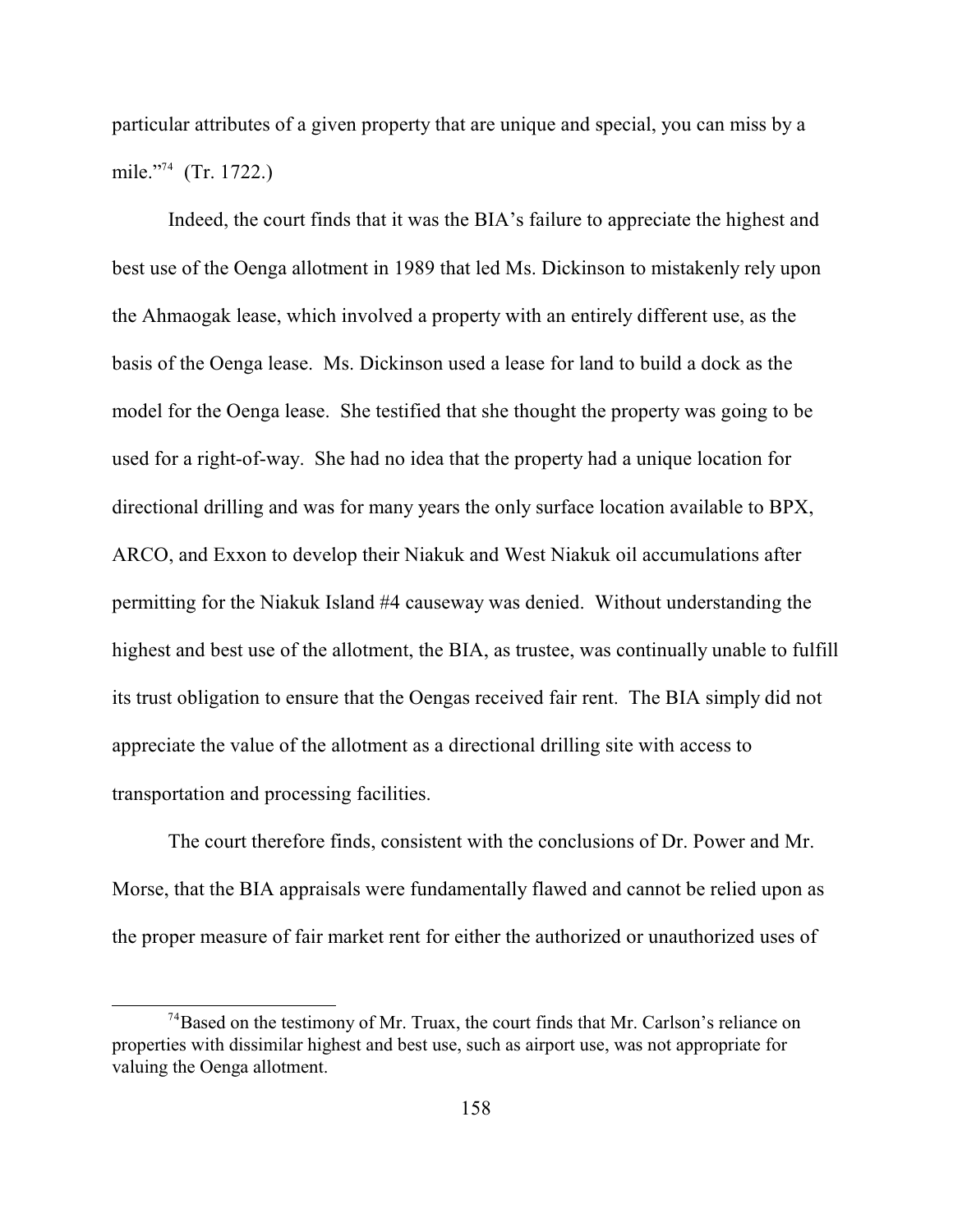particular attributes of a given property that are unique and special, you can miss by a mile."<sup>74</sup> (Tr. 1722.)

Indeed, the court finds that it was the BIA's failure to appreciate the highest and best use of the Oenga allotment in 1989 that led Ms. Dickinson to mistakenly rely upon the Ahmaogak lease, which involved a property with an entirely different use, as the basis of the Oenga lease. Ms. Dickinson used a lease for land to build a dock as the model for the Oenga lease. She testified that she thought the property was going to be used for a right-of-way. She had no idea that the property had a unique location for directional drilling and was for many years the only surface location available to BPX, ARCO, and Exxon to develop their Niakuk and West Niakuk oil accumulations after permitting for the Niakuk Island #4 causeway was denied. Without understanding the highest and best use of the allotment, the BIA, as trustee, was continually unable to fulfill its trust obligation to ensure that the Oengas received fair rent. The BIA simply did not appreciate the value of the allotment as a directional drilling site with access to transportation and processing facilities.

The court therefore finds, consistent with the conclusions of Dr. Power and Mr. Morse, that the BIA appraisals were fundamentally flawed and cannot be relied upon as the proper measure of fair market rent for either the authorized or unauthorized uses of

 $^{74}$ Based on the testimony of Mr. Truax, the court finds that Mr. Carlson's reliance on properties with dissimilar highest and best use, such as airport use, was not appropriate for valuing the Oenga allotment.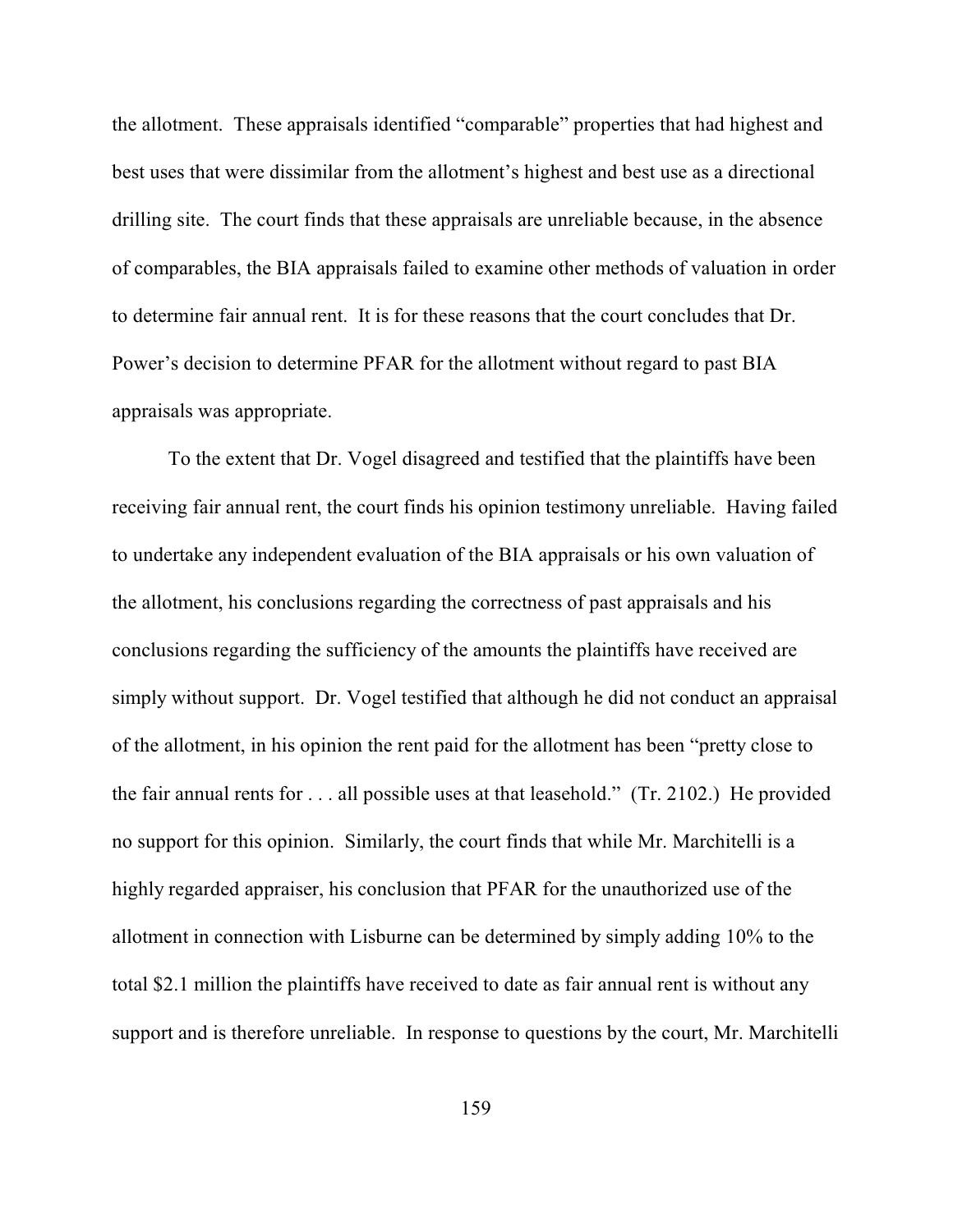the allotment. These appraisals identified "comparable" properties that had highest and best uses that were dissimilar from the allotment's highest and best use as a directional drilling site. The court finds that these appraisals are unreliable because, in the absence of comparables, the BIA appraisals failed to examine other methods of valuation in order to determine fair annual rent. It is for these reasons that the court concludes that Dr. Power's decision to determine PFAR for the allotment without regard to past BIA appraisals was appropriate.

To the extent that Dr. Vogel disagreed and testified that the plaintiffs have been receiving fair annual rent, the court finds his opinion testimony unreliable. Having failed to undertake any independent evaluation of the BIA appraisals or his own valuation of the allotment, his conclusions regarding the correctness of past appraisals and his conclusions regarding the sufficiency of the amounts the plaintiffs have received are simply without support. Dr. Vogel testified that although he did not conduct an appraisal of the allotment, in his opinion the rent paid for the allotment has been "pretty close to the fair annual rents for . . . all possible uses at that leasehold." (Tr. 2102.) He provided no support for this opinion. Similarly, the court finds that while Mr. Marchitelli is a highly regarded appraiser, his conclusion that PFAR for the unauthorized use of the allotment in connection with Lisburne can be determined by simply adding 10% to the total \$2.1 million the plaintiffs have received to date as fair annual rent is without any support and is therefore unreliable. In response to questions by the court, Mr. Marchitelli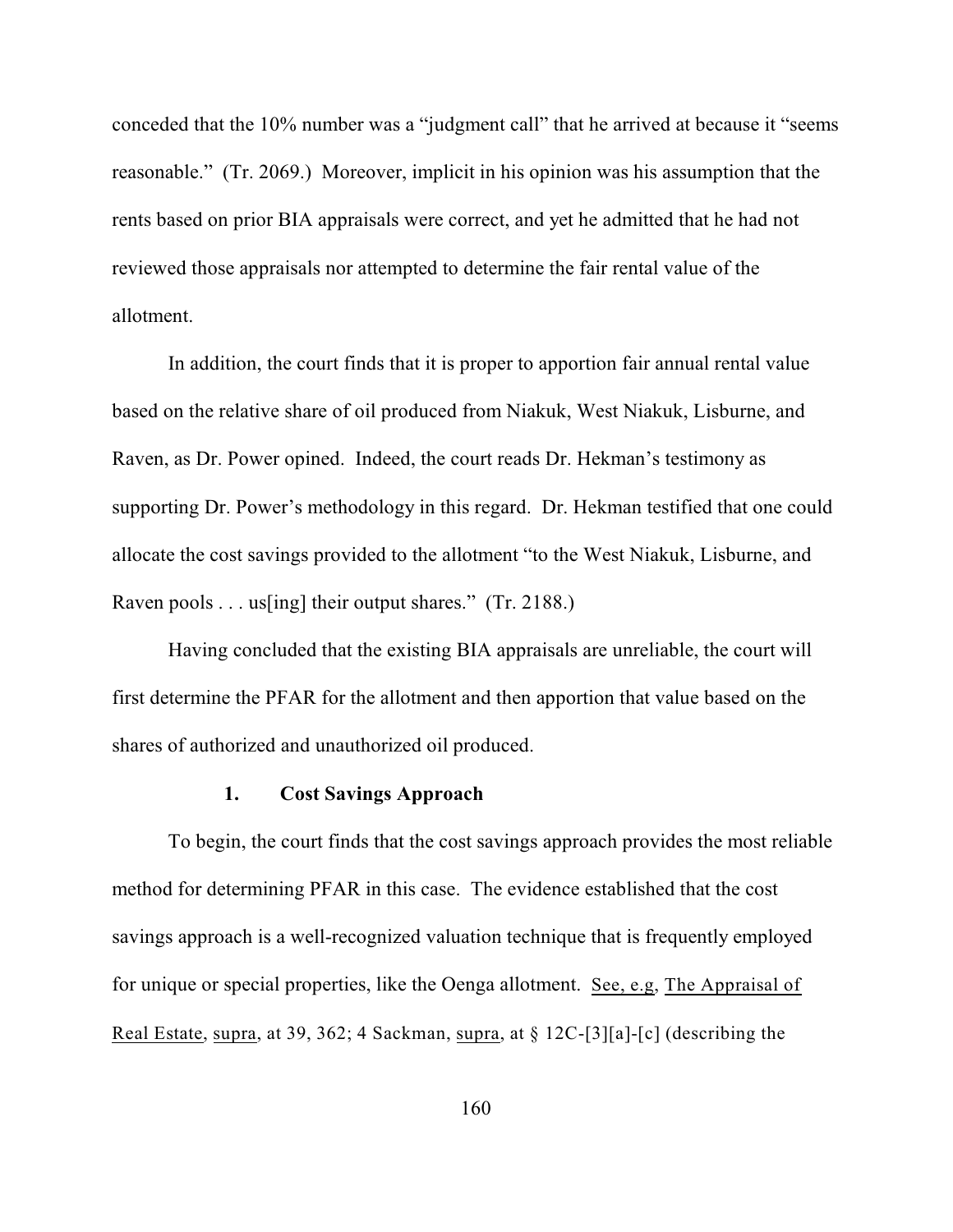conceded that the 10% number was a "judgment call" that he arrived at because it "seems reasonable." (Tr. 2069.) Moreover, implicit in his opinion was his assumption that the rents based on prior BIA appraisals were correct, and yet he admitted that he had not reviewed those appraisals nor attempted to determine the fair rental value of the allotment.

In addition, the court finds that it is proper to apportion fair annual rental value based on the relative share of oil produced from Niakuk, West Niakuk, Lisburne, and Raven, as Dr. Power opined. Indeed, the court reads Dr. Hekman's testimony as supporting Dr. Power's methodology in this regard. Dr. Hekman testified that one could allocate the cost savings provided to the allotment "to the West Niakuk, Lisburne, and Raven pools . . . us [ing] their output shares." (Tr. 2188.)

Having concluded that the existing BIA appraisals are unreliable, the court will first determine the PFAR for the allotment and then apportion that value based on the shares of authorized and unauthorized oil produced.

#### **1. Cost Savings Approach**

To begin, the court finds that the cost savings approach provides the most reliable method for determining PFAR in this case. The evidence established that the cost savings approach is a well-recognized valuation technique that is frequently employed for unique or special properties, like the Oenga allotment. See, e.g, The Appraisal of Real Estate, supra, at 39, 362; 4 Sackman, supra, at § 12C-[3][a]-[c] (describing the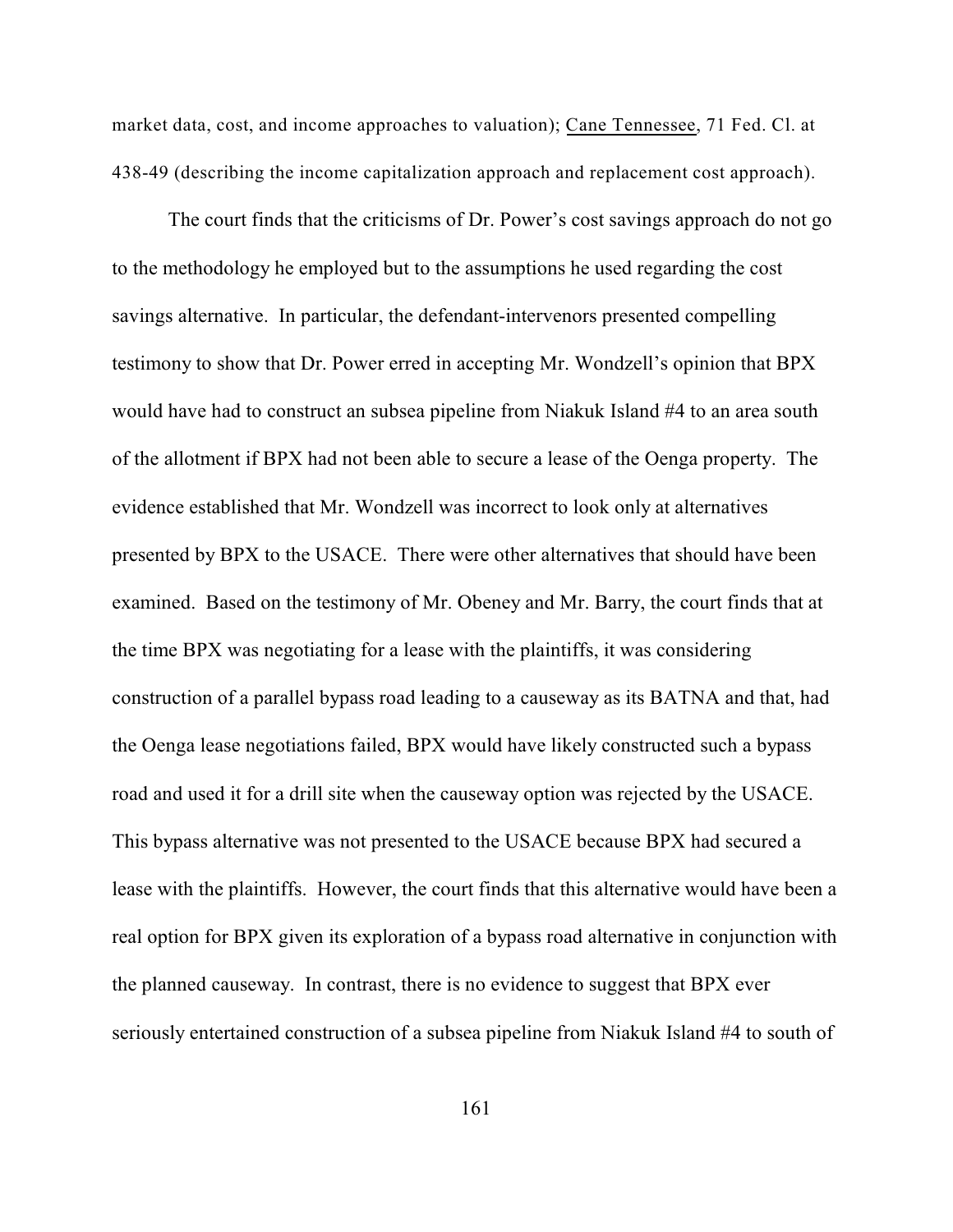market data, cost, and income approaches to valuation); Cane Tennessee, 71 Fed. Cl. at 438-49 (describing the income capitalization approach and replacement cost approach).

The court finds that the criticisms of Dr. Power's cost savings approach do not go to the methodology he employed but to the assumptions he used regarding the cost savings alternative. In particular, the defendant-intervenors presented compelling testimony to show that Dr. Power erred in accepting Mr. Wondzell's opinion that BPX would have had to construct an subsea pipeline from Niakuk Island #4 to an area south of the allotment if BPX had not been able to secure a lease of the Oenga property. The evidence established that Mr. Wondzell was incorrect to look only at alternatives presented by BPX to the USACE. There were other alternatives that should have been examined. Based on the testimony of Mr. Obeney and Mr. Barry, the court finds that at the time BPX was negotiating for a lease with the plaintiffs, it was considering construction of a parallel bypass road leading to a causeway as its BATNA and that, had the Oenga lease negotiations failed, BPX would have likely constructed such a bypass road and used it for a drill site when the causeway option was rejected by the USACE. This bypass alternative was not presented to the USACE because BPX had secured a lease with the plaintiffs. However, the court finds that this alternative would have been a real option for BPX given its exploration of a bypass road alternative in conjunction with the planned causeway. In contrast, there is no evidence to suggest that BPX ever seriously entertained construction of a subsea pipeline from Niakuk Island #4 to south of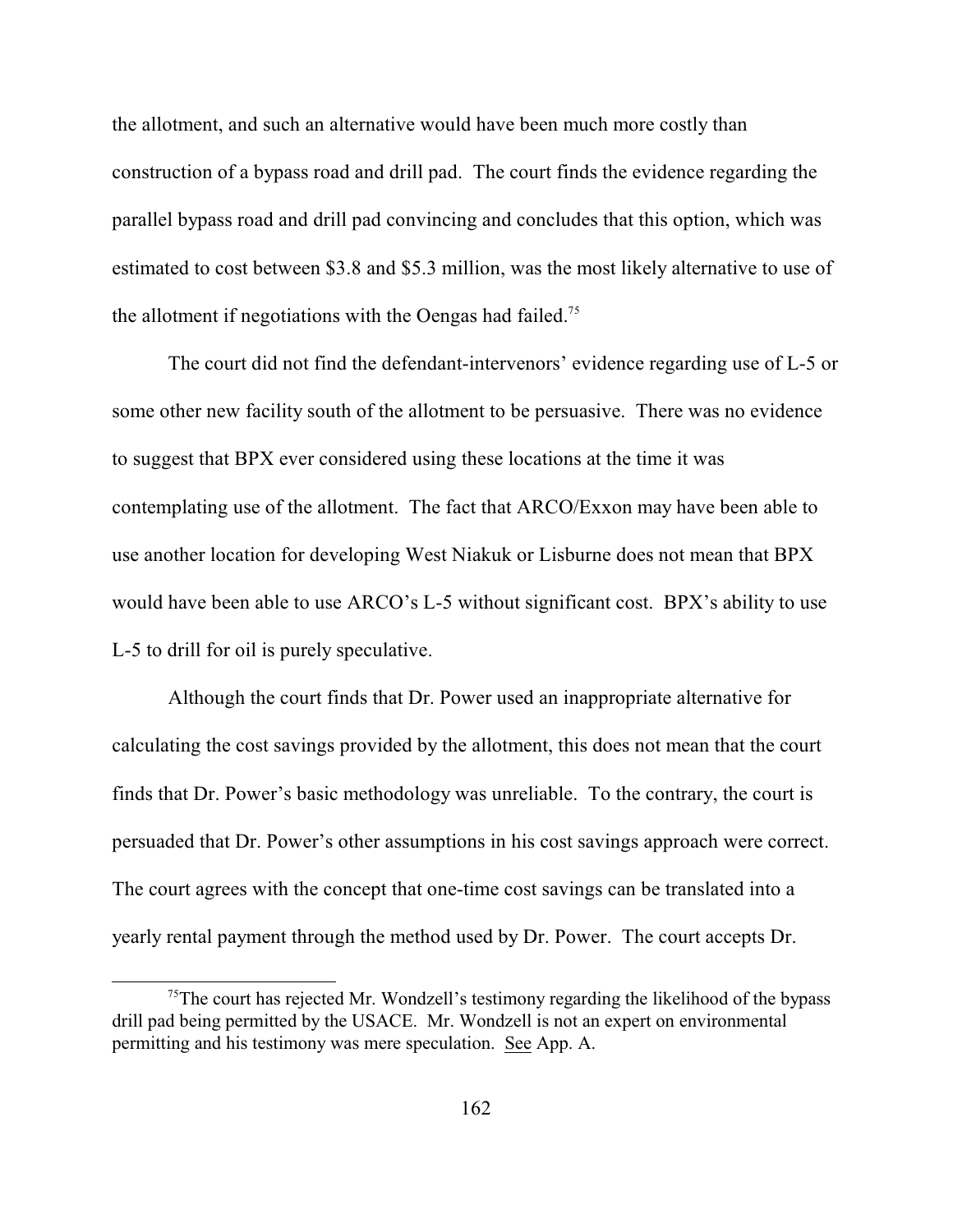the allotment, and such an alternative would have been much more costly than construction of a bypass road and drill pad. The court finds the evidence regarding the parallel bypass road and drill pad convincing and concludes that this option, which was estimated to cost between \$3.8 and \$5.3 million, was the most likely alternative to use of the allotment if negotiations with the Oengas had failed.<sup>75</sup>

The court did not find the defendant-intervenors' evidence regarding use of L-5 or some other new facility south of the allotment to be persuasive. There was no evidence to suggest that BPX ever considered using these locations at the time it was contemplating use of the allotment. The fact that ARCO/Exxon may have been able to use another location for developing West Niakuk or Lisburne does not mean that BPX would have been able to use ARCO's L-5 without significant cost. BPX's ability to use L-5 to drill for oil is purely speculative.

Although the court finds that Dr. Power used an inappropriate alternative for calculating the cost savings provided by the allotment, this does not mean that the court finds that Dr. Power's basic methodology was unreliable. To the contrary, the court is persuaded that Dr. Power's other assumptions in his cost savings approach were correct. The court agrees with the concept that one-time cost savings can be translated into a yearly rental payment through the method used by Dr. Power. The court accepts Dr.

 $<sup>75</sup>$ The court has rejected Mr. Wondzell's testimony regarding the likelihood of the bypass</sup> drill pad being permitted by the USACE. Mr. Wondzell is not an expert on environmental permitting and his testimony was mere speculation. See App. A.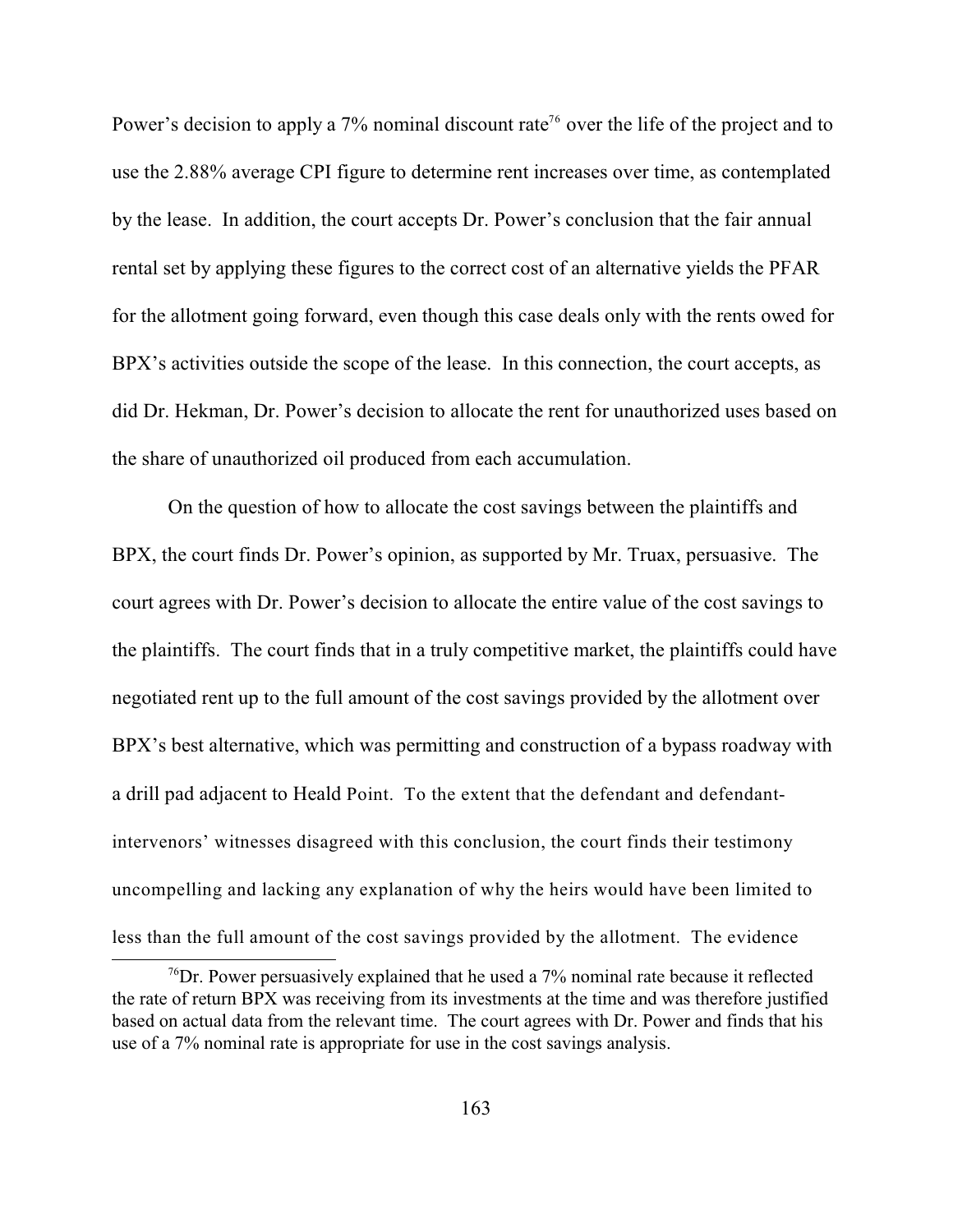Power's decision to apply a  $7\%$  nominal discount rate<sup>76</sup> over the life of the project and to use the 2.88% average CPI figure to determine rent increases over time, as contemplated by the lease. In addition, the court accepts Dr. Power's conclusion that the fair annual rental set by applying these figures to the correct cost of an alternative yields the PFAR for the allotment going forward, even though this case deals only with the rents owed for BPX's activities outside the scope of the lease. In this connection, the court accepts, as did Dr. Hekman, Dr. Power's decision to allocate the rent for unauthorized uses based on the share of unauthorized oil produced from each accumulation.

On the question of how to allocate the cost savings between the plaintiffs and BPX, the court finds Dr. Power's opinion, as supported by Mr. Truax, persuasive. The court agrees with Dr. Power's decision to allocate the entire value of the cost savings to the plaintiffs. The court finds that in a truly competitive market, the plaintiffs could have negotiated rent up to the full amount of the cost savings provided by the allotment over BPX's best alternative, which was permitting and construction of a bypass roadway with a drill pad adjacent to Heald Point. To the extent that the defendant and defendantintervenors' witnesses disagreed with this conclusion, the court finds their testimony uncompelling and lacking any explanation of why the heirs would have been limited to less than the full amount of the cost savings provided by the allotment. The evidence

 $\frac{76}{2}$ Dr. Power persuasively explained that he used a 7% nominal rate because it reflected the rate of return BPX was receiving from its investments at the time and was therefore justified based on actual data from the relevant time. The court agrees with Dr. Power and finds that his use of a 7% nominal rate is appropriate for use in the cost savings analysis.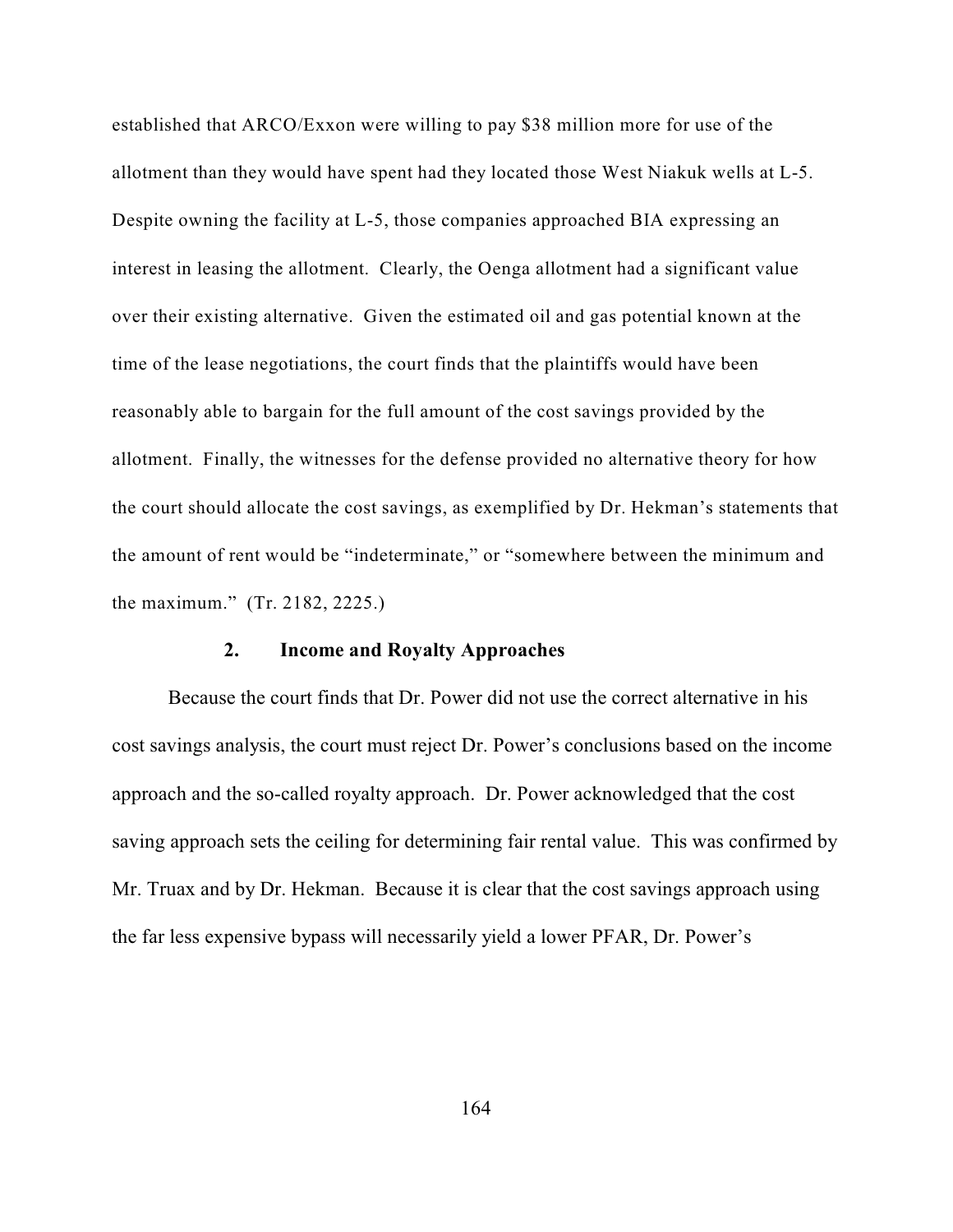established that ARCO/Exxon were willing to pay \$38 million more for use of the allotment than they would have spent had they located those West Niakuk wells at L-5. Despite owning the facility at L-5, those companies approached BIA expressing an interest in leasing the allotment. Clearly, the Oenga allotment had a significant value over their existing alternative. Given the estimated oil and gas potential known at the time of the lease negotiations, the court finds that the plaintiffs would have been reasonably able to bargain for the full amount of the cost savings provided by the allotment. Finally, the witnesses for the defense provided no alternative theory for how the court should allocate the cost savings, as exemplified by Dr. Hekman's statements that the amount of rent would be "indeterminate," or "somewhere between the minimum and the maximum." (Tr. 2182, 2225.)

### **2. Income and Royalty Approaches**

Because the court finds that Dr. Power did not use the correct alternative in his cost savings analysis, the court must reject Dr. Power's conclusions based on the income approach and the so-called royalty approach. Dr. Power acknowledged that the cost saving approach sets the ceiling for determining fair rental value. This was confirmed by Mr. Truax and by Dr. Hekman. Because it is clear that the cost savings approach using the far less expensive bypass will necessarily yield a lower PFAR, Dr. Power's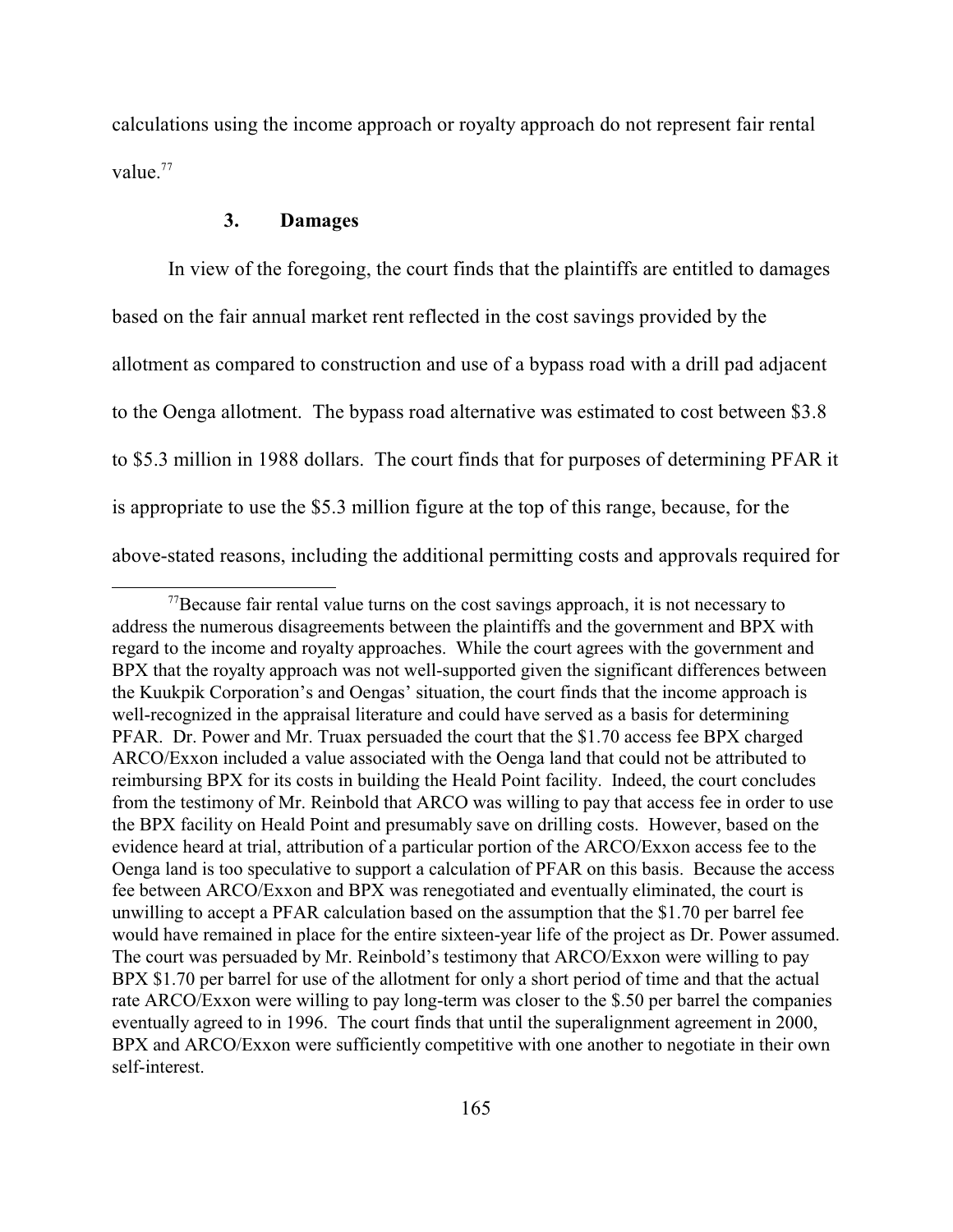calculations using the income approach or royalty approach do not represent fair rental value.<sup>77</sup>

## **3. Damages**

In view of the foregoing, the court finds that the plaintiffs are entitled to damages based on the fair annual market rent reflected in the cost savings provided by the allotment as compared to construction and use of a bypass road with a drill pad adjacent to the Oenga allotment. The bypass road alternative was estimated to cost between \$3.8 to \$5.3 million in 1988 dollars. The court finds that for purposes of determining PFAR it is appropriate to use the \$5.3 million figure at the top of this range, because, for the above-stated reasons, including the additional permitting costs and approvals required for

 $^{77}$ Because fair rental value turns on the cost savings approach, it is not necessary to address the numerous disagreements between the plaintiffs and the government and BPX with regard to the income and royalty approaches. While the court agrees with the government and BPX that the royalty approach was not well-supported given the significant differences between the Kuukpik Corporation's and Oengas' situation, the court finds that the income approach is well-recognized in the appraisal literature and could have served as a basis for determining PFAR. Dr. Power and Mr. Truax persuaded the court that the \$1.70 access fee BPX charged ARCO/Exxon included a value associated with the Oenga land that could not be attributed to reimbursing BPX for its costs in building the Heald Point facility. Indeed, the court concludes from the testimony of Mr. Reinbold that ARCO was willing to pay that access fee in order to use the BPX facility on Heald Point and presumably save on drilling costs. However, based on the evidence heard at trial, attribution of a particular portion of the ARCO/Exxon access fee to the Oenga land is too speculative to support a calculation of PFAR on this basis. Because the access fee between ARCO/Exxon and BPX was renegotiated and eventually eliminated, the court is unwilling to accept a PFAR calculation based on the assumption that the \$1.70 per barrel fee would have remained in place for the entire sixteen-year life of the project as Dr. Power assumed. The court was persuaded by Mr. Reinbold's testimony that ARCO/Exxon were willing to pay BPX \$1.70 per barrel for use of the allotment for only a short period of time and that the actual rate ARCO/Exxon were willing to pay long-term was closer to the \$.50 per barrel the companies eventually agreed to in 1996. The court finds that until the superalignment agreement in 2000, BPX and ARCO/Exxon were sufficiently competitive with one another to negotiate in their own self-interest.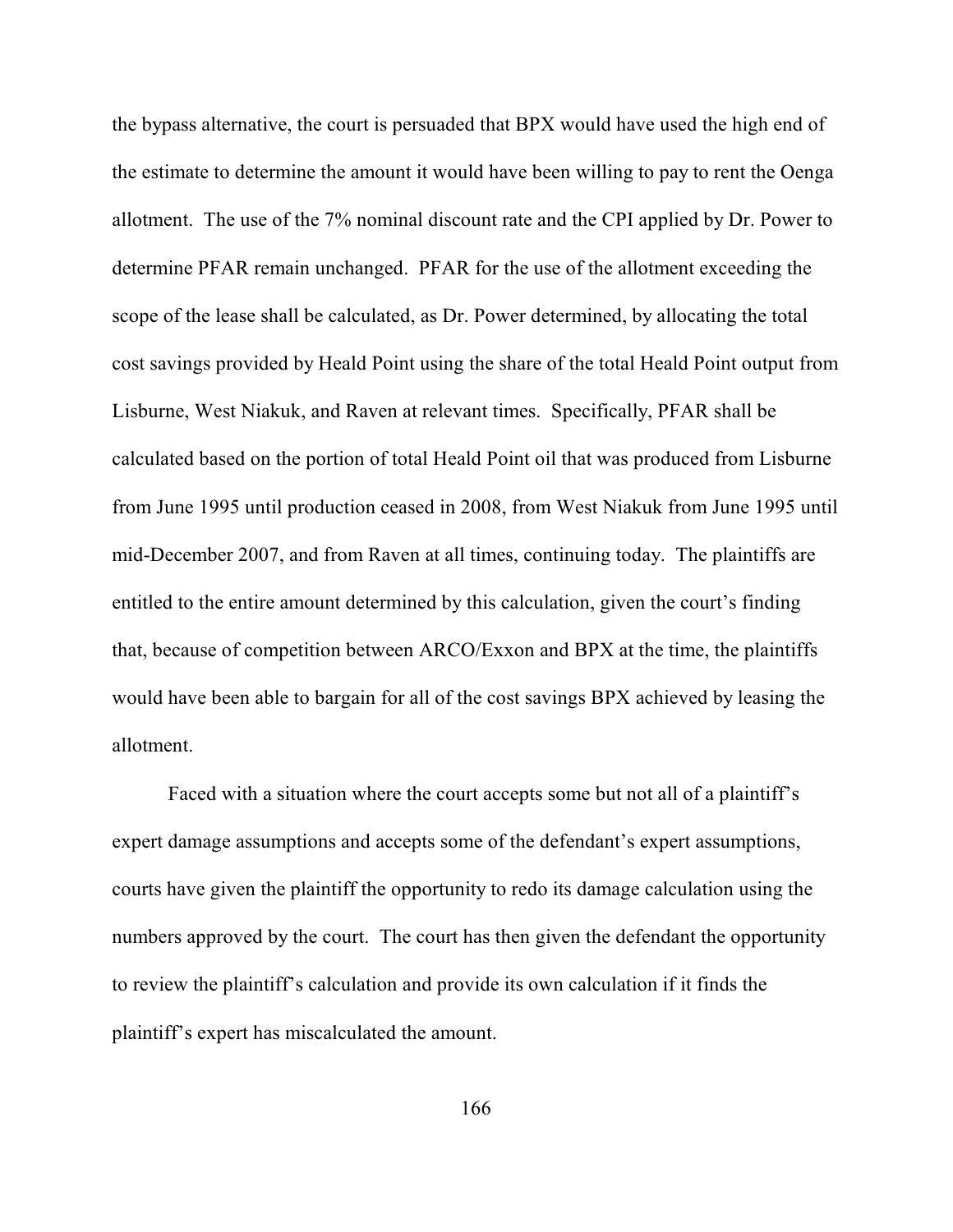the bypass alternative, the court is persuaded that BPX would have used the high end of the estimate to determine the amount it would have been willing to pay to rent the Oenga allotment. The use of the 7% nominal discount rate and the CPI applied by Dr. Power to determine PFAR remain unchanged. PFAR for the use of the allotment exceeding the scope of the lease shall be calculated, as Dr. Power determined, by allocating the total cost savings provided by Heald Point using the share of the total Heald Point output from Lisburne, West Niakuk, and Raven at relevant times. Specifically, PFAR shall be calculated based on the portion of total Heald Point oil that was produced from Lisburne from June 1995 until production ceased in 2008, from West Niakuk from June 1995 until mid-December 2007, and from Raven at all times, continuing today. The plaintiffs are entitled to the entire amount determined by this calculation, given the court's finding that, because of competition between ARCO/Exxon and BPX at the time, the plaintiffs would have been able to bargain for all of the cost savings BPX achieved by leasing the allotment.

Faced with a situation where the court accepts some but not all of a plaintiff's expert damage assumptions and accepts some of the defendant's expert assumptions, courts have given the plaintiff the opportunity to redo its damage calculation using the numbers approved by the court. The court has then given the defendant the opportunity to review the plaintiff's calculation and provide its own calculation if it finds the plaintiff's expert has miscalculated the amount.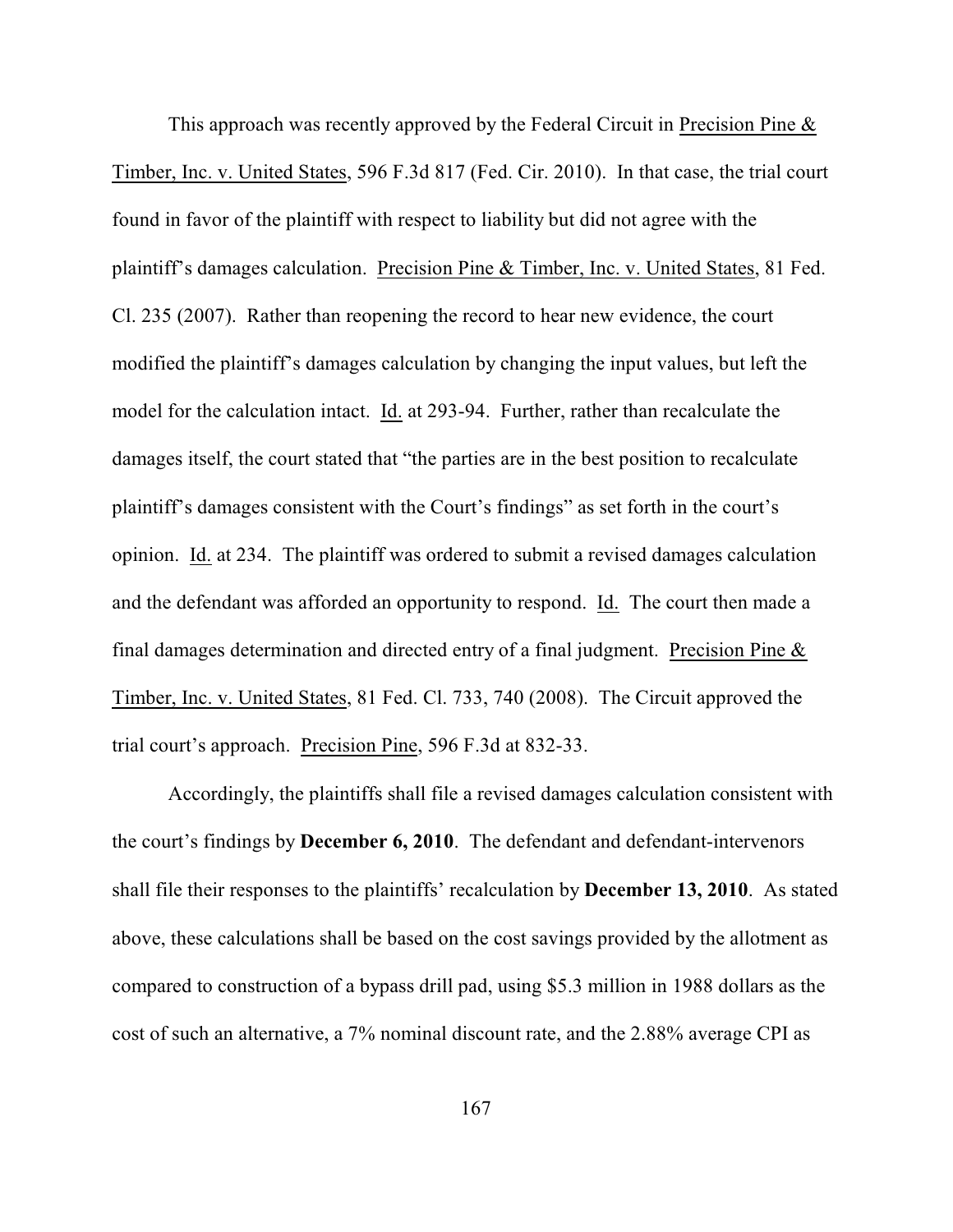This approach was recently approved by the Federal Circuit in Precision Pine & Timber, Inc. v. United States, 596 F.3d 817 (Fed. Cir. 2010). In that case, the trial court found in favor of the plaintiff with respect to liability but did not agree with the plaintiff's damages calculation. Precision Pine & Timber, Inc. v. United States, 81 Fed. Cl. 235 (2007). Rather than reopening the record to hear new evidence, the court modified the plaintiff's damages calculation by changing the input values, but left the model for the calculation intact. Id. at 293-94. Further, rather than recalculate the damages itself, the court stated that "the parties are in the best position to recalculate plaintiff's damages consistent with the Court's findings" as set forth in the court's opinion. Id. at 234. The plaintiff was ordered to submit a revised damages calculation and the defendant was afforded an opportunity to respond. Id. The court then made a final damages determination and directed entry of a final judgment. Precision Pine & Timber, Inc. v. United States, 81 Fed. Cl. 733, 740 (2008). The Circuit approved the trial court's approach. Precision Pine, 596 F.3d at 832-33.

Accordingly, the plaintiffs shall file a revised damages calculation consistent with the court's findings by **December 6, 2010**. The defendant and defendant-intervenors shall file their responses to the plaintiffs' recalculation by **December 13, 2010**. As stated above, these calculations shall be based on the cost savings provided by the allotment as compared to construction of a bypass drill pad, using \$5.3 million in 1988 dollars as the cost of such an alternative, a 7% nominal discount rate, and the 2.88% average CPI as